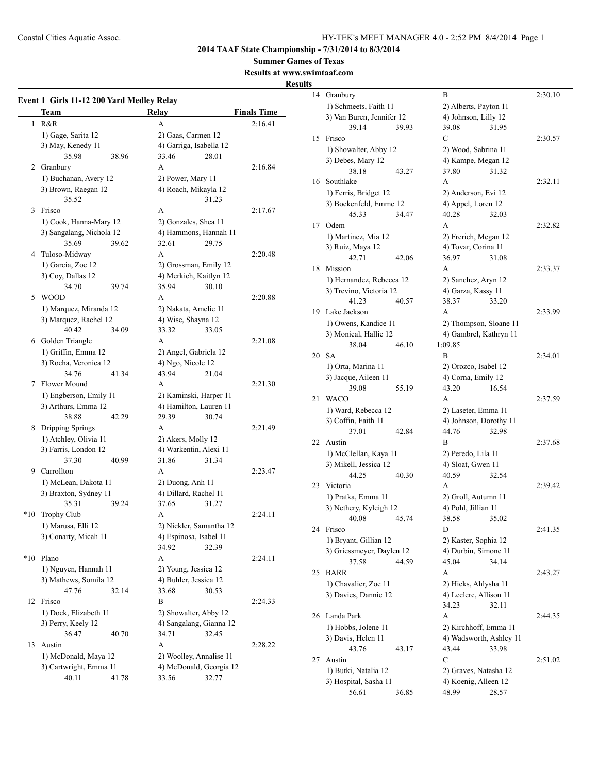**Summer Games of Texas**

**Results at www.swimtaaf.com**

## **Results**

|              | <b>Team</b>              |       | Relay                   | <b>Finals Time</b> |
|--------------|--------------------------|-------|-------------------------|--------------------|
| $\mathbf{1}$ | R&R                      |       | A                       | 2:16.41            |
|              | 1) Gage, Sarita 12       |       | 2) Gaas, Carmen 12      |                    |
|              | 3) May, Kenedy 11        |       | 4) Garriga, Isabella 12 |                    |
|              | 35.98                    | 38.96 | 33.46<br>28.01          |                    |
|              | 2 Granbury               |       | A                       | 2:16.84            |
|              | 1) Buchanan, Avery 12    |       | 2) Power, Mary 11       |                    |
|              | 3) Brown, Raegan 12      |       | 4) Roach, Mikayla 12    |                    |
|              | 35.52                    |       | 31.23                   |                    |
| 3            | Frisco                   |       | A                       | 2:17.67            |
|              | 1) Cook, Hanna-Mary 12   |       | 2) Gonzales, Shea 11    |                    |
|              | 3) Sangalang, Nichola 12 |       | 4) Hammons, Hannah 11   |                    |
|              | 35.69                    | 39.62 | 32.61<br>29.75          |                    |
| 4            | Tuloso-Midway            |       | A                       | 2:20.48            |
|              | 1) Garcia, Zoe 12        |       | 2) Grossman, Emily 12   |                    |
|              | 3) Coy, Dallas 12        |       | 4) Merkich, Kaitlyn 12  |                    |
|              | 34.70                    | 39.74 | 35.94<br>30.10          |                    |
| 5            | <b>WOOD</b>              |       | A                       | 2:20.88            |
|              | 1) Marquez, Miranda 12   |       | 2) Nakata, Amelie 11    |                    |
|              | 3) Marquez, Rachel 12    |       | 4) Wise, Shayna 12      |                    |
|              | 40.42                    | 34.09 | 33.32<br>33.05          |                    |
| 6            | Golden Triangle          |       | A                       | 2:21.08            |
|              | 1) Griffin, Emma 12      |       | 2) Angel, Gabriela 12   |                    |
|              | 3) Rocha, Veronica 12    |       | 4) Ngo, Nicole 12       |                    |
|              | 34.76                    | 41.34 | 43.94<br>21.04          |                    |
|              | 7 Flower Mound           |       | A                       | 2:21.30            |
|              | 1) Engberson, Emily 11   |       | 2) Kaminski, Harper 11  |                    |
|              | 3) Arthurs, Emma 12      |       | 4) Hamilton, Lauren 11  |                    |
|              | 38.88                    | 42.29 | 29.39<br>30.74          |                    |
| 8            | Dripping Springs         |       | A                       | 2:21.49            |
|              | 1) Atchley, Olivia 11    |       | 2) Akers, Molly 12      |                    |
|              | 3) Farris, London 12     |       | 4) Warkentin, Alexi 11  |                    |
|              | 37.30                    | 40.99 | 31.86<br>31.34          |                    |
|              | 9 Carrollton             |       | A                       | 2:23.47            |
|              | 1) McLean, Dakota 11     |       | 2) Duong, Anh 11        |                    |
|              | 3) Braxton, Sydney 11    |       | 4) Dillard, Rachel 11   |                    |
|              | 35.31                    | 39.24 | 37.65<br>31.27          |                    |
| $*10$        | Trophy Club              |       | A                       | 2:24.11            |
|              | 1) Marusa, Elli 12       |       | 2) Nickler, Samantha 12 |                    |
|              | 3) Conarty, Micah 11     |       | 4) Espinosa, Isabel 11  |                    |
|              |                          |       | 34.92<br>32.39          |                    |
| $*10$        | Plano                    |       | A                       | 2:24.11            |
|              | 1) Nguyen, Hannah 11     |       | 2) Young, Jessica 12    |                    |
|              | 3) Mathews, Somila 12    |       | 4) Buhler, Jessica 12   |                    |
|              | 47.76                    | 32.14 | 33.68<br>30.53          |                    |
| 12           | Frisco                   |       | B                       | 2:24.33            |
|              | 1) Dock, Elizabeth 11    |       | 2) Showalter, Abby 12   |                    |
|              | 3) Perry, Keely 12       |       | 4) Sangalang, Gianna 12 |                    |
|              | 36.47                    | 40.70 | 34.71<br>32.45          |                    |
| 13           | Austin                   |       | A                       | 2:28.22            |
|              | 1) McDonald, Maya 12     |       | 2) Woolley, Annalise 11 |                    |
|              | 3) Cartwright, Emma 11   |       | 4) McDonald, Georgia 12 |                    |
|              | 40.11                    | 41.78 | 32.77<br>33.56          |                    |

| 14 | Granbury                                            |       | B                       |       | 2:30.10 |
|----|-----------------------------------------------------|-------|-------------------------|-------|---------|
|    | 1) Schmeets, Faith 11                               |       | 2) Alberts, Payton 11   |       |         |
|    | 3) Van Buren, Jennifer 12                           |       | 4) Johnson, Lilly 12    |       |         |
|    | 39.14                                               | 39.93 | 39.08                   | 31.95 |         |
| 15 | Frisco                                              |       | С                       |       | 2:30.57 |
|    | 1) Showalter, Abby 12                               |       | 2) Wood, Sabrina 11     |       |         |
|    | 3) Debes, Mary 12                                   |       | 4) Kampe, Megan 12      |       |         |
|    | 38.18                                               | 43.27 | 37.80                   | 31.32 |         |
| 16 | Southlake                                           |       | А                       |       | 2:32.11 |
|    | 1) Ferris, Bridget 12                               |       | 2) Anderson, Evi 12     |       |         |
|    | 3) Bockenfeld, Emme 12                              |       | 4) Appel, Loren 12      |       |         |
|    | 45.33                                               | 34.47 | 40.28                   | 32.03 |         |
| 17 | Odem                                                |       | А                       |       | 2:32.82 |
|    | 1) Martinez, Mia 12                                 |       | 2) Frerich, Megan 12    |       |         |
|    | 3) Ruiz, Maya 12                                    |       | 4) Tovar, Corina 11     |       |         |
|    | 42.71                                               | 42.06 | 36.97                   | 31.08 |         |
| 18 | Mission                                             |       | A                       |       | 2:33.37 |
|    |                                                     |       | 2) Sanchez, Aryn 12     |       |         |
|    | 1) Hernandez, Rebecca 12<br>3) Trevino, Victoria 12 |       | 4) Garza, Kassy 11      |       |         |
|    |                                                     |       |                         |       |         |
|    | 41.23<br>Lake Jackson                               | 40.57 | 38.37                   | 33.20 |         |
| 19 |                                                     |       | A                       |       | 2:33.99 |
|    | 1) Owens, Kandice 11                                |       | 2) Thompson, Sloane 11  |       |         |
|    | 3) Monical, Hallie 12                               |       | 4) Gambrel, Kathryn 11  |       |         |
|    | 38.04                                               | 46.10 | 1:09.85                 |       |         |
| 20 | SA                                                  |       | B                       |       | 2:34.01 |
|    | 1) Orta, Marina 11                                  |       | 2) Orozco, Isabel 12    |       |         |
|    | 3) Jacque, Aileen 11                                |       | 4) Corna, Emily 12      |       |         |
|    | 39.08                                               | 55.19 | 43.20                   | 16.54 |         |
| 21 | WACO                                                |       | A                       |       | 2:37.59 |
|    | 1) Ward, Rebecca 12                                 |       | 2) Laseter, Emma 11     |       |         |
|    | 3) Coffin, Faith 11                                 |       | 4) Johnson, Dorothy 11  |       |         |
|    | 37.01                                               | 42.84 | 44.76                   | 32.98 |         |
| 22 | Austin                                              |       | B                       |       | 2:37.68 |
|    | 1) McClellan, Kaya 11                               |       | 2) Peredo, Lila 11      |       |         |
|    | 3) Mikell, Jessica 12                               |       | 4) Sloat, Gwen 11       |       |         |
|    | 44.25                                               | 40.30 | 40.59                   | 32.54 |         |
| 23 | Victoria                                            |       | А                       |       | 2:39.42 |
|    | 1) Pratka, Emma 11                                  |       | 2) Groll, Autumn 11     |       |         |
|    | 3) Nethery, Kyleigh 12                              |       | 4) Pohl, Jillian 11     |       |         |
|    | 40.08                                               | 45.74 | 38.58                   | 35.02 |         |
| 24 | Frisco                                              |       | D                       |       | 2:41.35 |
|    | 1) Bryant, Gillian 12                               |       | 2) Kaster, Sophia 12    |       |         |
|    | 3) Griessmeyer, Daylen 12                           |       | 4) Durbin, Simone 11    |       |         |
|    | 37.58                                               | 44.59 | 45.04                   | 34.14 |         |
| 25 | <b>BARR</b>                                         |       | А                       |       | 2:43.27 |
|    | 1) Chavalier, Zoe 11                                |       | 2) Hicks, Ahlysha 11    |       |         |
|    | 3) Davies, Dannie 12                                |       | 4) Leclerc, Allison 11  |       |         |
|    |                                                     |       | 34.23                   | 32.11 |         |
| 26 | Landa Park                                          |       | A                       |       | 2:44.35 |
|    | 1) Hobbs, Jolene 11                                 |       | 2) Kirchhoff, Emma 11   |       |         |
|    | 3) Davis, Helen 11                                  |       | 4) Wadsworth, Ashley 11 |       |         |
|    | 43.76                                               | 43.17 | 43.44                   | 33.98 |         |
| 27 | Austin                                              |       | С                       |       | 2:51.02 |
|    | 1) Butki, Natalia 12                                |       | 2) Graves, Natasha 12   |       |         |
|    | 3) Hospital, Sasha 11                               |       | 4) Koenig, Alleen 12    |       |         |
|    | 56.61                                               | 36.85 | 48.99                   | 28.57 |         |
|    |                                                     |       |                         |       |         |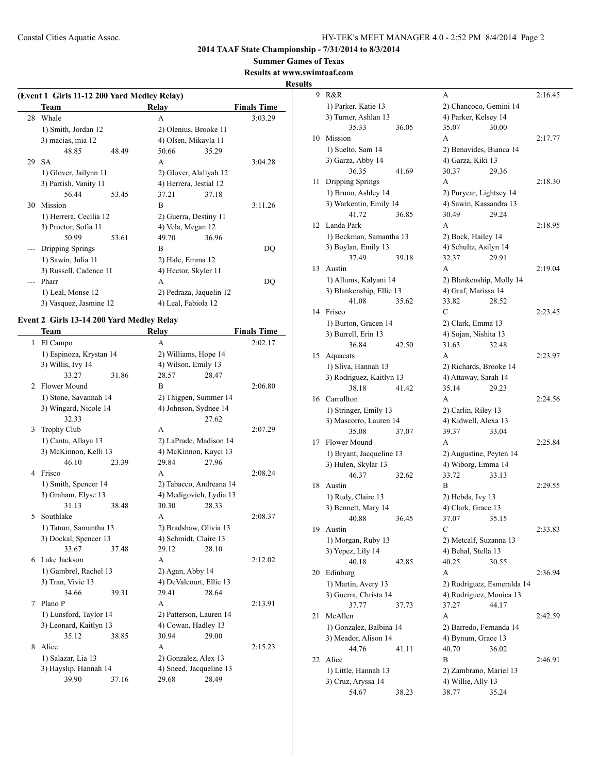**Summer Games of Texas**

## **Results at www.swii**

**Results**

| (Event 1 Girls 11-12 200 Yard Medley Relay) |                        |       |                        |                         |                    |  |
|---------------------------------------------|------------------------|-------|------------------------|-------------------------|--------------------|--|
|                                             | Team                   |       | Relay                  |                         | <b>Finals Time</b> |  |
| 28                                          | Whale                  |       | A                      |                         | 3:03.29            |  |
|                                             | 1) Smith, Jordan 12    |       | 2) Olenius, Brooke 11  |                         |                    |  |
|                                             | 3) macias, mia 12      |       | 4) Olsen, Mikayla 11   |                         |                    |  |
|                                             | 48.85                  | 48.49 | 50.66                  | 35.29                   |                    |  |
| 29                                          | <b>SA</b>              |       | A                      |                         | 3:04.28            |  |
|                                             | 1) Glover, Jailynn 11  |       | 2) Glover, Alaliyah 12 |                         |                    |  |
|                                             | 3) Parrish, Vanity 11  |       | 4) Herrera, Jestial 12 |                         |                    |  |
|                                             | 56.44                  | 53.45 | 37.21                  | 37.18                   |                    |  |
| 30                                          | Mission                |       | B                      |                         | 3:11.26            |  |
|                                             | 1) Herrera, Cecilia 12 |       | 2) Guerra, Destiny 11  |                         |                    |  |
|                                             | 3) Proctor, Sofia 11   |       | 4) Vela, Megan 12      |                         |                    |  |
|                                             | 50.99                  | 53.61 | 49.70                  | 36.96                   |                    |  |
|                                             | Dripping Springs       |       | B                      |                         | DQ                 |  |
|                                             | 1) Sawin, Julia 11     |       | 2) Hale, Emma 12       |                         |                    |  |
|                                             | 3) Russell, Cadence 11 |       | 4) Hector, Skyler 11   |                         |                    |  |
|                                             | Pharr                  |       | A                      |                         | DQ                 |  |
|                                             | 1) Leal, Monse 12      |       |                        | 2) Pedraza, Jaquelin 12 |                    |  |
|                                             | 3) Vasquez, Jasmine 12 |       | 4) Leal, Fabiola 12    |                         |                    |  |

## **Event 2 Girls 13-14 200 Yard Medley Relay**

|              | Team                    |       | Relay                   |       | <b>Finals Time</b> |
|--------------|-------------------------|-------|-------------------------|-------|--------------------|
| $\mathbf{1}$ | El Campo                |       | A                       |       | 2:02.17            |
|              | 1) Espinoza, Krystan 14 |       | 2) Williams, Hope 14    |       |                    |
|              | 3) Willis, Ivy 14       |       | 4) Wilson, Emily 13     |       |                    |
|              | 33.27                   | 31.86 | 28.57                   | 28.47 |                    |
| 2            | <b>Flower Mound</b>     |       | B                       |       | 2:06.80            |
|              | 1) Stone, Savannah 14   |       | 2) Thigpen, Summer 14   |       |                    |
|              | 3) Wingard, Nicole 14   |       | 4) Johnson, Sydnee 14   |       |                    |
|              | 32.33                   |       |                         | 27.62 |                    |
| 3            | <b>Trophy Club</b>      |       | A                       |       | 2:07.29            |
|              | 1) Cantu, Allaya 13     |       | 2) LaPrade, Madison 14  |       |                    |
|              | 3) McKinnon, Kelli 13   |       | 4) McKinnon, Kayci 13   |       |                    |
|              | 46.10                   | 23.39 | 29.84                   | 27.96 |                    |
| 4            | Frisco                  |       | A                       |       | 2:08.24            |
|              | 1) Smith, Spencer 14    |       | 2) Tabacco, Andreana 14 |       |                    |
|              | 3) Graham, Elyse 13     |       | 4) Medigovich, Lydia 13 |       |                    |
|              | 31.13                   | 38.48 | 30.30                   | 28.33 |                    |
| 5            | Southlake               |       | A                       |       | 2:08.37            |
|              | 1) Tatum, Samantha 13   |       | 2) Bradshaw, Olivia 13  |       |                    |
|              | 3) Dockal, Spencer 13   |       | 4) Schmidt, Claire 13   |       |                    |
|              | 33.67                   | 37.48 | 29.12                   | 28.10 |                    |
| 6            | Lake Jackson            |       | A                       |       | 2:12.02            |
|              | 1) Gambrel, Rachel 13   |       | 2) Agan, Abby 14        |       |                    |
|              | 3) Tran, Vivie 13       |       | 4) DeValcourt, Ellie 13 |       |                    |
|              | 34.66                   | 39.31 | 29.41                   | 28.64 |                    |
| 7            | Plano <sub>P</sub>      |       | A                       |       | 2:13.91            |
|              | 1) Lunsford, Taylor 14  |       | 2) Patterson, Lauren 14 |       |                    |
|              | 3) Leonard, Kaitlyn 13  |       | 4) Cowan, Hadley 13     |       |                    |
|              | 35.12                   | 38.85 | 30.94                   | 29.00 |                    |
| 8            | Alice                   |       | A                       |       | 2:15.23            |
|              | 1) Salazar, Lia 13      |       | 2) Gonzalez, Alex 13    |       |                    |
|              | 3) Hayslip, Hannah 14   |       | 4) Sneed, Jacqueline 13 |       |                    |
|              | 39.90                   | 37.16 | 29.68                   | 28.49 |                    |

|    | ımtaat.com                        |       |                          |                            |         |
|----|-----------------------------------|-------|--------------------------|----------------------------|---------|
| 9  | R&R                               |       | А                        |                            | 2:16.45 |
|    | 1) Parker, Katie 13               |       | 2) Chancoco, Gemini 14   |                            |         |
|    | 3) Turner, Ashlan 13              |       | 4) Parker, Kelsey 14     |                            |         |
|    | 35.33                             | 36.05 | 35.07                    | 30.00                      |         |
| 10 | Mission                           |       | A                        |                            | 2:17.77 |
|    | 1) Suelto, Sam 14                 |       | 2) Benavides, Bianca 14  |                            |         |
|    | 3) Garza, Abby 14                 |       | 4) Garza, Kiki 13        |                            |         |
|    | 36.35                             | 41.69 | 30.37                    | 29.36                      |         |
| 11 | Dripping Springs                  |       | A                        |                            | 2:18.30 |
|    | 1) Bruno, Ashley 14               |       | 2) Puryear, Lightsey 14  |                            |         |
|    | 3) Warkentin, Emily 14            |       | 4) Sawin, Kassandra 13   |                            |         |
|    | 41.72                             | 36.85 | 30.49                    | 29.24                      |         |
| 12 | Landa Park                        |       | A                        |                            | 2:18.95 |
|    | 1) Beckman, Samantha 13           |       | 2) Bock, Hailey 14       |                            |         |
|    | 3) Boylan, Emily 13               |       | 4) Schultz, Asilyn 14    |                            |         |
|    | 37.49                             | 39.18 | 32.37                    | 29.91                      |         |
| 13 | Austin                            |       | A                        |                            | 2:19.04 |
|    | 1) Allums, Kalyani 14             |       | 2) Blankenship, Molly 14 |                            |         |
|    | 3) Blankenship, Ellie 13          |       | 4) Graf, Marissa 14      |                            |         |
|    | 41.08                             | 35.62 | 33.82                    | 28.52                      |         |
| 14 | Frisco                            |       | C                        |                            | 2:23.45 |
|    | 1) Burton, Gracen 14              |       | 2) Clark, Emma 13        |                            |         |
|    | 3) Burrell, Erin 13               |       | 4) Sojan, Nishita 13     |                            |         |
|    | 36.84                             | 42.50 | 31.63                    | 32.48                      |         |
| 15 | Aquacats                          |       | A                        |                            | 2:23.97 |
|    | 1) Sliva, Hannah 13               |       | 2) Richards, Brooke 14   |                            |         |
|    |                                   |       |                          |                            |         |
|    | 3) Rodriguez, Kaitlyn 13<br>38.18 | 41.42 | 4) Attaway, Sarah 14     |                            |         |
| 16 | Carrollton                        |       | 35.14<br>A               | 29.23                      | 2:24.56 |
|    |                                   |       |                          |                            |         |
|    | 1) Stringer, Emily 13             |       | 2) Carlin, Riley 13      |                            |         |
|    | 3) Mascorro, Lauren 14            |       | 4) Kidwell, Alexa 13     |                            |         |
|    | 35.08                             | 37.07 | 39.37                    | 33.04                      | 2:25.84 |
| 17 | Flower Mound                      |       | A                        |                            |         |
|    | 1) Bryant, Jacqueline 13          |       | 2) Augustine, Peyten 14  |                            |         |
|    | 3) Hulen, Skylar 13               |       | 4) Wiborg, Emma 14       | 33.13                      |         |
|    | 46.37                             | 32.62 | 33.72                    |                            |         |
| 18 | Austin                            |       | В                        |                            | 2:29.55 |
|    | 1) Rudy, Claire 13                |       | 2) Hebda, Ivy 13         |                            |         |
|    | 3) Bennett, Mary 14               |       | 4) Clark, Grace 13       |                            |         |
|    | 40.88                             | 36.45 | 37.07                    | 35.15                      |         |
| 19 | Austin                            |       | С                        |                            | 2:33.83 |
|    | 1) Morgan, Ruby 13                |       | 2) Metcalf, Suzanna 13   |                            |         |
|    | 3) Yepez, Lily 14                 |       | 4) Behal, Stella 13      |                            |         |
|    | 40.18                             | 42.85 | 40.25                    | 30.55                      |         |
| 20 | Edinburg                          |       | A                        |                            | 2:36.94 |
|    | 1) Martin, Avery 13               |       |                          | 2) Rodriguez, Esmeralda 14 |         |
|    | 3) Guerra, Christa 14             |       | 4) Rodriguez, Monica 13  |                            |         |
|    | 37.77                             | 37.73 | 37.27                    | 44.17                      |         |
| 21 | McAllen                           |       | A                        |                            | 2:42.59 |
|    | 1) Gonzalez, Balbina 14           |       | 2) Barredo, Fernanda 14  |                            |         |
|    | 3) Meador, Alison 14              |       | 4) Bynum, Grace 13       |                            |         |
|    | 44.76                             | 41.11 | 40.70                    | 36.02                      |         |
| 22 | Alice                             |       | B                        |                            | 2:46.91 |
|    | 1) Little, Hannah 13              |       | 2) Zambrano, Mariel 13   |                            |         |
|    | 3) Cruz, Aryssa 14                |       | 4) Willie, Ally 13       |                            |         |
|    | 54.67                             | 38.23 | 38.77                    | 35.24                      |         |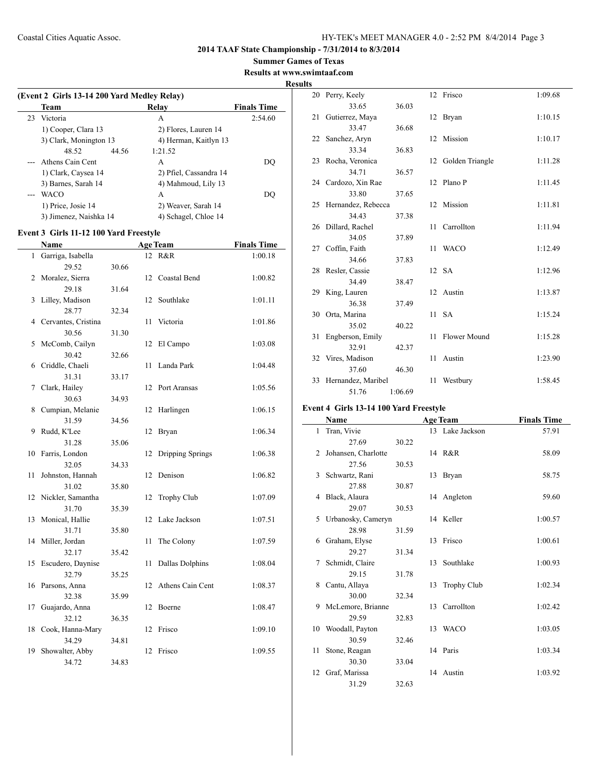## **Summer Games of Texas**

**Results at www.swimtaaf.com**

**Results**

 $\overline{\phantom{0}}$ 

| (Event 2 Girls 13-14 200 Yard Medley Relay) |                        |                    |  |  |  |  |  |
|---------------------------------------------|------------------------|--------------------|--|--|--|--|--|
| <b>Team</b>                                 | Relav                  | <b>Finals Time</b> |  |  |  |  |  |
| 23 Victoria                                 | А                      | 2:54.60            |  |  |  |  |  |
| 1) Cooper, Clara 13                         | 2) Flores, Lauren 14   |                    |  |  |  |  |  |
| 3) Clark, Monington 13                      | 4) Herman, Kaitlyn 13  |                    |  |  |  |  |  |
| 48.52                                       | 44.56<br>1:21.52       |                    |  |  |  |  |  |
| Athens Cain Cent                            | A                      | DO                 |  |  |  |  |  |
| 1) Clark, Caysea 14                         | 2) Pfiel, Cassandra 14 |                    |  |  |  |  |  |
| 3) Barnes, Sarah 14                         | 4) Mahmoud, Lily 13    |                    |  |  |  |  |  |
| WACO                                        | A                      | DO                 |  |  |  |  |  |
| 1) Price, Josie 14                          | 2) Weaver, Sarah 14    |                    |  |  |  |  |  |
| 3) Jimenez, Naishka 14                      | 4) Schagel, Chloe 14   |                    |  |  |  |  |  |

## **Event 3 Girls 11-12 100 Yard Freestyle**

|              | <b>Name</b>         | <b>Age Team</b> |    |                        | <b>Finals Time</b> |
|--------------|---------------------|-----------------|----|------------------------|--------------------|
| $\mathbf{1}$ | Garriga, Isabella   |                 |    | 12 R&R                 | 1:00.18            |
|              | 29.52               | 30.66           |    |                        |                    |
| 2            | Moralez, Sierra     |                 | 12 | Coastal Bend           | 1:00.82            |
|              | 29.18               | 31.64           |    |                        |                    |
| 3            | Lilley, Madison     |                 | 12 | Southlake              | 1:01.11            |
|              | 28.77               | 32.34           |    |                        |                    |
| 4            | Cervantes, Cristina |                 | 11 | Victoria               | 1:01.86            |
|              | 30.56               | 31.30           |    |                        |                    |
| 5            | McComb, Cailyn      |                 | 12 | El Campo               | 1:03.08            |
|              | 30.42               | 32.66           |    |                        |                    |
| 6            | Criddle, Chaeli     |                 | 11 | Landa Park             | 1:04.48            |
|              | 31.31               | 33.17           |    |                        |                    |
| 7            | Clark, Hailey       |                 | 12 | Port Aransas           | 1:05.56            |
|              | 30.63               | 34.93           |    |                        |                    |
| 8            | Cumpian, Melanie    |                 | 12 | Harlingen              | 1:06.15            |
|              | 31.59               | 34.56           |    |                        |                    |
| 9            | Rudd, K'Lee         |                 | 12 | Bryan                  | 1:06.34            |
|              | 31.28               | 35.06           |    |                        |                    |
| 10           | Farris, London      |                 | 12 | Dripping Springs       | 1:06.38            |
|              | 32.05               | 34.33           |    |                        |                    |
| 11           | Johnston, Hannah    |                 | 12 | Denison                | 1:06.82            |
|              | 31.02               | 35.80           |    |                        |                    |
| 12           | Nickler, Samantha   |                 | 12 | Trophy Club            | 1:07.09            |
|              | 31.70               | 35.39           |    |                        |                    |
| 13           | Monical, Hallie     |                 | 12 | Lake Jackson           | 1:07.51            |
|              | 31.71               | 35.80           |    |                        |                    |
| 14           | Miller, Jordan      |                 | 11 | The Colony             | 1:07.59            |
|              | 32.17               | 35.42           |    |                        |                    |
| 15           | Escudero, Daynise   |                 | 11 | <b>Dallas Dolphins</b> | 1:08.04            |
|              | 32.79               | 35.25           |    |                        |                    |
| 16           | Parsons, Anna       |                 | 12 | Athens Cain Cent       | 1:08.37            |
|              | 32.38               | 35.99           |    |                        |                    |
| 17           | Guajardo, Anna      |                 | 12 | Boerne                 | 1:08.47            |
|              | 32.12               | 36.35           |    |                        |                    |
| 18           | Cook, Hanna-Mary    |                 | 12 | Frisco                 | 1:09.10            |
|              | 34.29               | 34.81           |    |                        |                    |
| 19           | Showalter, Abby     |                 | 12 | Frisco                 | 1:09.55            |
|              | 34.72               | 34.83           |    |                        |                    |

|    | 20 Perry, Keely       |         |    | 12 Frisco          | 1:09.68 |
|----|-----------------------|---------|----|--------------------|---------|
|    | 33.65                 | 36.03   |    |                    |         |
|    | 21 Gutierrez, Maya    |         |    | 12 Bryan           | 1:10.15 |
|    | 33.47                 | 36.68   |    |                    |         |
|    | 22 Sanchez, Aryn      |         |    | 12 Mission         | 1:10.17 |
|    | 33.34                 | 36.83   |    |                    |         |
| 23 | Rocha, Veronica       |         |    | 12 Golden Triangle | 1:11.28 |
|    | 34.71                 | 36.57   |    |                    |         |
|    | 24 Cardozo, Xin Rae   |         |    | 12 Plano P         | 1:11.45 |
|    | 33.80                 | 37.65   |    |                    |         |
|    | 25 Hernandez, Rebecca |         |    | 12 Mission         | 1:11.81 |
|    | 34.43                 | 37.38   |    |                    |         |
|    | 26 Dillard, Rachel    |         | 11 | Carrollton         | 1:11.94 |
|    | 34.05                 | 37.89   |    |                    |         |
|    | 27 Coffin, Faith      |         | 11 | <b>WACO</b>        | 1:12.49 |
|    | 34.66                 | 37.83   |    |                    |         |
|    | 28 Resler, Cassie     |         |    | 12 SA              | 1:12.96 |
|    | 34.49                 | 38.47   |    |                    |         |
| 29 | King, Lauren          |         |    | 12 Austin          | 1:13.87 |
|    | 36.38                 | 37.49   |    |                    |         |
|    | 30 Orta, Marina       |         |    | 11 SA              | 1:15.24 |
|    | 35.02                 | 40.22   |    |                    |         |
| 31 | Engberson, Emily      |         | 11 | Flower Mound       | 1:15.28 |
|    | 32.91                 | 42.37   |    |                    |         |
|    | 32 Vires, Madison     |         | 11 | Austin             | 1:23.90 |
|    | 37.60                 | 46.30   |    |                    |         |
|    | 33 Hernandez, Maribel |         | 11 | Westbury           | 1:58.45 |
|    | 51.76                 | 1:06.69 |    |                    |         |

## **Event 4 Girls 13-14 100 Yard Freestyle**

|    | Name                |       |    | <b>Age Team</b>    | <b>Finals Time</b> |
|----|---------------------|-------|----|--------------------|--------------------|
| 1  | Tran, Vivie         |       |    | 13 Lake Jackson    | 57.91              |
|    | 27.69               | 30.22 |    |                    |                    |
| 2  | Johansen, Charlotte |       |    | 14 R&R             | 58.09              |
|    | 27.56               | 30.53 |    |                    |                    |
| 3  | Schwartz, Rani      |       |    | 13 Bryan           | 58.75              |
|    | 27.88               | 30.87 |    |                    |                    |
| 4  | Black, Alaura       |       |    | 14 Angleton        | 59.60              |
|    | 29.07               | 30.53 |    |                    |                    |
| 5  | Urbanosky, Cameryn  |       |    | 14 Keller          | 1:00.57            |
|    | 28.98               | 31.59 |    |                    |                    |
| 6  | Graham, Elyse       |       |    | 13 Frisco          | 1:00.61            |
|    | 29.27               | 31.34 |    |                    |                    |
| 7  | Schmidt, Claire     |       |    | 13 Southlake       | 1:00.93            |
|    | 29.15               | 31.78 |    |                    |                    |
| 8  | Cantu, Allaya       |       | 13 | <b>Trophy Club</b> | 1:02.34            |
|    | 30.00               | 32.34 |    |                    |                    |
| 9  | McLemore, Brianne   |       | 13 | Carrollton         | 1:02.42            |
|    | 29.59               | 32.83 |    |                    |                    |
| 10 | Woodall, Payton     |       |    | 13 WACO            | 1:03.05            |
|    | 30.59               | 32.46 |    |                    |                    |
| 11 | Stone, Reagan       |       |    | 14 Paris           | 1:03.34            |
|    | 30.30               | 33.04 |    |                    |                    |
|    | 12 Graf, Marissa    |       |    | 14 Austin          | 1:03.92            |
|    | 31.29               | 32.63 |    |                    |                    |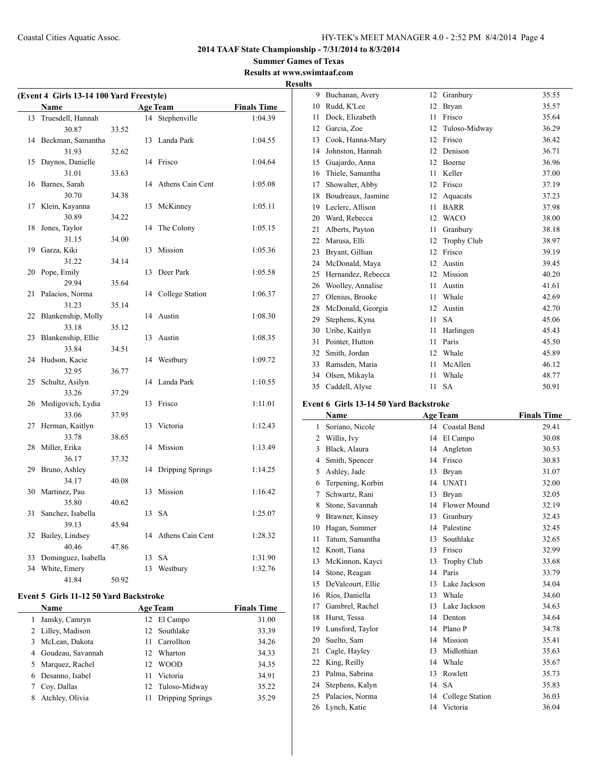**Summer Games of Texas Results at www.swimtaaf.com**

 $\overline{\phantom{a}}$ 

| (Event 4 Girls 13-14 100 Yard Freestyle)      |                                     |       |    |                  |                    |  |  |  |
|-----------------------------------------------|-------------------------------------|-------|----|------------------|--------------------|--|--|--|
| <b>Age Team</b><br><b>Finals Time</b><br>Name |                                     |       |    |                  |                    |  |  |  |
| 13                                            | Truesdell, Hannah                   |       | 14 | Stephenville     | 1:04.39            |  |  |  |
|                                               | 30.87                               | 33.52 |    |                  |                    |  |  |  |
|                                               | 14 Beckman, Samantha                |       | 13 | Landa Park       | 1:04.55            |  |  |  |
|                                               | 31.93                               | 32.62 |    |                  |                    |  |  |  |
| 15                                            | Daynos, Danielle                    |       | 14 | Frisco           | 1:04.64            |  |  |  |
|                                               | 31.01                               | 33.63 |    |                  |                    |  |  |  |
| 16                                            | Barnes, Sarah                       |       | 14 | Athens Cain Cent | 1:05.08            |  |  |  |
|                                               | 30.70                               | 34.38 |    |                  |                    |  |  |  |
| 17                                            | Klein, Kayanna                      |       | 13 | McKinney         | 1:05.11            |  |  |  |
|                                               | 30.89                               | 34.22 |    |                  |                    |  |  |  |
| 18                                            | Jones, Taylor                       |       | 14 | The Colony       | 1:05.15            |  |  |  |
|                                               | 31.15                               | 34.00 |    |                  |                    |  |  |  |
| 19                                            | Garza, Kiki                         |       | 13 | Mission          | 1:05.36            |  |  |  |
|                                               | 31.22                               | 34.14 |    |                  |                    |  |  |  |
| 20                                            | Pope, Emily                         |       | 13 | Deer Park        | 1:05.58            |  |  |  |
|                                               | 29.94                               | 35.64 |    |                  |                    |  |  |  |
| 21                                            | Palacios, Norma                     |       | 14 | College Station  | 1:06.37            |  |  |  |
|                                               | 31.23                               | 35.14 |    |                  |                    |  |  |  |
| 22                                            | Blankenship, Molly                  |       | 14 | Austin           | 1:08.30            |  |  |  |
|                                               | 33.18                               | 35.12 |    |                  |                    |  |  |  |
| 23                                            | Blankenship, Ellie                  |       | 13 | Austin           | 1:08.35            |  |  |  |
|                                               | 33.84                               | 34.51 |    |                  |                    |  |  |  |
| 24                                            | Hudson, Kacie                       |       | 14 | Westbury         | 1:09.72            |  |  |  |
|                                               | 32.95                               | 36.77 |    |                  |                    |  |  |  |
| 25                                            | Schultz, Asilyn                     |       | 14 | Landa Park       | 1:10.55            |  |  |  |
|                                               | 33.26                               | 37.29 |    |                  |                    |  |  |  |
| 26                                            | Medigovich, Lydia                   |       | 13 | Frisco           | 1:11.01            |  |  |  |
|                                               | 33.06                               | 37.95 |    |                  |                    |  |  |  |
| 27                                            | Herman, Kaitlyn                     |       | 13 | Victoria         | 1:12.43            |  |  |  |
|                                               | 33.78                               | 38.65 |    |                  |                    |  |  |  |
| 28                                            | Miller, Erika                       |       | 14 | Mission          | 1:13.49            |  |  |  |
|                                               | 36.17                               | 37.32 |    |                  |                    |  |  |  |
| 29                                            | Bruno, Ashley                       |       | 14 | Dripping Springs | 1:14.25            |  |  |  |
|                                               | 34.17                               | 40.08 |    |                  |                    |  |  |  |
| 30                                            | Martinez, Pau                       |       | 13 | Mission          | 1:16.42            |  |  |  |
|                                               | 35.80                               | 40.62 |    |                  |                    |  |  |  |
| 31                                            | Sanchez, Isabella                   |       | 13 | <b>SA</b>        | 1:25.07            |  |  |  |
|                                               | 39.13                               | 45.94 |    |                  |                    |  |  |  |
| 32                                            | Bailey, Lindsey<br>40.46            | 47.86 | 14 | Athens Cain Cent | 1:28.32            |  |  |  |
| 33                                            |                                     |       | 13 | <b>SA</b>        |                    |  |  |  |
| 34                                            | Dominguez, Isabella<br>White, Emery |       | 13 | Westbury         | 1:31.90<br>1:32.76 |  |  |  |
|                                               | 41.84                               | 50.92 |    |                  |                    |  |  |  |
|                                               |                                     |       |    |                  |                    |  |  |  |

## **Event 5 Girls 11-12 50 Yard Backstroke**

|   | <b>Name</b>         | <b>Age Team</b> |                         | <b>Finals Time</b> |
|---|---------------------|-----------------|-------------------------|--------------------|
| 1 | Jansky, Camryn      |                 | 12 El Campo             | 31.00              |
|   | 2 Lilley, Madison   |                 | 12 Southlake            | 33.39              |
|   | 3 McLean, Dakota    | 11              | Carrollton              | 34.26              |
|   | 4 Goudeau, Savannah | 12.             | Wharton                 | 34.33              |
|   | 5 Marquez, Rachel   | 12.             | <b>WOOD</b>             | 34.35              |
|   | 6 Desanno, Isabel   | 11              | Victoria                | 34.91              |
|   | Cov, Dallas         |                 | 12 Tuloso-Midway        | 35.22              |
|   | Atchley, Olivia     | 11              | <b>Dripping Springs</b> | 35.29              |

| <b>Results</b> |                    |    |                    |       |
|----------------|--------------------|----|--------------------|-------|
| 9              | Buchanan, Avery    | 12 | Granbury           | 35.55 |
| 10             | Rudd, K'Lee        | 12 | Bryan              | 35.57 |
| 11             | Dock, Elizabeth    | 11 | Frisco             | 35.64 |
| 12             | Garcia, Zoe        | 12 | Tuloso-Midway      | 36.29 |
| 13             | Cook, Hanna-Mary   | 12 | Frisco             | 36.42 |
| 14             | Johnston, Hannah   | 12 | Denison            | 36.71 |
| 15             | Guajardo, Anna     | 12 | <b>Boerne</b>      | 36.96 |
| 16             | Thiele, Samantha   | 11 | Keller             | 37.00 |
| 17             | Showalter, Abby    | 12 | Frisco             | 37.19 |
| 18             | Boudreaux, Jasmine | 12 | Aquacats           | 37.23 |
| 19             | Leclerc, Allison   | 11 | <b>BARR</b>        | 37.98 |
| 20             | Ward, Rebecca      | 12 | <b>WACO</b>        | 38.00 |
| 21             | Alberts, Payton    | 11 | Granbury           | 38.18 |
| 22             | Marusa, Elli       | 12 | <b>Trophy Club</b> | 38.97 |
| 23             | Bryant, Gillian    | 12 | Frisco             | 39.19 |
| 24             | McDonald, Maya     | 12 | Austin             | 39.45 |
| 25             | Hernandez, Rebecca | 12 | Mission            | 40.20 |
| 26             | Woolley, Annalise  | 11 | Austin             | 41.61 |
| 27             | Olenius, Brooke    | 11 | Whale              | 42.69 |
| 28             | McDonald, Georgia  | 12 | Austin             | 42.70 |
| 29             | Stephens, Kyna     | 11 | <b>SA</b>          | 45.06 |
| 30             | Uribe, Kaitlyn     | 11 | Harlingen          | 45.43 |
| 31             | Pointer, Hutton    | 11 | Paris              | 45.50 |
| 32             | Smith, Jordan      | 12 | Whale              | 45.89 |
| 33             | Ramsden, Maria     | 11 | McAllen            | 46.12 |
| 34             | Olsen, Mikayla     | 11 | Whale              | 48.77 |
| 35             | Caddell, Alyse     | 11 | <b>SA</b>          | 50.91 |

## **Event 6 Girls 13-14 50 Yard Backstroke**

|    | Name              |    | <b>Age Team</b> | <b>Finals Time</b> |
|----|-------------------|----|-----------------|--------------------|
| 1  | Soriano, Nicole   | 14 | Coastal Bend    | 29.41              |
| 2  | Willis, Ivy       | 14 | El Campo        | 30.08              |
| 3  | Black, Alaura     | 14 | Angleton        | 30.53              |
| 4  | Smith, Spencer    | 14 | Frisco          | 30.83              |
| 5  | Ashley, Jade      | 13 | Bryan           | 31.07              |
| 6  | Terpening, Korbin | 14 | UNAT1           | 32.00              |
| 7  | Schwartz, Rani    | 13 | Bryan           | 32.05              |
| 8  | Stone, Savannah   | 14 | Flower Mound    | 32.19              |
| 9  | Brawner, Kinsey   | 13 | Granbury        | 32.43              |
| 10 | Hagan, Summer     | 14 | Palestine       | 32.45              |
| 11 | Tatum, Samantha   | 13 | Southlake       | 32.65              |
| 12 | Knott, Tiana      | 13 | Frisco          | 32.99              |
| 13 | McKinnon, Kayci   | 13 | Trophy Club     | 33.68              |
| 14 | Stone, Reagan     | 14 | Paris           | 33.79              |
| 15 | DeValcourt, Ellie | 13 | Lake Jackson    | 34.04              |
| 16 | Rios, Daniella    | 13 | Whale           | 34.60              |
| 17 | Gambrel, Rachel   | 13 | Lake Jackson    | 34.63              |
| 18 | Hurst, Tessa      | 14 | Denton          | 34.64              |
| 19 | Lunsford, Taylor  | 14 | Plano P         | 34.78              |
| 20 | Suelto, Sam       | 14 | Mission         | 35.41              |
| 21 | Cagle, Hayley     | 13 | Midlothian      | 35.63              |
| 22 | King, Reilly      | 14 | Whale           | 35.67              |
| 23 | Palma, Sabrina    | 13 | Rowlett         | 35.73              |
| 24 | Stephens, Kalyn   | 14 | <b>SA</b>       | 35.83              |
| 25 | Palacios, Norma   | 14 | College Station | 36.03              |
| 26 | Lynch, Katie      | 14 | Victoria        | 36.04              |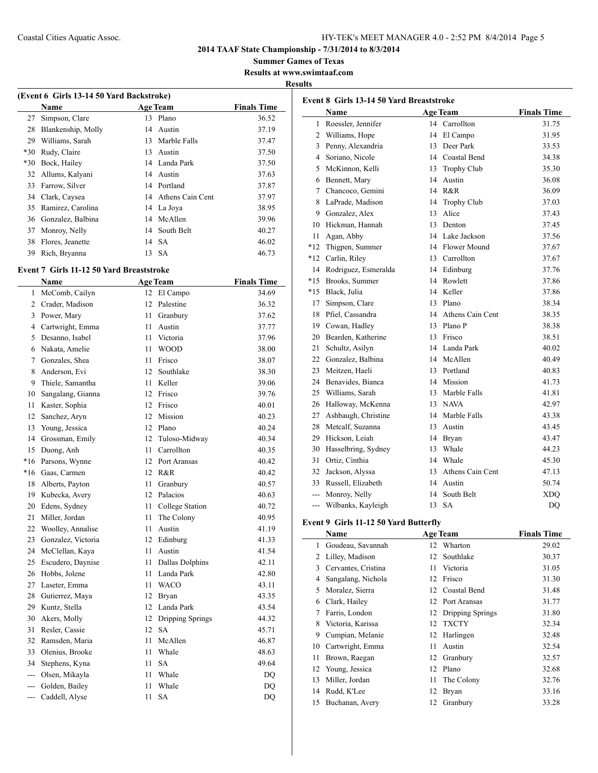**2014 TAAF State Championship - 7/31/2014 to 8/3/2014**

**Summer Games of Texas**

**Results at www.swimtaaf.com**

## **Results**

| (Event 6 Girls 13-14 50 Yard Backstroke) |                    |    |                     |                    |  |  |
|------------------------------------------|--------------------|----|---------------------|--------------------|--|--|
|                                          | Name               |    | <b>Age Team</b>     | <b>Finals Time</b> |  |  |
| 27                                       | Simpson, Clare     | 13 | Plano               | 36.52              |  |  |
| 28                                       | Blankenship, Molly |    | 14 Austin           | 37.19              |  |  |
| 29                                       | Williams, Sarah    | 13 | Marble Falls        | 37.47              |  |  |
| $*30$                                    | Rudy, Claire       | 13 | Austin              | 37.50              |  |  |
| $*30$                                    | Bock, Hailey       |    | 14 Landa Park       | 37.50              |  |  |
| 32                                       | Allums, Kalyani    |    | 14 Austin           | 37.63              |  |  |
| 33                                       | Farrow, Silver     |    | 14 Portland         | 37.87              |  |  |
| 34                                       | Clark, Caysea      |    | 14 Athens Cain Cent | 37.97              |  |  |
| 35                                       | Ramirez, Carolina  |    | 14 La Joya          | 38.95              |  |  |
| 36                                       | Gonzalez, Balbina  |    | 14 McAllen          | 39.96              |  |  |
| 37                                       | Monroy, Nelly      |    | 14 South Belt       | 40.27              |  |  |
| 38                                       | Flores, Jeanette   |    | 14 SA               | 46.02              |  |  |
| 39                                       | Rich, Bryanna      |    | 13 SA               | 46.73              |  |  |

#### **Event 7 Girls 11-12 50 Yard Breaststroke**

|                | Name               |                  | <b>Age Team</b>     | <b>Finals Time</b> |
|----------------|--------------------|------------------|---------------------|--------------------|
| 1              | McComb, Cailyn     | 12               | El Campo            | 34.69              |
| $\overline{c}$ | Crader, Madison    | 12 <sup>2</sup>  | Palestine           | 36.32              |
| 3              | Power, Mary        | 11               | Granbury            | 37.62              |
| 4              | Cartwright, Emma   | 11               | Austin              | 37.77              |
| 5              | Desanno, Isabel    | 11               | Victoria            | 37.96              |
| 6              | Nakata, Amelie     | 11               | <b>WOOD</b>         | 38.00              |
| 7              | Gonzales, Shea     | 11               | Frisco              | 38.07              |
| 8              | Anderson, Evi      | 12               | Southlake           | 38.30              |
| 9              | Thiele, Samantha   | 11               | Keller              | 39.06              |
| 10             | Sangalang, Gianna  | 12               | Frisco              | 39.76              |
| 11             | Kaster, Sophia     | 12 <sup>12</sup> | Frisco              | 40.01              |
| 12             | Sanchez, Aryn      | 12               | Mission             | 40.23              |
| 13             | Young, Jessica     | 12               | Plano               | 40.24              |
| 14             | Grossman, Emily    | 12 <sup>12</sup> | Tuloso-Midway       | 40.34              |
| 15             | Duong, Anh         | 11               | Carrollton          | 40.35              |
| $*16$          | Parsons, Wynne     | 12               | Port Aransas        | 40.42              |
| $*16$          | Gaas, Carmen       | 12               | R&R                 | 40.42              |
| 18             | Alberts, Payton    | 11               | Granbury            | 40.57              |
| 19             | Kubecka, Avery     | 12               | Palacios            | 40.63              |
| 20             | Edens, Sydney      | 11               | College Station     | 40.72              |
| 21             | Miller, Jordan     | 11               | The Colony          | 40.95              |
| 22             | Woolley, Annalise  | 11               | Austin              | 41.19              |
| 23             | Gonzalez, Victoria |                  | 12 Edinburg         | 41.33              |
| 24             | McClellan, Kaya    | 11               | Austin              | 41.54              |
| 25             | Escudero, Daynise  | 11               | Dallas Dolphins     | 42.11              |
| 26             | Hobbs, Jolene      | 11               | Landa Park          | 42.80              |
| 27             | Laseter, Emma      | 11               | <b>WACO</b>         | 43.11              |
| 28             | Gutierrez, Maya    |                  | 12 Bryan            | 43.35              |
| 29             | Kuntz, Stella      |                  | 12 Landa Park       | 43.54              |
| 30             | Akers, Molly       |                  | 12 Dripping Springs | 44.32              |
| 31             | Resler, Cassie     | 12               | <b>SA</b>           | 45.71              |
| 32             | Ramsden, Maria     | 11               | McAllen             | 46.87              |
| 33             | Olenius, Brooke    | 11               | Whale               | 48.63              |
| 34             | Stephens, Kyna     | 11               | <b>SA</b>           | 49.64              |
|                | --- Olsen, Mikayla | 11               | Whale               | <b>DQ</b>          |
|                | --- Golden, Bailey | 11               | Whale               | DQ                 |
| $\overline{a}$ | Caddell, Alyse     | 11               | <b>SA</b>           | DQ                 |

| Event 8 Girls 13-14 50 Yard Breaststroke |                      |    |                     |                    |  |  |
|------------------------------------------|----------------------|----|---------------------|--------------------|--|--|
|                                          | Name                 |    | <b>Age Team</b>     | <b>Finals Time</b> |  |  |
| 1                                        | Roessler, Jennifer   | 14 | Carrollton          | 31.75              |  |  |
| 2                                        | Williams, Hope       | 14 | El Campo            | 31.95              |  |  |
| 3                                        | Penny, Alexandria    | 13 | Deer Park           | 33.53              |  |  |
| 4                                        | Soriano, Nicole      | 14 | Coastal Bend        | 34.38              |  |  |
| 5                                        | McKinnon, Kelli      | 13 | Trophy Club         | 35.30              |  |  |
| 6                                        | Bennett, Mary        | 14 | Austin              | 36.08              |  |  |
| 7                                        | Chancoco, Gemini     | 14 | R&R                 | 36.09              |  |  |
| 8                                        | LaPrade, Madison     | 14 | Trophy Club         | 37.03              |  |  |
| 9                                        | Gonzalez, Alex       | 13 | Alice               | 37.43              |  |  |
| 10                                       | Hickman, Hannah      | 13 | Denton              | 37.45              |  |  |
| 11                                       | Agan, Abby           |    | 14 Lake Jackson     | 37.56              |  |  |
| $*12$                                    | Thigpen, Summer      |    | 14 Flower Mound     | 37.67              |  |  |
| $*12$                                    | Carlin, Riley        | 13 | Carrollton          | 37.67              |  |  |
| 14                                       | Rodriguez, Esmeralda | 14 | Edinburg            | 37.76              |  |  |
| $*15$                                    | Brooks, Summer       | 14 | Rowlett             | 37.86              |  |  |
| $*15$                                    | Black, Julia         |    | 14 Keller           | 37.86              |  |  |
| 17                                       | Simpson, Clare       | 13 | Plano               | 38.34              |  |  |
| 18                                       | Pfiel, Cassandra     |    | 14 Athens Cain Cent | 38.35              |  |  |
| 19                                       | Cowan, Hadley        |    | 13 Plano P          | 38.38              |  |  |
| 20                                       | Bearden, Katherine   |    | 13 Frisco           | 38.51              |  |  |
| 21                                       | Schultz, Asilyn      |    | 14 Landa Park       | 40.02              |  |  |
| 22                                       | Gonzalez, Balbina    |    | 14 McAllen          | 40.49              |  |  |
| 23                                       | Meitzen, Haeli       |    | 13 Portland         | 40.83              |  |  |
| 24                                       | Benavides, Bianca    |    | 14 Mission          | 41.73              |  |  |
| 25                                       | Williams, Sarah      |    | 13 Marble Falls     | 41.81              |  |  |
| 26                                       | Halloway, McKenna    |    | 13 NAVA             | 42.97              |  |  |
| 27                                       | Ashbaugh, Christine  |    | 14 Marble Falls     | 43.38              |  |  |
| 28                                       | Metcalf, Suzanna     | 13 | Austin              | 43.45              |  |  |
| 29                                       | Hickson, Leiah       |    | 14 Bryan            | 43.47              |  |  |
| 30                                       | Hasselbring, Sydney  | 13 | Whale               | 44.23              |  |  |
| 31                                       | Ortiz, Cinthia       | 14 | Whale               | 45.30              |  |  |
| 32                                       | Jackson, Alyssa      | 13 | Athens Cain Cent    | 47.13              |  |  |
| 33                                       | Russell, Elizabeth   | 14 | Austin              | 50.74              |  |  |
| $\overline{a}$                           | Monroy, Nelly        | 14 | South Belt          | <b>XDO</b>         |  |  |
| $---$                                    | Wilbanks, Kayleigh   | 13 | <b>SA</b>           | <b>DQ</b>          |  |  |

## **Event 9 Girls 11-12 50 Yard Butterfly**

|    | Name                |    | <b>Age Team</b>     | <b>Finals Time</b> |
|----|---------------------|----|---------------------|--------------------|
| 1  | Goudeau, Savannah   | 12 | Wharton             | 29.02              |
| 2  | Lilley, Madison     | 12 | Southlake           | 30.37              |
| 3  | Cervantes, Cristina | 11 | Victoria            | 31.05              |
| 4  | Sangalang, Nichola  | 12 | Frisco              | 31.30              |
| 5  | Moralez, Sierra     |    | 12 Coastal Bend     | 31.48              |
| 6  | Clark, Hailey       | 12 | Port Aransas        | 31.77              |
| 7  | Farris, London      |    | 12 Dripping Springs | 31.80              |
| 8  | Victoria, Karissa   | 12 | <b>TXCTY</b>        | 32.34              |
| 9  | Cumpian, Melanie    |    | 12 Harlingen        | 32.48              |
| 10 | Cartwright, Emma    | 11 | Austin              | 32.54              |
| 11 | Brown, Raegan       | 12 | Granbury            | 32.57              |
| 12 | Young, Jessica      | 12 | Plano               | 32.68              |
| 13 | Miller, Jordan      | 11 | The Colony          | 32.76              |
| 14 | Rudd, K'Lee         | 12 | <b>Bryan</b>        | 33.16              |
| 15 | Buchanan, Avery     | 12 | Granbury            | 33.28              |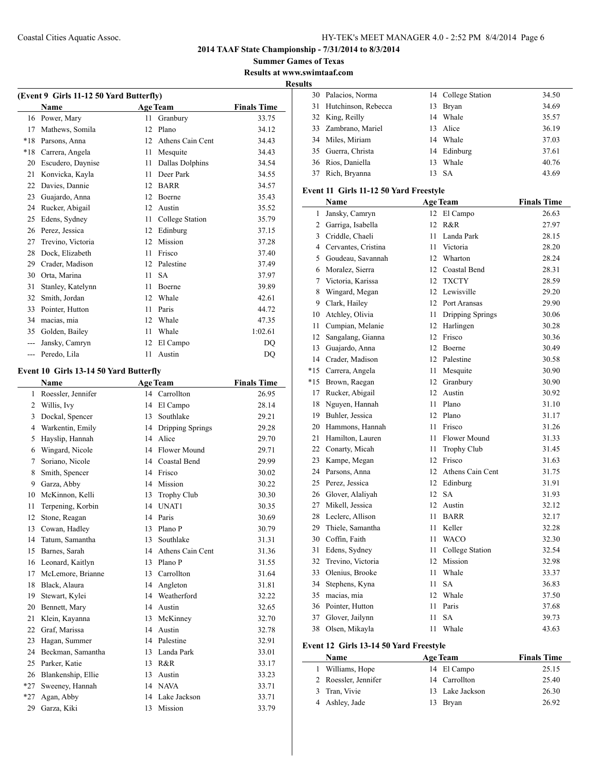**2014 TAAF State Championship - 7/31/2014 to 8/3/2014**

**Summer Games of Texas Results at www.swimtaaf.com**

**Results**

|                | (Event 9 Girls 11-12 50 Yard Butterfly) |    |                     |                    |  |  |  |  |
|----------------|-----------------------------------------|----|---------------------|--------------------|--|--|--|--|
|                | Name                                    |    | <b>Age Team</b>     | <b>Finals Time</b> |  |  |  |  |
|                | 16 Power, Mary                          | 11 | Granbury            | 33.75              |  |  |  |  |
| 17             | Mathews, Somila                         | 12 | Plano               | 34.12              |  |  |  |  |
| $*18$          | Parsons, Anna                           |    | 12 Athens Cain Cent | 34.43              |  |  |  |  |
| *18            | Carrera, Angela                         |    | 11 Mesquite         | 34.43              |  |  |  |  |
| 20             | Escudero, Daynise                       | 11 | Dallas Dolphins     | 34.54              |  |  |  |  |
| 21             | Konvicka, Kayla                         | 11 | Deer Park           | 34.55              |  |  |  |  |
| 22             | Davies, Dannie                          | 12 | <b>BARR</b>         | 34.57              |  |  |  |  |
| 23             | Guajardo, Anna                          | 12 | <b>Boerne</b>       | 35.43              |  |  |  |  |
| 24             | Rucker, Abigail                         |    | 12 Austin           | 35.52              |  |  |  |  |
| 25             | Edens, Sydney                           |    | 11 College Station  | 35.79              |  |  |  |  |
| 26             | Perez, Jessica                          |    | 12 Edinburg         | 37.15              |  |  |  |  |
| 27             | Trevino, Victoria                       |    | 12 Mission          | 37.28              |  |  |  |  |
| 28             | Dock, Elizabeth                         | 11 | Frisco              | 37.40              |  |  |  |  |
| 29             | Crader, Madison                         | 12 | Palestine           | 37.49              |  |  |  |  |
| 30             | Orta, Marina                            | 11 | <b>SA</b>           | 37.97              |  |  |  |  |
| 31             | Stanley, Katelynn                       | 11 | Boerne              | 39.89              |  |  |  |  |
| 32             | Smith, Jordan                           | 12 | Whale               | 42.61              |  |  |  |  |
| 33             | Pointer, Hutton                         | 11 | Paris               | 44.72              |  |  |  |  |
| 34             | macias, mia                             | 12 | Whale               | 47.35              |  |  |  |  |
| 35             | Golden, Bailey                          | 11 | Whale               | 1:02.61            |  |  |  |  |
| ---            | Jansky, Camryn                          | 12 | El Campo            | DQ                 |  |  |  |  |
| $\overline{a}$ | Peredo, Lila                            | 11 | Austin              | <b>DQ</b>          |  |  |  |  |
|                |                                         |    |                     |                    |  |  |  |  |
|                | Event 10 Girls 13-14 50 Yard Butterfly  |    |                     |                    |  |  |  |  |
|                | Name                                    |    | <b>Age Team</b>     | <b>Finals Time</b> |  |  |  |  |
| 1              | Roessler, Jennifer                      |    | 14 Carrollton       | 26.95              |  |  |  |  |
| $\overline{2}$ | Willis, Ivy                             |    | 14 El Campo         | 28.14              |  |  |  |  |
| 3              | Dockal, Spencer                         | 13 | Southlake           | 29.21              |  |  |  |  |
| 4              | Warkentin, Emily                        |    | 14 Dripping Springs | 29.28              |  |  |  |  |
| 5              | Hayslip, Hannah                         |    | 14 Alice            | 29.70              |  |  |  |  |
| 6              | Wingard, Nicole                         |    | 14 Flower Mound     | 29.71              |  |  |  |  |
| 7              | Soriano, Nicole                         |    | 14 Coastal Bend     | 29.99              |  |  |  |  |
| 8              | Smith, Spencer                          |    | 14 Frisco           | 30.02              |  |  |  |  |
| 9              | Garza, Abby                             |    | 14 Mission          | 30.22              |  |  |  |  |
| 10             | McKinnon, Kelli                         | 13 | Trophy Club         | 30.30              |  |  |  |  |
| 11             | Terpening, Korbin                       | 14 | UNAT1               | 30.35              |  |  |  |  |
| 12             | Stone, Reagan                           | 14 | Paris               | 30.69              |  |  |  |  |
| 13             | Cowan, Hadley                           |    | 13 Plano P          | 30.79              |  |  |  |  |
| 14             | Tatum, Samantha                         | 13 | Southlake           | 31.31              |  |  |  |  |
| 15             | Barnes, Sarah                           |    | 14 Athens Cain Cent | 31.36              |  |  |  |  |
| 16             | Leonard, Kaitlyn                        | 13 | Plano P             | 31.55              |  |  |  |  |
| 17             | McLemore, Brianne                       | 13 | Carrollton          | 31.64              |  |  |  |  |
| 18             | Black, Alaura                           | 14 | Angleton            | 31.81              |  |  |  |  |
| 19             | Stewart, Kylei                          | 14 | Weatherford         | 32.22              |  |  |  |  |
| 20             | Bennett, Mary                           |    | 14 Austin           | 32.65              |  |  |  |  |
| 21             | Klein, Kayanna                          | 13 | McKinney            | 32.70              |  |  |  |  |
| 22             | Graf, Marissa                           |    | 14 Austin           | 32.78              |  |  |  |  |
| 23             | Hagan, Summer                           |    | 14 Palestine        | 32.91              |  |  |  |  |
| 24             | Beckman, Samantha                       |    | 13 Landa Park       | 33.01              |  |  |  |  |
| 25             | Parker, Katie                           |    | 13 R&R              | 33.17              |  |  |  |  |
| 26             | Blankenship, Ellie                      |    | 13 Austin           | 33.23              |  |  |  |  |
| *27            | Sweeney, Hannah                         |    | 14 NAVA             | 33.71              |  |  |  |  |
| *27            | Agan, Abby                              |    | 14 Lake Jackson     | 33.71              |  |  |  |  |
| 29             | Garza, Kiki                             | 13 | Mission             | 33.79              |  |  |  |  |
|                |                                         |    |                     |                    |  |  |  |  |

|    | 30 Palacios, Norma                     |      | 14 College Station  | 34.50              |  |  |  |  |
|----|----------------------------------------|------|---------------------|--------------------|--|--|--|--|
| 31 | Hutchinson, Rebecca                    |      | 13 Bryan            | 34.69              |  |  |  |  |
|    | 32 King, Reilly                        |      | 14 Whale            | 35.57              |  |  |  |  |
|    | 33 Zambrano, Mariel                    |      | 13 Alice            | 36.19              |  |  |  |  |
|    | 34 Miles, Miriam                       |      | 14 Whale            | 37.03              |  |  |  |  |
|    | 35 Guerra, Christa                     |      | 14 Edinburg         | 37.61              |  |  |  |  |
|    | 36 Rios, Daniella                      | 13   | Whale               | 40.76              |  |  |  |  |
| 37 | Rich, Bryanna                          | 13   | <b>SA</b>           | 43.69              |  |  |  |  |
|    |                                        |      |                     |                    |  |  |  |  |
|    | Event 11 Girls 11-12 50 Yard Freestyle |      |                     |                    |  |  |  |  |
|    | Name                                   |      | <b>Age Team</b>     | <b>Finals Time</b> |  |  |  |  |
| 1  | Jansky, Camryn                         |      | 12 El Campo         | 26.63              |  |  |  |  |
|    | 2 Garriga, Isabella                    | 12   | R&R                 | 27.97              |  |  |  |  |
|    | 3 Criddle, Chaeli                      |      | 11 Landa Park       | 28.15              |  |  |  |  |
|    | 4 Cervantes, Cristina                  |      | 11 Victoria         | 28.20              |  |  |  |  |
|    | 5 Goudeau, Savannah                    |      | 12 Wharton          | 28.24              |  |  |  |  |
|    | 6 Moralez, Sierra                      |      | 12 Coastal Bend     | 28.31              |  |  |  |  |
| 7  | Victoria, Karissa                      |      | 12 TXCTY            | 28.59              |  |  |  |  |
| 8  | Wingard, Megan                         |      | 12 Lewisville       | 29.20              |  |  |  |  |
|    | 9 Clark, Hailey                        |      | 12 Port Aransas     | 29.90              |  |  |  |  |
|    | 10 Atchley, Olivia                     | 11 - | Dripping Springs    | 30.06              |  |  |  |  |
| 11 | Cumpian, Melanie                       |      | 12 Harlingen        | 30.28              |  |  |  |  |
| 12 | Sangalang, Gianna                      |      | 12 Frisco           | 30.36              |  |  |  |  |
|    | 13 Guajardo, Anna                      |      | 12 Boerne           | 30.49              |  |  |  |  |
|    | 14 Crader, Madison                     |      | 12 Palestine        | 30.58              |  |  |  |  |
|    | *15 Carrera, Angela                    |      | 11 Mesquite         | 30.90              |  |  |  |  |
|    | *15 Brown, Raegan                      |      | 12 Granbury         | 30.90              |  |  |  |  |
| 17 | Rucker, Abigail                        |      | 12 Austin           | 30.92              |  |  |  |  |
| 18 | Nguyen, Hannah                         |      | 11 Plano            | 31.10              |  |  |  |  |
|    | 19 Buhler, Jessica                     |      | 12 Plano            | 31.17              |  |  |  |  |
|    | 20 Hammons, Hannah                     | 11 - | Frisco              | 31.26              |  |  |  |  |
| 21 | Hamilton, Lauren                       | 11 - | Flower Mound        | 31.33              |  |  |  |  |
|    | 22 Conarty, Micah                      | 11   | Trophy Club         | 31.45              |  |  |  |  |
|    | 23 Kampe, Megan                        |      | 12 Frisco           | 31.63              |  |  |  |  |
|    | 24 Parsons, Anna                       |      | 12 Athens Cain Cent | 31.75              |  |  |  |  |
|    | 25 Perez, Jessica                      |      | 12 Edinburg         | 31.91              |  |  |  |  |
|    | 26 Glover, Alaliyah                    | 12   | <b>SA</b>           | 31.93              |  |  |  |  |
|    | 27 Mikell, Jessica                     |      | 12 Austin           | 32.12              |  |  |  |  |
|    | 28 Leclerc, Allison                    | 11   | <b>BARR</b>         | 32.17              |  |  |  |  |
|    | 29 Thiele, Samantha                    |      | 11 Keller           | 32.28              |  |  |  |  |
|    | 30 Coffin, Faith                       | 11   | <b>WACO</b>         | 32.30              |  |  |  |  |
| 31 | Edens, Sydney                          | 11   | College Station     | 32.54              |  |  |  |  |
| 32 | Trevino, Victoria                      | 12   | Mission             | 32.98              |  |  |  |  |
| 33 | Olenius, Brooke                        | 11   | Whale               | 33.37              |  |  |  |  |
| 34 | Stephens, Kyna                         | 11   | <b>SA</b>           | 36.83              |  |  |  |  |
| 35 | macias, mia                            | 12   | Whale               | 37.50              |  |  |  |  |
| 36 | Pointer, Hutton                        | 11   | Paris               | 37.68              |  |  |  |  |
| 37 |                                        | 11   | <b>SA</b>           |                    |  |  |  |  |
| 38 | Glover, Jailynn<br>Olsen, Mikayla      | 11   | Whale               | 39.73              |  |  |  |  |
|    |                                        |      |                     | 43.63              |  |  |  |  |
|    | Event 12 Girls 13-14 50 Yard Freestyle |      |                     |                    |  |  |  |  |
|    | Name                                   |      | <b>Age Team</b>     | <b>Finals Time</b> |  |  |  |  |
| 1  | Williams, Hope                         |      | 14 El Campo         | 25.15              |  |  |  |  |
|    | 2 Roessler, Jennifer                   |      | 14 Carrollton       | 25.40              |  |  |  |  |

| .                    | .               |       |
|----------------------|-----------------|-------|
| 1 Williams, Hope     | 14 El Campo     | 25.15 |
| 2 Roessler, Jennifer | 14 Carrollton   | 25.40 |
| 3 Tran, Vivie        | 13 Lake Jackson | 26.30 |
| 4 Ashley, Jade       | 13 Bryan        | 26.92 |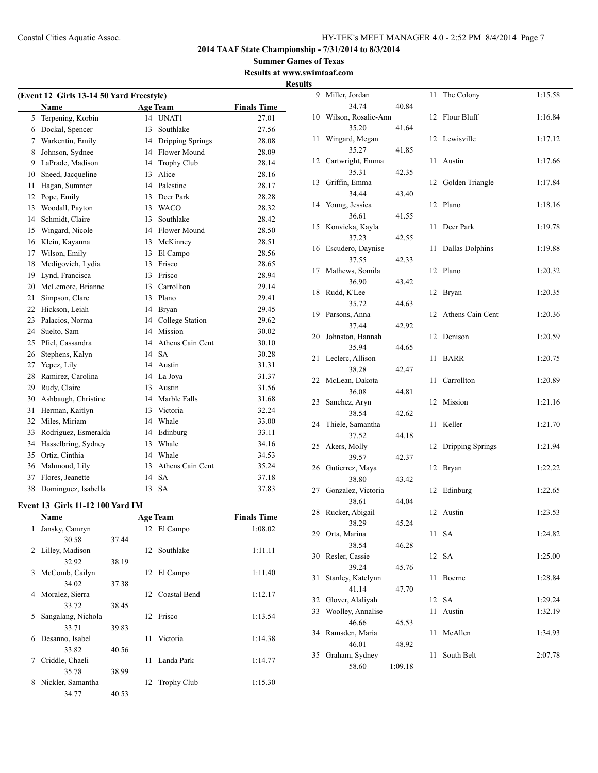**Summer Games of Texas Results at www.swimtaaf.com**

|                                          |                   |    |                     |                    | <b>Results</b> |  |  |
|------------------------------------------|-------------------|----|---------------------|--------------------|----------------|--|--|
| (Event 12 Girls 13-14 50 Yard Freestyle) |                   |    |                     |                    |                |  |  |
|                                          | <b>Name</b>       |    | <b>Age Team</b>     | <b>Finals Time</b> |                |  |  |
| 5.                                       | Terpening, Korbin |    | 14 UNAT1            | 27.01              |                |  |  |
|                                          | 6 Dockal, Spencer | 13 | Southlake           | 27.56              |                |  |  |
|                                          | Warkentin, Emily  |    | 14 Dripping Springs | 28.08              |                |  |  |

| 5  | Terpening, Korbin    | 14 | UNAT1              | 27.01 |
|----|----------------------|----|--------------------|-------|
| 6  | Dockal, Spencer      | 13 | Southlake          | 27.56 |
| 7  | Warkentin, Emily     | 14 | Dripping Springs   | 28.08 |
| 8  | Johnson, Sydnee      |    | 14 Flower Mound    | 28.09 |
| 9  | LaPrade, Madison     | 14 | <b>Trophy Club</b> | 28.14 |
| 10 | Sneed, Jacqueline    | 13 | Alice              | 28.16 |
| 11 | Hagan, Summer        | 14 | Palestine          | 28.17 |
| 12 | Pope, Emily          | 13 | Deer Park          | 28.28 |
| 13 | Woodall, Payton      | 13 | <b>WACO</b>        | 28.32 |
| 14 | Schmidt, Claire      | 13 | Southlake          | 28.42 |
| 15 | Wingard, Nicole      | 14 | Flower Mound       | 28.50 |
| 16 | Klein, Kayanna       | 13 | McKinney           | 28.51 |
| 17 | Wilson, Emily        | 13 | El Campo           | 28.56 |
| 18 | Medigovich, Lydia    | 13 | Frisco             | 28.65 |
| 19 | Lynd, Francisca      | 13 | Frisco             | 28.94 |
| 20 | McLemore, Brianne    | 13 | Carrollton         | 29.14 |
| 21 | Simpson, Clare       | 13 | Plano              | 29.41 |
| 22 | Hickson, Leiah       | 14 | <b>Bryan</b>       | 29.45 |
| 23 | Palacios, Norma      | 14 | College Station    | 29.62 |
| 24 | Suelto, Sam          | 14 | Mission            | 30.02 |
| 25 | Pfiel, Cassandra     | 14 | Athens Cain Cent   | 30.10 |
| 26 | Stephens, Kalyn      | 14 | <b>SA</b>          | 30.28 |
| 27 | Yepez, Lily          |    | 14 Austin          | 31.31 |
| 28 | Ramirez, Carolina    |    | 14 La Joya         | 31.37 |
| 29 | Rudy, Claire         | 13 | Austin             | 31.56 |
| 30 | Ashbaugh, Christine  | 14 | Marble Falls       | 31.68 |
| 31 | Herman, Kaitlyn      | 13 | Victoria           | 32.24 |
| 32 | Miles, Miriam        | 14 | Whale              | 33.00 |
| 33 | Rodriguez, Esmeralda | 14 | Edinburg           | 33.11 |
| 34 | Hasselbring, Sydney  | 13 | Whale              | 34.16 |
| 35 | Ortiz, Cinthia       | 14 | Whale              | 34.53 |
| 36 | Mahmoud, Lily        | 13 | Athens Cain Cent   | 35.24 |
| 37 | Flores, Jeanette     | 14 | <b>SA</b>          | 37.18 |
| 38 | Dominguez, Isabella  | 13 | <b>SA</b>          | 37.83 |

#### **Event 13 Girls 11-12 100 Yard IM**

|   | Name               |       |    | <b>Age Team</b>    | <b>Finals Time</b> |
|---|--------------------|-------|----|--------------------|--------------------|
| 1 | Jansky, Camryn     |       |    | 12 El Campo        | 1:08.02            |
|   | 30.58              | 37.44 |    |                    |                    |
|   | 2 Lilley, Madison  |       |    | 12 Southlake       | 1:11.11            |
|   | 32.92              | 38.19 |    |                    |                    |
| 3 | McComb, Cailyn     |       | 12 | El Campo           | 1:11.40            |
|   | 34.02              | 37.38 |    |                    |                    |
| 4 | Moralez, Sierra    |       |    | 12 Coastal Bend    | 1:12.17            |
|   | 33.72              | 38.45 |    |                    |                    |
| 5 | Sangalang, Nichola |       |    | 12 Frisco          | 1:13.54            |
|   | 33.71              | 39.83 |    |                    |                    |
| 6 | Desanno, Isabel    |       | 11 | Victoria           | 1:14.38            |
|   | 33.82              | 40.56 |    |                    |                    |
| 7 | Criddle, Chaeli    |       | 11 | Landa Park         | 1:14.77            |
|   | 35.78              | 38.99 |    |                    |                    |
| 8 | Nickler, Samantha  |       | 12 | <b>Trophy Club</b> | 1:15.30            |
|   | 34.77              | 40.53 |    |                    |                    |

|    | 9 Miller, Jordan          |         | 11 | The Colony       | 1:15.58 |
|----|---------------------------|---------|----|------------------|---------|
|    | 34.74                     | 40.84   |    |                  |         |
| 10 | Wilson, Rosalie-Ann       |         | 12 | Flour Bluff      | 1:16.84 |
|    | 35.20                     | 41.64   |    |                  |         |
| 11 | Wingard, Megan            |         | 12 | Lewisville       | 1:17.12 |
|    | 35.27                     | 41.85   |    |                  |         |
| 12 | Cartwright, Emma          |         | 11 | Austin           | 1:17.66 |
|    | 35.31                     | 42.35   |    |                  |         |
| 13 | Griffin, Emma             |         | 12 | Golden Triangle  | 1:17.84 |
|    | 34.44                     | 43.40   |    |                  |         |
| 14 | Young, Jessica            |         | 12 | Plano            | 1:18.16 |
|    | 36.61                     | 41.55   |    |                  |         |
| 15 | Konvicka, Kayla           |         | 11 | Deer Park        | 1:19.78 |
|    | 37.23                     | 42.55   |    |                  |         |
| 16 | Escudero, Daynise         |         | 11 | Dallas Dolphins  | 1:19.88 |
|    | 37.55                     | 42.33   |    |                  |         |
| 17 | Mathews, Somila           |         | 12 | Plano            | 1:20.32 |
|    | 36.90                     | 43.42   |    |                  |         |
| 18 | Rudd, K'Lee               |         | 12 | Bryan            | 1:20.35 |
|    | 35.72                     | 44.63   |    |                  |         |
| 19 | Parsons, Anna<br>37.44    |         | 12 | Athens Cain Cent | 1:20.36 |
|    |                           | 42.92   | 12 | Denison          |         |
| 20 | Johnston, Hannah<br>35.94 | 44.65   |    |                  | 1:20.59 |
| 21 |                           |         | 11 | <b>BARR</b>      | 1:20.75 |
|    | Leclerc, Allison<br>38.28 | 42.47   |    |                  |         |
| 22 | McLean, Dakota            |         | 11 | Carrollton       | 1:20.89 |
|    | 36.08                     | 44.81   |    |                  |         |
| 23 | Sanchez, Aryn             |         | 12 | Mission          | 1:21.16 |
|    | 38.54                     | 42.62   |    |                  |         |
| 24 | Thiele, Samantha          |         | 11 | Keller           | 1:21.70 |
|    | 37.52                     | 44.18   |    |                  |         |
| 25 | Akers, Molly              |         | 12 | Dripping Springs | 1:21.94 |
|    | 39.57                     | 42.37   |    |                  |         |
| 26 | Gutierrez, Maya           |         | 12 | Bryan            | 1:22.22 |
|    | 38.80                     | 43.42   |    |                  |         |
| 27 | Gonzalez, Victoria        |         | 12 | Edinburg         | 1:22.65 |
|    | 38.61                     | 44.04   |    |                  |         |
| 28 | Rucker, Abigail           |         | 12 | Austin           | 1:23.53 |
|    | 38.29                     | 45.24   |    |                  |         |
| 29 | Orta, Marina              |         | 11 | SА               | 1:24.82 |
|    | 38.54                     | 46.28   |    |                  |         |
| 30 | Resler, Cassie            |         | 12 | <b>SA</b>        | 1:25.00 |
|    | 39.24                     | 45.76   |    |                  |         |
| 31 | Stanley, Katelynn         |         | 11 | Boerne           | 1:28.84 |
|    | 41.14                     | 47.70   |    |                  |         |
| 32 | Glover, Alaliyah          |         | 12 | SA               | 1:29.24 |
| 33 | Woolley, Annalise         |         | 11 | Austin           | 1:32.19 |
|    | 46.66                     | 45.53   |    |                  |         |
| 34 | Ramsden, Maria            |         | 11 | McAllen          | 1:34.93 |
|    | 46.01                     | 48.92   |    |                  |         |
| 35 | Graham, Sydney            |         | 11 | South Belt       | 2:07.78 |
|    | 58.60                     | 1:09.18 |    |                  |         |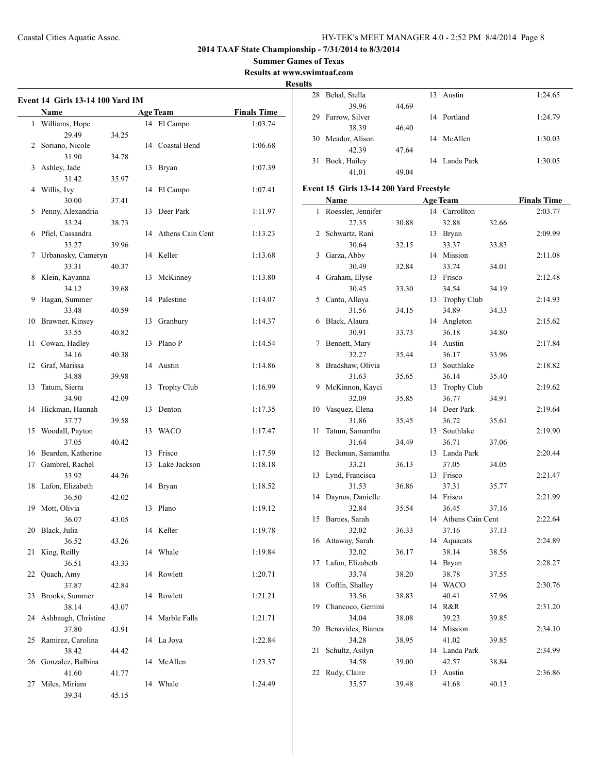**Summer Games of Texas Results at www.swimtaaf.com**

**Results**

 $\overline{\phantom{a}}$ 

|    | <b>Event 14 Girls 13-14 100 Yard IM</b><br>Name |       |    | <b>Age Team</b>     | <b>Finals Time</b> |
|----|-------------------------------------------------|-------|----|---------------------|--------------------|
| 1  | Williams, Hope                                  |       |    | 14 El Campo         | 1:03.74            |
|    | 29.49                                           | 34.25 |    |                     |                    |
| 2  | Soriano, Nicole                                 |       |    | 14 Coastal Bend     | 1:06.68            |
|    | 31.90                                           | 34.78 |    |                     |                    |
| 3  | Ashley, Jade                                    |       | 13 | Bryan               | 1:07.39            |
|    | 31.42                                           | 35.97 |    |                     |                    |
| 4  | Willis, Ivy                                     |       | 14 | El Campo            | 1:07.41            |
|    | 30.00                                           | 37.41 |    |                     |                    |
| 5  | Penny, Alexandria                               |       | 13 | Deer Park           | 1:11.97            |
|    | 33.24                                           | 38.73 |    |                     |                    |
| 6  | Pfiel, Cassandra                                |       |    | 14 Athens Cain Cent | 1:13.23            |
|    | 33.27                                           | 39.96 |    |                     |                    |
| 7  | Urbanosky, Cameryn                              |       |    | 14 Keller           | 1:13.68            |
|    | 33.31                                           | 40.37 |    |                     |                    |
| 8  | Klein, Kayanna                                  |       | 13 | McKinney            | 1:13.80            |
|    | 34.12                                           | 39.68 |    |                     |                    |
| 9  | Hagan, Summer                                   |       | 14 | Palestine           | 1:14.07            |
|    | 33.48                                           | 40.59 |    |                     |                    |
| 10 | Brawner, Kinsey                                 |       | 13 | Granbury            | 1:14.37            |
|    | 33.55                                           | 40.82 |    |                     |                    |
| 11 | Cowan, Hadley                                   |       | 13 | Plano P             | 1:14.54            |
|    | 34.16                                           | 40.38 |    |                     |                    |
| 12 | Graf, Marissa                                   |       |    | 14 Austin           | 1:14.86            |
|    | 34.88                                           | 39.98 |    |                     |                    |
| 13 | Tatum, Sierra                                   |       | 13 | <b>Trophy Club</b>  | 1:16.99            |
|    | 34.90                                           | 42.09 |    |                     |                    |
| 14 | Hickman, Hannah                                 |       | 13 | Denton              | 1:17.35            |
|    | 37.77                                           | 39.58 |    |                     |                    |
| 15 | Woodall, Payton                                 |       | 13 | <b>WACO</b>         | 1:17.47            |
|    | 37.05                                           | 40.42 |    |                     |                    |
| 16 | Bearden, Katherine                              |       | 13 | Frisco              | 1:17.59            |
| 17 | Gambrel, Rachel                                 |       | 13 | Lake Jackson        | 1:18.18            |
|    | 33.92                                           |       |    |                     |                    |
| 18 | Lafon, Elizabeth                                | 44.26 |    |                     | 1:18.52            |
|    |                                                 |       |    | 14 Bryan            |                    |
| 19 | 36.50                                           | 42.02 | 13 | Plano               | 1:19.12            |
|    | Mott, Olivia                                    |       |    |                     |                    |
|    | 36.07                                           | 43.05 |    |                     |                    |
| 20 | Black, Julia                                    |       |    | 14 Keller           | 1:19.78            |
|    | 36.52<br>King, Reilly                           | 43.26 |    |                     |                    |
| 21 |                                                 |       |    | 14 Whale            | 1:19.84            |
|    | 36.51                                           | 43.33 |    |                     |                    |
| 22 | Quach, Amy                                      |       |    | 14 Rowlett          | 1:20.71            |
|    | 37.87                                           | 42.84 |    |                     |                    |
| 23 | Brooks, Summer                                  |       |    | 14 Rowlett          | 1:21.21            |
|    | 38.14                                           | 43.07 |    |                     |                    |
| 24 | Ashbaugh, Christine                             |       | 14 | Marble Falls        | 1:21.71            |
|    | 37.80                                           | 43.91 |    |                     |                    |
| 25 | Ramirez, Carolina                               |       | 14 | La Joya             | 1:22.84            |
|    | 38.42                                           | 44.42 |    |                     |                    |
| 26 | Gonzalez, Balbina                               |       |    | 14 McAllen          | 1:23.37            |
|    | 41.60                                           | 41.77 |    |                     |                    |
| 27 | Miles, Miriam                                   |       | 14 | Whale               | 1:24.49            |
|    | 39.34                                           | 45.15 |    |                     |                    |

|    | 28 Behal, Stella  |       | 13 | Austin        | 1:24.65 |
|----|-------------------|-------|----|---------------|---------|
|    | 39.96             | 44.69 |    |               |         |
| 29 | Farrow, Silver    |       | 14 | Portland      | 1:24.79 |
|    | 38.39             | 46.40 |    |               |         |
|    | 30 Meador, Alison |       | 14 | McAllen       | 1:30.03 |
|    | 42.39             | 47.64 |    |               |         |
| 31 | Bock, Hailey      |       |    | 14 Landa Park | 1:30.05 |
|    | 41.01             | 49.04 |    |               |         |

## **Event 15 Girls 13-14 200 Yard Freestyle**

|                | Name               |       |    | <b>Age Team</b>    |       | <b>Finals Time</b> |
|----------------|--------------------|-------|----|--------------------|-------|--------------------|
| 1              | Roessler, Jennifer |       |    | 14 Carrollton      |       | 2:03.77            |
|                | 27.35              | 30.88 |    | 32.88              | 32.66 |                    |
| $\overline{c}$ | Schwartz, Rani     |       | 13 | Bryan              |       | 2:09.99            |
|                | 30.64              | 32.15 |    | 33.37              | 33.83 |                    |
| 3              | Garza, Abby        |       | 14 | Mission            |       | 2:11.08            |
|                | 30.49              | 32.84 |    | 33.74              | 34.01 |                    |
| $\overline{4}$ | Graham, Elyse      |       | 13 | Frisco             |       | 2:12.48            |
|                | 30.45              | 33.30 |    | 34.54              | 34.19 |                    |
| 5              | Cantu, Allaya      |       | 13 | <b>Trophy Club</b> |       | 2:14.93            |
|                | 31.56              | 34.15 |    | 34.89              | 34.33 |                    |
| 6              | Black, Alaura      |       |    | 14 Angleton        |       | 2:15.62            |
|                | 30.91              | 33.73 |    | 36.18              | 34.80 |                    |
| 7              | Bennett, Mary      |       |    | 14 Austin          |       | 2:17.84            |
|                | 32.27              | 35.44 |    | 36.17              | 33.96 |                    |
| 8              | Bradshaw, Olivia   |       | 13 | Southlake          |       | 2:18.82            |
|                | 31.63              | 35.65 |    | 36.14              | 35.40 |                    |
| 9              | McKinnon, Kayci    |       | 13 | Trophy Club        |       | 2:19.62            |
|                | 32.09              | 35.85 |    | 36.77              | 34.91 |                    |
| 10             | Vasquez, Elena     |       | 14 | Deer Park          |       | 2:19.64            |
|                | 31.86              | 35.45 |    | 36.72              | 35.61 |                    |
| 11             | Tatum, Samantha    |       | 13 | Southlake          |       | 2:19.90            |
|                | 31.64              | 34.49 |    | 36.71              | 37.06 |                    |
| 12             | Beckman, Samantha  |       | 13 | Landa Park         |       | 2:20.44            |
|                | 33.21              | 36.13 |    | 37.05              | 34.05 |                    |
| 13             | Lynd, Francisca    |       | 13 | Frisco             |       | 2:21.47            |
|                | 31.53              | 36.86 |    | 37.31              | 35.77 |                    |
| 14             | Daynos, Danielle   |       | 14 | Frisco             |       | 2:21.99            |
|                | 32.84              | 35.54 |    | 36.45              | 37.16 |                    |
| 15             | Barnes, Sarah      |       | 14 | Athens Cain Cent   |       | 2:22.64            |
|                | 32.02              | 36.33 |    | 37.16              | 37.13 |                    |
| 16             | Attaway, Sarah     |       |    | 14 Aquacats        |       | 2:24.89            |
|                | 32.02              | 36.17 |    | 38.14              | 38.56 |                    |
| 17             | Lafon, Elizabeth   |       | 14 | Bryan              |       | 2:28.27            |
|                | 33.74              | 38.20 |    | 38.78              | 37.55 |                    |
| 18             | Coffin, Shalley    |       |    | 14 WACO            |       | 2:30.76            |
|                | 33.56              | 38.83 |    | 40.41              | 37.96 |                    |
| 19             | Chancoco, Gemini   |       |    | 14 R&R             |       | 2:31.20            |
|                | 34.04              | 38.08 |    | 39.23              | 39.85 |                    |
| 20             | Benavides, Bianca  |       |    | 14 Mission         |       | 2:34.10            |
|                | 34.28              | 38.95 |    | 41.02              | 39.85 |                    |
| 21             | Schultz, Asilyn    |       |    | 14 Landa Park      |       | 2:34.99            |
|                | 34.58              | 39.00 |    | 42.57              | 38.84 |                    |
| 22             | Rudy, Claire       |       | 13 | Austin             |       | 2:36.86            |
|                | 35.57              | 39.48 |    | 41.68              | 40.13 |                    |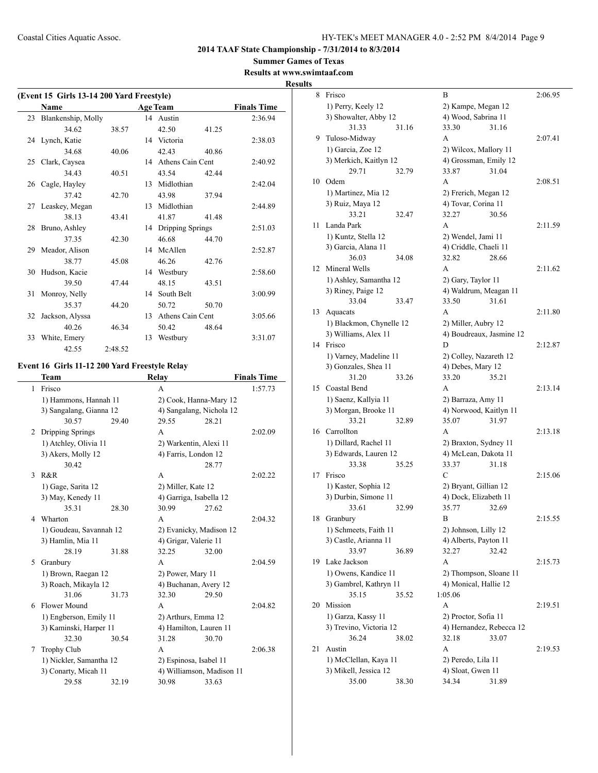**Summer Games of Texas Results at www.swimtaaf.com**

## **Results**

|    | (Event 15 Girls 13-14 200 Yard Freestyle) |         |    |                     |       |                    |
|----|-------------------------------------------|---------|----|---------------------|-------|--------------------|
|    | <b>Name</b>                               |         |    | <b>Age Team</b>     |       | <b>Finals Time</b> |
|    | 23 Blankenship, Molly                     |         |    | 14 Austin           |       | 2:36.94            |
|    | 34.62                                     | 38.57   |    | 42.50               | 41.25 |                    |
|    | 24 Lynch, Katie                           |         |    | 14 Victoria         |       | 2:38.03            |
|    | 34.68                                     | 40.06   |    | 42.43               | 40.86 |                    |
|    | 25 Clark, Caysea                          |         |    | 14 Athens Cain Cent |       | 2:40.92            |
|    | 34.43                                     | 40.51   |    | 43.54               | 42.44 |                    |
|    | 26 Cagle, Hayley                          |         |    | 13 Midlothian       |       | 2:42.04            |
|    | 37.42                                     | 42.70   |    | 43.98               | 37.94 |                    |
|    | 27 Leaskey, Megan                         |         |    | 13 Midlothian       |       | 2:44.89            |
|    | 38.13                                     | 43.41   |    | 41.87               | 41.48 |                    |
|    | 28 Bruno, Ashley                          |         |    | 14 Dripping Springs |       | 2:51.03            |
|    | 37.35                                     | 42.30   |    | 46.68               | 44.70 |                    |
|    | 29 Meador, Alison                         |         |    | 14 McAllen          |       | 2:52.87            |
|    | 38.77                                     | 45.08   |    | 46.26               | 42.76 |                    |
|    | 30 Hudson, Kacie                          |         |    | 14 Westbury         |       | 2:58.60            |
|    | 39.50                                     | 47.44   |    | 48.15               | 43.51 |                    |
| 31 | Monroy, Nelly                             |         |    | 14 South Belt       |       | 3:00.99            |
|    | 35.37                                     | 44.20   |    | 50.72               | 50.70 |                    |
| 32 | Jackson, Alyssa                           |         |    | 13 Athens Cain Cent |       | 3:05.66            |
|    | 40.26                                     | 46.34   |    | 50.42               | 48.64 |                    |
|    | 33 White, Emery                           |         | 13 | Westbury            |       | 3:31.07            |
|    | 42.55                                     | 2:48.52 |    |                     |       |                    |

## **Event 16 Girls 11-12 200 Yard Freestyle Relay**

|              | Team                    |       | Relay                     |       | <b>Finals Time</b> |
|--------------|-------------------------|-------|---------------------------|-------|--------------------|
| $\mathbf{1}$ | Frisco                  |       | A                         |       | 1:57.73            |
|              | 1) Hammons, Hannah 11   |       | 2) Cook, Hanna-Mary 12    |       |                    |
|              | 3) Sangalang, Gianna 12 |       | 4) Sangalang, Nichola 12  |       |                    |
|              | 30.57                   | 29.40 | 29.55                     | 28.21 |                    |
|              | 2 Dripping Springs      |       | A                         |       | 2:02.09            |
|              | 1) Atchley, Olivia 11   |       | 2) Warkentin, Alexi 11    |       |                    |
|              | 3) Akers, Molly 12      |       | 4) Farris, London 12      |       |                    |
|              | 30.42                   |       |                           | 28.77 |                    |
| 3            | R&R                     |       | A                         |       | 2:02.22            |
|              | 1) Gage, Sarita 12      |       | 2) Miller, Kate 12        |       |                    |
|              | 3) May, Kenedy 11       |       | 4) Garriga, Isabella 12   |       |                    |
|              | 35.31                   | 28.30 | 30.99                     | 27.62 |                    |
| 4            | Wharton                 |       | A                         |       | 2:04.32            |
|              | 1) Goudeau, Savannah 12 |       | 2) Evanicky, Madison 12   |       |                    |
|              | 3) Hamlin, Mia 11       |       | 4) Grigar, Valerie 11     |       |                    |
|              | 28.19                   | 31.88 | 32.25                     | 32.00 |                    |
|              | 5 Granbury              |       | A                         |       | 2:04.59            |
|              | 1) Brown, Raegan 12     |       | 2) Power, Mary 11         |       |                    |
|              | 3) Roach, Mikayla 12    |       | 4) Buchanan, Avery 12     |       |                    |
|              | 31.06                   | 31.73 | 32.30                     | 29.50 |                    |
| 6            | Flower Mound            |       | A                         |       | 2:04.82            |
|              | 1) Engberson, Emily 11  |       | 2) Arthurs, Emma 12       |       |                    |
|              | 3) Kaminski, Harper 11  |       | 4) Hamilton, Lauren 11    |       |                    |
|              | 32.30                   | 30.54 | 31.28                     | 30.70 |                    |
| 7            | <b>Trophy Club</b>      |       | A                         |       | 2:06.38            |
|              | 1) Nickler, Samantha 12 |       | 2) Espinosa, Isabel 11    |       |                    |
|              | 3) Conarty, Micah 11    |       | 4) Williamson, Madison 11 |       |                    |
|              | 29.58                   | 32.19 | 30.98                     | 33.63 |                    |
|              |                         |       |                           |       |                    |

| 8  | Frisco                                 | B                                        | 2:06.95 |
|----|----------------------------------------|------------------------------------------|---------|
|    | 1) Perry, Keely 12                     | 2) Kampe, Megan 12                       |         |
|    | 3) Showalter, Abby 12                  | 4) Wood, Sabrina 11                      |         |
|    | 31.33<br>31.16                         | 33.30<br>31.16                           |         |
| 9  | Tuloso-Midway                          | A                                        | 2:07.41 |
|    | 1) Garcia, Zoe 12                      | 2) Wilcox, Mallory 11                    |         |
|    | 3) Merkich, Kaitlyn 12                 | 4) Grossman, Emily 12                    |         |
|    | 29.71<br>32.79                         | 33.87<br>31.04                           |         |
| 10 | Odem                                   | A                                        | 2:08.51 |
|    | 1) Martinez, Mia 12                    | 2) Frerich, Megan 12                     |         |
|    | 3) Ruiz, Maya 12                       | 4) Tovar, Corina 11                      |         |
|    | 33.21<br>32.47                         | 32.27<br>30.56                           |         |
| 11 | Landa Park                             | A                                        | 2:11.59 |
|    | 1) Kuntz, Stella 12                    | 2) Wendel, Jami 11                       |         |
|    | 3) Garcia, Alana 11                    | 4) Criddle, Chaeli 11                    |         |
|    | 36.03<br>34.08                         | 32.82<br>28.66                           |         |
| 12 | Mineral Wells                          | A                                        | 2:11.62 |
|    | 1) Ashley, Samantha 12                 | 2) Gary, Taylor 11                       |         |
|    | 3) Riney, Paige 12                     | 4) Waldrum, Meagan 11                    |         |
|    | 33.04<br>33.47                         | 33.50<br>31.61                           |         |
| 13 | Aquacats                               | A                                        | 2:11.80 |
|    | 1) Blackmon, Chynelle 12               | 2) Miller, Aubry 12                      |         |
|    | 3) Williams, Alex 11                   | 4) Boudreaux, Jasmine 12                 |         |
| 14 | Frisco                                 | D                                        | 2:12.87 |
|    | 1) Varney, Madeline 11                 | 2) Colley, Nazareth 12                   |         |
|    | 3) Gonzales, Shea 11                   | 4) Debes, Mary 12                        |         |
|    | 31.20<br>33.26                         | 33.20<br>35.21<br>A                      |         |
| 15 | Coastal Bend                           |                                          | 2:13.14 |
|    | 1) Saenz, Kallyia 11                   | 2) Barraza, Amy 11                       |         |
|    | 3) Morgan, Brooke 11<br>33.21<br>32.89 | 4) Norwood, Kaitlyn 11<br>35.07<br>31.97 |         |
| 16 | Carrollton                             | A                                        | 2:13.18 |
|    | 1) Dillard, Rachel 11                  | 2) Braxton, Sydney 11                    |         |
|    | 3) Edwards, Lauren 12                  | 4) McLean, Dakota 11                     |         |
|    | 33.38<br>35.25                         | 33.37<br>31.18                           |         |
| 17 | Frisco                                 | C                                        | 2:15.06 |
|    | 1) Kaster, Sophia 12                   | 2) Bryant, Gillian 12                    |         |
|    | 3) Durbin, Simone 11                   | 4) Dock, Elizabeth 11                    |         |
|    | 33.61<br>32.99                         | 35.77<br>32.69                           |         |
| 18 | Granbury                               | B                                        | 2:15.55 |
|    | 1) Schmeets, Faith 11                  | 2) Johnson, Lilly 12                     |         |
|    | 3) Castle, Arianna 11                  | 4) Alberts, Payton 11                    |         |
|    | 33.97<br>36.89                         | 32.27<br>32.42                           |         |
| 19 | Lake Jackson                           | А                                        | 2:15.73 |
|    | 1) Owens, Kandice 11                   | 2) Thompson, Sloane 11                   |         |
|    | 3) Gambrel, Kathryn 11                 | 4) Monical, Hallie 12                    |         |
|    | 35.15<br>35.52                         | 1:05.06                                  |         |
| 20 | Mission                                | A                                        | 2:19.51 |
|    | 1) Garza, Kassy 11                     | 2) Proctor, Sofia 11                     |         |
|    | 3) Trevino, Victoria 12                | 4) Hernandez, Rebecca 12                 |         |
|    | 36.24<br>38.02                         | 32.18<br>33.07                           |         |
| 21 | Austin                                 | А                                        | 2:19.53 |
|    | 1) McClellan, Kaya 11                  | 2) Peredo, Lila 11                       |         |
|    | 3) Mikell, Jessica 12                  | 4) Sloat, Gwen 11                        |         |
|    | 35.00<br>38.30                         | 34.34<br>31.89                           |         |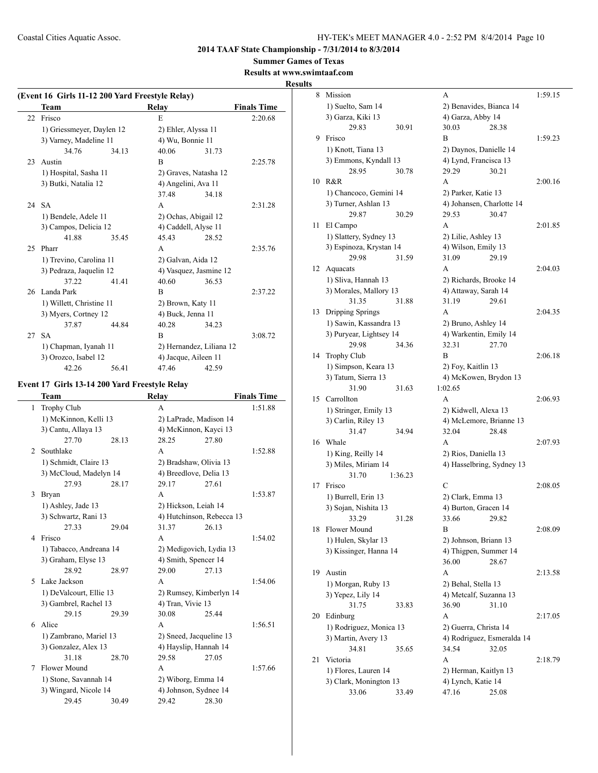**Summer Games of Texas Results at www.swimtaaf.com**

# **Results**

|       | Team                      |       |                      |                          | (Event 16 Girls 11-12 200 Yard Freestyle Relay) |  |  |  |  |  |  |
|-------|---------------------------|-------|----------------------|--------------------------|-------------------------------------------------|--|--|--|--|--|--|
|       |                           |       | Relay                |                          | <b>Finals Time</b>                              |  |  |  |  |  |  |
| 22    | Frisco                    |       | E                    |                          | 2:20.68                                         |  |  |  |  |  |  |
|       | 1) Griessmeyer, Daylen 12 |       | 2) Ehler, Alyssa 11  |                          |                                                 |  |  |  |  |  |  |
|       | 3) Varney, Madeline 11    |       | 4) Wu, Bonnie 11     |                          |                                                 |  |  |  |  |  |  |
|       | 34.76                     | 34.13 | 40.06                | 31.73                    |                                                 |  |  |  |  |  |  |
| 23    | Austin                    |       | B                    |                          | 2:25.78                                         |  |  |  |  |  |  |
|       | 1) Hospital, Sasha 11     |       |                      | 2) Graves, Natasha 12    |                                                 |  |  |  |  |  |  |
|       | 3) Butki, Natalia 12      |       | 4) Angelini, Ava 11  |                          |                                                 |  |  |  |  |  |  |
|       |                           |       | 37.48                | 34.18                    |                                                 |  |  |  |  |  |  |
| 24 SA |                           |       | A                    |                          | 2:31.28                                         |  |  |  |  |  |  |
|       | 1) Bendele, Adele 11      |       | 2) Ochas, Abigail 12 |                          |                                                 |  |  |  |  |  |  |
|       | 3) Campos, Delicia 12     |       | 4) Caddell, Alyse 11 |                          |                                                 |  |  |  |  |  |  |
|       | 41.88                     | 3545  | 45.43                | 28.52                    |                                                 |  |  |  |  |  |  |
| 25    | Pharr                     |       | A                    |                          | 2:35.76                                         |  |  |  |  |  |  |
|       | 1) Trevino, Carolina 11   |       | 2) Galvan, Aida 12   |                          |                                                 |  |  |  |  |  |  |
|       | 3) Pedraza, Jaquelin 12   |       |                      | 4) Vasquez, Jasmine 12   |                                                 |  |  |  |  |  |  |
|       | 37.22                     | 41.41 | 40.60                | 36.53                    |                                                 |  |  |  |  |  |  |
|       | 26 Landa Park             |       | B                    |                          | 2:37.22                                         |  |  |  |  |  |  |
|       | 1) Willett, Christine 11  |       | 2) Brown, Katy 11    |                          |                                                 |  |  |  |  |  |  |
|       | 3) Myers, Cortney 12      |       | 4) Buck, Jenna 11    |                          |                                                 |  |  |  |  |  |  |
|       | 37.87                     | 44.84 | 40.28                | 34.23                    |                                                 |  |  |  |  |  |  |
| 27    | <b>SA</b>                 |       | B                    |                          | 3:08.72                                         |  |  |  |  |  |  |
|       | 1) Chapman, Iyanah 11     |       |                      | 2) Hernandez, Liliana 12 |                                                 |  |  |  |  |  |  |
|       | 3) Orozco, Isabel 12      |       | 4) Jacque, Aileen 11 |                          |                                                 |  |  |  |  |  |  |
|       | 42.26                     | 56.41 | 47.46                | 42.59                    |                                                 |  |  |  |  |  |  |

## **Event 17 Girls 13-14 200 Yard Freestyle Relay**

|   | Team                    |       | Relay                     |       | <b>Finals Time</b> |
|---|-------------------------|-------|---------------------------|-------|--------------------|
| 1 | Trophy Club             |       | A                         |       | 1:51.88            |
|   | 1) McKinnon, Kelli 13   |       | 2) LaPrade, Madison 14    |       |                    |
|   | 3) Cantu, Allaya 13     |       | 4) McKinnon, Kayci 13     |       |                    |
|   | 27.70                   | 28.13 | 28.25                     | 27.80 |                    |
| 2 | Southlake               |       | A                         |       | 1:52.88            |
|   | 1) Schmidt, Claire 13   |       | 2) Bradshaw, Olivia 13    |       |                    |
|   | 3) McCloud, Madelyn 14  |       | 4) Breedlove, Delia 13    |       |                    |
|   | 27.93                   | 28.17 | 29.17                     | 27.61 |                    |
| 3 | <b>Bryan</b>            |       | A                         |       | 1:53.87            |
|   | 1) Ashley, Jade 13      |       | 2) Hickson, Leiah 14      |       |                    |
|   | 3) Schwartz, Rani 13    |       | 4) Hutchinson, Rebecca 13 |       |                    |
|   | 27.33                   | 29.04 | 31.37                     | 26.13 |                    |
| 4 | Frisco                  |       | A                         |       | 1:54.02            |
|   | 1) Tabacco, Andreana 14 |       | 2) Medigovich, Lydia 13   |       |                    |
|   | 3) Graham, Elyse 13     |       | 4) Smith, Spencer 14      |       |                    |
|   | 28.92                   | 28.97 | 29.00                     | 27.13 |                    |
| 5 | Lake Jackson            |       | A                         |       | 1:54.06            |
|   | 1) DeValcourt, Ellie 13 |       | 2) Rumsey, Kimberlyn 14   |       |                    |
|   | 3) Gambrel, Rachel 13   |       | 4) Tran, Vivie 13         |       |                    |
|   | 29.15                   | 29.39 | 30.08                     | 25.44 |                    |
| 6 | Alice                   |       | A                         |       | 1:56.51            |
|   | 1) Zambrano, Mariel 13  |       | 2) Sneed, Jacqueline 13   |       |                    |
|   | 3) Gonzalez, Alex 13    |       | 4) Hayslip, Hannah 14     |       |                    |
|   | 31.18                   | 28.70 | 29.58                     | 27.05 |                    |
| 7 | Flower Mound            |       | A                         |       | 1:57.66            |
|   | 1) Stone, Savannah 14   |       | 2) Wiborg, Emma 14        |       |                    |
|   | 3) Wingard, Nicole 14   |       | 4) Johnson, Sydnee 14     |       |                    |
|   | 29.45                   | 30.49 | 29.42                     | 28.30 |                    |

| 8  | Mission                          |         | A                                              |       | 1:59.15 |
|----|----------------------------------|---------|------------------------------------------------|-------|---------|
|    | 1) Suelto, Sam 14                |         | 2) Benavides, Bianca 14                        |       |         |
|    | 3) Garza, Kiki 13                |         | 4) Garza, Abby 14                              |       |         |
|    | 29.83                            | 30.91   | 30.03                                          | 28.38 |         |
| 9  | Frisco                           |         | B                                              |       | 1:59.23 |
|    | 1) Knott, Tiana 13               |         | 2) Daynos, Danielle 14                         |       |         |
|    | 3) Emmons, Kyndall 13            |         | 4) Lynd, Francisca 13                          |       |         |
|    | 28.95                            | 30.78   | 29.29                                          | 30.21 |         |
| 10 | R&R                              |         | A                                              |       | 2:00.16 |
|    | 1) Chancoco, Gemini 14           |         | 2) Parker, Katie 13                            |       |         |
|    | 3) Turner, Ashlan 13             |         | 4) Johansen, Charlotte 14                      |       |         |
|    | 29.87                            | 30.29   | 29.53                                          | 30.47 |         |
| 11 | El Campo                         |         | A                                              |       | 2:01.85 |
|    | 1) Slattery, Sydney 13           |         | 2) Lilie, Ashley 13<br>4) Wilson, Emily 13     |       |         |
|    | 3) Espinoza, Krystan 14<br>29.98 | 31.59   | 31.09                                          | 29.19 |         |
| 12 | Aquacats                         |         | A                                              |       | 2:04.03 |
|    | 1) Sliva, Hannah 13              |         | 2) Richards, Brooke 14                         |       |         |
|    | 3) Morales, Mallory 13           |         | 4) Attaway, Sarah 14                           |       |         |
|    | 31.35                            | 31.88   | 31.19                                          | 29.61 |         |
| 13 | Dripping Springs                 |         | A                                              |       | 2:04.35 |
|    | 1) Sawin, Kassandra 13           |         | 2) Bruno, Ashley 14                            |       |         |
|    | 3) Puryear, Lightsey 14          |         | 4) Warkentin, Emily 14                         |       |         |
|    | 29.98                            | 34.36   | 32.31                                          | 27.70 |         |
| 14 | Trophy Club                      |         | B                                              |       | 2:06.18 |
|    | 1) Simpson, Keara 13             |         | 2) Foy, Kaitlin 13                             |       |         |
|    | 3) Tatum, Sierra 13              |         | 4) McKowen, Brydon 13                          |       |         |
|    | 31.90                            | 31.63   | 1:02.65                                        |       |         |
| 15 | Carrollton                       |         | A                                              |       | 2:06.93 |
|    | 1) Stringer, Emily 13            |         | 2) Kidwell, Alexa 13                           |       |         |
|    | 3) Carlin, Riley 13              |         | 4) McLemore, Brianne 13                        |       |         |
|    | 31.47                            | 34.94   | 32.04                                          | 28.48 |         |
| 16 | Whale                            |         | A                                              |       | 2:07.93 |
|    | 1) King, Reilly 14               |         | 2) Rios, Daniella 13                           |       |         |
|    | 3) Miles, Miriam 14              |         | 4) Hasselbring, Sydney 13                      |       |         |
|    | 31.70                            | 1:36.23 |                                                |       |         |
| 17 | Frisco                           |         | C                                              |       | 2:08.05 |
|    | 1) Burrell, Erin 13              |         | 2) Clark, Emma 13                              |       |         |
|    | 3) Sojan, Nishita 13             |         | 4) Burton, Gracen 14                           |       |         |
|    | 33.29                            | 31.28   | 33.66                                          | 29.82 |         |
| 18 | Flower Mound                     |         | B                                              |       | 2:08.09 |
|    | 1) Hulen, Skylar 13              |         | 2) Johnson, Briann 13<br>4) Thigpen, Summer 14 |       |         |
|    | 3) Kissinger, Hanna 14           |         | 36.00                                          | 28.67 |         |
| 19 | Austin                           |         | А                                              |       | 2:13.58 |
|    | 1) Morgan, Ruby 13               |         | 2) Behal, Stella 13                            |       |         |
|    | 3) Yepez, Lily 14                |         | 4) Metcalf, Suzanna 13                         |       |         |
|    | 31.75                            | 33.83   | 36.90                                          | 31.10 |         |
| 20 | Edinburg                         |         | А                                              |       | 2:17.05 |
|    | 1) Rodriguez, Monica 13          |         | 2) Guerra, Christa 14                          |       |         |
|    | 3) Martin, Avery 13              |         | 4) Rodriguez, Esmeralda 14                     |       |         |
|    | 34.81                            | 35.65   | 34.54                                          | 32.05 |         |
| 21 | Victoria                         |         | А                                              |       | 2:18.79 |
|    | 1) Flores, Lauren 14             |         | 2) Herman, Kaitlyn 13                          |       |         |
|    | 3) Clark, Monington 13           |         | 4) Lynch, Katie 14                             |       |         |
|    | 33.06                            | 33.49   | 47.16                                          | 25.08 |         |
|    |                                  |         |                                                |       |         |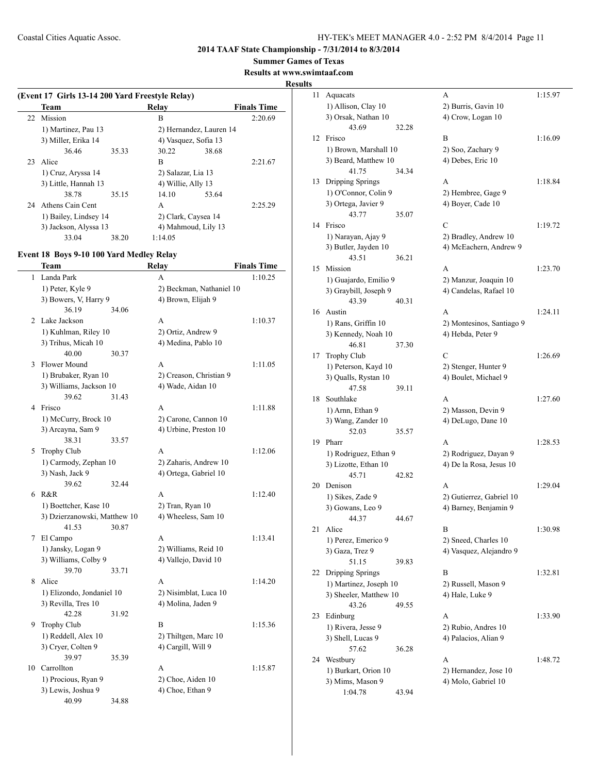**Summer Games of Texas**

**Results at www.swimtaaf.com**

## **Results**

| (Event 17 Girls 13-14 200 Yard Freestyle Relay) |       |                      |                         |                    |  |  |  |  |
|-------------------------------------------------|-------|----------------------|-------------------------|--------------------|--|--|--|--|
| <b>Team</b>                                     |       | Relav                |                         | <b>Finals Time</b> |  |  |  |  |
| 22 Mission                                      |       | B                    |                         | 2:20.69            |  |  |  |  |
| 1) Martinez, Pau 13                             |       |                      | 2) Hernandez, Lauren 14 |                    |  |  |  |  |
| 3) Miller, Erika 14                             |       | 4) Vasquez, Sofia 13 |                         |                    |  |  |  |  |
| 36.46                                           | 35.33 | 30.22                | 38.68                   |                    |  |  |  |  |
| 23 Alice                                        |       | R                    |                         | 2:21.67            |  |  |  |  |
| 1) Cruz, Aryssa 14                              |       | 2) Salazar, Lia 13   |                         |                    |  |  |  |  |
| 3) Little, Hannah 13                            |       | 4) Willie, Ally 13   |                         |                    |  |  |  |  |
| 38.78                                           | 35.15 | 14.10                | 53.64                   |                    |  |  |  |  |
| 24 Athens Cain Cent                             |       | A                    |                         | 2:25.29            |  |  |  |  |
| 1) Bailey, Lindsey 14                           |       | 2) Clark, Caysea 14  |                         |                    |  |  |  |  |
| 3) Jackson, Alyssa 13                           |       |                      | 4) Mahmoud, Lily 13     |                    |  |  |  |  |
| 33.04                                           | 38.20 | 1:14.05              |                         |                    |  |  |  |  |

## **Event 18 Boys 9-10 100 Yard Medley Relay**

|    | <b>Team</b>                  |       | Relay                                   | <b>Finals Time</b> |
|----|------------------------------|-------|-----------------------------------------|--------------------|
| 1  | Landa Park                   |       | A                                       | 1:10.25            |
|    | 1) Peter, Kyle 9             |       | 2) Beckman, Nathaniel 10                |                    |
|    | 3) Bowers, V, Harry 9        |       | 4) Brown, Elijah 9                      |                    |
|    | 36.19                        | 34.06 |                                         |                    |
| 2  | Lake Jackson                 |       | A                                       | 1:10.37            |
|    | 1) Kuhlman, Riley 10         |       | 2) Ortiz, Andrew 9                      |                    |
|    | 3) Trihus, Micah 10          |       | 4) Medina, Pablo 10                     |                    |
|    | 40.00                        | 30.37 |                                         |                    |
|    | 3 Flower Mound               |       | $\mathsf{A}$                            | 1:11.05            |
|    | 1) Brubaker, Ryan 10         |       | 2) Creason, Christian 9                 |                    |
|    | 3) Williams, Jackson 10      |       | 4) Wade, Aidan 10                       |                    |
|    | 39.62                        | 31.43 |                                         |                    |
| 4  | Frisco                       |       | A                                       | 1:11.88            |
|    | 1) McCurry, Brock 10         |       | 2) Carone, Cannon 10                    |                    |
|    | 3) Arcayna, Sam 9            |       | 4) Urbine, Preston 10                   |                    |
|    | 38.31                        | 33.57 |                                         |                    |
| 5  | Trophy Club                  |       | A                                       | 1:12.06            |
|    | 1) Carmody, Zephan 10        |       | 2) Zaharis, Andrew 10                   |                    |
|    | 3) Nash, Jack 9              |       | 4) Ortega, Gabriel 10                   |                    |
|    | 39.62<br>6 R&R               | 32.44 | A                                       | 1:12.40            |
|    | 1) Boettcher, Kase 10        |       |                                         |                    |
|    | 3) Dzierzanowski, Matthew 10 |       | 2) Tran, Ryan 10<br>4) Wheeless, Sam 10 |                    |
|    | 41.53                        | 30.87 |                                         |                    |
| 7  | El Campo                     |       | A                                       | 1:13.41            |
|    | 1) Jansky, Logan 9           |       | 2) Williams, Reid 10                    |                    |
|    | 3) Williams, Colby 9         |       | 4) Vallejo, David 10                    |                    |
|    | 39.70                        | 33.71 |                                         |                    |
| 8. | Alice                        |       | A                                       | 1:14.20            |
|    | 1) Elizondo, Jondaniel 10    |       | 2) Nisimblat, Luca 10                   |                    |
|    | 3) Revilla, Tres 10          |       | 4) Molina, Jaden 9                      |                    |
|    | 42.28                        | 31.92 |                                         |                    |
| 9  | Trophy Club                  |       | B                                       | 1:15.36            |
|    | 1) Reddell, Alex 10          |       | 2) Thiltgen, Marc 10                    |                    |
|    | 3) Cryer, Colten 9           |       | 4) Cargill, Will 9                      |                    |
|    | 39.97                        | 35.39 |                                         |                    |
| 10 | Carrollton                   |       | A                                       | 1:15.87            |
|    | 1) Procious, Ryan 9          |       | 2) Choe, Aiden 10                       |                    |
|    | 3) Lewis, Joshua 9           |       | 4) Choe, Ethan 9                        |                    |
|    | 40.99                        | 34.88 |                                         |                    |

| 11 | Aquacats                                   |       | А                                               | 1:15.97 |
|----|--------------------------------------------|-------|-------------------------------------------------|---------|
|    | 1) Allison, Clay 10                        |       | 2) Burris, Gavin 10                             |         |
|    | 3) Orsak, Nathan 10                        |       | 4) Crow, Logan 10                               |         |
|    | 43.69                                      | 32.28 |                                                 |         |
| 12 | Frisco                                     |       | B                                               | 1:16.09 |
|    | 1) Brown, Marshall 10                      |       | 2) Soo, Zachary 9                               |         |
|    | 3) Beard, Matthew 10                       |       | 4) Debes, Eric 10                               |         |
|    | 41.75                                      | 34.34 |                                                 |         |
| 13 | Dripping Springs                           |       | A                                               | 1:18.84 |
|    | 1) O'Connor, Colin 9                       |       | 2) Hembree, Gage 9                              |         |
|    | 3) Ortega, Javier 9                        |       | 4) Boyer, Cade 10                               |         |
|    | 43.77                                      | 35.07 |                                                 |         |
| 14 | Frisco                                     |       | C                                               | 1:19.72 |
|    | 1) Narayan, Ajay 9<br>3) Butler, Jayden 10 |       | 2) Bradley, Andrew 10<br>4) McEachern, Andrew 9 |         |
|    | 43.51                                      | 36.21 |                                                 |         |
| 15 | Mission                                    |       | A                                               | 1:23.70 |
|    | 1) Guajardo, Emilio 9                      |       | 2) Manzur, Joaquin 10                           |         |
|    | 3) Graybill, Joseph 9                      |       | 4) Candelas, Rafael 10                          |         |
|    | 43.39                                      | 40.31 |                                                 |         |
| 16 | Austin                                     |       | A                                               | 1:24.11 |
|    | 1) Rans, Griffin 10                        |       | 2) Montesinos, Santiago 9                       |         |
|    | 3) Kennedy, Noah 10                        |       | 4) Hebda, Peter 9                               |         |
|    | 46.81                                      | 37.30 |                                                 |         |
| 17 | <b>Trophy Club</b>                         |       | C                                               | 1:26.69 |
|    | 1) Peterson, Kayd 10                       |       | 2) Stenger, Hunter 9                            |         |
|    | 3) Qualls, Rystan 10                       |       | 4) Boulet, Michael 9                            |         |
|    | 47.58                                      | 39.11 |                                                 |         |
| 18 | Southlake                                  |       | A                                               | 1:27.60 |
|    | 1) Arnn, Ethan 9                           |       | 2) Masson, Devin 9                              |         |
|    | 3) Wang, Zander 10                         |       | 4) DeLugo, Dane 10                              |         |
| 19 | 52.03<br>Pharr                             | 35.57 | A                                               |         |
|    | 1) Rodriguez, Ethan 9                      |       | 2) Rodriguez, Dayan 9                           | 1:28.53 |
|    | 3) Lizotte, Ethan 10                       |       | 4) De la Rosa, Jesus 10                         |         |
|    | 45.71                                      | 42.82 |                                                 |         |
| 20 | Denison                                    |       | A                                               | 1:29.04 |
|    | 1) Sikes, Zade 9                           |       | 2) Gutierrez, Gabriel 10                        |         |
|    | 3) Gowans, Leo 9                           |       | 4) Barney, Benjamin 9                           |         |
|    | 44.37                                      | 44.67 |                                                 |         |
| 21 | Alice                                      |       | B                                               | 1:30.98 |
|    | 1) Perez, Emerico 9                        |       | 2) Sneed, Charles 10                            |         |
|    | 3) Gaza, Trez 9                            |       | 4) Vasquez, Alejandro 9                         |         |
|    | 51.15                                      | 39.83 |                                                 |         |
| 22 | Dripping Springs                           |       | B                                               | 1:32.81 |
|    | 1) Martinez, Joseph 10                     |       | 2) Russell, Mason 9                             |         |
|    | 3) Sheeler, Matthew 10                     |       | 4) Hale, Luke 9                                 |         |
|    | 43.26                                      | 49.55 |                                                 |         |
| 23 | Edinburg                                   |       | А                                               | 1:33.90 |
|    | 1) Rivera, Jesse 9                         |       | 2) Rubio, Andres 10                             |         |
|    | 3) Shell, Lucas 9<br>57.62                 | 36.28 | 4) Palacios, Alian 9                            |         |
| 24 | Westbury                                   |       | А                                               | 1:48.72 |
|    | 1) Burkart, Orion 10                       |       | 2) Hernandez, Jose 10                           |         |
|    | 3) Mims, Mason 9                           |       | 4) Molo, Gabriel 10                             |         |
|    | 1:04.78                                    | 43.94 |                                                 |         |
|    |                                            |       |                                                 |         |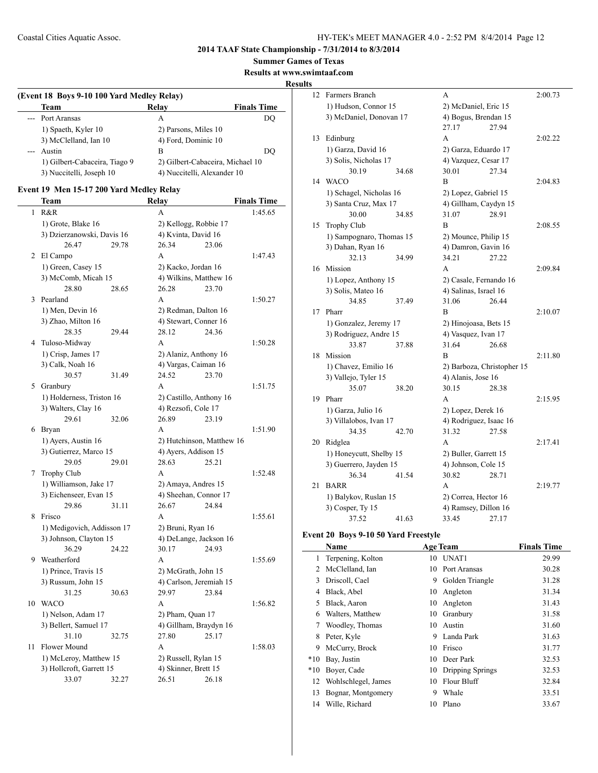**Summer Games of Texas**

**Results at www.swimtaaf.com**

**Results**

## **(Event 18 Boys 9-10 100 Yard Medley Relay) Team Relay Finals Time** --- Port Aransas A DQ 1) Spaeth, Kyler 10 2) Parsons, Miles 10 3) McClelland, Ian 10 4) Ford, Dominic 10 --- Austin B DQ 1) Gilbert-Cabaceira, Tiago 9 2) Gilbert-Cabaceira, Michael 10 3) Nuccitelli, Joseph 10 4) Nuccitelli, Alexander 10

#### **Event 19 Men 15-17 200 Yard Medley Relay**

 $\overline{a}$ 

|    | Team                       |       | Relay                     |       | <b>Finals Time</b> |
|----|----------------------------|-------|---------------------------|-------|--------------------|
| 1  | R&R                        |       | A                         |       | 1:45.65            |
|    | 1) Grote, Blake 16         |       | 2) Kellogg, Robbie 17     |       |                    |
|    | 3) Dzierzanowski, Davis 16 |       | 4) Kvinta, David 16       |       |                    |
|    | 26.47                      | 29.78 | 26.34                     | 23.06 |                    |
| 2  | El Campo                   |       | A                         |       | 1:47.43            |
|    | 1) Green, Casey 15         |       | 2) Kacko, Jordan 16       |       |                    |
|    | 3) McComb, Micah 15        |       | 4) Wilkins, Matthew 16    |       |                    |
|    | 28.80                      | 28.65 | 26.28                     | 23.70 |                    |
| 3  | Pearland                   |       | A                         |       | 1:50.27            |
|    | 1) Men, Devin 16           |       | 2) Redman, Dalton 16      |       |                    |
|    | 3) Zhao, Milton 16         |       | 4) Stewart, Conner 16     |       |                    |
|    | 28.35                      | 29.44 | 28.12                     | 24.36 |                    |
|    | 4 Tuloso-Midway            |       | A                         |       | 1:50.28            |
|    | 1) Crisp, James 17         |       | 2) Alaniz, Anthony 16     |       |                    |
|    | 3) Calk, Noah 16           |       | 4) Vargas, Caiman 16      |       |                    |
|    | 30.57                      | 31.49 | 24.52                     | 23.70 |                    |
|    | 5 Granbury                 |       | A                         |       | 1:51.75            |
|    | 1) Holderness, Triston 16  |       | 2) Castillo, Anthony 16   |       |                    |
|    | 3) Walters, Clay 16        |       | 4) Rezsofi, Cole 17       |       |                    |
|    | 29.61                      | 32.06 | 26.89                     | 23.19 |                    |
| 6  | <b>Bryan</b>               |       | A                         |       | 1:51.90            |
|    | 1) Ayers, Austin 16        |       | 2) Hutchinson, Matthew 16 |       |                    |
|    | 3) Gutierrez, Marco 15     |       | 4) Ayers, Addison 15      |       |                    |
|    | 29.05                      | 29.01 | 28.63                     | 25.21 |                    |
| 7  | <b>Trophy Club</b>         |       | A                         |       | 1:52.48            |
|    | 1) Williamson, Jake 17     |       | 2) Amaya, Andres 15       |       |                    |
|    | 3) Eichenseer, Evan 15     |       | 4) Sheehan, Connor 17     |       |                    |
|    | 29.86                      | 31.11 | 26.67                     | 24.84 |                    |
| 8  | Frisco                     |       | A                         |       | 1:55.61            |
|    | 1) Medigovich, Addisson 17 |       | 2) Bruni, Ryan 16         |       |                    |
|    | 3) Johnson, Clayton 15     |       | 4) DeLange, Jackson 16    |       |                    |
|    | 36.29                      | 24.22 | 30.17                     | 24.93 |                    |
|    | 9 Weatherford              |       | A                         |       | 1:55.69            |
|    | 1) Prince, Travis 15       |       | 2) McGrath, John 15       |       |                    |
|    | 3) Russum, John 15         |       | 4) Carlson, Jeremiah 15   |       |                    |
|    | 31.25                      | 30.63 | 29.97                     | 23.84 |                    |
| 10 | <b>WACO</b>                |       | A                         |       | 1:56.82            |
|    | 1) Nelson, Adam 17         |       | 2) Pham, Quan 17          |       |                    |
|    | 3) Bellert, Samuel 17      |       | 4) Gillham, Braydyn 16    |       |                    |
|    | 31.10                      | 32.75 | 27.80                     | 25.17 |                    |
| 11 | Flower Mound               |       | A                         |       | 1:58.03            |
|    | 1) McLeroy, Matthew 15     |       | 2) Russell, Rylan 15      |       |                    |
|    | 3) Hollcroft, Garrett 15   |       | 4) Skinner, Brett 15      |       |                    |
|    | 33.07                      | 32.27 | 26.51                     | 26.18 |                    |

| 12 | Farmers Branch           |       | A                      |                            | 2:00.73 |
|----|--------------------------|-------|------------------------|----------------------------|---------|
|    | 1) Hudson, Connor 15     |       | 2) McDaniel, Eric 15   |                            |         |
|    | 3) McDaniel, Donovan 17  |       | 4) Bogus, Brendan 15   |                            |         |
|    |                          |       | 27.17                  | 27.94                      |         |
| 13 | Edinburg                 |       | A                      |                            | 2:02.22 |
|    | 1) Garza, David 16       |       | 2) Garza, Eduardo 17   |                            |         |
|    | 3) Solis, Nicholas 17    |       | 4) Vazquez, Cesar 17   |                            |         |
|    | 30.19                    | 34.68 | 30.01                  | 27.34                      |         |
| 14 | <b>WACO</b>              |       | B                      |                            | 2:04.83 |
|    | 1) Schagel, Nicholas 16  |       | 2) Lopez, Gabriel 15   |                            |         |
|    | 3) Santa Cruz, Max 17    |       | 4) Gillham, Caydyn 15  |                            |         |
|    | 30.00                    | 34.85 | 31.07                  | 28.91                      |         |
| 15 | <b>Trophy Club</b>       |       | В                      |                            | 2:08.55 |
|    | 1) Sampognaro, Thomas 15 |       | 2) Mounce, Philip 15   |                            |         |
|    | 3) Dahan, Ryan 16        |       | 4) Damron, Gavin 16    |                            |         |
|    | 32.13                    | 34.99 | 34.21                  | 27.22                      |         |
| 16 | Mission                  |       | A                      |                            | 2:09.84 |
|    | 1) Lopez, Anthony 15     |       | 2) Casale, Fernando 16 |                            |         |
|    | 3) Solis, Mateo 16       |       | 4) Salinas, Israel 16  |                            |         |
|    | 34.85                    | 37.49 | 31.06                  | 26.44                      |         |
| 17 | Pharr                    |       | B                      |                            | 2:10.07 |
|    | 1) Gonzalez, Jeremy 17   |       | 2) Hinojoasa, Bets 15  |                            |         |
|    | 3) Rodriguez, Andre 15   |       | 4) Vasquez, Ivan 17    |                            |         |
|    | 33.87                    | 37.88 | 31.64                  | 26.68                      |         |
| 18 | Mission                  |       | В                      |                            | 2:11.80 |
|    | 1) Chavez, Emilio 16     |       |                        | 2) Barboza, Christopher 15 |         |
|    | 3) Vallejo, Tyler 15     |       | 4) Alanis, Jose 16     |                            |         |
|    | 35.07                    | 38.20 | 30.15                  | 28.38                      |         |
| 19 | Pharr                    |       | A                      |                            | 2:15.95 |
|    | 1) Garza, Julio 16       |       | 2) Lopez, Derek 16     |                            |         |
|    | 3) Villalobos, Ivan 17   |       | 4) Rodriguez, Isaac 16 |                            |         |
|    | 34.35                    | 42.70 | 31.32                  | 27.58                      |         |
| 20 | Ridglea                  |       | A                      |                            | 2:17.41 |
|    | 1) Honeycutt, Shelby 15  |       | 2) Buller, Garrett 15  |                            |         |
|    | 3) Guerrero, Jayden 15   |       | 4) Johnson, Cole 15    |                            |         |
|    | 36.34                    | 41.54 | 30.82                  | 28.71                      |         |
| 21 | <b>BARR</b>              |       | A                      |                            | 2:19.77 |
|    | 1) Balykov, Ruslan 15    |       | 2) Correa, Hector 16   |                            |         |
|    | 3) Cosper, Ty 15         |       | 4) Ramsey, Dillon 16   |                            |         |
|    | 37.52                    | 41.63 | 33.45                  | 27.17                      |         |

#### **Event 20 Boys 9-10 50 Yard Freestyle**

|       | Name                |    | <b>Age Team</b>  | <b>Finals Time</b> |
|-------|---------------------|----|------------------|--------------------|
| 1     | Terpening, Kolton   | 10 | UNAT1            | 29.99              |
| 2     | McClelland, Ian     | 10 | Port Aransas     | 30.28              |
| 3     | Driscoll, Cael      | 9  | Golden Triangle  | 31.28              |
| 4     | Black, Abel         | 10 | Angleton         | 31.34              |
| 5     | Black, Aaron        | 10 | Angleton         | 31.43              |
| 6     | Walters, Matthew    | 10 | Granbury         | 31.58              |
| 7     | Woodley, Thomas     | 10 | Austin           | 31.60              |
| 8     | Peter, Kyle         | 9  | Landa Park       | 31.63              |
| 9     | McCurry, Brock      | 10 | Frisco           | 31.77              |
| $*10$ | Bay, Justin         | 10 | Deer Park        | 32.53              |
| $*10$ | Boyer, Cade         | 10 | Dripping Springs | 32.53              |
| 12    | Wohlschlegel, James | 10 | Flour Bluff      | 32.84              |
| 13    | Bognar, Montgomery  | 9  | Whale            | 33.51              |
| 14    | Wille, Richard      | 10 | Plano            | 33.67              |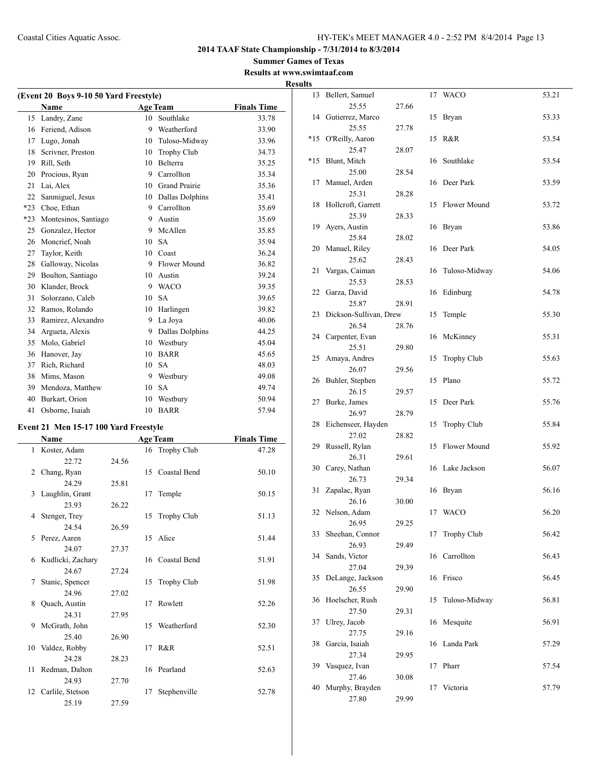**Summer Games of Texas Results at www.swimtaaf.com Results**

|       | (Event 20 Boys 9-10 50 Yard Freestyle) |    |                      |                    |
|-------|----------------------------------------|----|----------------------|--------------------|
|       | Name                                   |    | <b>Age Team</b>      | <b>Finals Time</b> |
| 15    | Landry, Zane                           | 10 | Southlake            | 33.78              |
| 16    | Feriend, Adison                        | 9  | Weatherford          | 33.90              |
| 17    | Lugo, Jonah                            | 10 | Tuloso-Midway        | 33.96              |
| 18    | Scrivner, Preston                      | 10 | Trophy Club          | 34.73              |
| 19    | Rill, Seth                             | 10 | Belterra             | 35.25              |
| 20    | Procious, Ryan                         | 9  | Carrollton           | 35.34              |
| 21    | Lai, Alex                              | 10 | <b>Grand Prairie</b> | 35.36              |
| 22    | Sanmiguel, Jesus                       | 10 | Dallas Dolphins      | 35.41              |
| $*23$ | Choe, Ethan                            | 9  | Carrollton           | 35.69              |
| $*23$ | Montesinos, Santiago                   | 9  | Austin               | 35.69              |
| 25    | Gonzalez, Hector                       | 9  | McAllen              | 35.85              |
| 26    | Moncrief, Noah                         | 10 | <b>SA</b>            | 35.94              |
| 27    | Taylor, Keith                          | 10 | Coast                | 36.24              |
| 28    | Galloway, Nicolas                      | 9  | Flower Mound         | 36.82              |
| 29    | Boulton, Santiago                      | 10 | Austin               | 39.24              |
| 30    | Klander, Brock                         | 9  | <b>WACO</b>          | 39.35              |
| 31    | Solorzano, Caleb                       | 10 | <b>SA</b>            | 39.65              |
| 32    | Ramos, Rolando                         | 10 | Harlingen            | 39.82              |
| 33    | Ramirez, Alexandro                     | 9  | La Joya              | 40.06              |
| 34    | Argueta, Alexis                        | 9  | Dallas Dolphins      | 44.25              |
| 35    | Molo, Gabriel                          | 10 | Westbury             | 45.04              |
| 36    | Hanover, Jay                           | 10 | <b>BARR</b>          | 45.65              |
| 37    | Rich, Richard                          | 10 | <b>SA</b>            | 48.03              |
| 38    | Mims, Mason                            | 9  | Westbury             | 49.08              |
| 39    | Mendoza, Matthew                       | 10 | <b>SA</b>            | 49.74              |
| 40    | Burkart, Orion                         | 10 | Westbury             | 50.94              |
| 41    | Osborne, Isaiah                        | 10 | <b>BARR</b>          | 57.94              |
|       |                                        |    |                      |                    |

## **Event 21 Men 15-17 100 Yard Freestyle**

 $\overline{a}$ 

|    | Name                | <b>Age Team</b> |    |                    | <b>Finals Time</b> |
|----|---------------------|-----------------|----|--------------------|--------------------|
|    | 1 Koster, Adam      |                 |    | 16 Trophy Club     | 47.28              |
|    | 22.72               | 24.56           |    |                    |                    |
| 2  | Chang, Ryan         |                 | 15 | Coastal Bend       | 50.10              |
|    | 24.29               | 25.81           |    |                    |                    |
|    | 3 Laughlin, Grant   |                 | 17 | Temple             | 50.15              |
|    | 23.93               | 26.22           |    |                    |                    |
| 4  | Stenger, Trey       |                 | 15 | <b>Trophy Club</b> | 51.13              |
|    | 24.54               | 26.59           |    |                    |                    |
| 5. | Perez, Aaren        |                 |    | 15 Alice           | 51.44              |
|    | 24.07               | 27.37           |    |                    |                    |
|    | 6 Kudlicki, Zachary |                 |    | 16 Coastal Bend    | 51.91              |
|    | 24.67               | 27.24           |    |                    |                    |
| 7  | Stanic, Spencer     |                 | 15 | <b>Trophy Club</b> | 51.98              |
|    | 24.96               | 27.02           |    |                    |                    |
| 8  | Quach, Austin       |                 | 17 | Rowlett            | 52.26              |
|    | 24.31               | 27.95           |    |                    |                    |
| 9  | McGrath, John       |                 |    | 15 Weatherford     | 52.30              |
|    | 25.40               | 26.90           |    |                    |                    |
|    | 10 Valdez, Robby    |                 | 17 | R&R                | 52.51              |
|    | 24.28               | 28.23           |    |                    |                    |
| 11 | Redman, Dalton      |                 |    | 16 Pearland        | 52.63              |
|    | 24.93               | 27.70           |    |                    |                    |
| 12 | Carlile, Stetson    |                 | 17 | Stephenville       | 52.78              |
|    | 25.19               | 27.59           |    |                    |                    |

| 13    | Bellert, Samuel<br>25.55 | 27.66 | 17 | <b>WACO</b>        | 53.21 |
|-------|--------------------------|-------|----|--------------------|-------|
| 14    | Gutierrez, Marco         |       | 15 |                    | 53.33 |
|       | 25.55                    | 27.78 |    | Bryan              |       |
| $*15$ | O'Reilly, Aaron          |       | 15 | R&R                | 53.54 |
|       | 25.47                    | 28.07 |    |                    |       |
| *15   | Blunt, Mitch             |       | 16 | Southlake          | 53.54 |
|       | 25.00                    | 28.54 |    |                    |       |
| 17    | Manuel, Arden            |       | 16 | Deer Park          | 53.59 |
|       | 25.31                    | 28.28 |    |                    |       |
| 18    | Hollcroft, Garrett       |       | 15 | Flower Mound       | 53.72 |
|       | 25.39                    | 28.33 |    |                    |       |
| 19    | Ayers, Austin            |       | 16 | Bryan              | 53.86 |
|       | 25.84                    | 28.02 |    |                    |       |
| 20    | Manuel, Riley            |       | 16 | Deer Park          | 54.05 |
|       | 25.62                    | 28.43 |    |                    |       |
| 21    | Vargas, Caiman           |       | 16 | Tuloso-Midway      | 54.06 |
|       | 25.53                    | 28.53 |    |                    |       |
| 22    | Garza, David             |       | 16 | Edinburg           | 54.78 |
|       | 25.87                    | 28.91 |    |                    |       |
| 23    | Dickson-Sullivan, Drew   |       | 15 | Temple             | 55.30 |
|       | 26.54                    | 28.76 |    |                    |       |
| 24    | Carpenter, Evan          |       | 16 | McKinney           | 55.31 |
|       | 25.51                    | 29.80 |    |                    |       |
| 25    | Amaya, Andres            |       | 15 | Trophy Club        | 55.63 |
|       | 26.07                    | 29.56 |    |                    |       |
| 26    | Buhler, Stephen          |       | 15 | Plano              | 55.72 |
|       | 26.15                    | 29.57 |    |                    |       |
| 27    | Burke, James             |       | 15 | Deer Park          | 55.76 |
|       | 26.97                    | 28.79 |    |                    |       |
| 28    | Eichenseer, Hayden       |       | 15 | <b>Trophy Club</b> | 55.84 |
|       | 27.02                    | 28.82 |    |                    |       |
| 29    | Russell, Rylan<br>26.31  | 29.61 | 15 | Flower Mound       | 55.92 |
| 30    | Carey, Nathan            |       | 16 | Lake Jackson       | 56.07 |
|       | 26.73                    | 29.34 |    |                    |       |
| 31    | Zapalac, Ryan            |       | 16 | Bryan              | 56.16 |
|       | 26.16                    | 30.00 |    |                    |       |
| 32    | Nelson, Adam             |       | 17 | <b>WACO</b>        | 56.20 |
|       | 26.95                    | 29.25 |    |                    |       |
| 33    | Sheehan, Connor          |       | 17 | Trophy Club        | 56.42 |
|       | 26.93                    | 29.49 |    |                    |       |
| 34    | Sands, Victor            |       | 16 | Carrollton         | 56.43 |
|       | 27.04                    | 29.39 |    |                    |       |
| 35    | DeLange, Jackson         |       | 16 | Frisco             | 56.45 |
|       | 26.55                    | 29.90 |    |                    |       |
| 36    | Hoelscher, Rush          |       | 15 | Tuloso-Midway      | 56.81 |
|       | 27.50                    | 29.31 |    |                    |       |
| 37    | Ulrey, Jacob             |       | 16 | Mesquite           | 56.91 |
|       | 27.75                    | 29.16 |    |                    |       |
| 38    | Garcia, Isaiah           |       | 16 | Landa Park         | 57.29 |
|       | 27.34                    | 29.95 |    |                    |       |
| 39    | Vasquez, Ivan            |       | 17 | Pharr              | 57.54 |
|       | 27.46                    | 30.08 |    |                    |       |
| 40    | Murphy, Brayden          |       | 17 | Victoria           | 57.79 |
|       | 27.80                    | 29.99 |    |                    |       |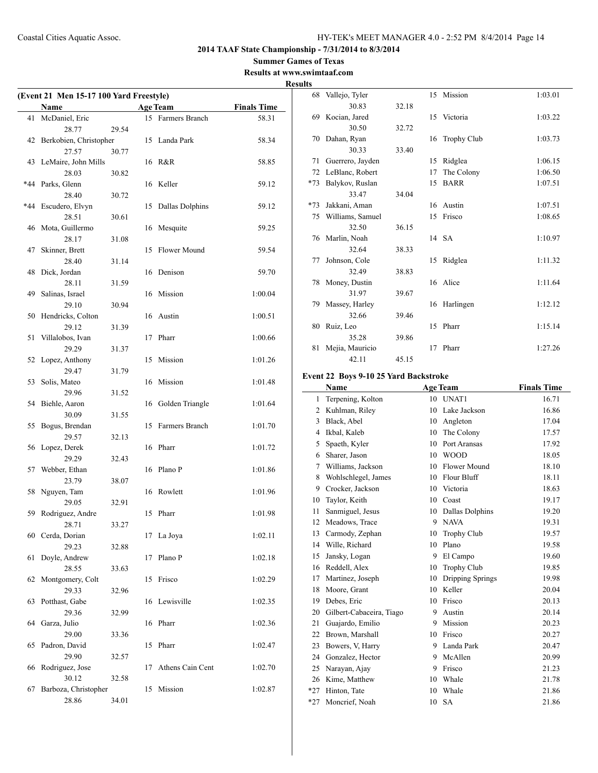#### **Summer Games of Texas Results at www.swimtaaf.com**

**Results**

 $\overline{a}$ 

| (Event 21 Men 15-17 100 Yard Freestyle) |                                 |       |    |                     |                    |
|-----------------------------------------|---------------------------------|-------|----|---------------------|--------------------|
|                                         | Name                            |       |    | <b>Age Team</b>     | <b>Finals Time</b> |
| 41                                      | McDaniel, Eric                  |       |    | 15 Farmers Branch   | 58.31              |
|                                         | 28.77                           | 29.54 |    |                     |                    |
| 42                                      | Berkobien, Christopher<br>27.57 | 30.77 |    | 15 Landa Park       | 58.34              |
| 43                                      | LeMaire, John Mills             |       |    | 16 R&R              | 58.85              |
|                                         | 28.03                           | 30.82 |    |                     |                    |
|                                         | *44 Parks, Glenn                |       |    | 16 Keller           | 59.12              |
|                                         | 28.40                           | 30.72 |    |                     |                    |
| $*44$                                   | Escudero, Elvyn                 |       | 15 | Dallas Dolphins     | 59.12              |
|                                         | 28.51                           | 30.61 |    |                     |                    |
| 46                                      | Mota, Guillermo                 |       | 16 | Mesquite            | 59.25              |
|                                         | 28.17                           | 31.08 |    |                     |                    |
| 47                                      | Skinner, Brett                  |       | 15 | <b>Flower Mound</b> | 59.54              |
|                                         | 28.40                           | 31.14 |    |                     |                    |
| 48                                      | Dick. Jordan                    |       | 16 | Denison             | 59.70              |
|                                         | 28.11                           | 31.59 |    |                     |                    |
| 49                                      | Salinas, Israel<br>29.10        |       |    | 16 Mission          | 1:00.04            |
| 50                                      | Hendricks, Colton               | 30.94 |    | 16 Austin           | 1:00.51            |
|                                         | 29.12                           | 31.39 |    |                     |                    |
| 51                                      | Villalobos, Ivan                |       | 17 | Pharr               | 1:00.66            |
|                                         | 29.29                           | 31.37 |    |                     |                    |
| 52                                      | Lopez, Anthony                  |       | 15 | Mission             | 1:01.26            |
|                                         | 29.47                           | 31.79 |    |                     |                    |
| 53                                      | Solis, Mateo                    |       | 16 | Mission             | 1:01.48            |
|                                         | 29.96                           | 31.52 |    |                     |                    |
| 54                                      | Biehle, Aaron                   |       |    | 16 Golden Triangle  | 1:01.64            |
|                                         | 30.09                           | 31.55 |    |                     |                    |
| 55                                      | Bogus, Brendan                  |       | 15 | Farmers Branch      | 1:01.70            |
|                                         | 29.57                           | 32.13 |    |                     |                    |
| 56                                      | Lopez, Derek                    |       |    | 16 Pharr            | 1:01.72            |
| 57                                      | 29.29<br>Webber, Ethan          | 32.43 |    | 16 Plano P          | 1:01.86            |
|                                         | 23.79                           | 38.07 |    |                     |                    |
| 58                                      | Nguyen, Tam                     |       |    | 16 Rowlett          | 1:01.96            |
|                                         | 29.05                           | 32.91 |    |                     |                    |
| 59                                      | Rodriguez, Andre                |       | 15 | Pharr               | 1:01.98            |
|                                         | 28.71                           | 33.27 |    |                     |                    |
|                                         | 60 Cerda, Dorian                |       | 17 | La Joya             | 1:02.11            |
|                                         | 29.23                           | 32.88 |    |                     |                    |
| 61                                      | Doyle, Andrew                   |       | 17 | Plano P             | 1:02.18            |
|                                         | 28.55                           | 33.63 |    |                     |                    |
| 62                                      | Montgomery, Colt                |       | 15 | Frisco              | 1:02.29            |
|                                         | 29.33                           | 32.96 |    |                     |                    |
| 63                                      | Potthast, Gabe                  |       | 16 | Lewisville          | 1:02.35            |
|                                         | 29.36                           | 32.99 |    |                     |                    |
| 64                                      | Garza, Julio<br>29.00           | 33.36 | 16 | Pharr               | 1:02.36            |
| 65                                      | Padron, David                   |       | 15 | Pharr               | 1:02.47            |
|                                         | 29.90                           | 32.57 |    |                     |                    |
| 66                                      | Rodriguez, Jose                 |       | 17 | Athens Cain Cent    | 1:02.70            |
|                                         | 30.12                           | 32.58 |    |                     |                    |
| 67                                      | Barboza, Christopher            |       | 15 | Mission             | 1:02.87            |
|                                         | 28.86                           | 34.01 |    |                     |                    |

|       | 68 Vallejo, Tyler |       |    | 15 Mission         | 1:03.01 |
|-------|-------------------|-------|----|--------------------|---------|
|       | 30.83             | 32.18 |    |                    |         |
| 69.   | Kocian, Jared     |       |    | 15 Victoria        | 1:03.22 |
|       | 30.50             | 32.72 |    |                    |         |
| 70    | Dahan, Ryan       |       | 16 | <b>Trophy Club</b> | 1:03.73 |
|       | 30.33             | 33.40 |    |                    |         |
| 71    | Guerrero, Jayden  |       | 15 | Ridglea            | 1:06.15 |
| 72    | LeBlanc, Robert   |       | 17 | The Colony         | 1:06.50 |
| $*73$ | Balykov, Ruslan   |       | 15 | <b>BARR</b>        | 1:07.51 |
|       | 33.47             | 34.04 |    |                    |         |
| $*73$ | Jakkani, Aman     |       |    | 16 Austin          | 1:07.51 |
| 75    | Williams, Samuel  |       | 15 | Frisco             | 1:08.65 |
|       | 32.50             | 36.15 |    |                    |         |
| 76    | Marlin, Noah      |       |    | 14 SA              | 1:10.97 |
|       | 32.64             | 38.33 |    |                    |         |
| 77    | Johnson, Cole     |       | 15 | Ridglea            | 1:11.32 |
|       | 32.49             | 38.83 |    |                    |         |
| 78    | Money, Dustin     |       |    | 16 Alice           | 1:11.64 |
|       | 31.97             | 39.67 |    |                    |         |
| 79    | Massey, Harley    |       |    | 16 Harlingen       | 1:12.12 |
|       | 32.66             | 39.46 |    |                    |         |
| 80    | Ruiz, Leo         |       | 15 | Pharr              | 1:15.14 |
|       | 35.28             | 39.86 |    |                    |         |
| 81    | Mejia, Mauricio   |       | 17 | Pharr              | 1:27.26 |
|       | 42.11             | 45.15 |    |                    |         |

## **Event 22 Boys 9-10 25 Yard Backstroke**

|       | Name                     | <b>Age Team</b> |                    | <b>Finals Time</b> |
|-------|--------------------------|-----------------|--------------------|--------------------|
| 1     | Terpening, Kolton        | 10              | UNAT1              | 16.71              |
| 2     | Kuhlman, Riley           | 10              | Lake Jackson       | 16.86              |
| 3     | Black, Abel              | 10              | Angleton           | 17.04              |
| 4     | Ikbal, Kaleb             | 10              | The Colony         | 17.57              |
| 5     | Spaeth, Kyler            | 10              | Port Aransas       | 17.92              |
| 6     | Sharer, Jason            | 10              | <b>WOOD</b>        | 18.05              |
| 7     | Williams, Jackson        | 10              | Flower Mound       | 18.10              |
| 8     | Wohlschlegel, James      | 10              | Flour Bluff        | 18.11              |
| 9     | Crocker, Jackson         | 10              | Victoria           | 18.63              |
| 10    | Taylor, Keith            | 10              | Coast              | 19.17              |
| 11    | Sanmiguel, Jesus         | 10              | Dallas Dolphins    | 19.20              |
| 12    | Meadows, Trace           | 9               | <b>NAVA</b>        | 19.31              |
| 13    | Carmody, Zephan          | 10              | <b>Trophy Club</b> | 19.57              |
| 14    | Wille, Richard           | 10              | Plano              | 19.58              |
| 15    | Jansky, Logan            | 9               | El Campo           | 19.60              |
| 16    | Reddell, Alex            | 10              | <b>Trophy Club</b> | 19.85              |
| 17    | Martinez, Joseph         | 10              | Dripping Springs   | 19.98              |
| 18    | Moore, Grant             | 10              | Keller             | 20.04              |
| 19    | Debes, Eric              | 10              | Frisco             | 20.13              |
| 20    | Gilbert-Cabaceira, Tiago | 9               | Austin             | 20.14              |
| 21    | Guajardo, Emilio         | 9               | Mission            | 20.23              |
| 22    | Brown, Marshall          | 10              | Frisco             | 20.27              |
| 23    | Bowers, V, Harry         | 9               | Landa Park         | 20.47              |
| 24    | Gonzalez, Hector         | 9               | McAllen            | 20.99              |
| 25    | Narayan, Ajay            | 9               | Frisco             | 21.23              |
| 26    | Kime, Matthew            | 10              | Whale              | 21.78              |
| $*27$ | Hinton, Tate             | 10              | Whale              | 21.86              |
| $*27$ | Moncrief, Noah           | 10              | <b>SA</b>          | 21.86              |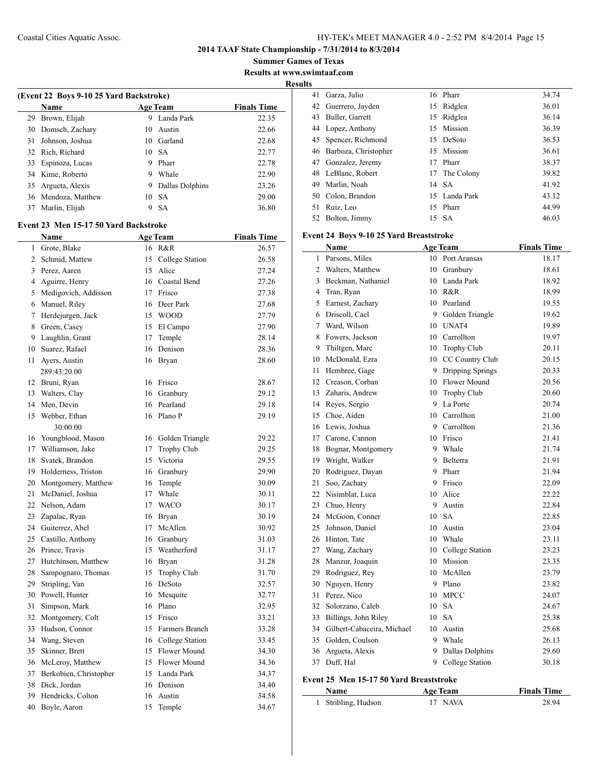**2014 TAAF State Championship - 7/31/2014 to 8/3/2014**

**Summer Games of Texas Results at www.swimtaaf.com**

**Results**

 $\overline{a}$ 

|                | (Event 22 Boys 9-10 25 Yard Backstroke) |    |                          |                    |
|----------------|-----------------------------------------|----|--------------------------|--------------------|
|                | Name                                    |    | <b>Age Team</b>          | <b>Finals Time</b> |
| 29             | Brown, Elijah                           | 9  | Landa Park               | 22.35              |
| 30             | Domsch, Zachary                         | 10 | Austin                   | 22.66              |
| 31             | Johnson, Joshua                         | 10 | Garland                  | 22.68              |
| 32             | Rich, Richard                           | 10 | <b>SA</b>                | 22.77              |
| 33             | Espinoza, Lucas                         | 9  | Pharr                    | 22.78              |
| 34             | Kime, Roberto                           | 9  | Whale                    | 22.90              |
| 35             | Argueta, Alexis                         | 9  | Dallas Dolphins          | 23.26              |
| 36             | Mendoza, Matthew                        | 10 | <b>SA</b>                | 29.00              |
| 37             | Marlin, Elijah                          | 9  | <b>SA</b>                | 36.80              |
|                | Event 23 Men 15-17 50 Yard Backstroke   |    |                          |                    |
|                | <b>Name</b>                             |    | <b>Age Team</b>          | <b>Finals Time</b> |
| 1              |                                         | 16 | R&R                      | 26.57              |
| $\overline{2}$ | Grote, Blake                            |    |                          |                    |
|                | Schmid, Mattew                          | 15 | College Station<br>Alice | 26.58              |
| 3              | Perez, Aaren                            | 15 |                          | 27.24              |
| 4              | Aguirre, Henry                          | 16 | Coastal Bend             | 27.26              |
| 5              | Medigovich, Addisson                    | 17 | Frisco                   | 27.38              |
| 6              | Manuel, Riley                           | 16 | Deer Park                | 27.68              |
| 7              | Herdejurgen, Jack                       | 15 | <b>WOOD</b>              | 27.79              |
| 8              | Green, Casey                            | 15 | El Campo                 | 27.90              |
| 9              | Laughlin, Grant                         | 17 | Temple                   | 28.14              |
| 10             | Suarez, Rafael                          | 16 | Denison                  | 28.36              |
| 11             | Ayers, Austin                           | 16 | Bryan                    | 28.60              |
|                | 289:43:20.00                            |    |                          |                    |
| 12             | Bruni, Ryan                             | 16 | Frisco                   | 28.67              |
| 13             | Walters, Clay                           | 16 | Granbury                 | 29.12              |
| 14             | Men, Devin                              | 16 | Pearland                 | 29.18              |
| 15             | Webber, Ethan                           | 16 | Plano P                  | 29.19              |
|                | 30.00.00                                |    |                          |                    |

| 12 | Bruni, Kyan            | 10 | <b>FISCO</b>        | 28.07 |
|----|------------------------|----|---------------------|-------|
| 13 | Walters, Clay          | 16 | Granbury            | 29.12 |
| 14 | Men, Devin             | 16 | Pearland            | 29.18 |
| 15 | Webber, Ethan          | 16 | Plano P             | 29.19 |
|    | 30:00.00               |    |                     |       |
| 16 | Youngblood, Mason      | 16 | Golden Triangle     | 29.22 |
| 17 | Williamson, Jake       | 17 | <b>Trophy Club</b>  | 29.25 |
| 18 | Svatek, Brandon        | 15 | Victoria            | 29.55 |
| 19 | Holderness, Triston    | 16 | Granbury            | 29.90 |
| 20 | Montgomery, Matthew    | 16 | Temple              | 30.09 |
| 21 | McDaniel, Joshua       | 17 | Whale               | 30.11 |
| 22 | Nelson, Adam           | 17 | <b>WACO</b>         | 30.17 |
| 23 | Zapalac, Ryan          | 16 | Bryan               | 30.19 |
| 24 | Guiterrez, Abel        | 17 | McAllen             | 30.92 |
| 25 | Castillo, Anthony      | 16 | Granbury            | 31.03 |
| 26 | Prince, Travis         | 15 | Weatherford         | 31.17 |
| 27 | Hutchinson, Matthew    | 16 | Bryan               | 31.28 |
| 28 | Sampognaro, Thomas     | 15 | <b>Trophy Club</b>  | 31.70 |
| 29 | Stripling, Van         | 16 | DeSoto              | 32.57 |
| 30 | Powell, Hunter         | 16 | Mesquite            | 32.77 |
| 31 | Simpson, Mark          | 16 | Plano               | 32.95 |
| 32 | Montgomery, Colt       | 15 | Frisco              | 33.21 |
| 33 | Hudson, Connor         | 15 | Farmers Branch      | 33.28 |
| 34 | Wang, Steven           | 16 | College Station     | 33.45 |
| 35 | Skinner, Brett         | 15 | Flower Mound        | 34.30 |
| 36 | McLeroy, Matthew       | 15 | <b>Flower Mound</b> | 34.36 |
| 37 | Berkobien, Christopher | 15 | Landa Park          | 34.37 |
| 38 | Dick, Jordan           | 16 | Denison             | 34.40 |
| 39 | Hendricks, Colton      | 16 | Austin              | 34.58 |
| 40 | Boyle, Aaron           | 15 | Temple              | 34.67 |
|    |                        |    |                     |       |

| ιэ |                         |    |               |       |
|----|-------------------------|----|---------------|-------|
| 41 | Garza, Julio            |    | 16 Pharr      | 34.74 |
|    | 42 Guerrero, Jayden     |    | 15 Ridglea    | 36.01 |
| 43 | Buller, Garrett         | 15 | Ridglea       | 36.14 |
|    | 44 Lopez, Anthony       |    | 15 Mission    | 36.39 |
|    | 45 Spencer, Richmond    |    | 15 DeSoto     | 36.53 |
|    | 46 Barboza, Christopher |    | 15 Mission    | 36.61 |
| 47 | Gonzalez, Jeremy        | 17 | Pharr         | 38.37 |
|    | 48 LeBlanc, Robert      | 17 | The Colony    | 39.82 |
| 49 | Marlin, Noah            |    | 14 SA         | 41.92 |
| 50 | Colon, Brandon          |    | 15 Landa Park | 43.12 |
| 51 | Ruiz, Leo               |    | 15 Pharr      | 44.99 |
| 52 | Bolton, Jimmy           |    | 15 SA         | 46.03 |

#### **Event 24 Boys 9-10 25 Yard Breaststroke**

|        | <b>Name</b>                             |    | <b>Age Team</b>    | <b>Finals Time</b> |  |  |
|--------|-----------------------------------------|----|--------------------|--------------------|--|--|
| 1      | Parsons, Miles                          |    | 10 Port Aransas    | 18.17              |  |  |
| 2      | Walters, Matthew                        | 10 | Granbury           | 18.61              |  |  |
| 3      | Beckman, Nathaniel                      |    | 10 Landa Park      | 18.92              |  |  |
| 4      | Tran, Ryan                              |    | 10 R&R             | 18.99              |  |  |
| 5      | Earnest, Zachary                        |    | 10 Pearland        | 19.55              |  |  |
| 6      | Driscoll, Cael                          |    | 9 Golden Triangle  | 19.62              |  |  |
| $\tau$ | Ward, Wilson                            |    | 10 UNAT4           | 19.89              |  |  |
| 8      | Fowers, Jackson                         |    | 10 Carrollton      | 19.97              |  |  |
| 9      | Thiltgen, Marc                          |    | 10 Trophy Club     | 20.11              |  |  |
| 10     | McDonald, Ezra                          |    | 10 CC Country Club | 20.15              |  |  |
| 11     | Hembree, Gage                           |    | 9 Dripping Springs | 20.33              |  |  |
| 12     | Creason, Corban                         |    | 10 Flower Mound    | 20.56              |  |  |
| 13     | Zaharis, Andrew                         |    | 10 Trophy Club     | 20.60              |  |  |
| 14     | Reyes, Sergio                           |    | 9 La Porte         | 20.74              |  |  |
| 15     | Choe, Aiden                             |    | 10 Carrollton      | 21.00              |  |  |
| 16     | Lewis, Joshua                           |    | 9 Carrollton       | 21.36              |  |  |
| 17     | Carone, Cannon                          |    | 10 Frisco          | 21.41              |  |  |
| 18     | Bognar, Montgomery                      |    | 9 Whale            | 21.74              |  |  |
| 19     | Wright, Walker                          |    | 9 Belterra         | 21.91              |  |  |
| 20     | Rodriguez, Dayan                        |    | 9 Pharr            | 21.94              |  |  |
| 21     | Soo, Zachary                            |    | 9 Frisco           | 22.09              |  |  |
| 22     | Nisimblat, Luca                         |    | 10 Alice           | 22.22              |  |  |
| 23     | Chuo, Henry                             | 9  | Austin             | 22.84              |  |  |
| 24     | McGoon, Conner                          |    | 10 SA              | 22.85              |  |  |
| 25     | Johnson, Daniel                         | 10 | Austin             | 23.04              |  |  |
| 26     | Hinton, Tate                            |    | 10 Whale           | 23.11              |  |  |
| 27     | Wang, Zachary                           |    | 10 College Station | 23.23              |  |  |
| 28     | Manzur, Joaquin                         |    | 10 Mission         | 23.35              |  |  |
| 29     | Rodriguez, Rey                          |    | 10 McAllen         | 23.79              |  |  |
| 30     | Nguyen, Henry                           |    | 9 Plano            | 23.82              |  |  |
| 31     | Perez, Nico                             |    | 10 MPCC            | 24.07              |  |  |
| 32     | Solorzano, Caleb                        | 10 | <b>SA</b>          | 24.67              |  |  |
| 33     | Billings, John Riley                    | 10 | <b>SA</b>          | 25.38              |  |  |
| 34     | Gilbert-Cabaceira, Michael              | 10 | Austin             | 25.68              |  |  |
| 35     | Golden, Coulson                         |    | 9 Whale            | 26.13              |  |  |
| 36     | Argueta, Alexis                         | 9. | Dallas Dolphins    | 29.60              |  |  |
| 37     | Duff, Hal                               |    | 9 College Station  | 30.18              |  |  |
|        | Event 25 Men 15-17 50 Yard Breaststroke |    |                    |                    |  |  |

#### **Name Age Team Finals Time** Stribling, Hudson 17 NAVA 28.94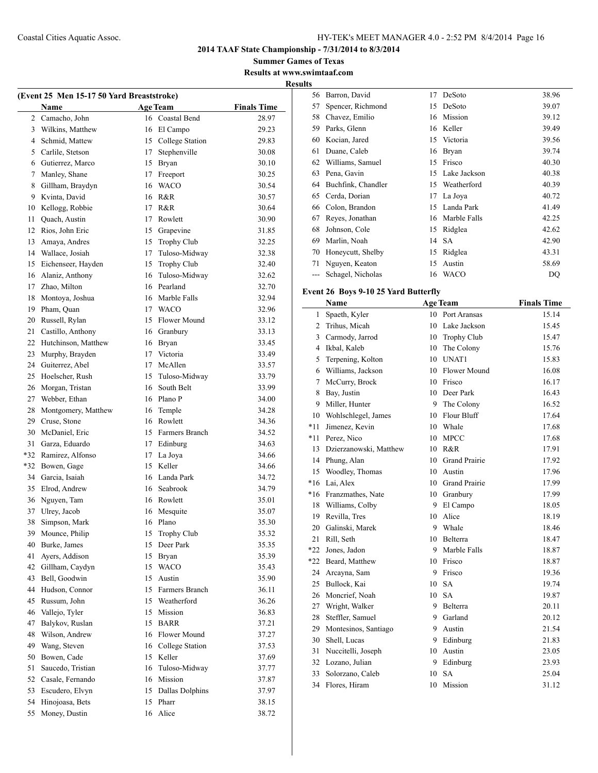**Summer Games of Texas Results at www.swimtaaf.com Results**

| (Event 25 Men 15-17 50 Yard Breaststroke) |                                     |    |                 |                    |  |  |  |
|-------------------------------------------|-------------------------------------|----|-----------------|--------------------|--|--|--|
|                                           | Name                                |    | <b>Age Team</b> | <b>Finals Time</b> |  |  |  |
| $\overline{2}$                            | Camacho, John                       |    | 16 Coastal Bend | 28.97              |  |  |  |
| 3                                         | Wilkins, Matthew                    | 16 | El Campo        | 29.23              |  |  |  |
| 4                                         | Schmid, Mattew                      | 15 | College Station | 29.83              |  |  |  |
| 5                                         | Carlile, Stetson                    | 17 | Stephenville    | 30.08              |  |  |  |
| 6                                         | Gutierrez, Marco                    | 15 | Bryan           | 30.10              |  |  |  |
| 7                                         | Manley, Shane                       | 17 | Freeport        | 30.25              |  |  |  |
| 8                                         | Gillham, Braydyn                    | 16 | <b>WACO</b>     | 30.54              |  |  |  |
| 9                                         | Kvinta, David                       | 16 | R&R             | 30.57              |  |  |  |
| 10                                        | Kellogg, Robbie                     | 17 | R&R             | 30.64              |  |  |  |
| 11                                        | Quach, Austin                       | 17 | Rowlett         | 30.90              |  |  |  |
| 12                                        | Rios, John Eric                     |    | 15 Grapevine    | 31.85              |  |  |  |
| 13                                        | Amaya, Andres                       |    | 15 Trophy Club  | 32.25              |  |  |  |
| 14                                        | Wallace, Josiah                     | 17 | Tuloso-Midway   | 32.38              |  |  |  |
| 15                                        | Eichenseer, Hayden                  | 15 | Trophy Club     | 32.40              |  |  |  |
| 16                                        | Alaniz, Anthony                     | 16 | Tuloso-Midway   | 32.62              |  |  |  |
| 17                                        | Zhao, Milton                        |    | 16 Pearland     | 32.70              |  |  |  |
| 18                                        | Montoya, Joshua                     |    | 16 Marble Falls | 32.94              |  |  |  |
| 19                                        | Pham, Ouan                          |    | 17 WACO         |                    |  |  |  |
|                                           |                                     |    | 15 Flower Mound | 32.96<br>33.12     |  |  |  |
| 20<br>21                                  | Russell, Rylan<br>Castillo, Anthony |    |                 | 33.13              |  |  |  |
|                                           | Hutchinson, Matthew                 |    | 16 Granbury     |                    |  |  |  |
| 22                                        |                                     |    | 16 Bryan        | 33.45              |  |  |  |
| 23                                        | Murphy, Brayden                     |    | 17 Victoria     | 33.49              |  |  |  |
| 24                                        | Guiterrez, Abel                     |    | 17 McAllen      | 33.57              |  |  |  |
| 25                                        | Hoelscher, Rush                     | 15 | Tuloso-Midway   | 33.79              |  |  |  |
| 26                                        | Morgan, Tristan                     | 16 | South Belt      | 33.99              |  |  |  |
| 27                                        | Webber, Ethan                       |    | 16 Plano P      | 34.00              |  |  |  |
| 28                                        | Montgomery, Matthew                 | 16 | Temple          | 34.28              |  |  |  |
| 29                                        | Cruse, Stone                        | 16 | Rowlett         | 34.36              |  |  |  |
| 30                                        | McDaniel, Eric                      | 15 | Farmers Branch  | 34.52              |  |  |  |
| 31                                        | Garza, Eduardo                      | 17 | Edinburg        | 34.63              |  |  |  |
| $*32$                                     | Ramirez, Alfonso                    | 17 | La Joya         | 34.66              |  |  |  |
| $*32$                                     | Bowen, Gage                         | 15 | Keller          | 34.66              |  |  |  |
| 34                                        | Garcia, Isaiah                      |    | 16 Landa Park   | 34.72              |  |  |  |
| 35                                        | Elrod, Andrew                       |    | 16 Seabrook     | 34.79              |  |  |  |
| 36                                        | Nguyen, Tam                         |    | 16 Rowlett      | 35.01              |  |  |  |
| 37                                        | Ulrey, Jacob                        |    | 16 Mesquite     | 35.07              |  |  |  |
| 38                                        | Simpson, Mark                       |    | 16 Plano        | 35.30              |  |  |  |
| 39                                        | Mounce, Philip                      | 15 | Trophy Club     | 35.32              |  |  |  |
| 40                                        | Burke, James                        | 15 | Deer Park       | 35.35              |  |  |  |
| 41                                        | Ayers, Addison                      | 15 | Bryan           | 35.39              |  |  |  |
| 42                                        | Gillham, Caydyn                     | 15 | <b>WACO</b>     | 35.43              |  |  |  |
| 43                                        | Bell, Goodwin                       | 15 | Austin          | 35.90              |  |  |  |
| 44                                        | Hudson, Connor                      | 15 | Farmers Branch  | 36.11              |  |  |  |
| 45                                        | Russum, John                        |    | 15 Weatherford  | 36.26              |  |  |  |
| 46                                        | Vallejo, Tyler                      | 15 | Mission         | 36.83              |  |  |  |
| 47                                        | Balykov, Ruslan                     | 15 | <b>BARR</b>     | 37.21              |  |  |  |
| 48                                        | Wilson, Andrew                      | 16 | Flower Mound    | 37.27              |  |  |  |
| 49                                        | Wang, Steven                        | 16 | College Station | 37.53              |  |  |  |
| 50                                        | Bowen, Cade                         | 15 | Keller          | 37.69              |  |  |  |
| 51                                        | Saucedo, Tristian                   | 16 | Tuloso-Midway   | 37.77              |  |  |  |
| 52                                        | Casale, Fernando                    | 16 | Mission         | 37.87              |  |  |  |
| 53                                        | Escudero, Elvyn                     | 15 | Dallas Dolphins | 37.97              |  |  |  |
| 54                                        | Hinojoasa, Bets                     | 15 | Pharr           | 38.15              |  |  |  |
| 55                                        | Money, Dustin                       | 16 | Alice           | 38.72              |  |  |  |

| LS |                    |    |              |       |
|----|--------------------|----|--------------|-------|
| 56 | Barron, David      | 17 | DeSoto       | 38.96 |
| 57 | Spencer, Richmond  | 15 | DeSoto       | 39.07 |
| 58 | Chavez, Emilio     | 16 | Mission      | 39.12 |
| 59 | Parks, Glenn       | 16 | Keller       | 39.49 |
| 60 | Kocian, Jared      | 15 | Victoria     | 39.56 |
| 61 | Duane, Caleb       | 16 | Bryan        | 39.74 |
| 62 | Williams, Samuel   | 15 | Frisco       | 40.30 |
| 63 | Pena, Gavin        | 15 | Lake Jackson | 40.38 |
| 64 | Buchfink, Chandler | 15 | Weatherford  | 40.39 |
| 65 | Cerda, Dorian      | 17 | La Joya      | 40.72 |
| 66 | Colon, Brandon     | 15 | Landa Park   | 41.49 |
| 67 | Reyes, Jonathan    | 16 | Marble Falls | 42.25 |
| 68 | Johnson, Cole      | 15 | Ridglea      | 42.62 |
| 69 | Marlin, Noah       | 14 | <b>SA</b>    | 42.90 |
| 70 | Honeycutt, Shelby  | 15 | Ridglea      | 43.31 |
| 71 | Nguyen, Keaton     | 15 | Austin       | 58.69 |
|    | Schagel, Nicholas  | 16 | WACO         | DQ    |
|    |                    |    |              |       |

## **Event 26 Boys 9-10 25 Yard Butterfly**

| <b>Finals Time</b>    |
|-----------------------|
| 15.14                 |
| 15.45                 |
| 15.47                 |
| 15.76                 |
| 15.83                 |
| Flower Mound<br>16.08 |
| 16.17                 |
| 16.43                 |
| 16.52                 |
| 17.64                 |
| 17.68                 |
| 17.68                 |
| 17.91                 |
| 17.92                 |
| 17.96                 |
| 17.99                 |
| 17.99                 |
| 18.05                 |
| 18.19                 |
| 18.46                 |
| 18.47                 |
| 18.87                 |
| 18.87                 |
| 19.36                 |
| 19.74                 |
| 19.87                 |
| 20.11                 |
| 20.12                 |
| 21.54                 |
| 21.83                 |
| 23.05                 |
| 23.93                 |
| 25.04                 |
| 31.12                 |
|                       |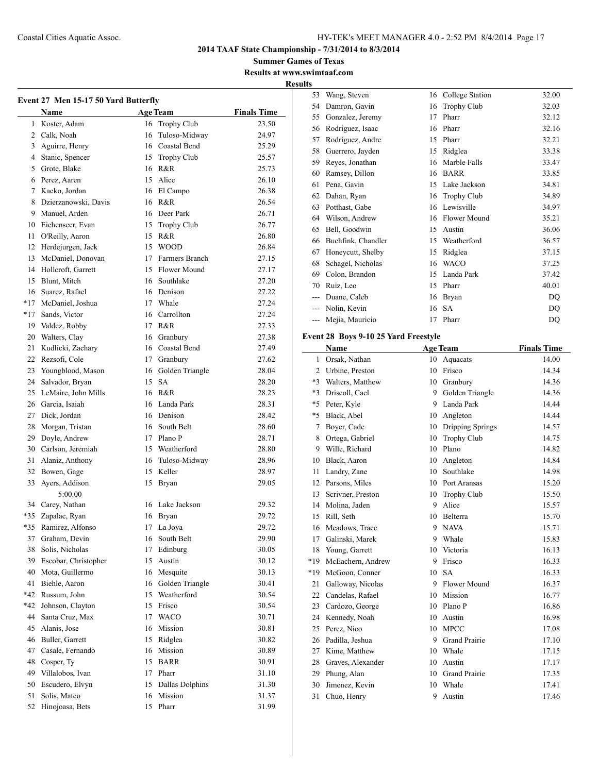**2014 TAAF State Championship - 7/31/2014 to 8/3/2014**

**Summer Games of Texas Results at www.swimtaaf.com**

**Results**

| Event 27 Men 15-17 50 Yard Butterfly |                      |    |                    |                    |  |  |
|--------------------------------------|----------------------|----|--------------------|--------------------|--|--|
|                                      | Name                 |    | <b>Age Team</b>    | <b>Finals Time</b> |  |  |
|                                      | 1 Koster, Adam       | 16 | <b>Trophy Club</b> | 23.50              |  |  |
|                                      | 2 Calk, Noah         | 16 | Tuloso-Midway      | 24.97              |  |  |
| 3                                    | Aguirre, Henry       |    | 16 Coastal Bend    | 25.29              |  |  |
| 4                                    | Stanic, Spencer      |    | 15 Trophy Club     | 25.57              |  |  |
| 5                                    | Grote, Blake         |    | 16 R&R             | 25.73              |  |  |
|                                      | 6 Perez, Aaren       |    | 15 Alice           | 26.10              |  |  |
|                                      | 7 Kacko, Jordan      |    | 16 El Campo        | 26.38              |  |  |
| 8                                    | Dzierzanowski, Davis |    | 16 R&R             | 26.54              |  |  |
| 9                                    | Manuel, Arden        |    | 16 Deer Park       | 26.71              |  |  |
| 10                                   | Eichenseer, Evan     |    | 15 Trophy Club     | 26.77              |  |  |
| 11                                   | O'Reilly, Aaron      | 15 | R&R                | 26.80              |  |  |
| 12                                   | Herdejurgen, Jack    |    | 15 WOOD            | 26.84              |  |  |
| 13                                   | McDaniel, Donovan    |    | 17 Farmers Branch  | 27.15              |  |  |
| 14                                   | Hollcroft, Garrett   |    | 15 Flower Mound    | 27.17              |  |  |
| 15                                   | Blunt. Mitch         |    | 16 Southlake       | 27.20              |  |  |
| 16                                   | Suarez, Rafael       |    | 16 Denison         | 27.22              |  |  |
| $*17$                                | McDaniel, Joshua     |    | 17 Whale           | 27.24              |  |  |
| $*17$                                | Sands, Victor        |    | 16 Carrollton      | 27.24              |  |  |
| 19                                   | Valdez, Robby        | 17 | R&R                | 27.33              |  |  |
| 20                                   | Walters, Clay        |    | 16 Granbury        | 27.38              |  |  |
| 21                                   | Kudlicki, Zachary    |    | 16 Coastal Bend    | 27.49              |  |  |
| 22                                   | Rezsofi, Cole        |    | 17 Granbury        | 27.62              |  |  |
| 23                                   | Youngblood, Mason    | 16 | Golden Triangle    | 28.04              |  |  |
| 24                                   | Salvador, Bryan      | 15 | <b>SA</b>          | 28.20              |  |  |
| 25                                   | LeMaire, John Mills  |    | 16 R&R             | 28.23              |  |  |
| 26                                   | Garcia, Isaiah       |    | 16 Landa Park      | 28.31              |  |  |
| 27                                   | Dick, Jordan         |    | 16 Denison         | 28.42              |  |  |
| 28                                   | Morgan, Tristan      |    | 16 South Belt      | 28.60              |  |  |
| 29                                   | Doyle, Andrew        |    | 17 Plano P         | 28.71              |  |  |
|                                      | 30 Carlson, Jeremiah |    | 15 Weatherford     | 28.80              |  |  |
| 31                                   | Alaniz, Anthony      |    | 16 Tuloso-Midway   | 28.96              |  |  |
| 32                                   | Bowen, Gage          | 15 | Keller             | 28.97              |  |  |
| 33                                   | Ayers, Addison       | 15 | <b>Bryan</b>       | 29.05              |  |  |
|                                      | 5:00.00              |    |                    |                    |  |  |
| 34                                   | Carey, Nathan        | 16 | Lake Jackson       | 29.32              |  |  |
| *35                                  | Zapalac, Ryan        | 16 | Bryan              | 29.72              |  |  |
| *35                                  | Ramirez, Alfonso     | 17 | La Joya            | 29.72              |  |  |
| 37                                   | Graham, Devin        | 16 | South Belt         | 29.90              |  |  |
| 38                                   | Solis, Nicholas      | 17 | Edinburg           | 30.05              |  |  |
| 39                                   | Escobar, Christopher | 15 | Austin             | 30.12              |  |  |
| 40                                   | Mota, Guillermo      | 16 | Mesquite           | 30.13              |  |  |
| 41                                   | Biehle, Aaron        |    | 16 Golden Triangle | 30.41              |  |  |
| *42                                  | Russum, John         | 15 | Weatherford        | 30.54              |  |  |
| $*42$                                | Johnson, Clayton     | 15 | Frisco             | 30.54              |  |  |
| 44                                   | Santa Cruz, Max      | 17 | <b>WACO</b>        | 30.71              |  |  |
| 45                                   | Alanis, Jose         | 16 | Mission            | 30.81              |  |  |
| 46                                   | Buller, Garrett      | 15 | Ridglea            | 30.82              |  |  |
| 47                                   | Casale, Fernando     | 16 | Mission            | 30.89              |  |  |
| 48                                   | Cosper, Ty           |    | 15 BARR            | 30.91              |  |  |
| 49                                   | Villalobos, Ivan     |    | 17 Pharr           | 31.10              |  |  |
| 50                                   | Escudero, Elvyn      | 15 | Dallas Dolphins    | 31.30              |  |  |
| 51                                   | Solis, Mateo         | 16 | Mission            | 31.37              |  |  |
| 52                                   | Hinojoasa, Bets      | 15 | Pharr              | 31.99              |  |  |
|                                      |                      |    |                    |                    |  |  |

| 53    | Wang, Steven                         | 16 | College Station    | 32.00 |  |  |  |
|-------|--------------------------------------|----|--------------------|-------|--|--|--|
| 54    | Damron, Gavin                        | 16 | <b>Trophy Club</b> | 32.03 |  |  |  |
| 55    | Gonzalez, Jeremy                     | 17 | Pharr              | 32.12 |  |  |  |
| 56    | Rodriguez, Isaac                     | 16 | Pharr              | 32.16 |  |  |  |
| 57    | Rodriguez, Andre                     | 15 | Pharr              | 32.21 |  |  |  |
| 58    | Guerrero, Jayden                     | 15 | Ridglea            | 33.38 |  |  |  |
| 59    | Reyes, Jonathan                      | 16 | Marble Falls       | 33.47 |  |  |  |
| 60    | Ramsey, Dillon                       | 16 | <b>BARR</b>        | 33.85 |  |  |  |
| 61    | Pena, Gavin                          | 15 | Lake Jackson       | 34.81 |  |  |  |
| 62    | Dahan, Ryan                          | 16 | <b>Trophy Club</b> | 34.89 |  |  |  |
| 63    | Potthast, Gabe                       | 16 | Lewisville         | 34.97 |  |  |  |
| 64    | Wilson, Andrew                       | 16 | Flower Mound       | 35.21 |  |  |  |
| 65    | Bell, Goodwin                        | 15 | Austin             | 36.06 |  |  |  |
| 66    | Buchfink, Chandler                   | 15 | Weatherford        | 36.57 |  |  |  |
| 67    | Honeycutt, Shelby                    | 15 | Ridglea            | 37.15 |  |  |  |
| 68    | Schagel, Nicholas                    | 16 | <b>WACO</b>        | 37.25 |  |  |  |
| 69    | Colon, Brandon                       | 15 | Landa Park         | 37.42 |  |  |  |
| 70    | Ruiz, Leo                            | 15 | Pharr              | 40.01 |  |  |  |
| $---$ | Duane, Caleb                         | 16 | Bryan              | DQ    |  |  |  |
| ---   | Nolin, Kevin                         | 16 | SA                 | DQ    |  |  |  |
| ---   | Mejia, Mauricio                      | 17 | Pharr              | DQ    |  |  |  |
|       | Event 28 Boys 9-10 25 Yard Freestyle |    |                    |       |  |  |  |

|                | Name              |    | <b>Age Team</b>      | <b>Finals Time</b> |
|----------------|-------------------|----|----------------------|--------------------|
| 1              | Orsak, Nathan     | 10 | Aquacats             | 14.00              |
| $\overline{c}$ | Urbine, Preston   | 10 | Frisco               | 14.34              |
| $*3$           | Walters, Matthew  | 10 | Granbury             | 14.36              |
| $*3$           | Driscoll, Cael    | 9  | Golden Triangle      | 14.36              |
| $*5$           | Peter, Kyle       | 9  | Landa Park           | 14.44              |
| $*5$           | Black, Abel       | 10 | Angleton             | 14.44              |
| 7              | Boyer, Cade       | 10 | Dripping Springs     | 14.57              |
| 8              | Ortega, Gabriel   | 10 | Trophy Club          | 14.75              |
| 9              | Wille, Richard    | 10 | Plano                | 14.82              |
| 10             | Black, Aaron      | 10 | Angleton             | 14.84              |
| 11             | Landry, Zane      | 10 | Southlake            | 14.98              |
| 12             | Parsons, Miles    | 10 | Port Aransas         | 15.20              |
| 13             | Scrivner, Preston | 10 | Trophy Club          | 15.50              |
| 14             | Molina, Jaden     | 9  | Alice                | 15.57              |
| 15             | Rill, Seth        | 10 | Belterra             | 15.70              |
| 16             | Meadows, Trace    | 9  | <b>NAVA</b>          | 15.71              |
| 17             | Galinski, Marek   | 9  | Whale                | 15.83              |
| 18             | Young, Garrett    | 10 | Victoria             | 16.13              |
| *19            | McEachern, Andrew | 9  | Frisco               | 16.33              |
| $*19$          | McGoon, Conner    | 10 | <b>SA</b>            | 16.33              |
| 21             | Galloway, Nicolas | 9  | Flower Mound         | 16.37              |
| 22             | Candelas, Rafael  | 10 | Mission              | 16.77              |
| 23             | Cardozo, George   | 10 | Plano P              | 16.86              |
| 24             | Kennedy, Noah     | 10 | Austin               | 16.98              |
| 25             | Perez, Nico       | 10 | <b>MPCC</b>          | 17.08              |
| 26             | Padilla, Jeshua   | 9  | <b>Grand Prairie</b> | 17.10              |
| 27             | Kime, Matthew     | 10 | Whale                | 17.15              |
| 28             | Graves, Alexander | 10 | Austin               | 17.17              |
| 29             | Phung, Alan       | 10 | <b>Grand Prairie</b> | 17.35              |
| 30             | Jimenez, Kevin    | 10 | Whale                | 17.41              |
| 31             | Chuo, Henry       | 9  | Austin               | 17.46              |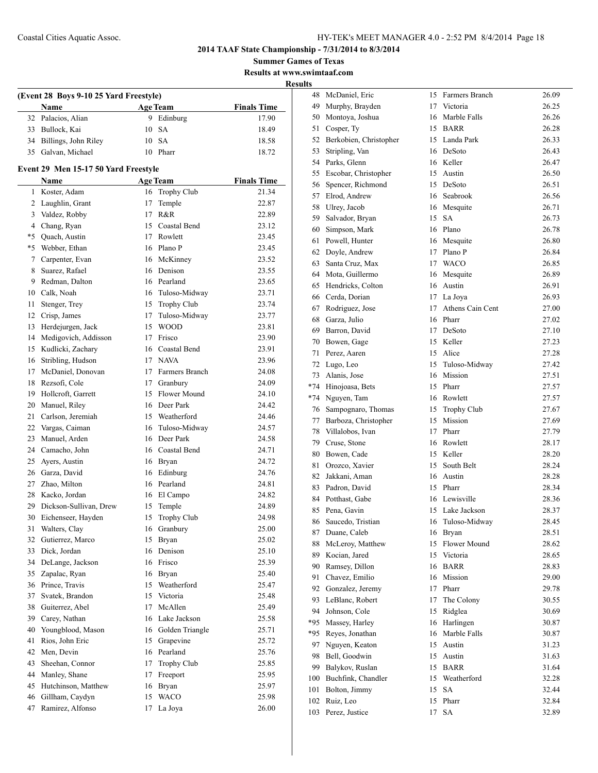**Summer Games of Texas Results at www.swimtaaf.com**

**Results**

|    | (Event 28 Boys 9-10 25 Yard Freestyle)<br>Name |    | <b>Age Team</b>     | <b>Finals Time</b> |  |  |
|----|------------------------------------------------|----|---------------------|--------------------|--|--|
| 32 | Palacios, Alian                                | 9  | Edinburg            | 17.90              |  |  |
| 33 | Bullock, Kai                                   | 10 | <b>SA</b>           | 18.49              |  |  |
| 34 | Billings, John Riley                           | 10 | <b>SA</b>           | 18.58              |  |  |
| 35 | Galvan, Michael                                | 10 | Pharr               | 18.72              |  |  |
|    | Event 29 Men 15-17 50 Yard Freestyle           |    |                     |                    |  |  |
|    | Name                                           |    | <b>Age Team</b>     | <b>Finals Time</b> |  |  |
| 1  | Koster, Adam                                   | 16 | Trophy Club         | 21.34              |  |  |
| 2  | Laughlin, Grant                                | 17 | Temple              | 22.87              |  |  |
| 3  | Valdez, Robby                                  | 17 | R&R                 | 22.89              |  |  |
| 4  | Chang, Ryan                                    | 15 | Coastal Bend        | 23.12              |  |  |
| *5 | Quach, Austin                                  | 17 | Rowlett             | 23.45              |  |  |
| *5 | Webber, Ethan                                  |    | 16 Plano P          | 23.45              |  |  |
| 7  | Carpenter, Evan                                |    | 16 McKinney         | 23.52              |  |  |
| 8  | Suarez, Rafael                                 |    | 16 Denison          | 23.55              |  |  |
| 9  | Redman, Dalton                                 |    | 16 Pearland         | 23.65              |  |  |
| 10 | Calk, Noah                                     |    | 16 Tuloso-Midway    | 23.71              |  |  |
| 11 | Stenger, Trey                                  |    | 15 Trophy Club      | 23.74              |  |  |
| 12 | Crisp, James                                   | 17 | Tuloso-Midway       | 23.77              |  |  |
| 13 | Herdejurgen, Jack                              | 15 | <b>WOOD</b>         | 23.81              |  |  |
| 14 | Medigovich, Addisson                           | 17 | Frisco              | 23.90              |  |  |
| 15 | Kudlicki, Zachary                              | 16 | Coastal Bend        | 23.91              |  |  |
| 16 | Stribling, Hudson                              |    | 17 NAVA             | 23.96              |  |  |
| 17 | McDaniel, Donovan                              | 17 | Farmers Branch      | 24.08              |  |  |
| 18 | Rezsofi, Cole                                  | 17 | Granbury            | 24.09              |  |  |
| 19 | Hollcroft, Garrett                             | 15 | <b>Flower Mound</b> | 24.10              |  |  |
| 20 | Manuel, Riley                                  |    | 16 Deer Park        | 24.42              |  |  |
| 21 | Carlson, Jeremiah                              |    | 15 Weatherford      | 24.46              |  |  |
| 22 | Vargas, Caiman                                 | 16 | Tuloso-Midway       | 24.57              |  |  |
| 23 | Manuel, Arden                                  | 16 | Deer Park           | 24.58              |  |  |
| 24 | Camacho, John                                  |    | 16 Coastal Bend     | 24.71              |  |  |
| 25 | Ayers, Austin                                  |    | 16 Bryan            | 24.72              |  |  |
| 26 | Garza, David                                   |    | 16 Edinburg         | 24.76              |  |  |
| 27 | Zhao, Milton                                   |    | 16 Pearland         | 24.81              |  |  |
| 28 | Kacko, Jordan                                  |    | 16 El Campo         | 24.82              |  |  |
| 29 | Dickson-Sullivan, Drew                         | 15 | Temple              | 24.89              |  |  |
| 30 | Eichenseer, Hayden                             | 15 | Trophy Club         | 24.98              |  |  |
| 31 | Walters, Clay                                  |    | 16 Granbury         | 25.00              |  |  |
| 32 | Gutierrez, Marco                               | 15 | Bryan               | 25.02              |  |  |
| 33 | Dick, Jordan                                   |    | 16 Denison          | 25.10              |  |  |
| 34 | DeLange, Jackson                               |    | 16 Frisco           | 25.39              |  |  |
| 35 | Zapalac, Ryan                                  |    | 16 Bryan            | 25.40              |  |  |
| 36 | Prince, Travis                                 |    | 15 Weatherford      | 25.47              |  |  |
| 37 | Svatek, Brandon                                |    | 15 Victoria         |                    |  |  |
|    |                                                |    | McAllen             | 25.48              |  |  |
| 38 | Guiterrez, Abel                                | 17 |                     | 25.49              |  |  |
| 39 | Carey, Nathan                                  |    | 16 Lake Jackson     | 25.58              |  |  |
| 40 | Youngblood, Mason                              |    | 16 Golden Triangle  | 25.71              |  |  |
| 41 | Rios, John Eric                                | 15 | Grapevine           | 25.72              |  |  |
| 42 | Men, Devin                                     | 16 | Pearland            | 25.76              |  |  |
| 43 | Sheehan, Connor                                | 17 | Trophy Club         | 25.85              |  |  |
| 44 | Manley, Shane                                  | 17 | Freeport            | 25.95              |  |  |
| 45 | Hutchinson, Matthew                            | 16 | Bryan               | 25.97              |  |  |
| 46 | Gillham, Caydyn                                | 15 | <b>WACO</b>         | 25.98              |  |  |
| 47 | Ramirez, Alfonso                               | 17 | La Joya             | 26.00              |  |  |
|    |                                                |    |                     |                    |  |  |

| 48    | McDaniel, Eric         | 15 | Farmers Branch   | 26.09          |
|-------|------------------------|----|------------------|----------------|
| 49    | Murphy, Brayden        | 17 | Victoria         | 26.25          |
| 50    | Montoya, Joshua        | 16 | Marble Falls     | 26.26          |
| 51    | Cosper, Ty             | 15 | <b>BARR</b>      | 26.28          |
| 52    | Berkobien, Christopher | 15 | Landa Park       | 26.33          |
| 53    | Stripling, Van         | 16 | DeSoto           | 26.43          |
| 54    | Parks, Glenn           | 16 | Keller           | 26.47          |
| 55    |                        | 15 |                  |                |
|       | Escobar, Christopher   |    | Austin           | 26.50          |
| 56    | Spencer, Richmond      | 15 | DeSoto           | 26.51          |
| 57    | Elrod, Andrew          | 16 | Seabrook         | 26.56          |
| 58    | Ulrey, Jacob           | 16 | Mesquite         | 26.71          |
| 59    | Salvador, Bryan        | 15 | <b>SA</b>        | 26.73          |
| 60    | Simpson, Mark          | 16 | Plano            | 26.78          |
| 61    | Powell, Hunter         | 16 | Mesquite         | 26.80          |
| 62    | Doyle, Andrew          | 17 | Plano P          | 26.84          |
| 63    | Santa Cruz, Max        | 17 | <b>WACO</b>      | 26.85          |
| 64    | Mota, Guillermo        | 16 | Mesquite         | 26.89          |
| 65    | Hendricks, Colton      | 16 | Austin           | 26.91          |
| 66    | Cerda, Dorian          | 17 | La Joya          | 26.93          |
| 67    | Rodriguez, Jose        | 17 | Athens Cain Cent | 27.00          |
| 68    | Garza, Julio           | 16 | Pharr            | 27.02          |
| 69    | Barron, David          | 17 | DeSoto           | 27.10          |
| 70    | Bowen, Gage            | 15 | Keller           | 27.23          |
| 71    | Perez, Aaren           | 15 | Alice            | 27.28          |
| 72    | Lugo, Leo              | 15 | Tuloso-Midway    | 27.42          |
| 73    | Alanis, Jose           | 16 | Mission          | 27.51          |
| $*74$ | Hinojoasa, Bets        | 15 | Pharr            | 27.57          |
| $*74$ | Nguyen, Tam            | 16 | Rowlett          | 27.57          |
| 76    | Sampognaro, Thomas     | 15 | Trophy Club      | 27.67          |
| 77    | Barboza, Christopher   | 15 | Mission          | 27.69          |
| 78    | Villalobos, Ivan       | 17 | Pharr            | 27.79          |
| 79    | Cruse, Stone           | 16 | Rowlett          | 28.17          |
| 80    | Bowen, Cade            | 15 | Keller           | 28.20          |
| 81    | Orozco, Xavier         | 15 | South Belt       | 28.24          |
| 82    | Jakkani, Aman          | 16 | Austin           | 28.28          |
| 83    | Padron, David          | 15 | Pharr            | 28.34          |
| 84    | Potthast, Gabe         | 16 | Lewisville       | 28.36          |
| 85    | Pena, Gavin            | 15 | Lake Jackson     | 28.37          |
| 86    | Saucedo, Tristian      | 16 | Tuloso-Midway    | 28.45          |
| 87    | Duane, Caleb           | 16 | Bryan            | 28.51          |
| 88    | McLeroy, Matthew       | 15 | Flower Mound     | 28.62          |
| 89    | Kocian, Jared          | 15 | Victoria         | 28.65          |
| 90    | Ramsey, Dillon         | 16 | <b>BARR</b>      | 28.83          |
| 91    | Chavez, Emilio         | 16 | Mission          | 29.00          |
| 92    | Gonzalez, Jeremy       | 17 | Pharr            | 29.78          |
| 93    | LeBlanc, Robert        | 17 | The Colony       | 30.55          |
| 94    | Johnson, Cole          | 15 | Ridglea          | 30.69          |
| *95   | Massey, Harley         | 16 | Harlingen        | 30.87          |
| *95   | Reyes, Jonathan        | 16 | Marble Falls     | 30.87          |
| 97    | Nguyen, Keaton         | 15 | Austin           | 31.23          |
| 98    | Bell, Goodwin          | 15 | Austin           | 31.63          |
| 99    | Balykov, Ruslan        | 15 | <b>BARR</b>      |                |
|       |                        | 15 | Weatherford      | 31.64<br>32.28 |
| 100   | Buchfink, Chandler     |    |                  |                |
| 101   | Bolton, Jimmy          | 15 | <b>SA</b>        | 32.44          |
| 102   | Ruiz, Leo              | 15 | Pharr            | 32.84          |
| 103   | Perez, Justice         | 17 | SA               | 32.89          |
|       |                        |    |                  |                |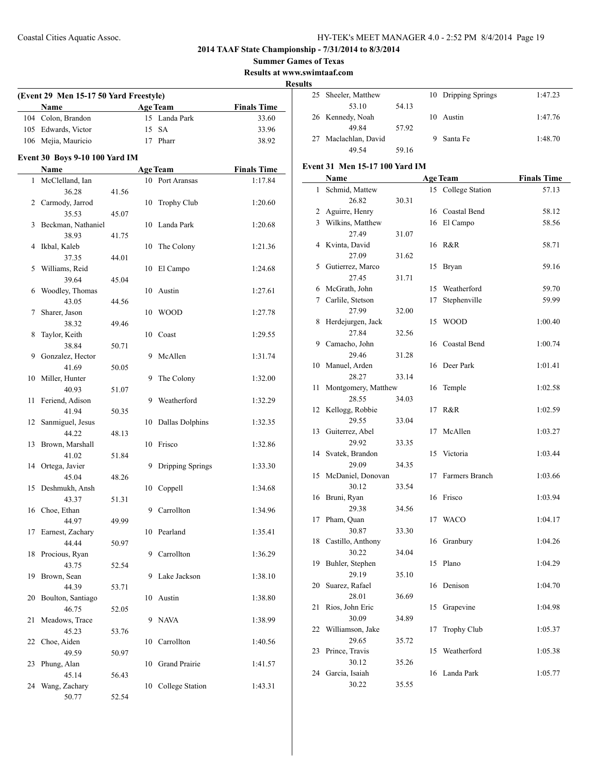$\overline{a}$ 

## **2014 TAAF State Championship - 7/31/2014 to 8/3/2014**

**Summer Games of Texas**

**Results at www.swimtaaf.com**

**Results**

|    | (Event 29 Men 15-17 50 Yard Freestyle) |       |    |                  |                    |
|----|----------------------------------------|-------|----|------------------|--------------------|
|    | Name                                   |       |    | <b>Age Team</b>  | <b>Finals Time</b> |
|    | 104 Colon, Brandon                     |       |    | 15 Landa Park    | 33.60              |
|    | 105 Edwards, Victor                    |       | 15 | <b>SA</b>        | 33.96              |
|    | 106 Mejia, Mauricio                    |       |    | 17 Pharr         | 38.92              |
|    | Event 30 Boys 9-10 100 Yard IM         |       |    |                  |                    |
|    | Name                                   |       |    | <b>Age Team</b>  | <b>Finals Time</b> |
| 1  | McClelland, Ian                        |       |    | 10 Port Aransas  | 1:17.84            |
|    | 36.28                                  | 41.56 |    |                  |                    |
|    | 2 Carmody, Jarrod                      |       | 10 | Trophy Club      | 1:20.60            |
|    | 35.53                                  | 45.07 |    |                  |                    |
| 3  | Beckman, Nathaniel                     |       | 10 | Landa Park       | 1:20.68            |
|    | 38.93                                  | 41.75 |    |                  |                    |
| 4  | Ikbal, Kaleb                           |       | 10 | The Colony       | 1:21.36            |
|    | 37.35                                  | 44.01 |    |                  |                    |
| 5  | Williams, Reid                         |       | 10 | El Campo         | 1:24.68            |
|    | 39.64                                  | 45.04 |    |                  |                    |
| 6  | Woodley, Thomas                        |       | 10 | Austin           | 1:27.61            |
|    | 43.05                                  | 44.56 |    |                  |                    |
| 7  | Sharer, Jason                          |       | 10 | <b>WOOD</b>      | 1:27.78            |
|    | 38.32                                  | 49.46 |    |                  |                    |
| 8  | Taylor, Keith                          |       | 10 | Coast            | 1:29.55            |
|    | 38.84                                  | 50.71 |    |                  |                    |
| 9  | Gonzalez, Hector                       |       | 9  | McAllen          | 1:31.74            |
|    | 41.69                                  | 50.05 |    |                  |                    |
| 10 | Miller, Hunter                         |       | 9  | The Colony       | 1:32.00            |
|    | 40.93                                  | 51.07 |    |                  |                    |
| 11 | Feriend, Adison                        |       | 9  | Weatherford      | 1:32.29            |
|    | 41.94                                  | 50.35 |    |                  |                    |
| 12 | Sanmiguel, Jesus                       |       | 10 | Dallas Dolphins  | 1:32.35            |
|    | 44.22                                  | 48.13 |    |                  |                    |
| 13 | Brown, Marshall                        |       | 10 | Frisco           | 1:32.86            |
|    | 41.02                                  | 51.84 |    |                  |                    |
|    | 14 Ortega, Javier                      |       | 9  | Dripping Springs | 1:33.30            |
|    | 45.04                                  | 48.26 |    |                  |                    |
| 15 | Deshmukh, Ansh                         |       | 10 | Coppell          | 1:34.68            |
|    | 43.37                                  | 51.31 |    |                  |                    |
|    | 16 Choe, Ethan                         |       | 9  |                  | 1:34.96            |
|    |                                        |       |    | Carrollton       |                    |
|    | 44.97                                  | 49.99 |    | 10 Pearland      |                    |
| 17 | Earnest, Zachary                       |       |    |                  | 1:35.41            |
|    | 44.44                                  | 50.97 |    |                  |                    |
| 18 | Procious, Ryan                         |       | 9  | Carrollton       | 1:36.29            |
|    | 43.75                                  | 52.54 |    |                  |                    |
| 19 | Brown, Sean                            |       | 9. | Lake Jackson     | 1:38.10            |
|    | 44.39                                  | 53.71 |    |                  |                    |
| 20 | Boulton, Santiago                      |       | 10 | Austin           | 1:38.80            |
|    | 46.75                                  | 52.05 |    |                  |                    |
| 21 | Meadows, Trace                         |       | 9  | <b>NAVA</b>      | 1:38.99            |
|    | 45.23                                  | 53.76 |    |                  |                    |
| 22 | Choe, Aiden                            |       |    | 10 Carrollton    | 1:40.56            |
|    | 49.59                                  | 50.97 |    |                  |                    |
| 23 | Phung, Alan                            |       | 10 | Grand Prairie    | 1:41.57            |
|    | 45.14                                  | 56.43 |    |                  |                    |
| 24 | Wang, Zachary                          |       | 10 | College Station  | 1:43.31            |
|    | 50.77                                  | 52.54 |    |                  |                    |

| دن |                      |       |    |                     |         |
|----|----------------------|-------|----|---------------------|---------|
|    | 25 Sheeler, Matthew  |       |    | 10 Dripping Springs | 1:47.23 |
|    | 53.10                | 54.13 |    |                     |         |
|    | 26 Kennedy, Noah     |       | 10 | Austin              | 1:47.76 |
|    | 49 84                | 57.92 |    |                     |         |
|    | 27 Maclachlan, David |       |    | Santa Fe            | 1:48.70 |
|    | 49.54                | 59.16 |    |                     |         |

## **Event 31 Men 15-17 100 Yard IM**

|    | Name                |       |    | <b>Age Team</b>    | <b>Finals Time</b> |
|----|---------------------|-------|----|--------------------|--------------------|
| 1  | Schmid, Mattew      |       |    | 15 College Station | 57.13              |
|    | 26.82               | 30.31 |    |                    |                    |
|    | 2 Aguirre, Henry    |       |    | 16 Coastal Bend    | 58.12              |
|    | 3 Wilkins, Matthew  |       |    | 16 El Campo        | 58.56              |
|    | 27.49               | 31.07 |    |                    |                    |
| 4  | Kvinta, David       |       |    | 16 R&R             | 58.71              |
|    | 27.09               | 31.62 |    |                    |                    |
| 5  | Gutierrez, Marco    |       | 15 | Bryan              | 59.16              |
|    | 27.45               | 31.71 |    |                    |                    |
| 6  | McGrath, John       |       |    | 15 Weatherford     | 59.70              |
| 7  | Carlile, Stetson    |       | 17 | Stephenville       | 59.99              |
|    | 27.99               | 32.00 |    |                    |                    |
| 8  | Herdejurgen, Jack   |       | 15 | <b>WOOD</b>        | 1:00.40            |
|    | 27.84               | 32.56 |    |                    |                    |
| 9  | Camacho, John       |       |    | 16 Coastal Bend    | 1:00.74            |
|    | 29.46               | 31.28 |    |                    |                    |
| 10 | Manuel, Arden       |       |    | 16 Deer Park       | 1:01.41            |
|    | 28.27               | 33.14 |    |                    |                    |
| 11 | Montgomery, Matthew |       |    | 16 Temple          | 1:02.58            |
|    | 28.55               | 34.03 |    |                    |                    |
| 12 | Kellogg, Robbie     |       | 17 | R&R                | 1:02.59            |
|    | 29.55               | 33.04 |    |                    |                    |
| 13 | Guiterrez, Abel     |       | 17 | McAllen            | 1:03.27            |
|    | 29.92               | 33.35 |    |                    |                    |
|    | 14 Svatek, Brandon  |       |    | 15 Victoria        | 1:03.44            |
|    | 29.09               | 34.35 |    |                    |                    |
| 15 | McDaniel, Donovan   |       | 17 | Farmers Branch     | 1:03.66            |
|    | 30.12               | 33.54 |    |                    |                    |
| 16 | Bruni, Ryan         |       |    | 16 Frisco          | 1:03.94            |
|    | 29.38               | 34.56 |    |                    |                    |
| 17 | Pham, Quan          |       | 17 | <b>WACO</b>        | 1:04.17            |
|    | 30.87               | 33.30 |    |                    |                    |
| 18 | Castillo, Anthony   |       | 16 | Granbury           | 1:04.26            |
|    | 30.22               | 34.04 |    |                    |                    |
| 19 | Buhler, Stephen     |       |    | 15 Plano           | 1:04.29            |
|    | 29.19               | 35.10 |    |                    |                    |
| 20 | Suarez, Rafael      |       |    | 16 Denison         | 1:04.70            |
|    | 28.01               | 36.69 |    |                    |                    |
|    | 21 Rios, John Eric  |       |    | 15 Grapevine       | 1:04.98            |
|    | 30.09               | 34.89 |    |                    |                    |
| 22 | Williamson, Jake    |       | 17 | Trophy Club        | 1:05.37            |
|    | 29.65               | 35.72 |    |                    |                    |
| 23 | Prince, Travis      |       | 15 | Weatherford        | 1:05.38            |
|    | 30.12               | 35.26 |    |                    |                    |
| 24 | Garcia, Isaiah      |       | 16 | Landa Park         | 1:05.77            |
|    | 30.22               | 35.55 |    |                    |                    |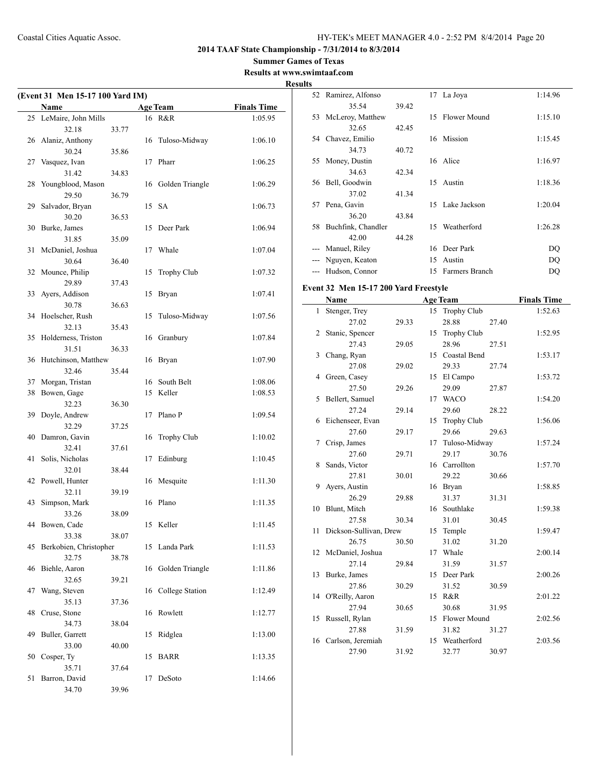52 Ramirez, Alfonso 17 La Joya 1:14.96

## **2014 TAAF State Championship - 7/31/2014 to 8/3/2014**

**Summer Games of Texas Results at www.swimtaaf.com**

# **Results**

 $\overline{\phantom{0}}$ 

| (Event 31 Men 15-17 100 Yard IM) |                              |       |    |                    |                    |
|----------------------------------|------------------------------|-------|----|--------------------|--------------------|
|                                  | Name                         |       |    | <b>Age Team</b>    | <b>Finals Time</b> |
| 25                               | LeMaire, John Mills          |       |    | 16 R&R             | 1:05.95            |
|                                  | 32.18                        | 33.77 |    |                    |                    |
| 26                               | Alaniz, Anthony              |       | 16 | Tuloso-Midway      | 1:06.10            |
|                                  | 30.24                        | 35.86 |    |                    |                    |
| 27                               | Vasquez, Ivan                |       | 17 | Pharr              | 1:06.25            |
|                                  | 31.42                        | 34.83 |    |                    |                    |
| 28                               | Youngblood, Mason            |       |    | 16 Golden Triangle | 1:06.29            |
|                                  | 29.50                        | 36.79 |    |                    |                    |
| 29                               | Salvador, Bryan              |       |    | 15 SA              | 1:06.73            |
|                                  | 30.20                        | 36.53 |    |                    |                    |
| 30                               | Burke, James                 |       | 15 | Deer Park          | 1:06.94            |
|                                  | 31.85                        | 35.09 |    |                    |                    |
| 31                               | McDaniel, Joshua             |       | 17 | Whale              | 1:07.04            |
|                                  | 30.64                        | 36.40 |    |                    |                    |
| 32                               | Mounce, Philip               |       | 15 | <b>Trophy Club</b> | 1:07.32            |
|                                  | 29.89                        | 37.43 |    |                    |                    |
| 33                               | Ayers, Addison               |       | 15 | Bryan              | 1:07.41            |
|                                  | 30.78                        | 36.63 |    |                    |                    |
| 34                               | Hoelscher, Rush              |       | 15 | Tuloso-Midway      | 1:07.56            |
|                                  | 32.13                        | 35.43 |    |                    |                    |
| 35                               | Holderness, Triston          |       | 16 | Granbury           | 1:07.84            |
|                                  | 31.51<br>Hutchinson, Matthew | 36.33 |    |                    |                    |
| 36                               | 32.46                        | 35.44 | 16 | Bryan              | 1:07.90            |
| 37                               | Morgan, Tristan              |       | 16 | South Belt         | 1:08.06            |
| 38                               | Bowen, Gage                  |       | 15 | Keller             | 1:08.53            |
|                                  | 32.23                        | 36.30 |    |                    |                    |
| 39                               | Doyle, Andrew                |       | 17 | Plano P            | 1:09.54            |
|                                  | 32.29                        | 37.25 |    |                    |                    |
| 40                               | Damron, Gavin                |       | 16 | <b>Trophy Club</b> | 1:10.02            |
|                                  | 32.41                        | 37.61 |    |                    |                    |
| 41                               | Solis, Nicholas              |       | 17 | Edinburg           | 1:10.45            |
|                                  | 32.01                        | 38.44 |    |                    |                    |
| 42                               | Powell, Hunter               |       | 16 | Mesquite           | 1:11.30            |
|                                  | 32.11                        | 39.19 |    |                    |                    |
| 43                               | Simpson, Mark                |       | 16 | Plano              | 1:11.35            |
|                                  | 33.26                        | 38.09 |    |                    |                    |
|                                  | 44 Bowen, Cade               |       |    | 15 Keller          | 1:11.45            |
|                                  | 33.38                        | 38.07 |    |                    |                    |
| 45                               | Berkobien, Christopher       |       | 15 | Landa Park         | 1:11.53            |
|                                  | 32.75                        | 38.78 |    |                    |                    |
| 46                               | Biehle, Aaron                |       | 16 | Golden Triangle    | 1:11.86            |
|                                  | 32.65                        | 39.21 |    |                    |                    |
| 47                               | Wang, Steven                 |       | 16 | College Station    | 1:12.49            |
| 48                               | 35.13<br>Cruse, Stone        | 37.36 | 16 | Rowlett            | 1:12.77            |
|                                  | 34.73                        | 38.04 |    |                    |                    |
| 49                               | Buller, Garrett              |       | 15 | Ridglea            | 1:13.00            |
|                                  | 33.00                        | 40.00 |    |                    |                    |
| 50                               | Cosper, Ty                   |       | 15 | <b>BARR</b>        | 1:13.35            |
|                                  | 35.71                        | 37.64 |    |                    |                    |
| 51                               | Barron, David                |       | 17 | DeSoto             | 1:14.66            |
|                                  | 34.70                        | 39.96 |    |                    |                    |
|                                  |                              |       |    |                    |                    |

|    | 35.54                                 | 39.42 |    |                  |       |                    |
|----|---------------------------------------|-------|----|------------------|-------|--------------------|
| 53 | McLeroy, Matthew                      |       |    | 15 Flower Mound  |       | 1:15.10            |
|    | 32.65                                 | 42.45 |    |                  |       |                    |
| 54 | Chavez, Emilio                        |       |    | 16 Mission       |       | 1:15.45            |
|    | 34.73                                 | 40.72 |    |                  |       |                    |
| 55 | Money, Dustin                         |       |    | 16 Alice         |       | 1:16.97            |
|    | 34.63                                 | 42.34 |    |                  |       |                    |
| 56 | Bell, Goodwin                         |       | 15 | Austin           |       | 1:18.36            |
|    | 37.02                                 | 41.34 |    |                  |       |                    |
| 57 | Pena, Gavin                           |       | 15 | Lake Jackson     |       | 1:20.04            |
|    | 36.20                                 | 43.84 |    |                  |       |                    |
| 58 | Buchfink, Chandler                    |       | 15 | Weatherford      |       | 1:26.28            |
|    | 42.00                                 | 44.28 |    |                  |       |                    |
|    | --- Manuel, Riley                     |       |    | 16 Deer Park     |       | DQ                 |
|    | --- Nguyen, Keaton                    |       | 15 | Austin           |       | DQ                 |
|    | --- Hudson, Connor                    |       | 15 | Farmers Branch   |       | DQ                 |
|    |                                       |       |    |                  |       |                    |
|    | Event 32 Men 15-17 200 Yard Freestyle |       |    |                  |       |                    |
|    | Name                                  |       |    | <b>Age Team</b>  |       | <b>Finals Time</b> |
| 1  | Stenger, Trey                         |       |    | 15 Trophy Club   |       | 1:52.63            |
|    | 27.02                                 | 29.33 |    | 28.88            | 27.40 |                    |
| 2  | Stanic, Spencer                       |       |    | 15 Trophy Club   |       | 1:52.95            |
|    | 27.43                                 | 29.05 |    | 28.96            | 27.51 |                    |
| 3  | Chang, Ryan                           |       |    | 15 Coastal Bend  |       | 1:53.17            |
|    | 27.08                                 | 29.02 |    | 29.33            | 27.74 |                    |
| 4  | Green, Casey                          |       |    | 15 El Campo      |       | 1:53.72            |
|    | 27.50                                 | 29.26 |    | 29.09            | 27.87 |                    |
| 5  | Bellert, Samuel                       |       |    | 17 WACO          |       | 1:54.20            |
|    | 27.24                                 | 29.14 |    | 29.60            | 28.22 |                    |
| 6  | Eichenseer, Evan                      |       |    | 15 Trophy Club   |       | 1:56.06            |
|    | 27.60                                 | 29.17 |    | 29.66            | 29.63 |                    |
| 7  | Crisp, James                          |       |    | 17 Tuloso-Midway |       | 1:57.24            |
|    | 27.60                                 | 29.71 |    | 29.17            | 30.76 |                    |
| 8  | Sands, Victor                         |       |    | 16 Carrollton    |       | 1:57.70            |
|    | 27.81                                 | 30.01 |    | 29.22            | 30.66 |                    |
| 9  | Ayers, Austin                         |       |    | 16 Bryan         |       | 1:58.85            |
|    | 26.29                                 | 29.88 |    | 31.37            | 31.31 |                    |
| 10 | Blunt, Mitch                          |       |    | 16 Southlake     |       | 1:59.38            |
|    | 27.58                                 | 30.34 |    | 31.01            | 30.45 |                    |
| 11 | Dickson-Sullivan, Drew                |       | 15 | Temple           |       | 1:59.47            |
|    | 26.75                                 | 30.50 |    | 31.02            | 31.20 |                    |
|    | 12 McDaniel, Joshua                   |       |    | 17 Whale         |       | 2:00.14            |
|    | 27.14                                 | 29.84 |    | 31.59            | 31.57 |                    |
| 13 | Burke, James                          |       |    | 15 Deer Park     |       | 2:00.26            |
|    | 27.86                                 | 30.29 |    | 31.52            | 30.59 |                    |
| 14 | O'Reilly, Aaron                       |       |    | 15 R&R           |       | 2:01.22            |
|    | 27.94                                 | 30.65 |    | 30.68            | 31.95 |                    |
| 15 | Russell, Rylan                        |       | 15 | Flower Mound     |       | 2:02.56            |
|    | 27.88                                 | 31.59 |    | 31.82            | 31.27 |                    |
| 16 | Carlson, Jeremiah                     |       |    | 15 Weatherford   |       | 2:03.56            |
|    | 27.90                                 | 31.92 |    | 32.77            | 30.97 |                    |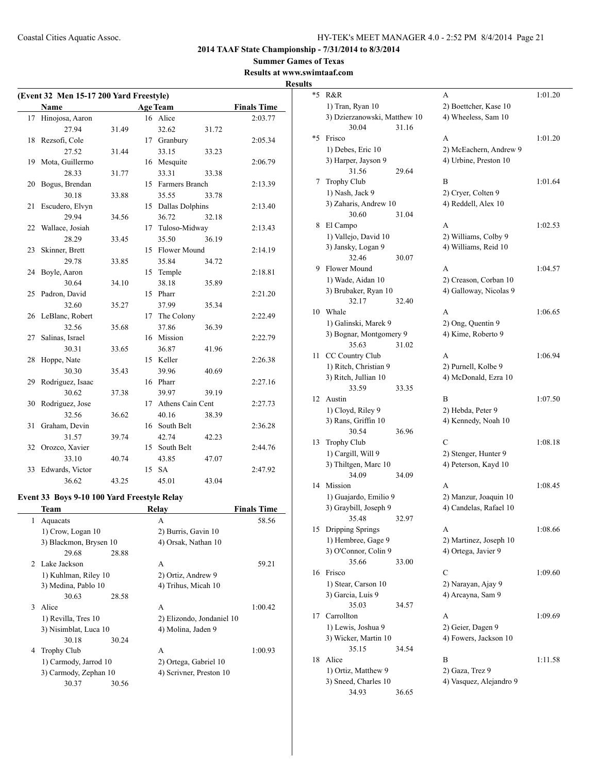**Summer Games of Texas**

## **Results at www.swimtaaf.com Results**

|    | (Event 32 Men 15-17 200 Yard Freestyle)     |       |    |                           |       |                    |  |
|----|---------------------------------------------|-------|----|---------------------------|-------|--------------------|--|
|    | Name                                        |       |    | <b>Age Team</b>           |       | <b>Finals Time</b> |  |
| 17 | Hinojosa, Aaron                             |       |    | 16 Alice                  |       | 2:03.77            |  |
|    | 27.94                                       | 31.49 |    | 32.62                     | 31.72 |                    |  |
| 18 | Rezsofi, Cole                               |       |    | 17 Granbury               |       | 2:05.34            |  |
|    | 27.52                                       | 31.44 |    | 33.15                     | 33.23 |                    |  |
| 19 | Mota, Guillermo                             |       |    | 16 Mesquite               |       | 2:06.79            |  |
|    | 28.33                                       | 31.77 |    | 33.31                     | 33.38 |                    |  |
| 20 | Bogus, Brendan                              |       |    | 15 Farmers Branch         |       | 2:13.39            |  |
|    | 30.18                                       | 33.88 |    | 35.55                     | 33.78 |                    |  |
| 21 | Escudero, Elvyn                             |       |    | 15 Dallas Dolphins        |       | 2:13.40            |  |
|    | 29.94                                       | 34.56 |    | 36.72                     | 32.18 |                    |  |
| 22 | Wallace, Josiah                             |       | 17 | Tuloso-Midway             |       | 2:13.43            |  |
|    | 28.29                                       | 33.45 |    | 35.50                     | 36.19 |                    |  |
| 23 | Skinner, Brett                              |       |    | 15 Flower Mound           |       | 2:14.19            |  |
|    | 29.78                                       | 33.85 |    | 35.84                     | 34.72 |                    |  |
| 24 | Boyle, Aaron                                |       |    | 15 Temple                 |       | 2:18.81            |  |
|    | 30.64                                       | 34.10 |    | 38.18                     | 35.89 |                    |  |
| 25 | Padron, David                               |       |    | 15 Pharr                  |       | 2:21.20            |  |
|    | 32.60                                       | 35.27 |    | 37.99                     | 35.34 |                    |  |
| 26 | LeBlanc, Robert                             |       |    | 17 The Colony             |       | 2:22.49            |  |
|    | 32.56                                       | 35.68 |    | 37.86                     | 36.39 |                    |  |
| 27 | Salinas, Israel                             |       |    | 16 Mission                |       | 2:22.79            |  |
|    | 30.31                                       | 33.65 |    | 36.87                     | 41.96 |                    |  |
| 28 | Hoppe, Nate                                 |       |    | 15 Keller                 |       | 2:26.38            |  |
|    | 30.30                                       | 35.43 |    | 39.96                     | 40.69 |                    |  |
| 29 | Rodriguez, Isaac                            |       |    | 16 Pharr                  |       | 2:27.16            |  |
|    | 30.62                                       | 37.38 |    | 39.97                     | 39.19 |                    |  |
| 30 | Rodriguez, Jose                             |       |    | 17 Athens Cain Cent       |       | 2:27.73            |  |
|    | 32.56                                       | 36.62 |    | 40.16                     | 38.39 |                    |  |
| 31 | Graham, Devin                               |       |    | 16 South Belt             |       | 2:36.28            |  |
|    | 31.57                                       | 39.74 |    | 42.74                     | 42.23 |                    |  |
| 32 | Orozco, Xavier                              |       |    | 15 South Belt             |       | 2:44.76            |  |
|    | 33.10                                       | 40.74 |    | 43.85                     | 47.07 |                    |  |
| 33 | Edwards, Victor                             |       | 15 | <b>SA</b>                 |       | 2:47.92            |  |
|    | 36.62                                       | 43.25 |    | 45.01                     | 43.04 |                    |  |
|    | Event 33 Boys 9-10 100 Yard Freestyle Relay |       |    |                           |       |                    |  |
|    | Team                                        |       |    | Relay                     |       | <b>Finals Time</b> |  |
| 1  | Aquacats                                    |       |    | А                         |       | 58.56              |  |
|    | 1) Crow, Logan 10                           |       |    | 2) Burris, Gavin 10       |       |                    |  |
|    | 3) Blackmon, Brysen 10                      |       |    | 4) Orsak, Nathan 10       |       |                    |  |
|    | 29.68                                       | 28.88 |    |                           |       |                    |  |
| 2  | Lake Jackson                                |       |    | А                         |       | 59.21              |  |
|    | 1) Kuhlman, Riley 10                        |       |    | 2) Ortiz, Andrew 9        |       |                    |  |
|    | 3) Medina, Pablo 10                         |       |    | 4) Trihus, Micah 10       |       |                    |  |
|    | 30.63                                       | 28.58 |    |                           |       |                    |  |
| 3  | Alice                                       |       |    | А                         |       | 1:00.42            |  |
|    | 1) Revilla, Tres 10                         |       |    | 2) Elizondo, Jondaniel 10 |       |                    |  |
|    | 3) Nisimblat, Luca 10                       |       |    | 4) Molina, Jaden 9        |       |                    |  |
|    | 30.18                                       | 30.24 |    |                           |       |                    |  |
| 4  | Trophy Club                                 |       |    | A                         |       | 1:00.93            |  |
|    | 1) Carmody, Jarrod 10                       |       |    | 2) Ortega, Gabriel 10     |       |                    |  |
|    | 3) Carmody, Zephan 10                       |       |    | 4) Scrivner, Preston 10   |       |                    |  |
|    | 30.37                                       | 30.56 |    |                           |       |                    |  |
|    |                                             |       |    |                           |       |                    |  |

|    | шкаан.сош                     |       |                         |         |
|----|-------------------------------|-------|-------------------------|---------|
| *5 | R&R                           |       | A                       | 1:01.20 |
|    | 1) Tran, Ryan 10              |       | 2) Boettcher, Kase 10   |         |
|    | 3) Dzierzanowski, Matthew 10  |       | 4) Wheeless, Sam 10     |         |
|    | 30.04                         | 31.16 |                         |         |
| *5 | Frisco                        |       | A                       | 1:01.20 |
|    | 1) Debes, Eric 10             |       | 2) McEachern, Andrew 9  |         |
|    | 3) Harper, Jayson 9           |       | 4) Urbine, Preston 10   |         |
|    | 31.56                         | 29.64 |                         |         |
| 7  | <b>Trophy Club</b>            |       | B                       | 1:01.64 |
|    | 1) Nash, Jack 9               |       | 2) Cryer, Colten 9      |         |
|    | 3) Zaharis, Andrew 10         |       | 4) Reddell, Alex 10     |         |
|    | 30.60                         | 31.04 |                         |         |
| 8  | El Campo                      |       | A                       | 1:02.53 |
|    | 1) Vallejo, David 10          |       | 2) Williams, Colby 9    |         |
|    | 3) Jansky, Logan 9            |       | 4) Williams, Reid 10    |         |
|    | 32.46                         | 30.07 |                         |         |
| 9. | Flower Mound                  |       | А                       | 1:04.57 |
|    | 1) Wade, Aidan 10             |       | 2) Creason, Corban 10   |         |
|    | 3) Brubaker, Ryan 10          |       | 4) Galloway, Nicolas 9  |         |
|    | 32.17                         | 32.40 |                         |         |
| 10 | Whale                         |       | A                       | 1:06.65 |
|    | 1) Galinski, Marek 9          |       | 2) Ong, Quentin 9       |         |
|    | 3) Bognar, Montgomery 9       |       | 4) Kime, Roberto 9      |         |
|    | 35.63                         | 31.02 |                         |         |
| 11 | CC Country Club               |       | A                       | 1:06.94 |
|    | 1) Ritch, Christian 9         |       | 2) Purnell, Kolbe 9     |         |
|    | 3) Ritch, Jullian 10          |       | 4) McDonald, Ezra 10    |         |
|    | 33.59                         | 33.35 |                         |         |
| 12 | Austin                        |       | B                       | 1:07.50 |
|    | 1) Cloyd, Riley 9             |       | 2) Hebda, Peter 9       |         |
|    | 3) Rans, Griffin 10           |       | 4) Kennedy, Noah 10     |         |
|    | 30.54                         | 36.96 |                         |         |
| 13 | <b>Trophy Club</b>            |       | C                       | 1:08.18 |
|    | 1) Cargill, Will 9            |       | 2) Stenger, Hunter 9    |         |
|    | 3) Thiltgen, Marc 10          |       | 4) Peterson, Kayd 10    |         |
|    | 34.09                         | 34.09 |                         |         |
| 14 | Mission                       |       | A                       | 1:08.45 |
|    | 1) Guajardo, Emilio 9         |       | 2) Manzur, Joaquin 10   |         |
|    | 3) Graybill, Joseph 9         |       | 4) Candelas, Rafael 10  |         |
|    | 35.48                         | 32.97 |                         |         |
| 15 | Dripping Springs              |       | A                       | 1:08.66 |
|    | 1) Hembree, Gage 9            |       | 2) Martinez, Joseph 10  |         |
|    | 3) O'Connor, Colin 9          |       | 4) Ortega, Javier 9     |         |
|    | 35.66                         | 33.00 |                         |         |
| 16 | Frisco                        |       | C                       | 1:09.60 |
|    | 1) Stear, Carson 10           |       | 2) Narayan, Ajay 9      |         |
|    | 3) Garcia, Luis 9             |       | 4) Arcayna, Sam 9       |         |
|    | 35.03                         | 34.57 |                         |         |
| 17 | Carrollton                    |       | A                       | 1:09.69 |
|    | 1) Lewis, Joshua 9            |       | 2) Geier, Dagen 9       |         |
|    | 3) Wicker, Martin 10          |       | 4) Fowers, Jackson 10   |         |
|    | 35.15                         | 34.54 |                         |         |
| 18 | Alice                         |       | B                       | 1:11.58 |
|    | 1) Ortiz, Matthew 9           |       | 2) Gaza, Trez 9         |         |
|    | 3) Sneed, Charles 10<br>34.93 |       | 4) Vasquez, Alejandro 9 |         |
|    |                               | 36.65 |                         |         |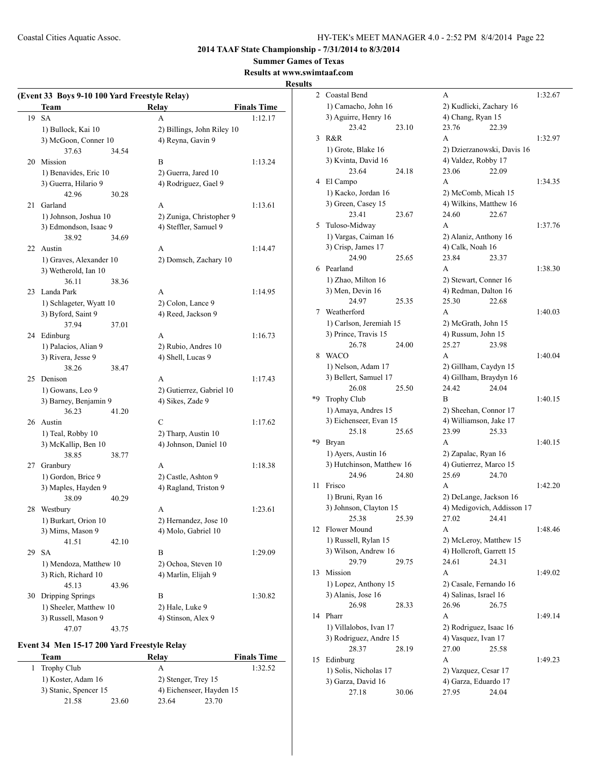**2014 TAAF State Championship - 7/31/2014 to 8/3/2014**

**Summer Games of Texas**

## **Results at www.swimtaaf.com**

**Results**

|    | (Event 33 Boys 9-10 100 Yard Freestyle Relay) |       |                            |                    |  |  |
|----|-----------------------------------------------|-------|----------------------------|--------------------|--|--|
|    | Team                                          |       | <b>Relay</b>               | <b>Finals Time</b> |  |  |
| 19 | <b>SA</b>                                     |       | A                          | 1:12.17            |  |  |
|    | 1) Bullock, Kai 10                            |       | 2) Billings, John Riley 10 |                    |  |  |
|    | 3) McGoon, Conner 10                          |       | 4) Reyna, Gavin 9          |                    |  |  |
|    | 37.63                                         | 34.54 |                            |                    |  |  |
| 20 | Mission                                       |       | B                          | 1:13.24            |  |  |
|    | 1) Benavides, Eric 10                         |       | 2) Guerra, Jared 10        |                    |  |  |
|    | 3) Guerra, Hilario 9                          |       | 4) Rodriguez, Gael 9       |                    |  |  |
|    | 42.96                                         | 30.28 |                            |                    |  |  |
| 21 | Garland                                       |       | A                          | 1:13.61            |  |  |
|    | 1) Johnson, Joshua 10                         |       | 2) Zuniga, Christopher 9   |                    |  |  |
|    | 3) Edmondson, Isaac 9                         |       | 4) Steffler, Samuel 9      |                    |  |  |
|    | 38.92                                         | 34.69 |                            |                    |  |  |
| 22 | Austin                                        |       | A                          | 1:14.47            |  |  |
|    | 1) Graves, Alexander 10                       |       | 2) Domsch, Zachary 10      |                    |  |  |
|    | 3) Wetherold, Ian 10                          |       |                            |                    |  |  |
|    | 36.11                                         | 38.36 |                            |                    |  |  |
| 23 | Landa Park                                    |       | A                          | 1:14.95            |  |  |
|    | 1) Schlageter, Wyatt 10                       |       | 2) Colon, Lance 9          |                    |  |  |
|    | 3) Byford, Saint 9                            |       | 4) Reed, Jackson 9         |                    |  |  |
|    | 37.94                                         | 37.01 |                            |                    |  |  |
|    | 24 Edinburg                                   |       | A                          | 1:16.73            |  |  |
|    | 1) Palacios, Alian 9                          |       | 2) Rubio, Andres 10        |                    |  |  |
|    | 3) Rivera, Jesse 9                            |       | 4) Shell, Lucas 9          |                    |  |  |
|    | 38.26                                         | 38.47 |                            |                    |  |  |
| 25 | Denison                                       |       | A                          | 1:17.43            |  |  |
|    | 1) Gowans, Leo 9                              |       | 2) Gutierrez, Gabriel 10   |                    |  |  |
|    | 3) Barney, Benjamin 9                         |       | 4) Sikes, Zade 9           |                    |  |  |
|    | 36.23                                         | 41.20 |                            |                    |  |  |
| 26 | Austin                                        |       | C                          | 1:17.62            |  |  |
|    | 1) Teal, Robby 10                             |       | 2) Tharp, Austin 10        |                    |  |  |
|    | 3) McKallip, Ben 10                           |       | 4) Johnson, Daniel 10      |                    |  |  |
|    | 38.85                                         | 38.77 |                            |                    |  |  |
| 27 | Granbury                                      |       | A                          | 1:18.38            |  |  |
|    | 1) Gordon, Brice 9                            |       | 2) Castle, Ashton 9        |                    |  |  |
|    | 3) Maples, Hayden 9                           |       | 4) Ragland, Triston 9      |                    |  |  |
|    | 38.09                                         | 40.29 |                            |                    |  |  |
| 28 | Westbury                                      |       | A                          | 1:23.61            |  |  |
|    | 1) Burkart, Orion 10                          |       | 2) Hernandez, Jose 10      |                    |  |  |
|    | 3) Mims, Mason 9                              |       | 4) Molo, Gabriel 10        |                    |  |  |
|    | 41.51                                         | 42.10 |                            |                    |  |  |
| 29 | <b>SA</b>                                     |       | B                          | 1:29.09            |  |  |
|    | 1) Mendoza, Matthew 10                        |       | 2) Ochoa, Steven 10        |                    |  |  |
|    | 3) Rich, Richard 10                           |       | 4) Marlin, Elijah 9        |                    |  |  |
|    | 45.13                                         | 43.96 |                            |                    |  |  |
| 30 | Dripping Springs                              |       | B                          | 1:30.82            |  |  |
|    | 1) Sheeler, Matthew 10                        |       | 2) Hale, Luke 9            |                    |  |  |
|    | 3) Russell, Mason 9                           |       | 4) Stinson, Alex 9         |                    |  |  |
|    | 47.07                                         | 43.75 |                            |                    |  |  |

## **Event 34 Men 15-17 200 Yard Freestyle Relay**

| Team                  |       | Relav                    |       | <b>Finals Time</b> |
|-----------------------|-------|--------------------------|-------|--------------------|
| 1 Trophy Club         |       | А                        |       | 1:32.52            |
| 1) Koster, Adam 16    |       | 2) Stenger, Trey 15      |       |                    |
| 3) Stanic, Spencer 15 |       | 4) Eichenseer, Hayden 15 |       |                    |
| 21.58                 | 23.60 | 23.64                    | 23.70 |                    |

| 2  | Coastal Bend              |       | А                          |                            | 1:32.67 |
|----|---------------------------|-------|----------------------------|----------------------------|---------|
|    | 1) Camacho, John 16       |       | 2) Kudlicki, Zachary 16    |                            |         |
|    | 3) Aguirre, Henry 16      |       | 4) Chang, Ryan 15          |                            |         |
|    | 23.42                     | 23.10 | 23.76                      | 22.39                      |         |
| 3  | R&R                       |       | A                          |                            | 1:32.97 |
|    | 1) Grote, Blake 16        |       | 2) Dzierzanowski, Davis 16 |                            |         |
|    | 3) Kvinta, David 16       |       | 4) Valdez, Robby 17        |                            |         |
|    | 23.64                     | 24.18 | 23.06                      | 22.09                      |         |
| 4  | El Campo                  |       | A                          |                            | 1:34.35 |
|    | 1) Kacko, Jordan 16       |       | 2) McComb, Micah 15        |                            |         |
|    | 3) Green, Casey 15        |       | 4) Wilkins, Matthew 16     |                            |         |
|    | 23.41                     | 23.67 | 24.60                      | 22.67                      |         |
| 5  | Tuloso-Midway             |       | A                          |                            | 1:37.76 |
|    | 1) Vargas, Caiman 16      |       | 2) Alaniz, Anthony 16      |                            |         |
|    | 3) Crisp, James 17        |       | 4) Calk, Noah 16           |                            |         |
|    | 24.90                     | 25.65 | 23.84                      | 23.37                      |         |
| 6  | Pearland                  |       | A                          |                            | 1:38.30 |
|    | 1) Zhao, Milton 16        |       | 2) Stewart, Conner 16      |                            |         |
|    | 3) Men, Devin 16          |       | 4) Redman, Dalton 16       |                            |         |
|    | 24.97                     | 25.35 | 25.30                      | 22.68                      |         |
| 7  | Weatherford               |       | A                          |                            | 1:40.03 |
|    | 1) Carlson, Jeremiah 15   |       | 2) McGrath, John 15        |                            |         |
|    | 3) Prince, Travis 15      |       | 4) Russum, John 15         |                            |         |
|    | 26.78                     | 24.00 | 25.27                      | 23.98                      |         |
| 8  | <b>WACO</b>               |       | A                          |                            | 1:40.04 |
|    | 1) Nelson, Adam 17        |       | 2) Gillham, Caydyn 15      |                            |         |
|    | 3) Bellert, Samuel 17     |       | 4) Gillham, Braydyn 16     |                            |         |
|    | 26.08                     | 25.50 | 24.42                      | 24.04                      |         |
| *9 | <b>Trophy Club</b>        |       | B                          |                            | 1:40.15 |
|    | 1) Amaya, Andres 15       |       | 2) Sheehan, Connor 17      |                            |         |
|    | 3) Eichenseer, Evan 15    |       | 4) Williamson, Jake 17     |                            |         |
|    | 25.18                     | 25.65 | 23.99                      | 25.33                      |         |
| *9 | Bryan                     |       | A                          |                            | 1:40.15 |
|    | 1) Ayers, Austin 16       |       | 2) Zapalac, Ryan 16        |                            |         |
|    | 3) Hutchinson, Matthew 16 |       | 4) Gutierrez, Marco 15     |                            |         |
|    | 24.96                     | 24.80 | 25.69                      | 24.70                      |         |
| 11 | Frisco                    |       | А                          |                            | 1:42.20 |
|    | 1) Bruni, Ryan 16         |       | 2) DeLange, Jackson 16     |                            |         |
|    | 3) Johnson, Clayton 15    |       |                            | 4) Medigovich, Addisson 17 |         |
|    | 25.38                     | 25.39 | 27.02 24.41                |                            |         |
| 12 | Flower Mound              |       | А                          |                            | 1:48.46 |
|    | 1) Russell, Rylan 15      |       | 2) McLeroy, Matthew 15     |                            |         |
|    | 3) Wilson, Andrew 16      |       | 4) Hollcroft, Garrett 15   |                            |         |
|    | 29.79                     | 29.75 | 24.61                      | 24.31                      |         |
| 13 | Mission                   |       | А                          |                            | 1:49.02 |
|    | 1) Lopez, Anthony 15      |       | 2) Casale, Fernando 16     |                            |         |
|    | 3) Alanis, Jose 16        |       | 4) Salinas, Israel 16      |                            |         |
|    | 26.98                     | 28.33 | 26.96                      | 26.75                      |         |
| 14 | Pharr                     |       | A                          |                            | 1:49.14 |
|    | 1) Villalobos, Ivan 17    |       | 2) Rodriguez, Isaac 16     |                            |         |
|    | 3) Rodriguez, Andre 15    |       | 4) Vasquez, Ivan 17        |                            |         |
|    | 28.37                     | 28.19 | 27.00                      | 25.58                      |         |
| 15 | Edinburg                  |       | А                          |                            | 1:49.23 |
|    | 1) Solis, Nicholas 17     |       | 2) Vazquez, Cesar 17       |                            |         |
|    | 3) Garza, David 16        |       | 4) Garza, Eduardo 17       |                            |         |
|    | 27.18                     | 30.06 | 27.95                      | 24.04                      |         |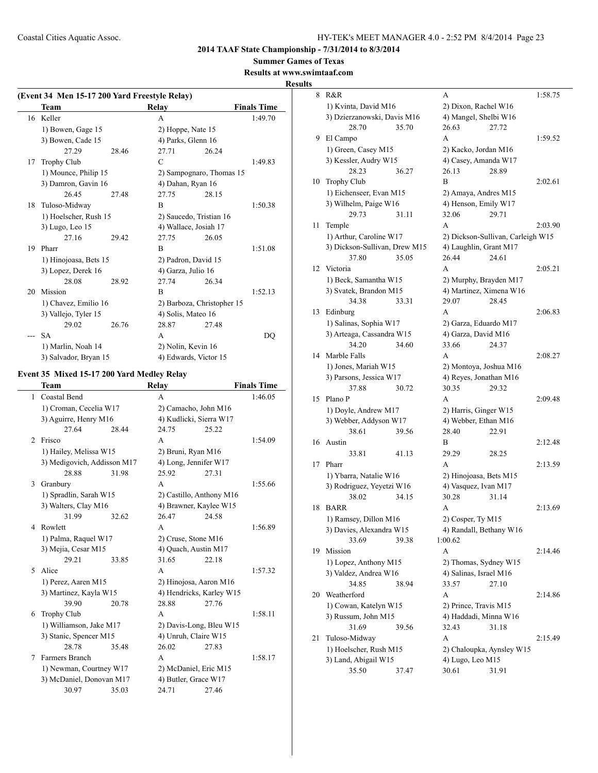**2014 TAAF State Championship - 7/31/2014 to 8/3/2014**

**Summer Games of Texas**

#### **Results at www.swimtaaf.com**

**Results**

#### **(Event 34 Men 15-17 200 Yard Freestyle Relay) Team Relay Finals Time** 16 Keller A 1:49.70 1) Bowen, Gage 15 2) Hoppe, Nate 15 3) Bowen, Cade 15 4) Parks, Glenn 16 27.29 28.46 27.71 26.24 17 Trophy Club C 1:49.83 1) Mounce, Philip 15 2) Sampognaro, Thomas 15 3) Damron, Gavin 16 4) Dahan, Ryan 16 26.45 27.48 27.75 28.15 18 Tuloso-Midway B 1:50.38 1) Hoelscher, Rush 15 2) Saucedo, Tristian 16 3) Lugo, Leo 15 4) Wallace, Josiah 17 27.16 29.42 27.75 26.05 19 Pharr B 1:51.08 1) Hinojoasa, Bets 15 2) Padron, David 15 3) Lopez, Derek 16 4) Garza, Julio 16 28.08 28.92 27.74 26.34 20 Mission **B** 1:52.13 1) Chavez, Emilio 16 2) Barboza, Christopher 15 3) Vallejo, Tyler 15 4) Solis, Mateo 16 29.02 26.76 28.87 27.48 --- SA A DQ 1) Marlin, Noah 14 2) Nolin, Kevin 16 3) Salvador, Bryan 15 4) Edwards, Victor 15

#### **Event 35 Mixed 15-17 200 Yard Medley Relay**

|                | Team                        |       | <b>Relay</b>             |       | <b>Finals Time</b> |
|----------------|-----------------------------|-------|--------------------------|-------|--------------------|
| 1              | Coastal Bend                |       | A                        |       | 1:46.05            |
|                | 1) Croman, Cecelia W17      |       | 2) Camacho, John M16     |       |                    |
|                | 3) Aguirre, Henry M16       |       | 4) Kudlicki, Sierra W17  |       |                    |
|                | 27.64                       | 28.44 | 24.75                    | 25.22 |                    |
| $\mathfrak{D}$ | Frisco                      |       | A                        |       | 1:54.09            |
|                | 1) Hailey, Melissa W15      |       | 2) Bruni, Ryan M16       |       |                    |
|                | 3) Medigovich, Addisson M17 |       | 4) Long, Jennifer W17    |       |                    |
|                | 28.88                       | 31.98 | 25.92                    | 27.31 |                    |
| 3              | Granbury                    |       | A                        |       | 1:55.66            |
|                | 1) Spradlin, Sarah W15      |       | 2) Castillo, Anthony M16 |       |                    |
|                | 3) Walters, Clay M16        |       | 4) Brawner, Kaylee W15   |       |                    |
|                | 31.99                       | 32.62 | 26.47                    | 24.58 |                    |
| 4              | Rowlett                     |       | A                        |       | 1:56.89            |
|                | 1) Palma, Raquel W17        |       | 2) Cruse, Stone M16      |       |                    |
|                | 3) Mejia, Cesar M15         |       | 4) Quach, Austin M17     |       |                    |
|                | 29.21                       | 33.85 | 31.65                    | 22.18 |                    |
| 5.             | Alice                       |       | A                        |       | 1:57.32            |
|                | 1) Perez, Aaren M15         |       | 2) Hinojosa, Aaron M16   |       |                    |
|                | 3) Martinez, Kayla W15      |       | 4) Hendricks, Karley W15 |       |                    |
|                | 39.90                       | 20.78 | 28.88                    | 27.76 |                    |
| 6              | <b>Trophy Club</b>          |       | A                        |       | 1:58.11            |
|                | 1) Williamson, Jake M17     |       | 2) Davis-Long, Bleu W15  |       |                    |
|                | 3) Stanic, Spencer M15      |       | 4) Unruh, Claire W15     |       |                    |
|                | 28.78                       | 35.48 | 26.02                    | 27.83 |                    |
| 7              | Farmers Branch              |       | A                        |       | 1:58.17            |
|                | 1) Newman, Courtney W17     |       | 2) McDaniel, Eric M15    |       |                    |
|                | 3) McDaniel, Donovan M17    |       | 4) Butler, Grace W17     |       |                    |
|                | 30.97                       | 35.03 | 24.71                    | 27.46 |                    |
|                |                             |       |                          |       |                    |

|    | 8 R&R                         | A                                 | 1:58.75 |
|----|-------------------------------|-----------------------------------|---------|
|    | 1) Kvinta, David M16          | 2) Dixon, Rachel W16              |         |
|    | 3) Dzierzanowski, Davis M16   | 4) Mangel, Shelbi W16             |         |
|    | 35.70<br>28.70                | 26.63<br>27.72                    |         |
| 9  | El Campo                      | A                                 | 1:59.52 |
|    | 1) Green, Casey M15           | 2) Kacko, Jordan M16              |         |
|    | 3) Kessler, Audry W15         | 4) Casey, Amanda W17              |         |
|    | 28.23<br>36.27                | 26.13<br>28.89                    |         |
| 10 | Trophy Club                   | B                                 | 2:02.61 |
|    | 1) Eichenseer, Evan M15       | 2) Amaya, Andres M15              |         |
|    | 3) Wilhelm, Paige W16         | 4) Henson, Emily W17              |         |
|    | 29.73<br>31.11                | 32.06<br>29.71                    |         |
| 11 | Temple                        | A                                 | 2:03.90 |
|    | 1) Arthur, Caroline W17       | 2) Dickson-Sullivan, Carleigh W15 |         |
|    | 3) Dickson-Sullivan, Drew M15 | 4) Laughlin, Grant M17            |         |
|    | 37.80<br>35.05                | 26.44<br>24.61                    |         |
| 12 | Victoria                      | A                                 | 2:05.21 |
|    | 1) Beck, Samantha W15         | 2) Murphy, Brayden M17            |         |
|    | 3) Svatek, Brandon M15        | 4) Martinez, Ximena W16           |         |
|    | 34.38<br>33.31                | 29.07<br>28.45                    |         |
| 13 | Edinburg                      | A                                 | 2:06.83 |
|    | 1) Salinas, Sophia W17        | 2) Garza, Eduardo M17             |         |
|    | 3) Arteaga, Cassandra W15     | 4) Garza, David M16               |         |
|    | 34.20<br>34.60                | 33.66<br>24.37                    |         |
| 14 | Marble Falls                  | A                                 | 2:08.27 |
|    | 1) Jones, Mariah W15          | 2) Montoya, Joshua M16            |         |
|    | 3) Parsons, Jessica W17       | 4) Reyes, Jonathan M16            |         |
|    | 37.88<br>30.72                | 30.35<br>29.32                    |         |
| 15 | Plano P                       | A                                 | 2:09.48 |
|    | 1) Doyle, Andrew M17          | 2) Harris, Ginger W15             |         |
|    | 3) Webber, Addyson W17        | 4) Webber, Ethan M16              |         |
|    | 38.61<br>39.56                | 28.40<br>22.91                    |         |
| 16 | Austin                        | B                                 | 2:12.48 |
|    | 33.81<br>41.13                | 29.29<br>28.25                    |         |
| 17 | Pharr                         | A                                 | 2:13.59 |
|    | 1) Ybarra, Natalie W16        | 2) Hinojoasa, Bets M15            |         |
|    | 3) Rodriguez, Yeyetzi W16     | 4) Vasquez, Ivan M17              |         |
|    | 38.02<br>34.15                | 30.28<br>31.14                    |         |
| 18 | <b>BARR</b>                   | A                                 | 2:13.69 |
|    | 1) Ramsey, Dillon M16         | 2) Cosper, Ty M15                 |         |
|    | 3) Davies, Alexandra W15      | 4) Randall, Bethany W16           |         |
|    | 33.69<br>39.38                | 1:00.62                           |         |
| 19 | Mission                       | А                                 | 2:14.46 |
|    | 1) Lopez, Anthony M15         | 2) Thomas, Sydney W15             |         |
|    | 3) Valdez, Andrea W16         | 4) Salinas, Israel M16            |         |
|    | 34.85<br>38.94                | 33.57<br>27.10                    |         |
| 20 | Weatherford                   | А                                 | 2:14.86 |
|    | 1) Cowan, Katelyn W15         | 2) Prince, Travis M15             |         |
|    | 3) Russum, John M15           | 4) Haddadi, Minna W16             |         |
|    | 31.69<br>39.56                | 32.43<br>31.18                    |         |
| 21 | Tuloso-Midway                 | A                                 | 2:15.49 |
|    | 1) Hoelscher, Rush M15        | 2) Chaloupka, Aynsley W15         |         |
|    | 3) Land, Abigail W15          | 4) Lugo, Leo M15                  |         |
|    | 35.50<br>37.47                | 30.61<br>31.91                    |         |
|    |                               |                                   |         |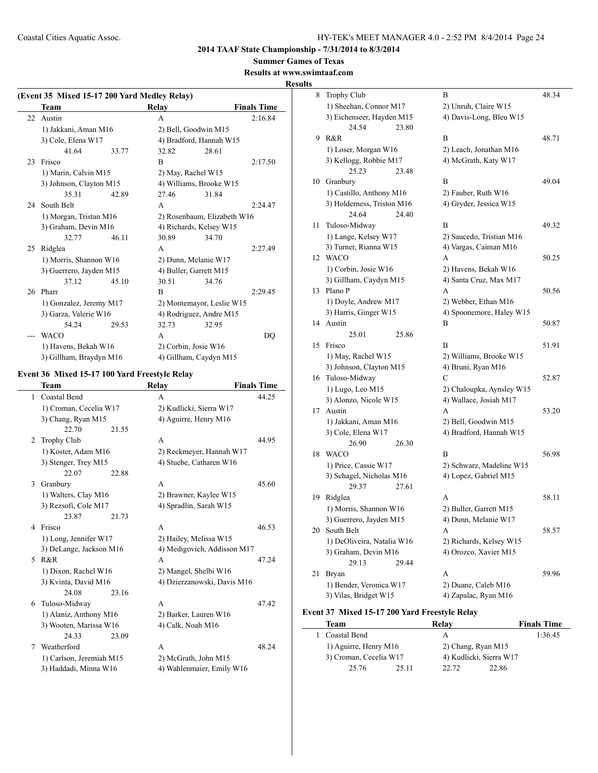## **Summer Games of Texas**

**Results at www.swimtaaf.com**

## **Results**

| (Event 35 Mixed 15-17 200 Yard Medley Relay) |                         |       |       |                             |                    |  |
|----------------------------------------------|-------------------------|-------|-------|-----------------------------|--------------------|--|
|                                              | Team                    |       | Relay |                             | <b>Finals Time</b> |  |
| 22                                           | Austin                  |       | A     |                             | 2:16.84            |  |
|                                              | 1) Jakkani, Aman M16    |       |       | 2) Bell, Goodwin M15        |                    |  |
|                                              | 3) Cole, Elena W17      |       |       | 4) Bradford, Hannah W15     |                    |  |
|                                              | 41.64                   | 33.77 | 32.82 | 28.61                       |                    |  |
| 23                                           | Frisco                  |       | B     |                             | 2:17.50            |  |
|                                              | 1) Marin, Calvin M15    |       |       | 2) May, Rachel W15          |                    |  |
|                                              | 3) Johnson, Clayton M15 |       |       | 4) Williams, Brooke W15     |                    |  |
|                                              | 35.31                   | 42.89 | 27.46 | 31.84                       |                    |  |
|                                              | 24 South Belt           |       | A     |                             | 2:24.47            |  |
|                                              | 1) Morgan, Tristan M16  |       |       | 2) Rosenbaum, Elizabeth W16 |                    |  |
|                                              | 3) Graham, Devin M16    |       |       | 4) Richards, Kelsey W15     |                    |  |
|                                              | 32.77                   | 46.11 | 30.89 | 34.70                       |                    |  |
| 25                                           | Ridglea                 |       | A     |                             | 2:27.49            |  |
|                                              | 1) Morris, Shannon W16  |       |       | 2) Dunn, Melanie W17        |                    |  |
|                                              | 3) Guerrero, Jayden M15 |       |       | 4) Buller, Garrett M15      |                    |  |
|                                              | 37.12                   | 45.10 | 30.51 | 34.76                       |                    |  |
|                                              | 26 Pharr                |       | B     |                             | 2:29.45            |  |
|                                              | 1) Gonzalez, Jeremy M17 |       |       | 2) Montemayor, Leslie W15   |                    |  |
|                                              | 3) Garza, Valerie W16   |       |       | 4) Rodriguez, Andre M15     |                    |  |
|                                              | 54.24                   | 29.53 | 32.73 | 32.95                       |                    |  |
|                                              | <b>WACO</b>             |       | A     |                             | DQ                 |  |
|                                              | 1) Havens, Bekah W16    |       |       | 2) Corbin, Josie W16        |                    |  |
|                                              | 3) Gillham, Braydyn M16 |       |       | 4) Gillham, Caydyn M15      |                    |  |

## **Event 36 Mixed 15-17 100 Yard Freestyle Relay**

|   | Team                     | <b>Relay</b>                | <b>Finals Time</b> |
|---|--------------------------|-----------------------------|--------------------|
| 1 | Coastal Bend             | A                           | 44.25              |
|   | 1) Croman, Cecelia W17   | 2) Kudlicki, Sierra W17     |                    |
|   | 3) Chang, Ryan M15       | 4) Aguirre, Henry M16       |                    |
|   | 22.70<br>21.55           |                             |                    |
| 2 | <b>Trophy Club</b>       | $\mathsf{A}$                | 44.95              |
|   | 1) Koster, Adam M16      | 2) Reckmeyer, Hannah W17    |                    |
|   | 3) Stenger, Trey M15     | 4) Stuebe, Catharen W16     |                    |
|   | 22.07<br>22.88           |                             |                    |
| 3 | Granbury                 | $\mathsf{A}$                | 45.60              |
|   | 1) Walters, Clay M16     | 2) Brawner, Kaylee W15      |                    |
|   | 3) Rezsofi, Cole M17     | 4) Spradlin, Sarah W15      |                    |
|   | 23.87<br>21.73           |                             |                    |
| 4 | Frisco                   | $\mathsf{A}$                | 46.53              |
|   | 1) Long, Jennifer W17    | 2) Hailey, Melissa W15      |                    |
|   | 3) DeLange, Jackson M16  | 4) Medigovich, Addisson M17 |                    |
|   | 5 R&R                    | $\mathsf{A}$                | 47.24              |
|   | 1) Dixon, Rachel W16     | 2) Mangel, Shelbi W16       |                    |
|   | 3) Kvinta, David M16     | 4) Dzierzanowski, Davis M16 |                    |
|   | 24.08<br>23.16           |                             |                    |
| 6 | Tuloso-Midway            | A                           | 47.42              |
|   | 1) Alaniz, Anthony M16   | 2) Barker, Lauren W16       |                    |
|   | 3) Wooten, Marissa W16   | 4) Calk, Noah M16           |                    |
|   | 24.33<br>23.09           |                             |                    |
| 7 | Weatherford              | A                           | 48.24              |
|   | 1) Carlson, Jeremiah M15 | 2) McGrath, John M15        |                    |
|   | 3) Haddadi, Minna W16    | 4) Wahlenmaier, Emily W16   |                    |
|   |                          |                             |                    |

| 8  | Trophy Club                | B                         | 48.34 |
|----|----------------------------|---------------------------|-------|
|    | 1) Sheehan, Connor M17     | 2) Unruh, Claire W15      |       |
|    | 3) Eichenseer, Hayden M15  | 4) Davis-Long, Bleu W15   |       |
|    | 24.54<br>23.80             |                           |       |
| 9  | R&R                        | В                         | 48.71 |
|    | 1) Loser, Morgan W16       | 2) Leach, Jonathan M16    |       |
|    | 3) Kellogg, Robbie M17     | 4) McGrath, Katy W17      |       |
|    | 25.23<br>23.48             |                           |       |
| 10 | Granbury                   | B                         | 49.04 |
|    | 1) Castillo, Anthony M16   | 2) Fauber, Ruth W16       |       |
|    | 3) Holderness, Triston M16 | 4) Gryder, Jessica W15    |       |
|    | 24.40<br>24.64             |                           |       |
| 11 | Tuloso-Midway              | B                         | 49.32 |
|    | 1) Lange, Kelsey W17       | 2) Saucedo, Tristian M16  |       |
|    | 3) Turner, Rianna W15      | 4) Vargas, Caiman M16     |       |
| 12 | <b>WACO</b>                | A                         | 50.25 |
|    | 1) Corbin, Josie W16       | 2) Havens, Bekah W16      |       |
|    | 3) Gillham, Caydyn M15     | 4) Santa Cruz, Max M17    |       |
| 13 | Plano P                    | A                         | 50.56 |
|    | 1) Doyle, Andrew M17       | 2) Webber, Ethan M16      |       |
|    | 3) Harris, Ginger W15      | 4) Spoonemore, Haley W15  |       |
| 14 | Austin                     | В                         | 50.87 |
|    | 25.01<br>25.86             |                           |       |
| 15 | Frisco                     | B                         | 51.91 |
|    | 1) May, Rachel W15         | 2) Williams, Brooke W15   |       |
|    | 3) Johnson, Clayton M15    | 4) Bruni, Ryan M16        |       |
| 16 | Tuloso-Midway              | C                         | 52.87 |
|    | 1) Lugo, Leo M15           | 2) Chaloupka, Aynsley W15 |       |
|    | 3) Alonzo, Nicole W15      | 4) Wallace, Josiah M17    |       |
| 17 | Austin                     | А                         | 53.20 |
|    | 1) Jakkani, Aman M16       | 2) Bell, Goodwin M15      |       |
|    | 3) Cole, Elena W17         | 4) Bradford, Hannah W15   |       |
|    | 26.90<br>26.30             |                           |       |
| 18 | <b>WACO</b>                | B                         | 56.98 |
|    | 1) Price, Cassie W17       | 2) Schwarz, Madeline W15  |       |
|    | 3) Schagel, Nicholas M16   | 4) Lopez, Gabriel M15     |       |
|    | 29.37<br>27.61             |                           |       |
| 19 | Ridglea                    | A                         | 58.11 |
|    | 1) Morris, Shannon W16     | 2) Buller, Garrett M15    |       |
|    | 3) Guerrero, Jayden M15    | 4) Dunn, Melanie W17      |       |
| 20 | South Belt                 | A                         | 58.57 |
|    | 1) DeOliveira, Natalia W16 | 2) Richards, Kelsey W15   |       |
|    | 3) Graham, Devin M16       | 4) Orozco, Xavier M15     |       |
|    | 29.13<br>29.44             |                           |       |
| 21 | Bryan                      | A                         | 59.96 |
|    | 1) Bender, Veronica W17    | 2) Duane, Caleb M16       |       |
|    | 3) Vilas, Bridget W15      | 4) Zapalac, Ryan M16      |       |

## **Event 37 Mixed 15-17 200 Yard Freestyle Relay**

 $\overline{\phantom{a}}$ 

| Team                   |       | Relav                   | <b>Finals Time</b> |
|------------------------|-------|-------------------------|--------------------|
| Coastal Bend           |       | А                       | 1:36.45            |
| 1) Aguirre, Henry M16  |       | 2) Chang, Ryan M15      |                    |
| 3) Croman, Cecelia W17 |       | 4) Kudlicki, Sierra W17 |                    |
| 25.76                  | 25.11 | 22. 72                  | 22.86              |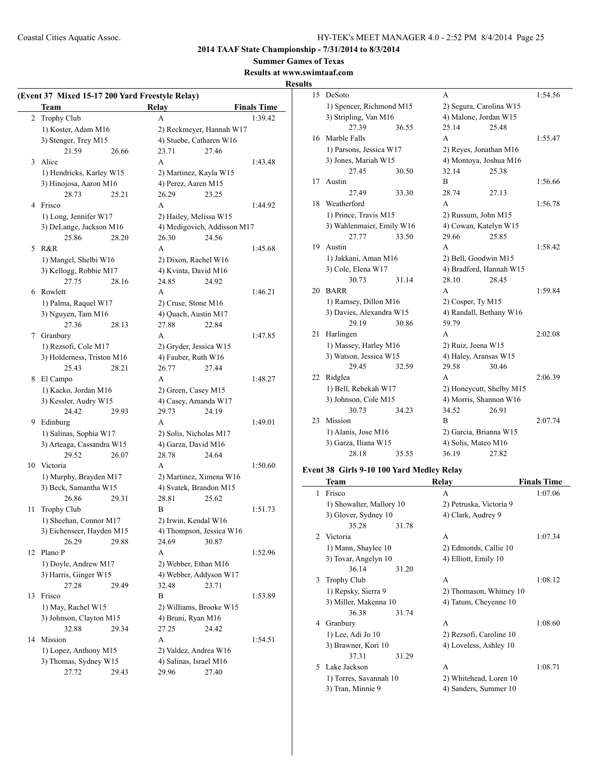**Summer Games of Texas**

## **Results at www.swimtaaf.com Results**

|                | (Event 37 Mixed 15-17 200 Yard Freestyle Relay)<br>Team |       | <b>Relay</b>             | <b>Finals Time</b>          |  |
|----------------|---------------------------------------------------------|-------|--------------------------|-----------------------------|--|
| $\overline{2}$ | Trophy Club                                             |       | A                        | 1:39.42                     |  |
|                | 1) Koster, Adam M16                                     |       |                          | 2) Reckmeyer, Hannah W17    |  |
|                | 3) Stenger, Trey M15                                    |       | 4) Stuebe, Catharen W16  |                             |  |
|                | 21.59                                                   | 26.66 | 23.71                    | 27.46                       |  |
| 3              | Alice                                                   |       | A                        | 1:43.48                     |  |
|                |                                                         |       |                          |                             |  |
|                | 1) Hendricks, Karley W15                                |       | 2) Martinez, Kayla W15   |                             |  |
|                | 3) Hinojosa, Aaron M16                                  |       | 4) Perez, Aaren M15      |                             |  |
|                | 28.73                                                   | 25.21 | 26.29                    | 23.25                       |  |
|                | 4 Frisco                                                |       | A                        | 1:44.92                     |  |
|                | 1) Long, Jennifer W17                                   |       | 2) Hailey, Melissa W15   |                             |  |
|                | 3) DeLange, Jackson M16                                 |       |                          | 4) Medigovich, Addisson M17 |  |
|                | 25.86                                                   | 28.20 | 26.30                    | 24.56                       |  |
| 5              | R&R                                                     |       | A                        | 1:45.68                     |  |
|                | 1) Mangel, Shelbi W16                                   |       | 2) Dixon, Rachel W16     |                             |  |
|                | 3) Kellogg, Robbie M17                                  |       | 4) Kvinta, David M16     |                             |  |
|                | 27.75                                                   | 28.16 | 24.85                    | 24.92                       |  |
|                | 6 Rowlett                                               |       | A                        | 1:46.21                     |  |
|                | 1) Palma, Raquel W17                                    |       | 2) Cruse, Stone M16      |                             |  |
|                | 3) Nguyen, Tam M16                                      |       | 4) Quach, Austin M17     |                             |  |
|                | 27.36                                                   | 28.13 | 27.88                    | 22.84                       |  |
|                | 7 Granbury                                              |       | A                        | 1:47.85                     |  |
|                | 1) Rezsofi, Cole M17                                    |       | 2) Gryder, Jessica W15   |                             |  |
|                | 3) Holderness, Triston M16                              |       | 4) Fauber, Ruth W16      |                             |  |
|                | 25.43                                                   | 28.21 | 26.77                    | 27.44                       |  |
| 8              | El Campo                                                |       | A                        | 1:48.27                     |  |
|                | 1) Kacko, Jordan M16                                    |       | 2) Green, Casey M15      |                             |  |
|                | 3) Kessler, Audry W15                                   |       | 4) Casey, Amanda W17     |                             |  |
|                | 24.42                                                   | 29.93 | 29.73                    | 24.19                       |  |
| 9              | Edinburg                                                |       | A                        | 1:49.01                     |  |
|                | 1) Salinas, Sophia W17                                  |       | 2) Solis, Nicholas M17   |                             |  |
|                | 3) Arteaga, Cassandra W15                               |       | 4) Garza, David M16      |                             |  |
|                | 29.52                                                   | 26.07 | 28.78                    | 24.64                       |  |
| 10             | Victoria                                                |       | A                        | 1:50.60                     |  |
|                | 1) Murphy, Brayden M17                                  |       | 2) Martinez, Ximena W16  |                             |  |
|                | 3) Beck, Samantha W15                                   |       | 4) Svatek, Brandon M15   |                             |  |
|                | 26.86                                                   | 29.31 | 28.81                    | 25.62                       |  |
| 11             | Trophy Club                                             |       | B                        | 1:51.73                     |  |
|                | 1) Sheehan, Connor M17                                  |       | 2) Irwin, Kendal W16     |                             |  |
|                | 3) Eichenseer, Hayden M15                               |       | 4) Thompson, Jessica W16 |                             |  |
|                | 26.29                                                   | 29.88 | 24.69                    | 30.87                       |  |
|                | 12 Plano P                                              |       | A                        | 1:52.96                     |  |
|                | 1) Doyle, Andrew M17                                    |       | 2) Webber, Ethan M16     |                             |  |
|                | 3) Harris, Ginger W15                                   |       | 4) Webber, Addyson W17   |                             |  |
|                | 27.28                                                   | 29.49 | 32.48                    | 23.71                       |  |
| 13             | Frisco                                                  |       | B                        | 1:53.89                     |  |
|                | 1) May, Rachel W15                                      |       | 2) Williams, Brooke W15  |                             |  |
|                | 3) Johnson, Clayton M15                                 |       | 4) Bruni, Ryan M16       |                             |  |
|                | 32.88                                                   | 29.34 | 27.25                    | 24.42                       |  |
| 14             | Mission                                                 |       | A                        | 1:54.51                     |  |
|                | 1) Lopez, Anthony M15                                   |       | 2) Valdez, Andrea W16    |                             |  |
|                | 3) Thomas, Sydney W15                                   |       | 4) Salinas, Israel M16   |                             |  |
|                | 27.72                                                   | 29.43 | 29.96                    | 27.40                       |  |
|                |                                                         |       |                          |                             |  |

| 15 | DeSoto                    |       | A                        |                     | 1:54.56 |
|----|---------------------------|-------|--------------------------|---------------------|---------|
|    | 1) Spencer, Richmond M15  |       | 2) Segura, Carolina W15  |                     |         |
|    | 3) Stripling, Van M16     |       | 4) Malone, Jordan W15    |                     |         |
|    | 27.39                     | 36.55 | 25.14                    | 25.48               |         |
| 16 | Marble Falls              |       | A                        |                     | 1:55.47 |
|    | 1) Parsons, Jessica W17   |       | 2) Reyes, Jonathan M16   |                     |         |
|    | 3) Jones, Mariah W15      |       | 4) Montoya, Joshua M16   |                     |         |
|    | 27.45                     | 30.50 | 32.14                    | 25.38               |         |
| 17 | Austin                    |       | B                        |                     | 1:56.66 |
|    | 27.49                     | 33.30 | 28.74                    | 27.13               |         |
| 18 | Weatherford               |       | A                        |                     | 1:56.78 |
|    | 1) Prince, Travis M15     |       |                          | 2) Russum, John M15 |         |
|    | 3) Wahlenmaier, Emily W16 |       | 4) Cowan, Katelyn W15    |                     |         |
|    | 27.77                     | 33.50 | 29.66                    | 25.85               |         |
| 19 | Austin                    |       | A                        |                     | 1:58.42 |
|    | 1) Jakkani, Aman M16      |       | 2) Bell, Goodwin M15     |                     |         |
|    | 3) Cole, Elena W17        |       | 4) Bradford, Hannah W15  |                     |         |
|    | 30.73                     | 31.14 | 28.10                    | 28.45               |         |
| 20 | <b>BARR</b>               |       | A                        |                     | 1:59.84 |
|    | 1) Ramsey, Dillon M16     |       | 2) Cosper, Ty M15        |                     |         |
|    | 3) Davies, Alexandra W15  |       | 4) Randall, Bethany W16  |                     |         |
|    | 29.19                     | 30.86 | 59.79                    |                     |         |
| 21 | Harlingen                 |       | A                        |                     | 2:02.08 |
|    | 1) Massey, Harley M16     |       | 2) Ruiz, Jeena W15       |                     |         |
|    | 3) Watson, Jessica W15    |       | 4) Haley, Aransas W15    |                     |         |
|    | 29.45                     | 32.59 | 29.58                    | 30.46               |         |
| 22 | Ridglea                   |       | A                        |                     | 2:06.39 |
|    | 1) Bell, Rebekah W17      |       | 2) Honeycutt, Shelby M15 |                     |         |
|    | 3) Johnson, Cole M15      |       | 4) Morris, Shannon W16   |                     |         |
|    | 30.73                     | 34.23 | 34.52                    | 26.91               |         |
| 23 | Mission                   |       | В                        |                     | 2:07.74 |
|    | 1) Alanis, Jose M16       |       | 2) Garcia, Brianna W15   |                     |         |
|    | 3) Garza, Iliana W15      |       |                          | 4) Solis, Mateo M16 |         |
|    | 28.18                     | 35.55 | 36.19                    | 27.82               |         |

## **Event 38 Girls 9-10 100 Yard Medley Relay**

|                | Team                     |       | Relay                   | <b>Finals Time</b> |
|----------------|--------------------------|-------|-------------------------|--------------------|
| 1              | Frisco                   |       | A                       | 1:07.06            |
|                | 1) Showalter, Mallory 10 |       | 2) Petruska, Victoria 9 |                    |
|                | 3) Glover, Sydney 10     |       | 4) Clark, Audrey 9      |                    |
|                | 35.28                    | 31.78 |                         |                    |
| $\mathfrak{D}$ | Victoria                 |       | A                       | 1:07.34            |
|                | 1) Mann, Shaylee 10      |       | 2) Edmonds, Callie 10   |                    |
|                | 3) Tovar, Angelyn 10     |       | 4) Elliott, Emily 10    |                    |
|                | 36.14                    | 31.20 |                         |                    |
| 3              | <b>Trophy Club</b>       |       | A                       | 1:08.12            |
|                | 1) Repsky, Sierra 9      |       | 2) Thomason, Whitney 10 |                    |
|                | 3) Miller, Makenna 10    |       | 4) Tatum, Cheyenne 10   |                    |
|                | 36.38                    | 31.74 |                         |                    |
| 4              | Granbury                 |       | A                       | 1:08.60            |
|                | 1) Lee, Adi Jo 10        |       | 2) Rezsofi, Caroline 10 |                    |
|                | 3) Brawner, Kori 10      |       | 4) Loveless, Ashley 10  |                    |
|                | 37.31                    | 31.29 |                         |                    |
| 5.             | Lake Jackson             |       | A                       | 1:08.71            |
|                | 1) Torres, Savannah 10   |       | 2) Whitehead, Loren 10  |                    |
|                | 3) Tran, Minnie 9        |       | 4) Sanders, Summer 10   |                    |
|                |                          |       |                         |                    |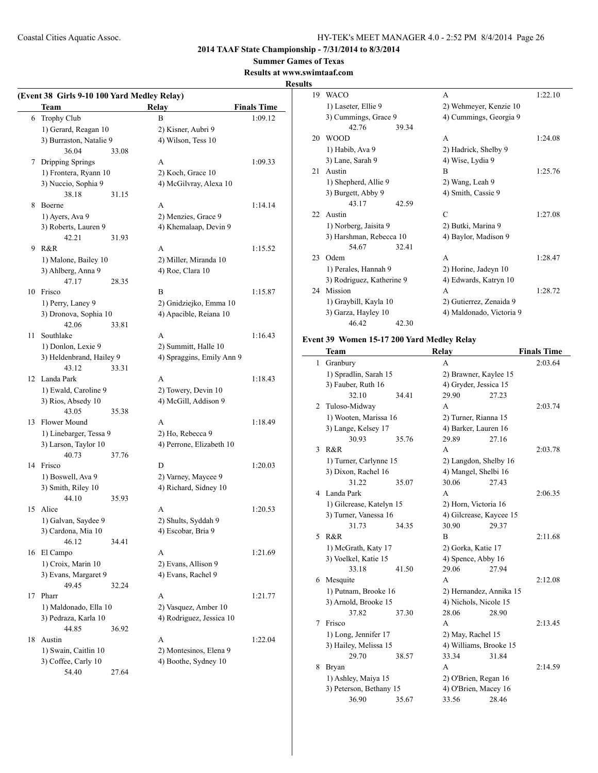## **2014 TAAF State Championship - 7/31/2014 to 8/3/2014**

**Summer Games of Texas**

## **Results at www.swimtaaf.com**

 $\overline{\phantom{0}}$ 

**Results**

|    | (Event 38 Girls 9-10 100 Yard Medley Relay)<br>Team | <b>Relay</b>              | <b>Finals Time</b> |
|----|-----------------------------------------------------|---------------------------|--------------------|
| 6  | Trophy Club                                         | B                         | 1:09.12            |
|    | 1) Gerard, Reagan 10                                | 2) Kisner, Aubri 9        |                    |
|    | 3) Burraston, Natalie 9                             | 4) Wilson, Tess 10        |                    |
|    | 36.04                                               | 33.08                     |                    |
| 7  | Dripping Springs                                    | A                         | 1:09.33            |
|    | 1) Frontera, Ryann 10                               | 2) Koch, Grace 10         |                    |
|    | 3) Nuccio, Sophia 9                                 | 4) McGilvray, Alexa 10    |                    |
|    | 38.18                                               | 31.15                     |                    |
| 8  | Boerne                                              | A                         | 1:14.14            |
|    | 1) Ayers, Ava 9                                     | 2) Menzies, Grace 9       |                    |
|    | 3) Roberts, Lauren 9                                | 4) Khemalaap, Devin 9     |                    |
|    | 42.21                                               | 31.93                     |                    |
| 9  | R&R                                                 | A                         | 1:15.52            |
|    | 1) Malone, Bailey 10                                | 2) Miller, Miranda 10     |                    |
|    | 3) Ahlberg, Anna 9                                  | 4) Roe, Clara 10          |                    |
|    | 47.17                                               | 28.35                     |                    |
|    | 10 Frisco                                           | B                         | 1:15.87            |
|    | 1) Perry, Laney 9                                   | 2) Gnidziejko, Emma 10    |                    |
|    | 3) Dronova, Sophia 10                               | 4) Apacible, Reiana 10    |                    |
|    | 42.06                                               | 33.81                     |                    |
| 11 | Southlake                                           | A                         | 1:16.43            |
|    | 1) Donlon, Lexie 9                                  | 2) Summitt, Halle 10      |                    |
|    | 3) Heldenbrand, Hailey 9                            | 4) Spraggins, Emily Ann 9 |                    |
|    | 43.12                                               | 33.31                     |                    |
|    | 12 Landa Park                                       | A                         | 1:18.43            |
|    | 1) Ewald, Caroline 9                                | 2) Towery, Devin 10       |                    |
|    | 3) Rios, Absedy 10                                  | 4) McGill, Addison 9      |                    |
|    | 43.05                                               | 35.38                     |                    |
| 13 | Flower Mound                                        | A                         | 1:18.49            |
|    |                                                     | 2) Ho, Rebecca 9          |                    |
|    | 1) Linebarger, Tessa 9                              |                           |                    |
|    | 3) Larson, Taylor 10                                | 4) Perrone, Elizabeth 10  |                    |
|    | 40.73                                               | 37.76<br>D                |                    |
|    | 14 Frisco                                           |                           | 1:20.03            |
|    | 1) Boswell, Ava 9                                   | 2) Varney, Maycee 9       |                    |
|    | 3) Smith, Riley 10                                  | 4) Richard, Sidney 10     |                    |
|    | 44.10                                               | 35.93                     |                    |
| 15 | Alice                                               | A                         | 1:20.53            |
|    | 1) Galvan, Saydee 9                                 | 2) Shults, Syddah 9       |                    |
|    | 3) Cardona, Mia 10                                  | 4) Escobar, Bria 9        |                    |
|    | 46.12                                               | 34.41                     |                    |
| 16 | El Campo                                            | A                         | 1:21.69            |
|    | 1) Croix, Marin 10                                  | 2) Evans, Allison 9       |                    |
|    | 3) Evans, Margaret 9                                | 4) Evans, Rachel 9        |                    |
|    | 49.45                                               | 32.24                     |                    |
| 17 | Pharr                                               | A                         | 1:21.77            |
|    | 1) Maldonado, Ella 10                               | 2) Vasquez, Amber 10      |                    |
|    | 3) Pedraza, Karla 10                                | 4) Rodriguez, Jessica 10  |                    |
|    | 44.85                                               | 36.92                     |                    |
| 18 | Austin                                              | A                         | 1:22.04            |
|    | 1) Swain, Caitlin 10                                | 2) Montesinos, Elena 9    |                    |
|    | 3) Coffee, Carly 10                                 | 4) Boothe, Sydney 10      |                    |
|    | 54.40                                               | 27.64                     |                    |

| š   |                           |                          |         |
|-----|---------------------------|--------------------------|---------|
| 19  | <b>WACO</b>               | A                        | 1:22.10 |
|     | 1) Laseter, Ellie 9       | 2) Wehmeyer, Kenzie 10   |         |
|     | 3) Cummings, Grace 9      | 4) Cummings, Georgia 9   |         |
|     | 42.76<br>39.34            |                          |         |
| 20  | <b>WOOD</b>               | A                        | 1:24.08 |
|     | 1) Habib, Ava 9           | 2) Hadrick, Shelby 9     |         |
|     | 3) Lane, Sarah 9          | 4) Wise, Lydia 9         |         |
| 21  | Austin                    | R                        | 1:25.76 |
|     | 1) Shepherd, Allie 9      | 2) Wang, Leah 9          |         |
|     | 3) Burgett, Abby 9        | 4) Smith, Cassie 9       |         |
|     | 43.17<br>42.59            |                          |         |
| 22. | Austin                    | C                        | 1:27.08 |
|     | 1) Norberg, Jaisita 9     | 2) Butki, Marina 9       |         |
|     | 3) Harshman, Rebecca 10   | 4) Baylor, Madison 9     |         |
|     | 54.67<br>32.41            |                          |         |
| 23  | Odem                      | A                        | 1:28.47 |
|     | 1) Perales, Hannah 9      | 2) Horine, Jadeyn 10     |         |
|     | 3) Rodriguez, Katherine 9 | 4) Edwards, Katryn 10    |         |
| 24  | Mission                   | A                        | 1:28.72 |
|     | 1) Graybill, Kayla 10     | 2) Gutierrez, Zenaida 9  |         |
|     | 3) Garza, Hayley 10       | 4) Maldonado, Victoria 9 |         |
|     | 46.42<br>42.30            |                          |         |

## **Event 39 Women 15-17 200 Yard Medley Relay**

|              | Team                     |       | Relay                   |       | <b>Finals Time</b> |
|--------------|--------------------------|-------|-------------------------|-------|--------------------|
| $\mathbf{1}$ | Granbury                 |       | A                       |       | 2:03.64            |
|              | 1) Spradlin, Sarah 15    |       | 2) Brawner, Kaylee 15   |       |                    |
|              | 3) Fauber, Ruth 16       |       | 4) Gryder, Jessica 15   |       |                    |
|              | 32.10                    | 34.41 | 29.90                   | 27.23 |                    |
| 2            | Tuloso-Midway            |       | А                       |       | 2:03.74            |
|              | 1) Wooten, Marissa 16    |       | 2) Turner, Rianna 15    |       |                    |
|              | 3) Lange, Kelsey 17      |       | 4) Barker, Lauren 16    |       |                    |
|              | 30.93                    | 35.76 | 29.89                   | 27.16 |                    |
| 3            | R&R                      |       | А                       |       | 2:03.78            |
|              | 1) Turner, Carlynne 15   |       | 2) Langdon, Shelby 16   |       |                    |
|              | 3) Dixon, Rachel 16      |       | 4) Mangel, Shelbi 16    |       |                    |
|              | 31.22                    | 35.07 | 30.06                   | 27.43 |                    |
| 4            | Landa Park               |       | A                       |       | 2:06.35            |
|              | 1) Gilcrease, Katelyn 15 |       | 2) Horn, Victoria 16    |       |                    |
|              | 3) Turner, Vanessa 16    |       | 4) Gilcrease, Kaycee 15 |       |                    |
|              | 31.73                    | 34.35 | 30.90                   | 29.37 |                    |
| 5            | R&R                      |       | B                       |       | 2:11.68            |
|              | 1) McGrath, Katy 17      |       | 2) Gorka, Katie 17      |       |                    |
|              | 3) Voelkel, Katie 15     |       | 4) Spence, Abby 16      |       |                    |
|              | 33.18                    | 41.50 | 29.06                   | 27.94 |                    |
| 6            | Mesquite                 |       | A                       |       | 2:12.08            |
|              | 1) Putnam, Brooke 16     |       | 2) Hernandez, Annika 15 |       |                    |
|              | 3) Arnold, Brooke 15     |       | 4) Nichols, Nicole 15   |       |                    |
|              | 37.82                    | 37.30 | 28.06                   | 28.90 |                    |
| 7            | Frisco                   |       | А                       |       | 2:13.45            |
|              | 1) Long, Jennifer 17     |       | 2) May, Rachel 15       |       |                    |
|              | 3) Hailey, Melissa 15    |       | 4) Williams, Brooke 15  |       |                    |
|              | 29.70                    | 38.57 | 33.34                   | 31.84 |                    |
| 8            | Bryan                    |       | A                       |       | 2:14.59            |
|              | 1) Ashley, Maiya 15      |       | 2) O'Brien, Regan 16    |       |                    |
|              | 3) Peterson, Bethany 15  |       | 4) O'Brien, Macey 16    |       |                    |
|              | 36.90                    | 35.67 | 33.56                   | 28.46 |                    |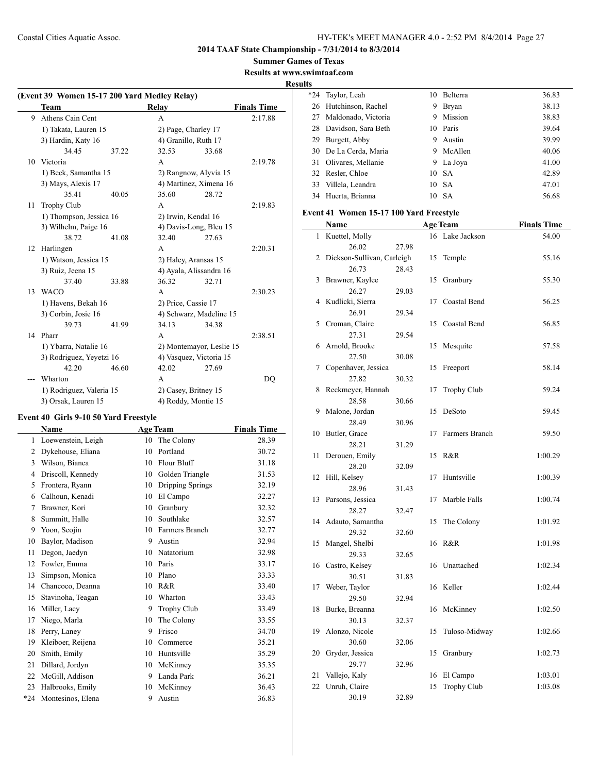**2014 TAAF State Championship - 7/31/2014 to 8/3/2014**

**Summer Games of Texas**

**Results at www.swimtaaf.com**

**Results**

| (Event 39 Women 15-17 200 Yard Medley Relay) |                          |       |                          |       |                    |
|----------------------------------------------|--------------------------|-------|--------------------------|-------|--------------------|
|                                              | Team                     |       | Relay                    |       | <b>Finals Time</b> |
| 9                                            | Athens Cain Cent         |       | A                        |       | 2:17.88            |
|                                              | 1) Takata, Lauren 15     |       | 2) Page, Charley 17      |       |                    |
|                                              | 3) Hardin, Katy 16       |       | 4) Granillo, Ruth 17     |       |                    |
|                                              | 34.45                    | 37.22 | 32.53                    | 33.68 |                    |
|                                              | 10 Victoria              |       | A                        |       | 2:19.78            |
|                                              | 1) Beck, Samantha 15     |       | 2) Rangnow, Alyvia 15    |       |                    |
|                                              | 3) Mays, Alexis 17       |       | 4) Martinez, Ximena 16   |       |                    |
|                                              | 35.41                    | 40.05 | 35.60                    | 28.72 |                    |
| 11                                           | <b>Trophy Club</b>       |       | A                        |       | 2:19.83            |
|                                              | 1) Thompson, Jessica 16  |       | 2) Irwin, Kendal 16      |       |                    |
|                                              | 3) Wilhelm, Paige 16     |       | 4) Davis-Long, Bleu 15   |       |                    |
|                                              | 38.72                    | 41.08 | 32.40                    | 27.63 |                    |
| 12                                           | Harlingen                |       | A                        |       | 2:20.31            |
|                                              | 1) Watson, Jessica 15    |       | 2) Haley, Aransas 15     |       |                    |
|                                              | 3) Ruiz, Jeena 15        |       | 4) Ayala, Alissandra 16  |       |                    |
|                                              | 37.40                    | 33.88 | 36.32                    | 32.71 |                    |
| 13                                           | <b>WACO</b>              |       | A                        |       | 2:30.23            |
|                                              | 1) Havens, Bekah 16      |       | 2) Price, Cassie 17      |       |                    |
|                                              | 3) Corbin, Josie 16      |       | 4) Schwarz, Madeline 15  |       |                    |
|                                              | 39.73                    | 41.99 | 34.13                    | 34.38 |                    |
| 14                                           | Pharr                    |       | A                        |       | 2:38.51            |
|                                              | 1) Ybarra, Natalie 16    |       | 2) Montemayor, Leslie 15 |       |                    |
|                                              | 3) Rodriguez, Yeyetzi 16 |       | 4) Vasquez, Victoria 15  |       |                    |
|                                              | 42.20                    | 46.60 | 42.02                    | 27.69 |                    |
|                                              | Wharton                  |       | A                        |       | DQ                 |
|                                              | 1) Rodriguez, Valeria 15 |       | 2) Casey, Britney 15     |       |                    |
|                                              | 3) Orsak, Lauren 15      |       | 4) Roddy, Montie 15      |       |                    |

#### **Event 40 Girls 9-10 50 Yard Freestyle**

|       | Name               |    | <b>Age Team</b>  | <b>Finals Time</b> |
|-------|--------------------|----|------------------|--------------------|
| 1     | Loewenstein, Leigh | 10 | The Colony       | 28.39              |
| 2     | Dykehouse, Eliana  | 10 | Portland         | 30.72              |
| 3     | Wilson, Bianca     | 10 | Flour Bluff      | 31.18              |
| 4     | Driscoll, Kennedy  | 10 | Golden Triangle  | 31.53              |
| 5     | Frontera, Ryann    | 10 | Dripping Springs | 32.19              |
| 6     | Calhoun, Kenadi    | 10 | El Campo         | 32.27              |
| 7     | Brawner, Kori      | 10 | Granbury         | 32.32              |
| 8     | Summitt, Halle     | 10 | Southlake        | 32.57              |
| 9     | Yoon, Seojin       | 10 | Farmers Branch   | 32.77              |
| 10    | Baylor, Madison    | 9  | Austin           | 32.94              |
| 11    | Degon, Jaedyn      | 10 | Natatorium       | 32.98              |
| 12    | Fowler, Emma       | 10 | Paris            | 33.17              |
| 13    | Simpson, Monica    | 10 | Plano            | 33.33              |
| 14    | Chancoco, Deanna   | 10 | R&R              | 33.40              |
| 15    | Stavinoha, Teagan  | 10 | Wharton          | 33.43              |
| 16    | Miller, Lacy       | 9  | Trophy Club      | 33.49              |
| 17    | Niego, Marla       | 10 | The Colony       | 33.55              |
| 18    | Perry, Laney       | 9  | Frisco           | 34.70              |
| 19    | Kleiboer, Reijena  | 10 | Commerce         | 35.21              |
| 20    | Smith, Emily       | 10 | Huntsville       | 35.29              |
| 21    | Dillard, Jordyn    | 10 | McKinney         | 35.35              |
| 22    | McGill, Addison    | 9  | Landa Park       | 36.21              |
| 23    | Halbrooks, Emily   | 10 | McKinney         | 36.43              |
| $*24$ | Montesinos, Elena  | 9  | Austin           | 36.83              |

| $*24$ | Taylor, Leah           |    | 10 Belterra   | 36.83 |
|-------|------------------------|----|---------------|-------|
|       | 26 Hutchinson, Rachel  | 9  | Bryan         | 38.13 |
|       | 27 Maldonado, Victoria | 9  | Mission       | 38.83 |
|       | 28 Davidson, Sara Beth |    | 10 Paris      | 39.64 |
| 29    | Burgett, Abby          | 9  | Austin        | 39.99 |
|       | 30 De La Cerda, Maria  | 9  | McAllen       | 40.06 |
|       | 31 Olivares, Mellanie  | 9. | La Joya       | 41.00 |
|       | 32 Resler, Chloe       |    | $10\quad S_A$ | 42.89 |
|       | 33 Villela, Leandra    |    | 10 SA         | 47.01 |
|       | 34 Huerta, Brianna     |    | 10 SA         | 56.68 |
|       |                        |    |               |       |

## **Event 41 Women 15-17 100 Yard Freestyle**

|              | Name                       |       |    | <b>Age Team</b>    | <b>Finals Time</b> |
|--------------|----------------------------|-------|----|--------------------|--------------------|
| $\mathbf{1}$ | Kuettel, Molly             |       | 16 | Lake Jackson       | 54.00              |
|              | 26.02                      | 27.98 |    |                    |                    |
| 2            | Dickson-Sullivan, Carleigh |       | 15 | Temple             | 55.16              |
|              | 26.73                      | 28.43 |    |                    |                    |
| 3            | Brawner, Kaylee            |       | 15 | Granbury           | 55.30              |
|              | 26.27                      | 29.03 |    |                    |                    |
| 4            | Kudlicki, Sierra           |       | 17 | Coastal Bend       | 56.25              |
|              | 26.91                      | 29.34 |    |                    |                    |
| 5            | Croman, Claire             |       | 15 | Coastal Bend       | 56.85              |
|              | 27.31                      | 29.54 |    |                    |                    |
| 6            | Arnold, Brooke             |       | 15 | Mesquite           | 57.58              |
|              | 27.50                      | 30.08 |    |                    |                    |
| 7            | Copenhaver, Jessica        |       | 15 | Freeport           | 58.14              |
|              | 27.82                      | 30.32 |    |                    |                    |
| 8            | Reckmeyer, Hannah          |       | 17 | <b>Trophy Club</b> | 59.24              |
|              | 28.58                      | 30.66 |    |                    |                    |
| 9            | Malone, Jordan             |       | 15 | DeSoto             | 59.45              |
|              | 28.49                      | 30.96 |    |                    |                    |
| 10           | Butler, Grace              |       | 17 | Farmers Branch     | 59.50              |
|              | 28.21                      | 31.29 |    |                    |                    |
| 11           | Derouen, Emily             |       | 15 | R&R                | 1:00.29            |
|              | 28.20                      | 32.09 |    |                    |                    |
| 12           | Hill, Kelsey               |       | 17 | Huntsville         | 1:00.39            |
|              | 28.96                      | 31.43 |    |                    |                    |
| 13           | Parsons, Jessica           |       | 17 | Marble Falls       | 1:00.74            |
|              | 28.27                      | 32.47 |    |                    |                    |
| 14           | Adauto, Samantha           |       | 15 | The Colony         | 1:01.92            |
|              | 29.32                      | 32.60 |    |                    |                    |
| 15           | Mangel, Shelbi             |       | 16 | R&R                | 1:01.98            |
|              | 29.33                      | 32.65 |    |                    |                    |
| 16           | Castro, Kelsey             |       | 16 | Unattached         | 1:02.34            |
|              | 30.51                      | 31.83 |    |                    |                    |
| 17           | Weber, Taylor              |       | 16 | Keller             | 1:02.44            |
|              | 29.50                      | 32.94 |    |                    |                    |
| 18           | Burke, Breanna             |       | 16 | McKinney           | 1:02.50            |
|              | 30.13                      | 32.37 |    |                    |                    |
| 19           | Alonzo, Nicole             |       | 15 | Tuloso-Midway      | 1:02.66            |
|              | 30.60                      | 32.06 |    |                    |                    |
| 20           | Gryder, Jessica            |       | 15 | Granbury           | 1:02.73            |
|              | 29.77                      | 32.96 |    |                    |                    |
| 21           | Vallejo, Kaly              |       | 16 | El Campo           | 1:03.01            |
| 22           | Unruh, Claire              |       | 15 | <b>Trophy Club</b> | 1:03.08            |
|              | 30.19                      | 32.89 |    |                    |                    |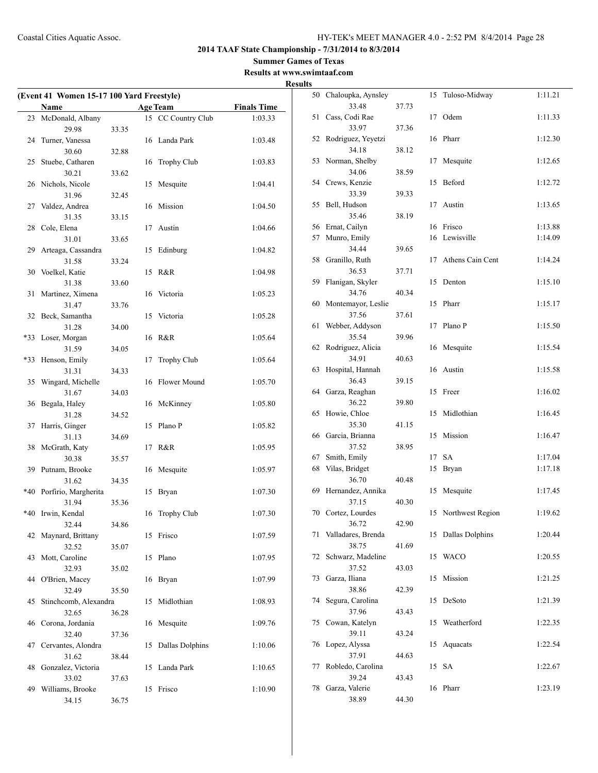**Summer Games of Texas Results at www.swimtaaf.com**

**Results**

|     | (Event 41 Women 15-17 100 Yard Freestyle)<br>Name |       |    | <b>Age Team</b>        | <b>Finals Time</b> |
|-----|---------------------------------------------------|-------|----|------------------------|--------------------|
| 23  | McDonald, Albany                                  |       |    | 15 CC Country Club     | 1:03.33            |
|     | 29.98                                             | 33.35 |    |                        |                    |
| 24  | Turner, Vanessa                                   |       | 16 | Landa Park             | 1:03.48            |
|     | 30.60                                             | 32.88 |    |                        |                    |
| 25  | Stuebe, Catharen                                  |       | 16 | Trophy Club            | 1:03.83            |
|     | 30.21                                             | 33.62 |    |                        |                    |
| 26  | Nichols, Nicole                                   |       | 15 | Mesquite               | 1:04.41            |
|     | 31.96                                             | 32.45 |    |                        |                    |
| 27  | Valdez, Andrea                                    |       | 16 | Mission                | 1:04.50            |
|     | 31.35                                             | 33.15 |    |                        |                    |
| 28  | Cole, Elena                                       |       | 17 | Austin                 | 1:04.66            |
|     | 31.01                                             | 33.65 |    |                        |                    |
| 29  | Arteaga, Cassandra                                |       | 15 | Edinburg               | 1:04.82            |
|     | 31.58                                             | 33.24 |    |                        |                    |
| 30  | Voelkel, Katie                                    |       | 15 | R&R                    | 1:04.98            |
|     | 31.38                                             | 33.60 |    |                        |                    |
| 31  | Martinez, Ximena                                  |       | 16 | Victoria               | 1:05.23            |
|     | 31.47                                             | 33.76 |    |                        |                    |
| 32  | Beck, Samantha                                    |       | 15 | Victoria               | 1:05.28            |
|     | 31.28                                             | 34.00 |    |                        |                    |
| *33 | Loser, Morgan                                     |       | 16 | R&R                    | 1:05.64            |
|     | 31.59                                             | 34.05 |    |                        |                    |
| *33 | Henson, Emily                                     |       | 17 | <b>Trophy Club</b>     | 1:05.64            |
|     | 31.31                                             | 34.33 |    |                        |                    |
| 35  | Wingard, Michelle                                 |       | 16 | Flower Mound           | 1:05.70            |
|     | 31.67                                             | 34.03 |    |                        |                    |
| 36  | Begala, Haley                                     |       | 16 | McKinney               | 1:05.80            |
|     | 31.28                                             | 34.52 |    |                        |                    |
| 37  | Harris, Ginger                                    |       | 15 | Plano P                | 1:05.82            |
| 38  | 31.13                                             | 34.69 | 17 | R&R                    |                    |
|     | McGrath, Katy<br>30.38                            | 35.57 |    |                        | 1:05.95            |
| 39  | Putnam, Brooke                                    |       | 16 | Mesquite               | 1:05.97            |
|     | 31.62                                             | 34.35 |    |                        |                    |
| *40 | Porfirio, Margherita                              |       | 15 | Bryan                  | 1:07.30            |
|     | 31.94                                             | 35.36 |    |                        |                    |
| *40 | Irwin, Kendal                                     |       | 16 | <b>Trophy Club</b>     | 1:07.30            |
|     | 32.44                                             | 34.86 |    |                        |                    |
| 42  | Maynard, Brittany                                 |       | 15 | Frisco                 | 1:07.59            |
|     | 32.52                                             | 35.07 |    |                        |                    |
| 43  | Mott, Caroline                                    |       | 15 | Plano                  | 1:07.95            |
|     | 32.93                                             | 35.02 |    |                        |                    |
| 44  | O'Brien, Macey                                    |       | 16 | Bryan                  | 1:07.99            |
|     | 32.49                                             | 35.50 |    |                        |                    |
| 45  | Stinchcomb, Alexandra                             |       | 15 | Midlothian             | 1:08.93            |
|     | 32.65                                             | 36.28 |    |                        |                    |
| 46  | Corona, Jordania                                  |       | 16 | Mesquite               | 1:09.76            |
|     | 32.40                                             | 37.36 |    |                        |                    |
| 47  | Cervantes, Alondra                                |       | 15 | <b>Dallas Dolphins</b> | 1:10.06            |
|     | 31.62                                             | 38.44 |    |                        |                    |
| 48  | Gonzalez, Victoria                                |       | 15 | Landa Park             | 1:10.65            |
|     | 33.02                                             | 37.63 |    |                        |                    |
| 49  | Williams, Brooke                                  |       | 15 | Frisco                 | 1:10.90            |
|     | 34.15                                             | 36.75 |    |                        |                    |

| 50 | Chaloupka, Aynsley |       | 15 | Tuloso-Midway    | 1:11.21 |
|----|--------------------|-------|----|------------------|---------|
|    | 33.48              | 37.73 |    |                  |         |
| 51 | Cass, Codi Rae     |       | 17 | Odem             | 1:11.33 |
|    | 33.97              | 37.36 |    |                  |         |
| 52 | Rodriguez, Yeyetzi |       | 16 | Pharr            | 1:12.30 |
|    | 34.18              | 38.12 |    |                  |         |
| 53 | Norman, Shelby     |       | 17 | Mesquite         | 1:12.65 |
|    | 34.06              | 38.59 |    |                  |         |
| 54 | Crews, Kenzie      |       | 15 | Beford           | 1:12.72 |
|    | 33.39              | 39.33 |    |                  |         |
| 55 | Bell, Hudson       |       | 17 | Austin           | 1:13.65 |
|    | 35.46              | 38.19 |    |                  |         |
| 56 | Ernat, Cailyn      |       | 16 | Frisco           | 1:13.88 |
| 57 | Munro, Emily       |       | 16 | Lewisville       | 1:14.09 |
|    | 34.44              | 39.65 |    |                  |         |
| 58 | Granillo, Ruth     |       | 17 | Athens Cain Cent | 1:14.24 |
|    | 36.53              | 37.71 |    |                  |         |
| 59 | Flanigan, Skyler   |       | 15 | Denton           | 1:15.10 |
|    | 34.76              | 40.34 |    |                  |         |
| 60 | Montemayor, Leslie |       | 15 | Pharr            | 1:15.17 |
|    | 37.56              | 37.61 |    |                  |         |
| 61 | Webber, Addyson    |       | 17 | Plano P          | 1:15.50 |
|    | 35.54              | 39.96 |    |                  |         |
| 62 | Rodriguez, Alicia  |       | 16 | Mesquite         | 1:15.54 |
|    | 34.91              | 40.63 |    |                  |         |
| 63 | Hospital, Hannah   |       | 16 | Austin           | 1:15.58 |
|    | 36.43              | 39.15 |    |                  |         |
| 64 | Garza, Reaghan     |       | 15 | Freer            | 1:16.02 |
|    | 36.22              | 39.80 |    |                  |         |
| 65 | Howie, Chloe       |       | 15 | Midlothian       | 1:16.45 |
|    | 35.30              | 41.15 |    |                  |         |
| 66 | Garcia, Brianna    |       | 15 | Mission          | 1:16.47 |
|    | 37.52              | 38.95 |    |                  |         |
| 67 | Smith, Emily       |       | 17 | <b>SA</b>        | 1:17.04 |
| 68 | Vilas, Bridget     |       | 15 | Bryan            | 1:17.18 |
|    | 36.70              | 40.48 |    |                  |         |
| 69 | Hernandez, Annika  |       | 15 | Mesquite         | 1:17.45 |
|    | 37.15              | 40.30 |    |                  |         |
| 70 | Cortez, Lourdes    |       | 15 | Northwest Region | 1:19.62 |
|    | 36.72              | 42.90 |    |                  |         |
| 71 | Valladares, Brenda |       | 15 | Dallas Dolphins  | 1:20.44 |
|    | 38.75              | 41.69 |    |                  |         |
| 72 | Schwarz, Madeline  |       | 15 | WACO             | 1:20.55 |
|    | 37.52              | 43.03 |    |                  |         |
| 73 | Garza, Iliana      |       | 15 | Mission          | 1:21.25 |
|    | 38.86              | 42.39 |    |                  |         |
| 74 | Segura, Carolina   |       | 15 | DeSoto           | 1:21.39 |
|    | 37.96              | 43.43 |    |                  |         |
| 75 | Cowan, Katelyn     |       | 15 | Weatherford      | 1:22.35 |
|    | 39.11              | 43.24 |    |                  |         |
| 76 | Lopez, Alyssa      |       | 15 | Aquacats         | 1:22.54 |
|    | 37.91              | 44.63 |    |                  |         |
| 77 | Robledo, Carolina  |       | 15 | SА               | 1:22.67 |
|    | 39.24              | 43.43 |    |                  |         |
| 78 | Garza, Valerie     |       | 16 | Pharr            | 1:23.19 |
|    | 38.89              |       |    |                  |         |
|    |                    | 44.30 |    |                  |         |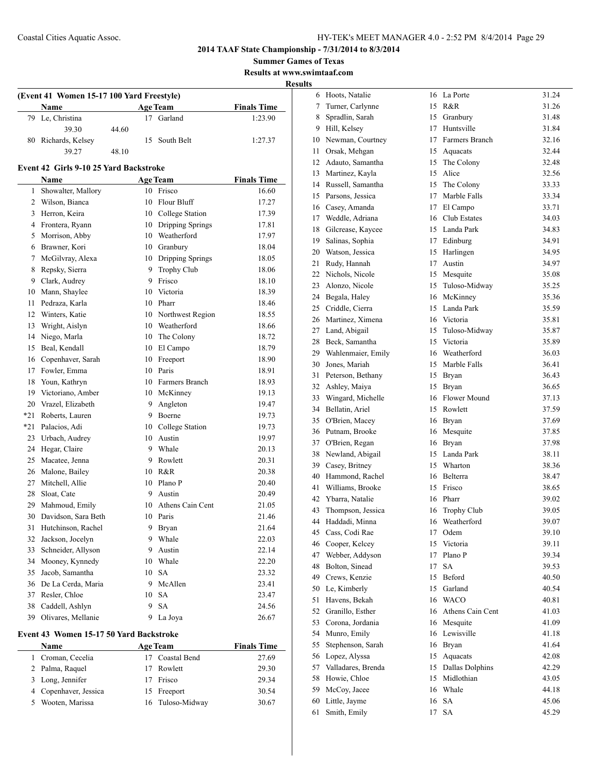**Summer Games of Texas Results at www.swimtaaf.com**

**Results**

|          | (Event 41 Women 15-17 100 Yard Freestyle) |       |          |                     |                    |  |
|----------|-------------------------------------------|-------|----------|---------------------|--------------------|--|
|          | Name                                      |       |          | <b>Age Team</b>     | <b>Finals Time</b> |  |
| 79       | Le, Christina                             |       |          | 17 Garland          | 1:23.90            |  |
|          | 39.30                                     | 44.60 |          |                     |                    |  |
| 80       | Richards, Kelsev                          |       | 15       | South Belt          | 1:27.37            |  |
|          | 39.27                                     | 48.10 |          |                     |                    |  |
|          | Event 42 Girls 9-10 25 Yard Backstroke    |       |          |                     |                    |  |
|          | Name                                      |       |          | <b>Age Team</b>     | <b>Finals Time</b> |  |
| 1        | Showalter, Mallory                        |       |          | 10 Frisco           | 16.60              |  |
|          | 2 Wilson, Bianca                          |       | 10       | Flour Bluff         | 17.27              |  |
| 3        | Herron, Keira                             |       |          | 10 College Station  | 17.39              |  |
|          | 4 Frontera, Ryann                         |       |          | 10 Dripping Springs | 17.81              |  |
| 5        | Morrison, Abby                            |       |          | 10 Weatherford      | 17.97              |  |
| 6        | Brawner, Kori                             |       |          | 10 Granbury         | 18.04              |  |
| 7        | McGilvray, Alexa                          |       |          | 10 Dripping Springs | 18.05              |  |
| 8        | Repsky, Sierra                            |       |          | 9 Trophy Club       | 18.06              |  |
|          | 9 Clark, Audrey                           |       |          | 9 Frisco            | 18.10              |  |
|          | 10 Mann, Shaylee                          |       |          | 10 Victoria         | 18.39              |  |
| 11       | Pedraza, Karla                            |       |          | 10 Pharr            | 18.46              |  |
| 12       | Winters, Katie                            |       |          | 10 Northwest Region | 18.55              |  |
| 13       | Wright, Aislyn                            |       |          | 10 Weatherford      | 18.66              |  |
| 14       | Niego, Marla                              |       |          | 10 The Colony       | 18.72              |  |
| 15       | Beal, Kendall                             |       |          | 10 El Campo         | 18.79              |  |
|          | 16 Copenhaver, Sarah                      |       |          | 10 Freeport         | 18.90              |  |
|          | 17 Fowler, Emma                           |       |          | 10 Paris            | 18.91              |  |
| 18       | Youn, Kathryn                             |       |          | 10 Farmers Branch   | 18.93              |  |
|          | 19 Victoriano, Amber                      |       |          | 10 McKinney         | 19.13              |  |
|          | 20 Vrazel, Elizabeth                      |       |          | 9 Angleton          | 19.47              |  |
| $*21$    | Roberts, Lauren                           |       |          | 9 Boerne            | 19.73              |  |
| $*21$    | Palacios, Adi                             |       |          | 10 College Station  | 19.73              |  |
| 23       | Urbach, Audrey                            |       |          | 10 Austin           | 19.97              |  |
| 24       | Hegar, Claire                             |       |          | 9 Whale             | 20.13              |  |
| 25       | Macatee, Jenna                            |       | 9.       | Rowlett             | 20.31              |  |
| 26       | Malone, Bailey                            |       |          | 10 R&R              | 20.38              |  |
| 27       | Mitchell, Allie                           |       | 10       | Plano P             | 20.40              |  |
| 28       | Sloat, Cate                               |       | 9        | Austin              | 20.49              |  |
| 29       | Mahmoud, Emily                            |       | 10       | Athens Cain Cent    | 21.05              |  |
| 30       | Davidson, Sara Beth                       |       |          | 10 Paris            | 21.46              |  |
| 31       |                                           |       | 9        |                     |                    |  |
| 32       | Hutchinson, Rachel<br>Jackson, Jocelyn    |       | 9        | Bryan<br>Whale      | 21.64<br>22.03     |  |
| 33       | Schneider, Allyson                        |       | 9        | Austin              | 22.14              |  |
| 34       | Mooney, Kynnedy                           |       |          | 10 Whale            | 22.20              |  |
|          | Jacob, Samantha                           |       |          | <b>SA</b>           |                    |  |
| 35<br>36 | De La Cerda, Maria                        |       | 10<br>9. | McAllen             | 23.32              |  |
| 37       | Resler, Chloe                             |       | 10       | SA                  | 23.41<br>23.47     |  |
| 38       |                                           |       | 9        | <b>SA</b>           |                    |  |
| 39       | Caddell, Ashlyn<br>Olivares, Mellanie     |       | 9        |                     | 24.56              |  |
|          |                                           |       |          | La Joya             | 26.67              |  |
|          | Event 43 Women 15-17 50 Yard Backstroke   |       |          |                     |                    |  |
|          | Name                                      |       |          | <b>Age Team</b>     | <b>Finals Time</b> |  |

| <b>Name</b>           | Age Team         | <b>Finals</b> Time |
|-----------------------|------------------|--------------------|
| 1 Croman, Cecelia     | 17 Coastal Bend  | 27.69              |
| 2 Palma, Raquel       | 17 Rowlett       | 29.30              |
| 3 Long, Jennifer      | 17 Frisco        | 29.34              |
| 4 Copenhaver, Jessica | 15 Freeport      | 30.54              |
| 5 Wooten, Marissa     | 16 Tuloso-Midway | 30.67              |
|                       |                  |                    |

| 6  | Hoots, Natalie     | 16 | La Porte         | 31.24 |
|----|--------------------|----|------------------|-------|
| 7  | Turner, Carlynne   | 15 | R&R              | 31.26 |
| 8  | Spradlin, Sarah    | 15 | Granbury         | 31.48 |
| 9  | Hill, Kelsey       | 17 | Huntsville       | 31.84 |
| 10 | Newman, Courtney   | 17 | Farmers Branch   | 32.16 |
| 11 | Orsak, Mehgan      | 15 | Aquacats         | 32.44 |
| 12 | Adauto, Samantha   | 15 | The Colony       | 32.48 |
| 13 | Martinez, Kayla    | 15 | Alice            | 32.56 |
| 14 | Russell, Samantha  | 15 | The Colony       | 33.33 |
| 15 | Parsons, Jessica   | 17 | Marble Falls     | 33.34 |
| 16 | Casey, Amanda      | 17 | El Campo         | 33.71 |
| 17 | Weddle, Adriana    | 16 | Club Estates     | 34.03 |
| 18 | Gilcrease, Kaycee  | 15 | Landa Park       | 34.83 |
| 19 | Salinas, Sophia    | 17 | Edinburg         | 34.91 |
| 20 | Watson, Jessica    | 15 | Harlingen        | 34.95 |
| 21 | Rudy, Hannah       | 17 | Austin           | 34.97 |
| 22 | Nichols, Nicole    | 15 | Mesquite         | 35.08 |
| 23 | Alonzo, Nicole     | 15 | Tuloso-Midway    | 35.25 |
| 24 | Begala, Haley      | 16 | McKinney         | 35.36 |
| 25 | Criddle, Cierra    | 15 | Landa Park       | 35.59 |
| 26 | Martinez, Ximena   | 16 | Victoria         | 35.81 |
| 27 | Land, Abigail      | 15 | Tuloso-Midway    | 35.87 |
| 28 | Beck, Samantha     | 15 | Victoria         | 35.89 |
| 29 | Wahlenmaier, Emily | 16 | Weatherford      | 36.03 |
| 30 | Jones, Mariah      | 15 | Marble Falls     | 36.41 |
| 31 | Peterson, Bethany  | 15 | Bryan            | 36.43 |
| 32 | Ashley, Maiya      | 15 | <b>Bryan</b>     | 36.65 |
| 33 | Wingard, Michelle  | 16 | Flower Mound     | 37.13 |
| 34 | Bellatin, Ariel    | 15 | Rowlett          | 37.59 |
| 35 | O'Brien, Macey     | 16 | Bryan            | 37.69 |
| 36 | Putnam, Brooke     | 16 | Mesquite         | 37.85 |
| 37 | O'Brien, Regan     | 16 | Bryan            | 37.98 |
| 38 | Newland, Abigail   | 15 | Landa Park       | 38.11 |
| 39 | Casey, Britney     | 15 | Wharton          | 38.36 |
| 40 | Hammond, Rachel    | 16 | Belterra         | 38.47 |
| 41 | Williams, Brooke   | 15 | Frisco           | 38.65 |
| 42 | Ybarra, Natalie    | 16 | Pharr            | 39.02 |
| 43 | Thompson, Jessica  | 16 | Trophy Club      | 39.05 |
| 44 | Haddadi, Minna     | 16 | Weatherford      | 39.07 |
| 45 | Cass, Codi Rae     | 17 | Odem             | 39.10 |
| 46 | Cooper, Kelcey     | 15 | Victoria         | 39.11 |
| 47 |                    | 17 | Plano P          |       |
|    | Webber, Addyson    |    |                  | 39.34 |
| 48 | Bolton, Sinead     | 17 | SA               | 39.53 |
| 49 | Crews, Kenzie      | 15 | Beford           | 40.50 |
| 50 | Le, Kimberly       | 15 | Garland          | 40.54 |
| 51 | Havens, Bekah      | 16 | <b>WACO</b>      | 40.81 |
| 52 | Granillo, Esther   | 16 | Athens Cain Cent | 41.03 |
| 53 | Corona, Jordania   | 16 | Mesquite         | 41.09 |
| 54 | Munro, Emily       | 16 | Lewisville       | 41.18 |
| 55 | Stephenson, Sarah  | 16 | Bryan            | 41.64 |
| 56 | Lopez, Alyssa      | 15 | Aquacats         | 42.08 |
| 57 | Valladares, Brenda | 15 | Dallas Dolphins  | 42.29 |
| 58 | Howie, Chloe       | 15 | Midlothian       | 43.05 |
| 59 | McCoy, Jacee       | 16 | Whale            | 44.18 |
| 60 | Little, Jayme      | 16 | <b>SA</b>        | 45.06 |
| 61 | Smith, Emily       | 17 | SA               | 45.29 |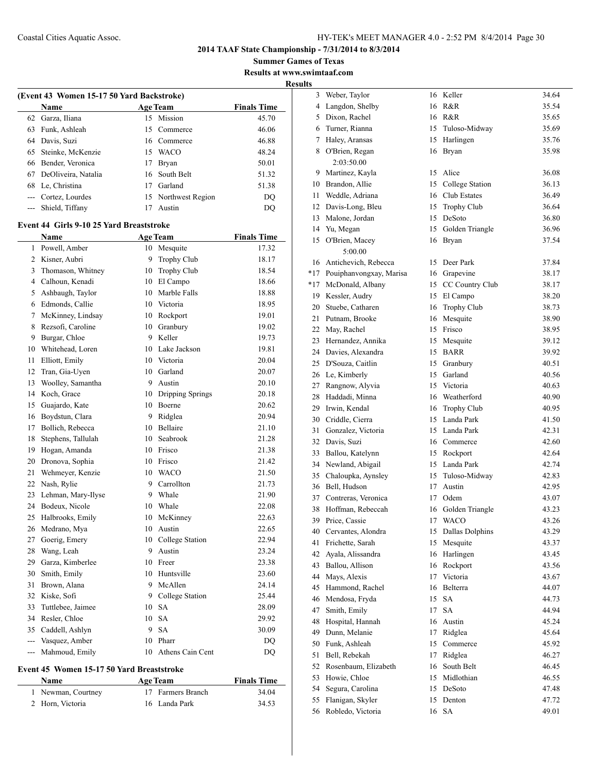**Summer Games of Texas Results at www.swimtaaf.com**

**Results**

|                | (Event 43 Women 15-17 50 Yard Backstroke)       |    |                     |                    |  |  |
|----------------|-------------------------------------------------|----|---------------------|--------------------|--|--|
|                | Name                                            |    | <b>Age Team</b>     | <b>Finals Time</b> |  |  |
| 62             | Garza, Iliana                                   | 15 | Mission             | 45.70              |  |  |
| 63             | Funk, Ashleah                                   | 15 | Commerce            | 46.06              |  |  |
| 64             | Davis, Suzi                                     |    | 16 Commerce         | 46.88              |  |  |
| 65             | Steinke, McKenzie                               |    | 15 WACO             | 48.24              |  |  |
| 66             | Bender, Veronica                                |    | 17 Bryan            | 50.01              |  |  |
| 67             | DeOliveira, Natalia                             | 16 | South Belt          | 51.32              |  |  |
| 68             | Le, Christina                                   |    | 17 Garland          | 51.38              |  |  |
|                | --- Cortez, Lourdes                             |    | 15 Northwest Region | DQ                 |  |  |
|                | --- Shield, Tiffany                             | 17 | Austin              | DQ                 |  |  |
|                |                                                 |    |                     |                    |  |  |
|                | <b>Event 44 Girls 9-10 25 Yard Breaststroke</b> |    |                     |                    |  |  |
|                | Name                                            |    | <b>Age Team</b>     | <b>Finals Time</b> |  |  |
| 1              | Powell, Amber                                   |    | 10 Mesquite         | 17.32              |  |  |
|                | 2 Kisner, Aubri                                 | 9  | <b>Trophy Club</b>  | 18.17              |  |  |
| 3              | Thomason, Whitney                               |    | 10 Trophy Club      | 18.54              |  |  |
|                | 4 Calhoun, Kenadi                               |    | 10 El Campo         | 18.66              |  |  |
| 5              | Ashbaugh, Taylor                                |    | 10 Marble Falls     | 18.88              |  |  |
| 6              | Edmonds, Callie                                 |    | 10 Victoria         | 18.95              |  |  |
| 7              | McKinney, Lindsay                               |    | 10 Rockport         | 19.01              |  |  |
| 8              | Rezsofi, Caroline                               |    | 10 Granbury         | 19.02              |  |  |
| 9              | Burgar, Chloe                                   |    | 9 Keller            | 19.73              |  |  |
| 10             | Whitehead, Loren                                |    | 10 Lake Jackson     | 19.81              |  |  |
| 11             | Elliott, Emily                                  |    | 10 Victoria         | 20.04              |  |  |
| 12             | Tran, Gia-Uyen                                  |    | 10 Garland          | 20.07              |  |  |
| 13             | Woolley, Samantha                               | 9  | Austin              | 20.10              |  |  |
| 14             | Koch, Grace                                     |    | 10 Dripping Springs | 20.18              |  |  |
| 15             | Guajardo, Kate                                  |    | 10 Boerne           | 20.62              |  |  |
| 16             | Boydstun, Clara                                 | 9  | Ridglea             | 20.94              |  |  |
| 17             | Bollich, Rebecca                                |    | 10 Bellaire         | 21.10              |  |  |
| 18             | Stephens, Tallulah                              |    | 10 Seabrook         | 21.28              |  |  |
| 19             | Hogan, Amanda                                   |    | 10 Frisco           | 21.38              |  |  |
| 20             | Dronova, Sophia                                 |    | 10 Frisco           | 21.42              |  |  |
| 21             | Wehmeyer, Kenzie                                |    | 10 WACO             | 21.50              |  |  |
| 22             | Nash, Rylie                                     |    | 9 Carrollton        | 21.73              |  |  |
| 23             | Lehman, Mary-Ilyse                              |    | 9 Whale             | 21.90              |  |  |
| 24             | Bodeux, Nicole                                  |    | 10 Whale            | 22.08              |  |  |
| 25             | Halbrooks, Emily                                | 10 | McKinney            | 22.63              |  |  |
| 26             | Medrano, Mya                                    | 10 | Austin              | 22.65              |  |  |
| 27             | Goerig, Emery                                   | 10 | College Station     | 22.94              |  |  |
| 28             | Wang, Leah                                      | 9  | Austin              | 23.24              |  |  |
| 29             | Garza, Kimberlee                                | 10 | Freer               | 23.38              |  |  |
| 30             | Smith, Emily                                    |    | 10 Huntsville       | 23.60              |  |  |
| 31             | Brown, Alana                                    | 9  | McAllen             | 24.14              |  |  |
| 32             | Kiske, Sofi                                     |    | 9 College Station   | 25.44              |  |  |
| 33             | Tuttlebee, Jaimee                               | 10 | SA                  | 28.09              |  |  |
| 34             | Resler, Chloe                                   | 10 | <b>SA</b>           | 29.92              |  |  |
| 35             | Caddell, Ashlyn                                 | 9. | SA                  | 30.09              |  |  |
| $\overline{a}$ | Vasquez, Amber                                  |    | 10 Pharr            | DQ                 |  |  |
| $--$           | Mahmoud, Emily                                  | 10 | Athens Cain Cent    | <b>DQ</b>          |  |  |
|                |                                                 |    |                     |                    |  |  |

#### **Event 45 Women 15-17 50 Yard Breaststroke**

| <b>Name</b>        | <b>Age Team</b>   | <b>Finals Time</b> |
|--------------------|-------------------|--------------------|
| 1 Newman, Courtney | 17 Farmers Branch | 34.04              |
| 2 Horn, Victoria   | 16 Landa Park     | 34.53              |

| 3   | Weber, Taylor           | 16 | Keller                 | 34.64 |
|-----|-------------------------|----|------------------------|-------|
| 4   | Langdon, Shelby         | 16 | R&R                    | 35.54 |
| 5   | Dixon, Rachel           | 16 | R&R                    | 35.65 |
| 6   | Turner, Rianna          | 15 | Tuloso-Midway          | 35.69 |
| 7   | Haley, Aransas          | 15 | Harlingen              | 35.76 |
| 8   | O'Brien, Regan          | 16 | Bryan                  | 35.98 |
|     | 2:03:50.00              |    |                        |       |
| 9   | Martinez, Kayla         | 15 | Alice                  | 36.08 |
| 10  | Brandon, Allie          | 15 | College Station        | 36.13 |
| 11  | Weddle, Adriana         | 16 | Club Estates           | 36.49 |
| 12  | Davis-Long, Bleu        | 15 | Trophy Club            | 36.64 |
| 13  | Malone, Jordan          | 15 | DeSoto                 | 36.80 |
| 14  | Yu, Megan               | 15 | Golden Triangle        | 36.96 |
| 15  | O'Brien, Macey          | 16 | Bryan                  | 37.54 |
|     | 5:00.00                 |    |                        |       |
| 16  | Antichevich, Rebecca    | 15 | Deer Park              | 37.84 |
| *17 | Pouiphanvongxay, Marisa |    | 16 Grapevine           | 38.17 |
| *17 | McDonald, Albany        | 15 | CC Country Club        | 38.17 |
| 19  | Kessler, Audry          | 15 | El Campo               | 38.20 |
| 20  | Stuebe, Catharen        | 16 | Trophy Club            | 38.73 |
| 21  | Putnam, Brooke          | 16 | Mesquite               | 38.90 |
| 22  | May, Rachel             | 15 | Frisco                 | 38.95 |
| 23  | Hernandez, Annika       | 15 | Mesquite               | 39.12 |
| 24  | Davies, Alexandra       | 15 | <b>BARR</b>            | 39.92 |
| 25  | D'Souza, Caitlin        | 15 | Granbury               | 40.51 |
| 26  | Le, Kimberly            | 15 | Garland                | 40.56 |
| 27  | Rangnow, Alyvia         | 15 | Victoria               | 40.63 |
| 28  | Haddadi, Minna          |    | 16 Weatherford         | 40.90 |
| 29  | Irwin, Kendal           | 16 | <b>Trophy Club</b>     | 40.95 |
| 30  | Criddle, Cierra         | 15 | Landa Park             | 41.50 |
| 31  | Gonzalez, Victoria      | 15 | Landa Park             | 42.31 |
| 32  | Davis, Suzi             | 16 | Commerce               | 42.60 |
| 33  | Ballou, Katelynn        | 15 | Rockport               | 42.64 |
| 34  | Newland, Abigail        | 15 | Landa Park             | 42.74 |
| 35  | Chaloupka, Aynsley      | 15 | Tuloso-Midway          | 42.83 |
| 36  | Bell, Hudson            | 17 | Austin                 | 42.95 |
| 37  | Contreras, Veronica     | 17 | Odem                   | 43.07 |
| 38  | Hoffman, Rebeccah       | 16 | Golden Triangle        | 43.23 |
| 39  | Price, Cassie           | 17 | <b>WACO</b>            | 43.26 |
| 40  | Cervantes, Alondra      | 15 | <b>Dallas Dolphins</b> | 43.29 |
| 41  | Frichette, Sarah        | 15 | Mesquite               | 43.37 |
| 42  | Ayala, Alissandra       | 16 | Harlingen              | 43.45 |
| 43  | Ballou, Allison         | 16 | Rockport               | 43.56 |
| 44  | Mays, Alexis            | 17 | Victoria               | 43.67 |
| 45  | Hammond, Rachel         | 16 | Belterra               | 44.07 |
| 46  | Mendosa, Fryda          | 15 | <b>SA</b>              | 44.73 |
| 47  | Smith, Emily            | 17 | SA                     | 44.94 |
| 48  | Hospital, Hannah        | 16 | Austin                 | 45.24 |
| 49  | Dunn, Melanie           | 17 | Ridglea                | 45.64 |
| 50  | Funk, Ashleah           | 15 | Commerce               | 45.92 |
| 51  | Bell, Rebekah           | 17 | Ridglea                | 46.27 |
| 52  | Rosenbaum, Elizabeth    | 16 | South Belt             | 46.45 |
| 53  | Howie, Chloe            | 15 | Midlothian             | 46.55 |
| 54  | Segura, Carolina        | 15 | DeSoto                 | 47.48 |
| 55  | Flanigan, Skyler        | 15 | Denton                 | 47.72 |
| 56  | Robledo, Victoria       |    | 16 SA                  | 49.01 |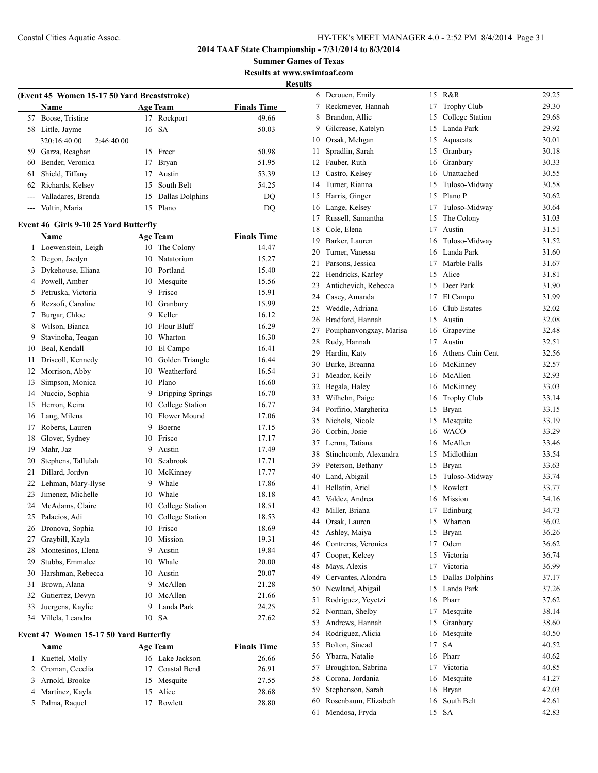**Summer Games of Texas Results at www.swimtaaf.com**

**Results**

|    | (Event 45 Women 15-17 50 Yard Breaststroke) |    |                    |                    |  |  |
|----|---------------------------------------------|----|--------------------|--------------------|--|--|
|    | Name                                        |    | <b>Age Team</b>    | <b>Finals Time</b> |  |  |
| 57 | Boose, Tristine                             | 17 | Rockport           | 49.66              |  |  |
|    | 58 Little, Jayme                            | 16 | <b>SA</b>          | 50.03              |  |  |
|    | 320:16:40.00<br>2:46:40.00                  |    |                    |                    |  |  |
|    | 59 Garza, Reaghan                           | 15 | Freer              | 50.98              |  |  |
| 60 | Bender, Veronica                            | 17 | Bryan              | 51.95              |  |  |
| 61 | Shield, Tiffany                             |    | 17 Austin          | 53.39              |  |  |
|    | 62 Richards, Kelsey                         |    | 15 South Belt      | 54.25              |  |  |
|    | --- Valladares, Brenda                      | 15 | Dallas Dolphins    | DQ                 |  |  |
|    | --- Voltin, Maria                           | 15 | Plano              | <b>DQ</b>          |  |  |
|    | Event 46 Girls 9-10 25 Yard Butterfly       |    |                    |                    |  |  |
|    | Name                                        |    | <b>Age Team</b>    | <b>Finals Time</b> |  |  |
| 1  | Loewenstein, Leigh                          | 10 | The Colony         | 14.47              |  |  |
| 2  | Degon, Jaedyn                               | 10 | Natatorium         | 15.27              |  |  |
| 3  | Dykehouse, Eliana                           |    | 10 Portland        | 15.40              |  |  |
|    | 4 Powell, Amber                             |    | 10 Mesquite        | 15.56              |  |  |
| 5  | Petruska, Victoria                          |    | 9 Frisco           | 15.91              |  |  |
|    | 6 Rezsofi, Caroline                         |    | 10 Granbury        | 15.99              |  |  |
| 7  | Burgar, Chloe                               |    | 9 Keller           | 16.12              |  |  |
| 8  | Wilson, Bianca                              |    | 10 Flour Bluff     | 16.29              |  |  |
| 9  | Stavinoha, Teagan                           |    | 10 Wharton         | 16.30              |  |  |
| 10 | Beal, Kendall                               |    | 10 El Campo        | 16.41              |  |  |
| 11 | Driscoll, Kennedy                           |    | 10 Golden Triangle | 16.44              |  |  |
| 12 | Morrison, Abby                              |    | 10 Weatherford     | 16.54              |  |  |
| 13 | Simpson, Monica                             |    | 10 Plano           | 16.60              |  |  |
| 14 | Nuccio, Sophia                              |    | 9 Dripping Springs | 16.70              |  |  |
| 15 | Herron, Keira                               |    | 10 College Station | 16.77              |  |  |
| 16 | Lang, Milena                                |    | 10 Flower Mound    | 17.06              |  |  |
| 17 | Roberts, Lauren                             | 9. | Boerne             | 17.15              |  |  |
| 18 | Glover, Sydney                              |    | 10 Frisco          | 17.17              |  |  |
| 19 | Mahr, Jaz                                   |    | 9 Austin           | 17.49              |  |  |
| 20 | Stephens, Tallulah                          |    | 10 Seabrook        | 17.71              |  |  |
| 21 | Dillard, Jordyn                             |    | 10 McKinney        | 17.77              |  |  |
| 22 | Lehman, Mary-Ilyse                          |    | 9 Whale            | 17.86              |  |  |
| 23 | Jimenez, Michelle                           |    | 10 Whale           | 18.18              |  |  |
| 24 | McAdams, Claire                             | 10 | College Station    | 18.51              |  |  |
| 25 | Palacios, Adi                               | 10 | College Station    | 18.53              |  |  |
| 26 | Dronova, Sophia                             | 10 | Frisco             | 18.69              |  |  |
| 27 | Graybill, Kayla                             | 10 | Mission            | 19.31              |  |  |
| 28 | Montesinos, Elena                           | 9  | Austin             | 19.84              |  |  |
| 29 | Stubbs, Emmalee                             | 10 | Whale              | 20.00              |  |  |
| 30 | Harshman, Rebecca                           | 10 | Austin             | 20.07              |  |  |
| 31 | Brown, Alana                                |    | 9 McAllen          | 21.28              |  |  |
| 32 | Gutierrez, Devyn                            |    | 10 McAllen         | 21.66              |  |  |
| 33 | Juergens, Kaylie                            | 9  | Landa Park         | 24.25              |  |  |
| 34 | Villela, Leandra                            | 10 | SA                 | 27.62              |  |  |
|    |                                             |    |                    |                    |  |  |

## **Event 47 Women 15-17 50 Yard Butterfly**

| <b>Name</b>       | <b>Age Team</b> | <b>Finals Time</b> |
|-------------------|-----------------|--------------------|
| 1 Kuettel, Molly  | 16 Lake Jackson | 26.66              |
| 2 Croman, Cecelia | 17 Coastal Bend | 26.91              |
| 3 Arnold, Brooke  | 15 Mesquite     | 27.55              |
| 4 Martinez, Kayla | 15 Alice        | 28.68              |
| 5 Palma, Raquel   | 17 Rowlett      | 28.80              |

| 6        | Derouen, Emily                | 15 | R&R                | 29.25 |
|----------|-------------------------------|----|--------------------|-------|
| 7        | Reckmeyer, Hannah             | 17 | <b>Trophy Club</b> | 29.30 |
| 8        | Brandon, Allie                | 15 | College Station    | 29.68 |
| 9        | Gilcrease, Katelyn            | 15 | Landa Park         | 29.92 |
| 10       | Orsak, Mehgan                 | 15 | Aquacats           | 30.01 |
| 11       | Spradlin, Sarah               | 15 | Granbury           | 30.18 |
| 12       | Fauber, Ruth                  | 16 | Granbury           | 30.33 |
| 13       | Castro, Kelsey                | 16 | Unattached         | 30.55 |
| 14       | Turner, Rianna                | 15 | Tuloso-Midway      | 30.58 |
| 15       | Harris, Ginger                | 15 | Plano P            | 30.62 |
| 16       | Lange, Kelsey                 | 17 | Tuloso-Midway      | 30.64 |
| 17       | Russell, Samantha             | 15 | The Colony         | 31.03 |
|          |                               | 17 | Austin             | 31.51 |
| 18<br>19 | Cole, Elena<br>Barker, Lauren | 16 |                    | 31.52 |
|          |                               |    | Tuloso-Midway      |       |
| 20       | Turner, Vanessa               | 16 | Landa Park         | 31.60 |
| 21       | Parsons, Jessica              | 17 | Marble Falls       | 31.67 |
| 22       | Hendricks, Karley             | 15 | Alice              | 31.81 |
| 23       | Antichevich, Rebecca          | 15 | Deer Park          | 31.90 |
| 24       | Casey, Amanda                 | 17 | El Campo           | 31.99 |
| 25       | Weddle, Adriana               | 16 | Club Estates       | 32.02 |
| 26       | Bradford, Hannah              | 15 | Austin             | 32.08 |
| 27       | Pouiphanvongxay, Marisa       | 16 | Grapevine          | 32.48 |
| 28       | Rudy, Hannah                  | 17 | Austin             | 32.51 |
| 29       | Hardin, Katy                  | 16 | Athens Cain Cent   | 32.56 |
| 30       | Burke, Breanna                | 16 | McKinney           | 32.57 |
| 31       | Meador, Keily                 | 16 | McAllen            | 32.93 |
| 32       | Begala, Haley                 | 16 | McKinney           | 33.03 |
| 33       | Wilhelm, Paige                | 16 | Trophy Club        | 33.14 |
| 34       | Porfirio, Margherita          | 15 | Bryan              | 33.15 |
| 35       | Nichols, Nicole               | 15 | Mesquite           | 33.19 |
| 36       | Corbin, Josie                 | 16 | <b>WACO</b>        | 33.29 |
| 37       | Lerma, Tatiana                | 16 | McAllen            | 33.46 |
| 38       | Stinchcomb, Alexandra         | 15 | Midlothian         | 33.54 |
| 39       | Peterson, Bethany             | 15 | Bryan              | 33.63 |
| 40       | Land, Abigail                 | 15 | Tuloso-Midway      | 33.74 |
| 41       | Bellatin, Ariel               | 15 | Rowlett            | 33.77 |
| 42       | Valdez, Andrea                | 16 | Mission            | 34.16 |
| 43       | Miller, Briana                | 17 | Edinburg           | 34.73 |
| 44       | Orsak, Lauren                 | 15 | Wharton            | 36.02 |
| 45       | Ashley, Maiya                 | 15 | Bryan              | 36.26 |
| 46       | Contreras, Veronica           | 17 | Odem               | 36.62 |
| 47       | Cooper, Kelcey                | 15 | Victoria           | 36.74 |
| 48       | Mays, Alexis                  | 17 | Victoria           | 36.99 |
| 49       | Cervantes, Alondra            | 15 | Dallas Dolphins    | 37.17 |
| 50       | Newland, Abigail              | 15 | Landa Park         | 37.26 |
| 51       | Rodriguez, Yeyetzi            | 16 | Pharr              | 37.62 |
| 52       | Norman, Shelby                | 17 | Mesquite           | 38.14 |
| 53       | Andrews, Hannah               | 15 | Granbury           | 38.60 |
| 54       | Rodriguez, Alicia             | 16 | Mesquite           | 40.50 |
| 55       | Bolton, Sinead                | 17 | <b>SA</b>          | 40.52 |
| 56       | Ybarra, Natalie               | 16 | Pharr              | 40.62 |
| 57       | Broughton, Sabrina            | 17 | Victoria           | 40.85 |
| 58       | Corona, Jordania              | 16 | Mesquite           | 41.27 |
| 59       | Stephenson, Sarah             | 16 | Bryan              | 42.03 |
| 60       | Rosenbaum, Elizabeth          | 16 | South Belt         | 42.61 |
| 61       | Mendosa, Fryda                | 15 | SА                 | 42.83 |
|          |                               |    |                    |       |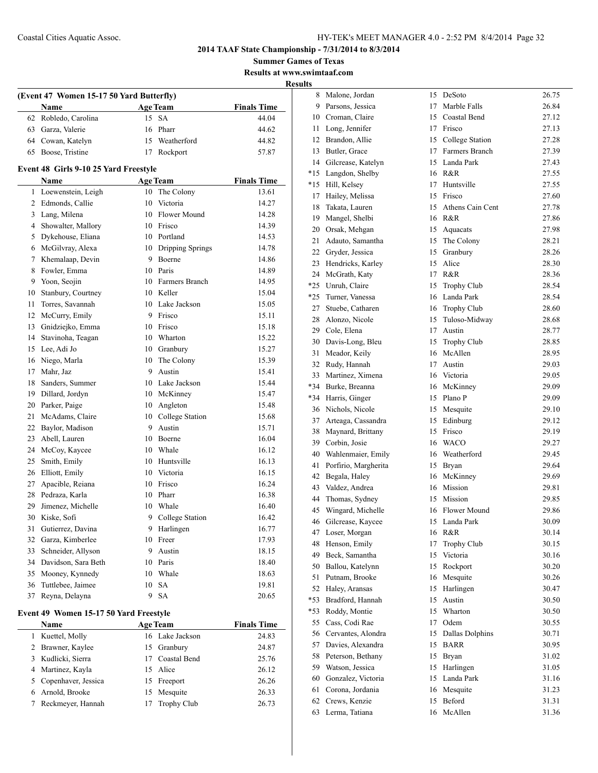**Summer Games of Texas Results at www.swimtaaf.com**

**Results**

|                | (Event 47 Women 15-17 50 Yard Butterfly)     |    |                     |                    |  |  |  |
|----------------|----------------------------------------------|----|---------------------|--------------------|--|--|--|
|                | Name                                         |    | <b>Age Team</b>     | <b>Finals Time</b> |  |  |  |
| 62             | Robledo, Carolina                            | 15 | <b>SA</b>           | 44.04              |  |  |  |
| 63             | Garza, Valerie                               | 16 | Pharr               | 44.62              |  |  |  |
|                | 64 Cowan, Katelyn                            | 15 | Weatherford         | 44.82              |  |  |  |
| 65             | Boose, Tristine                              |    | 17 Rockport         | 57.87              |  |  |  |
|                | <b>Event 48 Girls 9-10 25 Yard Freestyle</b> |    |                     |                    |  |  |  |
|                | Name                                         |    | <b>Age Team</b>     | <b>Finals Time</b> |  |  |  |
| 1              | Loewenstein, Leigh                           |    | 10 The Colony       | 13.61              |  |  |  |
| $\overline{2}$ | Edmonds, Callie                              | 10 | Victoria            | 14.27              |  |  |  |
| 3              | Lang, Milena                                 | 10 | <b>Flower Mound</b> | 14.28              |  |  |  |
| $\overline{4}$ | Showalter, Mallory                           |    | 10 Frisco           | 14.39              |  |  |  |
| 5              | Dykehouse, Eliana                            |    | 10 Portland         | 14.53              |  |  |  |
| 6              | McGilvray, Alexa                             |    | 10 Dripping Springs | 14.78              |  |  |  |
| 7              | Khemalaap, Devin                             |    | 9 Boerne            | 14.86              |  |  |  |
| 8              | Fowler, Emma                                 |    | 10 Paris            | 14.89              |  |  |  |
| 9              | Yoon, Seojin                                 |    | 10 Farmers Branch   | 14.95              |  |  |  |
| 10             | Stanbury, Courtney                           |    | 10 Keller           | 15.04              |  |  |  |
| 11             | Torres, Savannah                             | 10 | Lake Jackson        | 15.05              |  |  |  |
| 12             | McCurry, Emily                               | 9  | Frisco              | 15.11              |  |  |  |
| 13             | Gnidziejko, Emma                             | 10 | Frisco              | 15.18              |  |  |  |
| 14             | Stavinoha, Teagan                            |    | 10 Wharton          | 15.22              |  |  |  |
| 15             | Lee, Adi Jo                                  |    | 10 Granbury         | 15.27              |  |  |  |
| 16             | Niego, Marla                                 | 10 | The Colony          | 15.39              |  |  |  |
| 17             | Mahr, Jaz                                    |    | 9 Austin            | 15.41              |  |  |  |
| 18             | Sanders, Summer                              |    | 10 Lake Jackson     | 15.44              |  |  |  |
| 19             | Dillard, Jordyn                              |    | 10 McKinney         | 15.47              |  |  |  |
| 20             | Parker, Paige                                |    | 10 Angleton         | 15.48              |  |  |  |
| 21             | McAdams, Claire                              |    | 10 College Station  | 15.68              |  |  |  |
| 22             | Baylor, Madison                              | 9  | Austin              | 15.71              |  |  |  |
| 23             | Abell, Lauren                                | 10 | Boerne              | 16.04              |  |  |  |
| 24             | McCoy, Kaycee                                | 10 | Whale               | 16.12              |  |  |  |
| 25             | Smith, Emily                                 | 10 | Huntsville          | 16.13              |  |  |  |
| 26             | Elliott, Emily                               |    | 10 Victoria         | 16.15              |  |  |  |
| 27             | Apacible, Reiana                             |    | 10 Frisco           | 16.24              |  |  |  |
| 28             | Pedraza, Karla                               |    | 10 Pharr            | 16.38              |  |  |  |
| 29             | Jimenez, Michelle                            | 10 | Whale               | 16.40              |  |  |  |
| 30             | Kiske, Sofi                                  | 9  | College Station     | 16.42              |  |  |  |
| 31             | Gutierrez, Davina                            | 9  | Harlingen           | 16.77              |  |  |  |
| 32             | Garza, Kimberlee                             | 10 | Freer               | 17.93              |  |  |  |
| 33             | Schneider, Allyson                           | 9  | Austin              | 18.15              |  |  |  |
| 34             | Davidson, Sara Beth                          | 10 | Paris               | 18.40              |  |  |  |
| 35             | Mooney, Kynnedy                              | 10 | Whale               | 18.63              |  |  |  |
| 36             | Tuttlebee, Jaimee                            | 10 | <b>SA</b>           | 19.81              |  |  |  |
| 37             | Reyna, Delayna                               | 9  | <b>SA</b>           | 20.65              |  |  |  |
|                | Event 49 Women 15-17 50 Yard Freestyle       |    |                     |                    |  |  |  |
|                | <b>Name</b>                                  |    | <b>Age Team</b>     | <b>Finals Time</b> |  |  |  |
| $\mathbf{1}$   | Kuettel, Molly                               |    | 16 Lake Jackson     | 24.83              |  |  |  |
| 2              | Brawner, Kaylee                              | 15 | Granbury            | 24.87              |  |  |  |
| 3              | Kudlicki, Sierra                             | 17 | Coastal Bend        | 25.76              |  |  |  |
| 4              | Martinez, Kayla                              | 15 | Alice               | 26.12              |  |  |  |
| 5              | Copenhaver, Jessica                          | 15 | Freeport            | 26.26              |  |  |  |
| 6              | Arnold, Brooke                               | 15 | Mesquite            | 26.33              |  |  |  |
| 7              | Reckmeyer, Hannah                            | 17 | Trophy Club         | 26.73              |  |  |  |
|                |                                              |    |                     |                    |  |  |  |

| <u>ب</u> |                      |    |                    |       |
|----------|----------------------|----|--------------------|-------|
| 8        | Malone, Jordan       | 15 | DeSoto             | 26.75 |
| 9        | Parsons, Jessica     | 17 | Marble Falls       | 26.84 |
| 10       | Croman, Claire       | 15 | Coastal Bend       | 27.12 |
| 11       | Long, Jennifer       | 17 | Frisco             | 27.13 |
| 12       | Brandon, Allie       | 15 | College Station    | 27.28 |
| 13       | Butler, Grace        | 17 | Farmers Branch     | 27.39 |
| 14       | Gilcrease, Katelyn   | 15 | Landa Park         | 27.43 |
| *15      | Langdon, Shelby      | 16 | R&R                | 27.55 |
| *15      | Hill, Kelsey         | 17 | Huntsville         | 27.55 |
| 17       | Hailey, Melissa      | 15 | Frisco             | 27.60 |
| 18       | Takata, Lauren       | 15 | Athens Cain Cent   | 27.78 |
| 19       | Mangel, Shelbi       | 16 | R&R                | 27.86 |
| 20       | Orsak, Mehgan        | 15 | Aquacats           | 27.98 |
| 21       | Adauto, Samantha     | 15 | The Colony         | 28.21 |
| 22       | Gryder, Jessica      | 15 | Granbury           | 28.26 |
| 23       | Hendricks, Karley    | 15 | Alice              | 28.30 |
| 24       | McGrath, Katy        | 17 | R&R                | 28.36 |
| *25      | Unruh, Claire        | 15 |                    | 28.54 |
|          |                      |    | <b>Trophy Club</b> |       |
| *25      | Turner, Vanessa      |    | 16 Landa Park      | 28.54 |
| 27       | Stuebe, Catharen     |    | 16 Trophy Club     | 28.60 |
| 28       | Alonzo, Nicole       | 15 | Tuloso-Midway      | 28.68 |
| 29       | Cole, Elena          | 17 | Austin             | 28.77 |
| 30       | Davis-Long, Bleu     | 15 | Trophy Club        | 28.85 |
| 31       | Meador, Keily        | 16 | McAllen            | 28.95 |
| 32       | Rudy, Hannah         | 17 | Austin             | 29.03 |
| 33       | Martinez, Ximena     |    | 16 Victoria        | 29.05 |
| *34      | Burke, Breanna       | 16 | McKinney           | 29.09 |
| *34      | Harris, Ginger       | 15 | Plano P            | 29.09 |
| 36       | Nichols, Nicole      | 15 | Mesquite           | 29.10 |
| 37       | Arteaga, Cassandra   | 15 | Edinburg           | 29.12 |
| 38       | Maynard, Brittany    | 15 | Frisco             | 29.19 |
| 39       | Corbin, Josie        |    | 16 WACO            | 29.27 |
| 40       | Wahlenmaier, Emily   |    | 16 Weatherford     | 29.45 |
| 41       | Porfirio, Margherita | 15 | Bryan              | 29.64 |
| 42       | Begala, Haley        |    | 16 McKinney        | 29.69 |
| 43       | Valdez, Andrea       |    | 16 Mission         | 29.81 |
| 44       | Thomas, Sydney       | 15 | Mission            | 29.85 |
| 45       | Wingard, Michelle    |    | 16 Flower Mound    | 29.86 |
| 46       | Gilcrease, Kaycee    |    | 15 Landa Park      | 30.09 |
| 47       | Loser, Morgan        | 16 | R&R                | 30.14 |
| 48       | Henson, Emily        | 17 | Trophy Club        | 30.15 |
| 49       | Beck, Samantha       | 15 | Victoria           | 30.16 |
| 50       | Ballou, Katelynn     | 15 | Rockport           | 30.20 |
| 51       | Putnam, Brooke       | 16 | Mesquite           | 30.26 |
| 52       | Haley, Aransas       | 15 | Harlingen          | 30.47 |
| *53      | Bradford, Hannah     | 15 | Austin             | 30.50 |
| *53      | Roddy, Montie        | 15 | Wharton            | 30.50 |
| 55       | Cass, Codi Rae       | 17 | Odem               | 30.55 |
| 56       | Cervantes, Alondra   | 15 | Dallas Dolphins    | 30.71 |
| 57       | Davies, Alexandra    | 15 | <b>BARR</b>        | 30.95 |
| 58       | Peterson, Bethany    | 15 | Bryan              | 31.02 |
| 59       | Watson, Jessica      | 15 | Harlingen          | 31.05 |
| 60       | Gonzalez, Victoria   | 15 | Landa Park         | 31.16 |
| 61       | Corona, Jordania     | 16 | Mesquite           | 31.23 |
| 62       | Crews, Kenzie        | 15 | Beford             | 31.31 |
| 63       | Lerma, Tatiana       | 16 | McAllen            | 31.36 |
|          |                      |    |                    |       |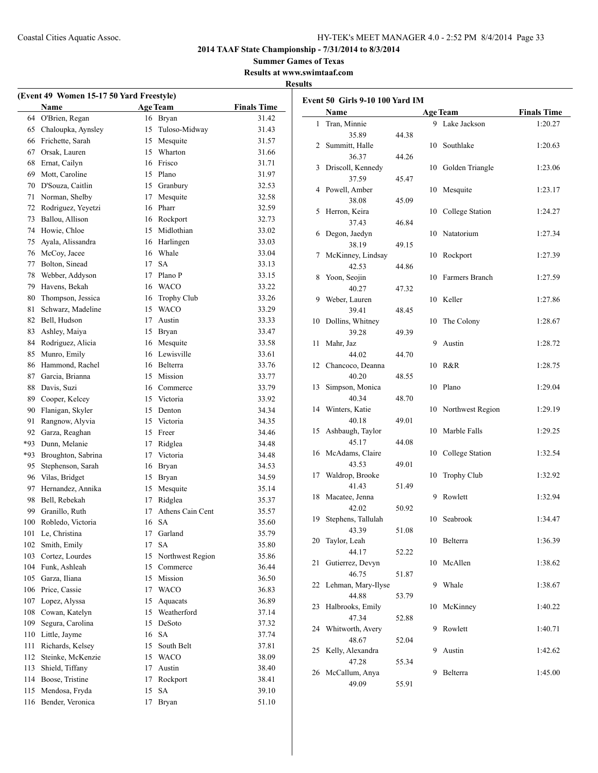**Summer Games of Texas Results at www.swimtaaf.com**

## **Results**

**Event 50 Girls 9-10 100 Yard IM**

| (Event 49 Women 15-17 50 Yard Freestyle) |                    |    |                      |                    |  |  |
|------------------------------------------|--------------------|----|----------------------|--------------------|--|--|
|                                          | Name               |    | <b>Age Team</b>      | <b>Finals Time</b> |  |  |
| 64                                       | O'Brien, Regan     | 16 | Bryan                | 31.42              |  |  |
| 65                                       | Chaloupka, Aynsley | 15 | Tuloso-Midway        | 31.43              |  |  |
| 66                                       | Frichette, Sarah   | 15 | Mesquite             | 31.57              |  |  |
| 67                                       | Orsak, Lauren      | 15 | Wharton              | 31.66              |  |  |
| 68                                       | Ernat, Cailyn      | 16 | Frisco               | 31.71              |  |  |
| 69                                       | Mott, Caroline     | 15 | Plano                | 31.97              |  |  |
| 70                                       | D'Souza, Caitlin   |    | 15 Granbury          | 32.53              |  |  |
| 71                                       | Norman, Shelby     | 17 | Mesquite             | 32.58              |  |  |
| 72                                       | Rodriguez, Yeyetzi | 16 | Pharr                | 32.59              |  |  |
| 73                                       | Ballou, Allison    |    | 16 Rockport          | 32.73              |  |  |
| 74                                       | Howie, Chloe       |    | 15 Midlothian        | 33.02              |  |  |
| 75                                       | Ayala, Alissandra  |    | 16 Harlingen         | 33.03              |  |  |
| 76                                       | McCoy, Jacee       | 16 | Whale                | 33.04              |  |  |
| 77                                       | Bolton, Sinead     | 17 | <b>SA</b>            | 33.13              |  |  |
| 78                                       | Webber, Addyson    | 17 | Plano P              | 33.15              |  |  |
| 79                                       | Havens, Bekah      | 16 | <b>WACO</b>          | 33.22              |  |  |
| 80                                       | Thompson, Jessica  | 16 | Trophy Club          | 33.26              |  |  |
| 81                                       | Schwarz, Madeline  | 15 | <b>WACO</b>          | 33.29              |  |  |
| 82                                       | Bell, Hudson       | 17 | Austin               | 33.33              |  |  |
| 83                                       | Ashley, Maiya      | 15 | Bryan                | 33.47              |  |  |
| 84                                       | Rodriguez, Alicia  |    | 16 Mesquite          | 33.58              |  |  |
| 85                                       | Munro, Emily       |    | 16 Lewisville        | 33.61              |  |  |
| 86                                       | Hammond, Rachel    |    | 16 Belterra          | 33.76              |  |  |
| 87                                       | Garcia, Brianna    | 15 | Mission              | 33.77              |  |  |
| 88                                       | Davis, Suzi        | 16 | Commerce             | 33.79              |  |  |
| 89                                       | Cooper, Kelcey     | 15 | Victoria             | 33.92              |  |  |
| 90                                       | Flanigan, Skyler   | 15 | Denton               | 34.34              |  |  |
| 91                                       | Rangnow, Alyvia    | 15 | Victoria             | 34.35              |  |  |
| 92                                       | Garza, Reaghan     | 15 | Freer                | 34.46              |  |  |
| *93                                      | Dunn, Melanie      | 17 | Ridglea              | 34.48              |  |  |
| *93                                      | Broughton, Sabrina | 17 | Victoria             | 34.48              |  |  |
| 95                                       | Stephenson, Sarah  | 16 | Bryan                | 34.53              |  |  |
| 96                                       | Vilas, Bridget     | 15 | Bryan                | 34.59              |  |  |
| 97                                       | Hernandez, Annika  | 15 | Mesquite             |                    |  |  |
| 98                                       | Bell, Rebekah      | 17 | Ridglea              | 35.14<br>35.37     |  |  |
| 99                                       | Granillo, Ruth     | 17 | Athens Cain Cent     |                    |  |  |
|                                          | Robledo, Victoria  |    |                      | 35.57              |  |  |
| 100                                      |                    | 16 | <b>SA</b><br>Garland | 35.60              |  |  |
| 101                                      | Le, Christina      | 17 |                      | 35.79              |  |  |
| 102                                      | Smith, Emily       | 17 | <b>SA</b>            | 35.80              |  |  |
| 103                                      | Cortez, Lourdes    | 15 | Northwest Region     | 35.86              |  |  |
| 104                                      | Funk, Ashleah      | 15 | Commerce             | 36.44              |  |  |
| 105                                      | Garza, Iliana      | 15 | Mission              | 36.50              |  |  |
| 106                                      | Price, Cassie      | 17 | <b>WACO</b>          | 36.83              |  |  |
| 107                                      | Lopez, Alyssa      | 15 | Aquacats             | 36.89              |  |  |
| 108                                      | Cowan, Katelyn     | 15 | Weatherford          | 37.14              |  |  |
| 109                                      | Segura, Carolina   | 15 | DeSoto               | 37.32              |  |  |
| 110                                      | Little, Jayme      | 16 | <b>SA</b>            | 37.74              |  |  |
| 111                                      | Richards, Kelsey   | 15 | South Belt           | 37.81              |  |  |
| 112                                      | Steinke, McKenzie  | 15 | <b>WACO</b>          | 38.09              |  |  |
| 113                                      | Shield, Tiffany    | 17 | Austin               | 38.40              |  |  |
| 114                                      | Boose, Tristine    | 17 | Rockport             | 38.41              |  |  |
| 115                                      | Mendosa, Fryda     | 15 | <b>SA</b>            | 39.10              |  |  |
| 116                                      | Bender, Veronica   | 17 | Bryan                | 51.10              |  |  |
|                                          |                    |    |                      |                    |  |  |

|    | <b>Name</b>        |       |    | <b>Age Team</b>    | <b>Finals Time</b> |
|----|--------------------|-------|----|--------------------|--------------------|
| 1  | Tran, Minnie       |       | 9  | Lake Jackson       | 1:20.27            |
|    | 35.89              | 44.38 |    |                    |                    |
| 2  | Summitt, Halle     |       | 10 | Southlake          | 1:20.63            |
|    | 36.37              | 44.26 |    |                    |                    |
| 3  | Driscoll, Kennedy  |       | 10 | Golden Triangle    | 1:23.06            |
|    | 37.59              | 45.47 |    |                    |                    |
| 4  | Powell, Amber      |       | 10 | Mesquite           | 1:23.17            |
|    | 38.08              | 45.09 |    |                    |                    |
| 5  | Herron, Keira      |       | 10 | College Station    | 1:24.27            |
|    | 37.43              | 46.84 |    |                    |                    |
| 6  | Degon, Jaedyn      |       | 10 | Natatorium         | 1:27.34            |
|    | 38.19              | 49.15 |    |                    |                    |
| 7  | McKinney, Lindsay  |       | 10 | Rockport           | 1:27.39            |
|    | 42.53              | 44.86 |    |                    |                    |
| 8  | Yoon, Seojin       |       | 10 | Farmers Branch     | 1:27.59            |
|    | 40.27              | 47.32 |    |                    |                    |
| 9  | Weber, Lauren      |       | 10 | Keller             | 1:27.86            |
|    | 39.41              | 48.45 |    |                    |                    |
| 10 | Dollins, Whitney   |       | 10 | The Colony         | 1:28.67            |
|    | 39.28              | 49.39 |    |                    |                    |
| 11 | Mahr, Jaz          |       | 9  | Austin             | 1:28.72            |
|    | 44.02              | 44.70 |    |                    |                    |
| 12 | Chancoco, Deanna   |       | 10 | R&R                | 1:28.75            |
|    | 40.20              | 48.55 |    |                    |                    |
| 13 | Simpson, Monica    |       | 10 | Plano              | 1:29.04            |
|    | 40.34              | 48.70 |    |                    |                    |
| 14 | Winters, Katie     |       | 10 | Northwest Region   | 1:29.19            |
|    | 40.18              | 49.01 |    |                    |                    |
| 15 | Ashbaugh, Taylor   |       | 10 | Marble Falls       | 1:29.25            |
|    | 45.17              | 44.08 |    |                    |                    |
| 16 | McAdams, Claire    |       | 10 | College Station    | 1:32.54            |
|    | 43.53              | 49.01 |    |                    |                    |
| 17 | Waldrop, Brooke    |       | 10 | <b>Trophy Club</b> | 1:32.92            |
|    | 41.43              | 51.49 |    |                    |                    |
| 18 | Macatee, Jenna     |       | 9  | Rowlett            | 1:32.94            |
|    | 42.02              | 50.92 |    |                    |                    |
| 19 | Stephens, Tallulah |       | 10 | Seabrook           | 1:34.47            |
|    | 43.39              | 51.08 |    |                    |                    |
| 20 | Taylor, Leah       |       | 10 | Belterra           | 1:36.39            |
|    | 44.17              | 52.22 |    |                    |                    |
| 21 | Gutierrez, Devyn   |       | 10 | McAllen            | 1:38.62            |
|    | 46.75              | 51.87 |    |                    |                    |
| 22 | Lehman, Mary-Ilyse |       | 9  | Whale              | 1:38.67            |
|    | 44.88              | 53.79 |    |                    |                    |
| 23 | Halbrooks, Emily   |       | 10 | McKinney           | 1:40.22            |
|    | 47.34              | 52.88 |    |                    |                    |
| 24 | Whitworth, Avery   |       | 9  | Rowlett            | 1:40.71            |
|    | 48.67              | 52.04 |    |                    |                    |
| 25 | Kelly, Alexandra   |       | 9  | Austin             | 1:42.62            |
|    | 47.28              | 55.34 |    |                    |                    |
| 26 | McCallum, Anya     |       | 9  | Belterra           | 1:45.00            |
|    | 49.09              | 55.91 |    |                    |                    |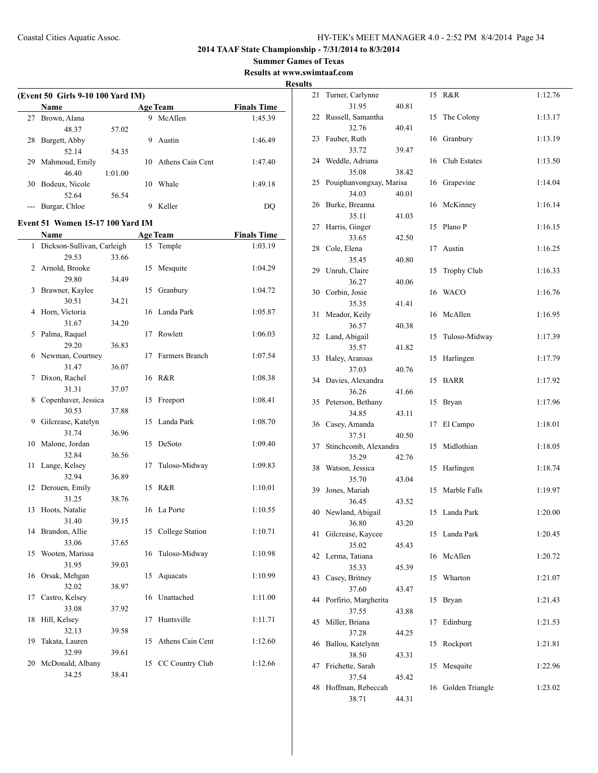**2014 TAAF State Championship - 7/31/2014 to 8/3/2014**

**Summer Games of Texas**

**Results at www.swimtaaf.com**

## **Results**

|    | (Event 50 Girls 9-10 100 Yard IM)<br>Name |         |    | <b>Age Team</b>  | <b>Finals Time</b> |
|----|-------------------------------------------|---------|----|------------------|--------------------|
| 27 | Brown, Alana                              |         |    | 9 McAllen        | 1:45.39            |
|    | 48.37                                     | 57.02   |    |                  |                    |
| 28 | Burgett, Abby                             |         | 9  | Austin           | 1:46.49            |
|    | 52.14                                     | 54.35   |    |                  |                    |
| 29 | Mahmoud, Emily                            |         | 10 | Athens Cain Cent | 1:47.40            |
|    | 46.40                                     | 1:01.00 |    |                  |                    |
| 30 | Bodeux, Nicole                            |         | 10 | Whale            | 1:49.18            |
|    | 52.64                                     | 56.54   |    |                  |                    |
|    | Burgar, Chloe                             |         | 9  | Keller           | DQ                 |
|    | Event 51 Women 15-17 100 Yard IM          |         |    |                  |                    |
|    | Name                                      |         |    | Age Team         | <b>Finals Time</b> |
|    | 1 Dickson-Sullivan, Carleigh              |         |    | 15 Temple        | 1:03.19            |
|    | 29.53                                     | 33.66   |    |                  |                    |
|    | 2 Arnold, Brooke                          |         | 15 | Mesquite         | 1:04.29            |
|    | 29.80                                     | 34.49   |    |                  |                    |
| 3  | Brawner, Kaylee                           |         | 15 | Granbury         | 1:04.72            |
|    | 30.51                                     | 34.21   |    |                  |                    |
| 4  | Horn, Victoria                            |         | 16 | Landa Park       | 1:05.87            |
|    | 31.67                                     | 34.20   |    |                  |                    |
| 5  | Palma, Raquel                             |         | 17 | Rowlett          | 1:06.03            |
|    | 29.20                                     | 36.83   |    |                  |                    |
|    | 6 Newman, Courtney                        |         | 17 | Farmers Branch   | 1:07.54            |
|    | 31.47                                     | 36.07   |    |                  |                    |
| 7  | Dixon, Rachel                             |         | 16 | R&R              | 1:08.38            |
|    | 31.31                                     | 37.07   |    |                  |                    |
| 8  | Copenhaver, Jessica                       |         | 15 | Freeport         | 1:08.41            |
|    | 30.53                                     | 37.88   |    |                  |                    |
| 9  | Gilcrease, Katelyn                        |         | 15 | Landa Park       | 1:08.70            |
|    | 31.74                                     | 36.96   |    |                  |                    |
| 10 | Malone, Jordan                            |         | 15 | DeSoto           | 1:09.40            |
|    | 32.84                                     | 36.56   |    |                  |                    |
| 11 | Lange, Kelsey                             |         | 17 | Tuloso-Midway    | 1:09.83            |
|    | 32.94                                     | 36.89   |    |                  |                    |
| 12 | Derouen, Emily                            |         | 15 | R&R              | 1:10.01            |
|    | 31.25                                     | 38.76   |    |                  |                    |
| 13 | Hoots, Natalie                            |         |    | 16 La Porte      | 1:10.55            |
|    | 31.40                                     | 39.15   |    |                  |                    |
| 14 | Brandon, Allie                            |         | 15 | College Station  | 1:10.71            |
|    | 33.06                                     | 37.65   |    |                  |                    |
| 15 | Wooten, Marissa                           |         | 16 | Tuloso-Midway    | 1:10.98            |
|    | 31.95                                     | 39.03   |    |                  |                    |
| 16 | Orsak, Mehgan                             |         | 15 | Aquacats         | 1:10.99            |
|    | 32.02                                     | 38.97   |    |                  |                    |
| 17 | Castro, Kelsey                            |         | 16 | Unattached       | 1:11.00            |
|    | 33.08                                     | 37.92   |    |                  |                    |
| 18 | Hill, Kelsey                              |         | 17 | Huntsville       | 1:11.71            |
|    | 32.13                                     | 39.58   |    |                  |                    |
| 19 | Takata, Lauren                            |         | 15 | Athens Cain Cent | 1:12.60            |
|    | 32.99                                     | 39.61   |    |                  |                    |
| 20 | McDonald, Albany                          |         | 15 | CC Country Club  | 1:12.66            |
|    | 34.25                                     | 38.41   |    |                  |                    |
|    |                                           |         |    |                  |                    |

| 21 | Turner, Carlynne           |       | 15 | R&R                | 1:12.76 |
|----|----------------------------|-------|----|--------------------|---------|
| 22 | 31.95<br>Russell, Samantha | 40.81 | 15 | The Colony         | 1:13.17 |
|    | 32.76                      | 40.41 |    |                    |         |
| 23 | Fauber, Ruth               |       | 16 | Granbury           | 1:13.19 |
|    | 33.72                      | 39.47 |    |                    |         |
| 24 | Weddle, Adriana<br>35.08   | 38.42 | 16 | Club Estates       | 1:13.50 |
| 25 | Pouiphanvongxay, Marisa    |       |    | 16 Grapevine       | 1:14.04 |
|    | 34.03                      | 40.01 |    |                    |         |
| 26 | Burke, Breanna             |       | 16 | McKinney           | 1:16.14 |
|    | 35.11                      | 41.03 |    |                    |         |
| 27 | Harris, Ginger             |       | 15 | Plano P            | 1:16.15 |
| 28 | 33.65<br>Cole, Elena       | 42.50 | 17 | Austin             | 1:16.25 |
|    | 35.45                      | 40.80 |    |                    |         |
| 29 | Unruh, Claire              |       | 15 | <b>Trophy Club</b> | 1:16.33 |
|    | 36.27                      | 40.06 |    |                    |         |
| 30 | Corbin, Josie              |       | 16 | WACO               | 1:16.76 |
|    | 35.35                      | 41.41 |    |                    |         |
| 31 | Meador, Keily              |       | 16 | McAllen            | 1:16.95 |
| 32 | 36.57<br>Land, Abigail     | 40.38 | 15 | Tuloso-Midway      | 1:17.39 |
|    | 35.57                      | 41.82 |    |                    |         |
| 33 | Haley, Aransas             |       | 15 | Harlingen          | 1:17.79 |
|    | 37.03                      | 40.76 |    |                    |         |
| 34 | Davies, Alexandra          |       | 15 | <b>BARR</b>        | 1:17.92 |
|    | 36.26                      | 41.66 |    |                    |         |
| 35 | Peterson, Bethany          |       | 15 | Bryan              | 1:17.96 |
| 36 | 34.85<br>Casey, Amanda     | 43.11 | 17 | El Campo           | 1:18.01 |
|    | 37.51                      | 40.50 |    |                    |         |
| 37 | Stinchcomb, Alexandra      |       | 15 | Midlothian         | 1:18.05 |
|    | 35.29                      | 42.76 |    |                    |         |
| 38 | Watson, Jessica            |       | 15 | Harlingen          | 1:18.74 |
|    | 35.70                      | 43.04 |    |                    |         |
| 39 | Jones, Mariah<br>36.45     |       | 15 | Marble Falls       | 1:19.97 |
|    | 40 Newland, Abigail        | 43.52 | 15 | Landa Park         | 1:20.00 |
|    | 36.80                      | 43.20 |    |                    |         |
| 41 | Gilcrease, Kaycee          |       | 15 | Landa Park         | 1:20.45 |
|    | 35.02                      | 45.43 |    |                    |         |
| 42 | Lerma, Tatiana             |       | 16 | McAllen            | 1:20.72 |
|    | 35.33                      | 45.39 |    |                    |         |
| 43 | Casey, Britney<br>37.60    | 43.47 | 15 | Wharton            | 1:21.07 |
| 44 | Porfirio, Margherita       |       | 15 | Bryan              | 1:21.43 |
|    | 37.55                      | 43.88 |    |                    |         |
| 45 | Miller, Briana             |       | 17 | Edinburg           | 1:21.53 |
|    | 37.28                      | 44.25 |    |                    |         |
| 46 | Ballou, Katelynn           |       | 15 | Rockport           | 1:21.81 |
|    | 38.50                      | 43.31 |    |                    |         |
| 47 | Frichette, Sarah<br>37.54  | 45.42 | 15 | Mesquite           | 1:22.96 |
| 48 | Hoffman, Rebeccah          |       | 16 | Golden Triangle    | 1:23.02 |
|    | 38.71                      | 44.31 |    |                    |         |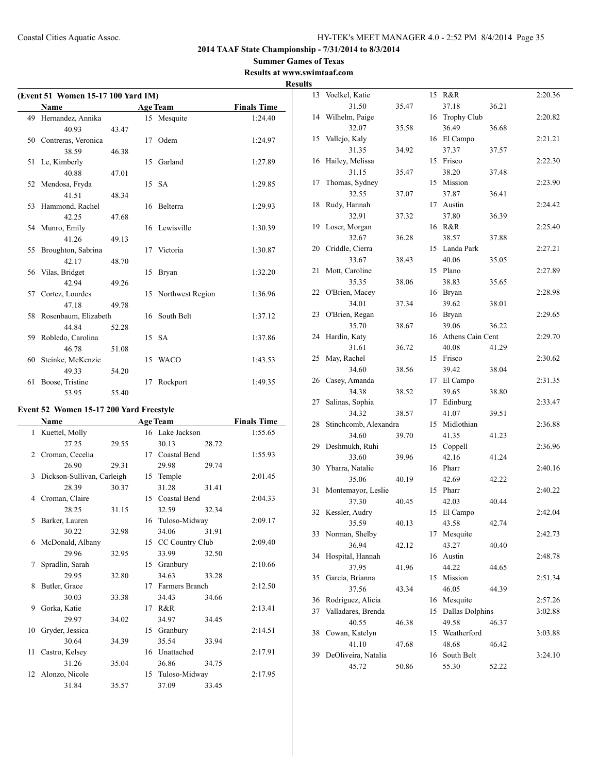#### **Summer Games of Texas Results at www.swimtaaf.com**

| (Event 51 Women 15-17 100 Yard IM) |                         |       |    |                     |                    |  |
|------------------------------------|-------------------------|-------|----|---------------------|--------------------|--|
|                                    | Name                    |       |    | <b>Age Team</b>     | <b>Finals Time</b> |  |
|                                    | 49 Hernandez, Annika    |       |    | 15 Mesquite         | 1:24.40            |  |
|                                    | 40.93                   | 43.47 |    |                     |                    |  |
|                                    | 50 Contreras, Veronica  |       |    | 17 Odem             | 1:24.97            |  |
|                                    | 38.59                   | 46.38 |    |                     |                    |  |
|                                    | 51 Le, Kimberly         |       | 15 | Garland             | 1:27.89            |  |
|                                    | 40.88                   | 47.01 |    |                     |                    |  |
|                                    | 52 Mendosa, Fryda       |       |    | 15 SA               | 1:29.85            |  |
|                                    | 41.51                   | 48.34 |    |                     |                    |  |
|                                    | 53 Hammond, Rachel      |       |    | 16 Belterra         | 1:29.93            |  |
|                                    | 42.25                   | 47.68 |    |                     |                    |  |
|                                    | 54 Munro, Emily         |       |    | 16 Lewisville       | 1:30.39            |  |
|                                    | 41.26                   | 49.13 |    |                     |                    |  |
| 55                                 | Broughton, Sabrina      |       |    | 17 Victoria         | 1:30.87            |  |
|                                    | 42.17                   | 48.70 |    |                     |                    |  |
|                                    | 56 Vilas, Bridget       |       |    | 15 Bryan            | 1:32.20            |  |
|                                    | 42.94                   | 49.26 |    |                     |                    |  |
|                                    | 57 Cortez, Lourdes      |       |    | 15 Northwest Region | 1:36.96            |  |
|                                    | 47.18                   | 49.78 |    |                     |                    |  |
|                                    | 58 Rosenbaum, Elizabeth |       |    | 16 South Belt       | 1:37.12            |  |
|                                    | 44.84                   | 52.28 |    |                     |                    |  |
|                                    | 59 Robledo, Carolina    |       |    | 15 SA               | 1:37.86            |  |
|                                    | 46.78                   | 51.08 |    |                     |                    |  |
| 60                                 | Steinke, McKenzie       |       |    | 15 WACO             | 1:43.53            |  |
|                                    | 49.33                   | 54.20 |    |                     |                    |  |
| 61                                 | Boose, Tristine         |       | 17 | Rockport            | 1:49.35            |  |
|                                    | 53.95                   | 55.40 |    |                     |                    |  |

## **Event 52 Women 15-17 200 Yard Freestyle**

|              | Name                       |       |    | <b>Age Team</b>    |       | <b>Finals Time</b> |
|--------------|----------------------------|-------|----|--------------------|-------|--------------------|
| $\mathbf{1}$ | Kuettel, Molly             |       |    | 16 Lake Jackson    |       | 1:55.65            |
|              | 27.25                      | 29.55 |    | 30.13              | 28.72 |                    |
| 2            | Croman, Cecelia            |       |    | 17 Coastal Bend    |       | 1:55.93            |
|              | 26.90                      | 29.31 |    | 29.98              | 29.74 |                    |
| 3            | Dickson-Sullivan, Carleigh |       |    | 15 Temple          |       | 2:01.45            |
|              | 28.39                      | 30.37 |    | 31.28              | 31.41 |                    |
| 4            | Croman, Claire             |       |    | 15 Coastal Bend    |       | 2:04.33            |
|              | 28.25                      | 31.15 |    | 32.59              | 32.34 |                    |
| 5            | Barker, Lauren             |       |    | 16 Tuloso-Midway   |       | 2:09.17            |
|              | 30.22                      | 32.98 |    | 34.06              | 31.91 |                    |
| 6            | McDonald, Albany           |       |    | 15 CC Country Club |       | 2:09.40            |
|              | 29.96                      | 32.95 |    | 33.99              | 32.50 |                    |
| 7            | Spradlin, Sarah            |       |    | 15 Granbury        |       | 2:10.66            |
|              | 29.95                      | 32.80 |    | 34.63              | 33.28 |                    |
| 8            | Butler, Grace              |       |    | 17 Farmers Branch  |       | 2:12.50            |
|              | 30.03                      | 33.38 |    | 34.43              | 34.66 |                    |
| 9            | Gorka, Katie               |       |    | 17 R&R             |       | 2:13.41            |
|              | 29.97                      | 34.02 |    | 34.97              | 34.45 |                    |
| 10           | Gryder, Jessica            |       | 15 | Granbury           |       | 2:14.51            |
|              | 30.64                      | 34.39 |    | 35.54              | 33.94 |                    |
| 11           | Castro, Kelsey             |       |    | 16 Unattached      |       | 2:17.91            |
|              | 31.26                      | 35.04 |    | 36.86              | 34.75 |                    |
| 12           | Alonzo, Nicole             |       |    | 15 Tuloso-Midway   |       | 2:17.95            |
|              | 31.84                      | 35.57 |    | 37.09              | 33.45 |                    |

| <b>Results</b> |                          |       |    |                      |       |         |
|----------------|--------------------------|-------|----|----------------------|-------|---------|
|                | 13 Voelkel, Katie        |       |    | 15 R&R               |       | 2:20.36 |
|                | 31.50                    | 35.47 |    | 37.18                | 36.21 |         |
|                | 14 Wilhelm, Paige        |       |    | 16 Trophy Club       |       | 2:20.82 |
|                | 32.07                    | 35.58 |    | 36.49                | 36.68 |         |
|                | 15 Vallejo, Kaly         |       |    | 16 El Campo          |       | 2:21.21 |
|                | 31.35                    | 34.92 |    | 37.37                | 37.57 |         |
|                | 16 Hailey, Melissa       |       |    | 15 Frisco            |       | 2:22.30 |
|                | 31.15                    | 35.47 |    | 38.20                | 37.48 |         |
| 17             | Thomas, Sydney           |       |    | 15 Mission           |       | 2:23.90 |
|                | 32.55                    | 37.07 |    | 37.87                | 36.41 |         |
| 18             | Rudy, Hannah             |       |    | 17 Austin            |       | 2:24.42 |
|                | 32.91                    | 37.32 |    | 37.80                | 36.39 |         |
|                | 19 Loser, Morgan         |       |    | 16 R&R               |       | 2:25.40 |
|                | 32.67                    | 36.28 |    | 38.57                | 37.88 |         |
|                | 20 Criddle, Cierra       |       |    | 15 Landa Park        |       | 2:27.21 |
|                | 33.67                    | 38.43 |    | 40.06                | 35.05 |         |
| 21             | Mott, Caroline           |       |    | 15 Plano             |       | 2:27.89 |
|                | 35.35                    | 38.06 |    | 38.83                | 35.65 |         |
|                | 22 O'Brien, Macey        |       |    | 16 Bryan             |       | 2:28.98 |
|                | 34.01                    | 37.34 |    | 39.62                | 38.01 |         |
|                | 23 O'Brien, Regan        |       |    | 16 Bryan             |       | 2:29.65 |
|                | 35.70                    | 38.67 |    | 39.06                | 36.22 |         |
|                | 24 Hardin, Katy          |       |    | 16 Athens Cain Cent  |       | 2:29.70 |
|                | 31.61                    | 36.72 |    | 40.08                | 41.29 |         |
| 25             | May, Rachel              |       |    | 15 Frisco            |       | 2:30.62 |
|                | 34.60                    | 38.56 |    | 39.42                | 38.04 |         |
|                | 26 Casey, Amanda         |       |    | 17 El Campo          |       | 2:31.35 |
|                | 34.38                    | 38.52 |    | 39.65                | 38.80 |         |
| 27             |                          |       |    |                      |       |         |
|                | Salinas, Sophia<br>34.32 |       |    | 17 Edinburg<br>41.07 |       | 2:33.47 |
| 28             |                          | 38.57 |    | 15 Midlothian        | 39.51 |         |
|                | Stinchcomb, Alexandra    |       |    |                      |       | 2:36.88 |
|                | 34.60                    | 39.70 |    | 41.35                | 41.23 |         |
|                | 29 Deshmukh, Ruhi        |       |    | 15 Coppell           |       | 2:36.96 |
|                | 33.60                    | 39.96 |    | 42.16                | 41.24 |         |
|                | 30 Ybarra, Natalie       |       |    | 16 Pharr             |       | 2:40.16 |
|                | 35.06                    | 40.19 |    | 42.69                | 42.22 |         |
| 31             | Montemayor, Leslie       |       |    | 15 Pharr             |       | 2:40.22 |
|                | 37.30                    | 40.45 |    | 42.03                | 40.44 |         |
|                | 32 Kessler, Audry        |       |    | 15 El Campo          |       | 2:42.04 |
|                | 35.59                    | 40.13 |    | 43.58                | 42.74 |         |
| 33             | Norman, Shelby           |       |    | 17 Mesquite          |       | 2:42.73 |
|                | 36.94                    | 42.12 |    | 43.27                | 40.40 |         |
| 34             | Hospital, Hannah         |       |    | 16 Austin            |       | 2:48.78 |
|                | 37.95                    | 41.96 |    | 44.22                | 44.65 |         |
| 35             | Garcia, Brianna          |       |    | 15 Mission           |       | 2:51.34 |
|                | 37.56                    | 43.34 |    | 46.05                | 44.39 |         |
|                | 36 Rodriguez, Alicia     |       | 16 | Mesquite             |       | 2:57.26 |
| 37             | Valladares, Brenda       |       | 15 | Dallas Dolphins      |       | 3:02.88 |
|                | 40.55                    | 46.38 |    | 49.58                | 46.37 |         |
| 38             | Cowan, Katelyn           |       |    | 15 Weatherford       |       | 3:03.88 |
|                | 41.10                    | 47.68 |    | 48.68                | 46.42 |         |
| 39             | DeOliveira, Natalia      |       |    | 16 South Belt        |       | 3:24.10 |
|                | 45.72                    | 50.86 |    | 55.30                | 52.22 |         |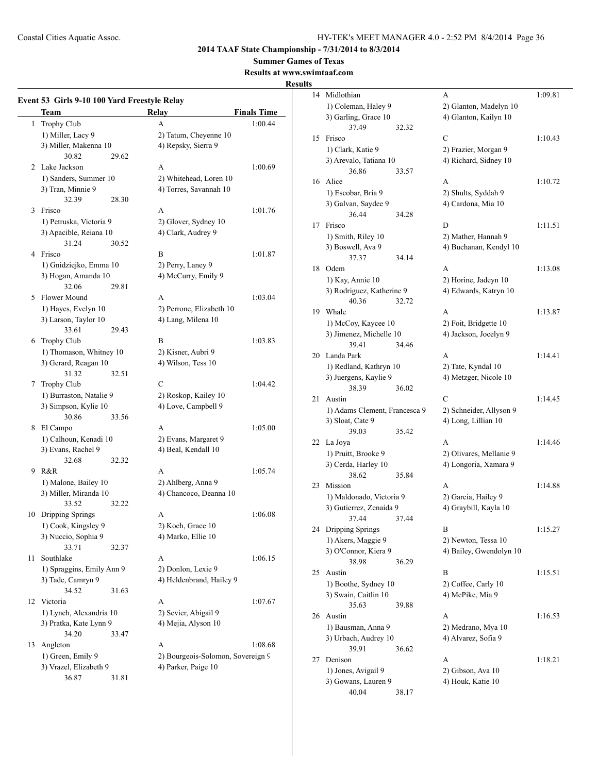**Summer Games of Texas**

**Results at www.swimtaaf.com**

## **Results**

|    | Team                      |       | <b>Relay</b>                      | <b>Finals Time</b> |
|----|---------------------------|-------|-----------------------------------|--------------------|
| 1  | Trophy Club               |       | A                                 | 1:00.44            |
|    | 1) Miller, Lacy 9         |       | 2) Tatum, Cheyenne 10             |                    |
|    | 3) Miller, Makenna 10     |       | 4) Repsky, Sierra 9               |                    |
|    | 30.82                     | 29.62 |                                   |                    |
| 2  | Lake Jackson              |       | A                                 | 1:00.69            |
|    | 1) Sanders, Summer 10     |       | 2) Whitehead, Loren 10            |                    |
|    | 3) Tran, Minnie 9         |       | 4) Torres, Savannah 10            |                    |
|    | 32.39                     | 28.30 |                                   |                    |
| 3  | Frisco                    |       | A                                 | 1:01.76            |
|    | 1) Petruska, Victoria 9   |       | 2) Glover, Sydney 10              |                    |
|    | 3) Apacible, Reiana 10    |       | 4) Clark, Audrey 9                |                    |
|    | 31.24                     | 30.52 |                                   |                    |
| 4  | Frisco                    |       | B                                 | 1:01.87            |
|    | 1) Gnidziejko, Emma 10    |       | 2) Perry, Laney 9                 |                    |
|    | 3) Hogan, Amanda 10       |       | 4) McCurry, Emily 9               |                    |
|    | 32.06                     | 29.81 |                                   |                    |
| 5. | Flower Mound              |       | A                                 | 1:03.04            |
|    | 1) Hayes, Evelyn 10       |       | 2) Perrone, Elizabeth 10          |                    |
|    | 3) Larson, Taylor 10      |       | 4) Lang, Milena 10                |                    |
|    | 33.61                     | 29.43 |                                   |                    |
| 6  | Trophy Club               |       | B                                 | 1:03.83            |
|    | 1) Thomason, Whitney 10   |       | 2) Kisner, Aubri 9                |                    |
|    | 3) Gerard, Reagan 10      |       | 4) Wilson, Tess 10                |                    |
|    | 31.32                     | 32.51 |                                   |                    |
| 7  | Trophy Club               |       | C                                 | 1:04.42            |
|    | 1) Burraston, Natalie 9   |       | 2) Roskop, Kailey 10              |                    |
|    | 3) Simpson, Kylie 10      |       | 4) Love, Campbell 9               |                    |
|    | 30.86                     | 33.56 |                                   |                    |
| 8  | El Campo                  |       | A                                 | 1:05.00            |
|    | 1) Calhoun, Kenadi 10     |       | 2) Evans, Margaret 9              |                    |
|    | 3) Evans, Rachel 9        |       | 4) Beal, Kendall 10               |                    |
|    | 32.68                     | 32.32 |                                   |                    |
| 9. | R&R                       |       | A                                 | 1:05.74            |
|    | 1) Malone, Bailey 10      |       | 2) Ahlberg, Anna 9                |                    |
|    | 3) Miller, Miranda 10     |       | 4) Chancoco, Deanna 10            |                    |
|    | 33.52                     | 32.22 |                                   |                    |
| 10 | Dripping Springs          |       | А                                 | 1:06.08            |
|    | 1) Cook, Kingsley 9       |       | 2) Koch, Grace 10                 |                    |
|    | 3) Nuccio, Sophia 9       |       | 4) Marko, Ellie 10                |                    |
|    | 33.71                     | 32.37 |                                   |                    |
| 11 | Southlake                 |       | A                                 | 1:06.15            |
|    | 1) Spraggins, Emily Ann 9 |       | 2) Donlon, Lexie 9                |                    |
|    | 3) Tade, Camryn 9         |       | 4) Heldenbrand, Hailey 9          |                    |
|    | 34.52                     | 31.63 |                                   |                    |
| 12 | Victoria                  |       | A                                 | 1:07.67            |
|    | 1) Lynch, Alexandria 10   |       | 2) Sevier, Abigail 9              |                    |
|    | 3) Pratka, Kate Lynn 9    |       | 4) Mejia, Alyson 10               |                    |
|    | 34.20                     |       |                                   |                    |
|    |                           | 33.47 | A                                 |                    |
| 13 | Angleton                  |       |                                   | 1:08.68            |
|    | 1) Green, Emily 9         |       | 2) Bourgeois-Solomon, Sovereign 9 |                    |
|    | 3) Vrazel, Elizabeth 9    |       | 4) Parker, Paige 10               |                    |
|    | 36.87                     | 31.81 |                                   |                    |

| 14  | Midlothian                     | А                              | 1:09.81 |
|-----|--------------------------------|--------------------------------|---------|
|     | 1) Coleman, Haley 9            | 2) Glanton, Madelyn 10         |         |
|     | 3) Garling, Grace 10           | 4) Glanton, Kailyn 10          |         |
|     | 37.49                          | 32.32                          |         |
| 15  | Frisco                         | C                              | 1:10.43 |
|     | 1) Clark, Katie 9              | 2) Frazier, Morgan 9           |         |
|     | 3) Arevalo, Tatiana 10         | 4) Richard, Sidney 10          |         |
|     | 36.86                          | 33.57                          |         |
| 16  | Alice                          | A                              | 1:10.72 |
|     | 1) Escobar, Bria 9             | 2) Shults, Syddah 9            |         |
|     | 3) Galvan, Saydee 9            | 4) Cardona, Mia 10             |         |
|     | 36.44                          | 34.28                          |         |
| 17  | Frisco                         | D                              | 1:11.51 |
|     | 1) Smith, Riley 10             | 2) Mather, Hannah 9            |         |
|     | 3) Boswell, Ava 9              | 4) Buchanan, Kendyl 10         |         |
|     | 37.37                          | 34.14                          |         |
| 18  | Odem                           | A                              | 1:13.08 |
|     | 1) Kay, Annie 10               | 2) Horine, Jadeyn 10           |         |
|     | 3) Rodriguez, Katherine 9      | 4) Edwards, Katryn 10          |         |
|     | 40.36                          | 32.72                          |         |
| 19  | Whale                          | A                              | 1:13.87 |
|     | 1) McCoy, Kaycee 10            | 2) Foit, Bridgette 10          |         |
|     | 3) Jimenez, Michelle 10        | 4) Jackson, Jocelyn 9          |         |
|     | 39.41                          | 34.46                          |         |
| 20  | Landa Park                     | A                              | 1:14.41 |
|     | 1) Redland, Kathryn 10         | 2) Tate, Kyndal 10             |         |
|     | 3) Juergens, Kaylie 9<br>38.39 | 4) Metzger, Nicole 10<br>36.02 |         |
| 21  | Austin                         | C                              | 1:14.45 |
|     | 1) Adams Clement, Francesca 9  | 2) Schneider, Allyson 9        |         |
|     | 3) Sloat, Cate 9               | 4) Long, Lillian 10            |         |
|     | 39.03                          | 35.42                          |         |
| 22  | La Joya                        | А                              | 1:14.46 |
|     | 1) Pruitt, Brooke 9            | 2) Olivares, Mellanie 9        |         |
|     | 3) Cerda, Harley 10            | 4) Longoria, Xamara 9          |         |
|     | 38.62                          | 35.84                          |         |
| 23. | Mission                        | A                              | 1:14.88 |
|     | 1) Maldonado, Victoria 9       | 2) Garcia, Hailey 9            |         |
|     | 3) Gutierrez, Zenaida 9        | 4) Graybill, Kayla 10          |         |
|     | 37.44                          | 37.44                          |         |
| 24  | Dripping Springs               | B                              | 1:15.27 |
|     | 1) Akers, Maggie 9             | 2) Newton, Tessa 10            |         |
|     | 3) O'Connor, Kiera 9           | 4) Bailey, Gwendolyn 10        |         |
|     | 38.98                          | 36.29                          |         |
| 25  | Austin                         | B                              | 1:15.51 |
|     | 1) Boothe, Sydney 10           | 2) Coffee, Carly 10            |         |
|     | 3) Swain, Caitlin 10           | 4) McPike, Mia 9               |         |
|     | 35.63                          | 39.88                          |         |
| 26  | Austin                         | А                              | 1:16.53 |
|     | 1) Bausman, Anna 9             | 2) Medrano, Mya 10             |         |
|     | 3) Urbach, Audrey 10           | 4) Alvarez, Sofia 9            |         |
|     | 39.91                          | 36.62                          |         |
| 27  | Denison                        | А                              | 1:18.21 |
|     | 1) Jones, Avigail 9            | 2) Gibson, Ava 10              |         |
|     | 3) Gowans, Lauren 9            | 4) Houk, Katie 10              |         |
|     | 40.04                          | 38.17                          |         |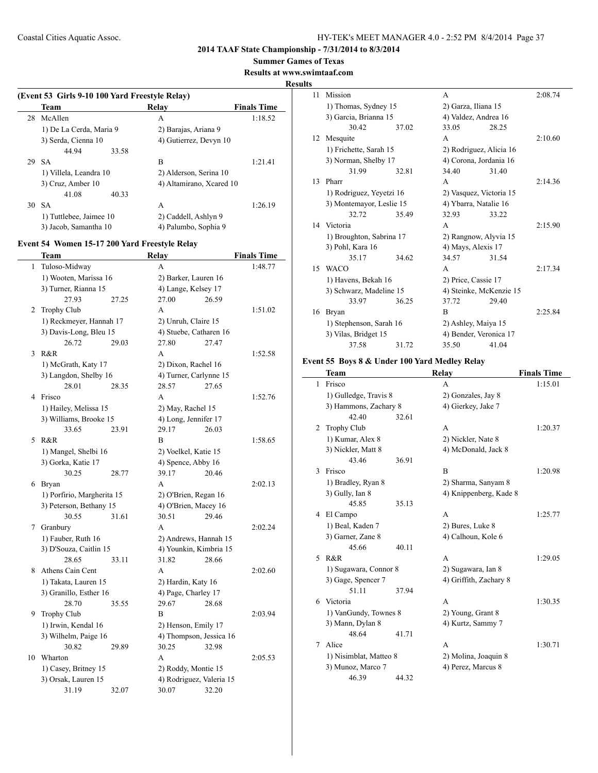**Summer Games of Texas**

#### **Results at www.swimtaaf.com**

**Results**

## **(Event 53 Girls 9-10 100 Yard Freestyle Relay) Team Relay Finals Time** 28 McAllen A 1:18.52 1) De La Cerda, Maria 9 2) Barajas, Ariana 9 3) Serda, Cienna 10 4) Gutierrez, Devyn 10 44.94 33.58 29 SA B 1:21.41 1) Villela, Leandra 10 2) Alderson, Serina 10 3) Cruz, Amber 10 4) Altamirano, Xcared 10 41.08 40.33 30 SA A 1:26.19 1) Tuttlebee, Jaimee 10 2) Caddell, Ashlyn 9 3) Jacob, Samantha 10 4) Palumbo, Sophia 9

#### **Event 54 Women 15-17 200 Yard Freestyle Relay**

L.

|    | Team                         |       | Relay                                           |       | <b>Finals Time</b> |
|----|------------------------------|-------|-------------------------------------------------|-------|--------------------|
| 1  | Tuloso-Midway                |       | A                                               |       | 1:48.77            |
|    | 1) Wooten, Marissa 16        |       | 2) Barker, Lauren 16                            |       |                    |
|    | 3) Turner, Rianna 15         |       | 4) Lange, Kelsey 17                             |       |                    |
|    | 27.93                        | 27.25 | 27.00                                           | 26.59 |                    |
| 2  | Trophy Club                  |       | A                                               |       | 1:51.02            |
|    | 1) Reckmeyer, Hannah 17      |       | 2) Unruh, Claire 15                             |       |                    |
|    | 3) Davis-Long, Bleu 15       |       | 4) Stuebe, Catharen 16                          |       |                    |
|    | 26.72                        | 29.03 | 27.80                                           | 27.47 |                    |
| 3  | R&R                          |       | A                                               |       | 1:52.58            |
|    | 1) McGrath, Katy 17          |       | 2) Dixon, Rachel 16                             |       |                    |
|    | 3) Langdon, Shelby 16        |       | 4) Turner, Carlynne 15                          |       |                    |
|    | 28.01                        | 28.35 | 28.57                                           | 27.65 |                    |
| 4  | Frisco                       |       | A                                               |       | 1:52.76            |
|    | 1) Hailey, Melissa 15        |       | 2) May, Rachel 15                               |       |                    |
|    | 3) Williams, Brooke 15       |       | 4) Long, Jennifer 17                            |       |                    |
|    | 33.65                        | 23.91 | 29.17                                           | 26.03 |                    |
| 5  | R&R                          |       | B                                               |       | 1:58.65            |
|    | 1) Mangel, Shelbi 16         |       | 2) Voelkel, Katie 15                            |       |                    |
|    | 3) Gorka, Katie 17           |       | 4) Spence, Abby 16                              |       |                    |
|    | 30.25                        | 28.77 | 39.17                                           | 20.46 |                    |
| 6  | Bryan                        |       | A                                               |       | 2:02.13            |
|    | 1) Porfirio, Margherita 15   |       | 2) O'Brien, Regan 16                            |       |                    |
|    | 3) Peterson, Bethany 15      |       | 4) O'Brien, Macey 16                            |       |                    |
|    | 30.55                        | 31.61 | 30.51                                           | 29.46 |                    |
| 7  | Granbury                     |       | A                                               |       | 2:02.24            |
|    | 1) Fauber, Ruth 16           |       | 2) Andrews, Hannah 15                           |       |                    |
|    | 3) D'Souza, Caitlin 15       |       | 4) Younkin, Kimbria 15                          |       |                    |
|    | 28.65                        | 33.11 | 31.82                                           | 28.66 |                    |
| 8  | Athens Cain Cent             |       | A                                               |       | 2:02.60            |
|    | 1) Takata, Lauren 15         |       | 2) Hardin, Katy 16                              |       |                    |
|    | 3) Granillo, Esther 16       |       | 4) Page, Charley 17                             |       |                    |
|    | 28.70                        | 35.55 | 29.67<br>$\overline{B}$                         | 28.68 |                    |
| 9  | <b>Trophy Club</b>           |       |                                                 |       | 2:03.94            |
|    | 1) Irwin, Kendal 16          |       | 2) Henson, Emily 17                             |       |                    |
|    | 3) Wilhelm, Paige 16         |       | 4) Thompson, Jessica 16                         |       |                    |
| 10 | 30.82<br>Wharton             | 29.89 | 30.25<br>A                                      | 32.98 |                    |
|    |                              |       |                                                 |       | 2:05.53            |
|    | 1) Casey, Britney 15         |       | 2) Roddy, Montie 15<br>4) Rodriguez, Valeria 15 |       |                    |
|    | 3) Orsak, Lauren 15<br>31.19 | 32.07 | 30.07                                           | 32.20 |                    |
|    |                              |       |                                                 |       |                    |

| 11 | Mission                  |       | A                       |       | 2:08.74 |
|----|--------------------------|-------|-------------------------|-------|---------|
|    | 1) Thomas, Sydney 15     |       | 2) Garza, Iliana 15     |       |         |
|    | 3) Garcia, Brianna 15    |       | 4) Valdez, Andrea 16    |       |         |
|    | 30.42                    | 37.02 | 33.05                   | 28.25 |         |
| 12 | Mesquite                 |       | A                       |       | 2:10.60 |
|    | 1) Frichette, Sarah 15   |       | 2) Rodriguez, Alicia 16 |       |         |
|    | 3) Norman, Shelby 17     |       | 4) Corona, Jordania 16  |       |         |
|    | 31.99                    | 32.81 | 34.40                   | 31.40 |         |
| 13 | Pharr                    |       | A                       |       | 2:14.36 |
|    | 1) Rodriguez, Yeyetzi 16 |       | 2) Vasquez, Victoria 15 |       |         |
|    | 3) Montemayor, Leslie 15 |       | 4) Ybarra, Natalie 16   |       |         |
|    | 32.72                    | 35.49 | 32.93                   | 33.22 |         |
| 14 | Victoria                 |       | A                       |       | 2:15.90 |
|    | 1) Broughton, Sabrina 17 |       | 2) Rangnow, Alyvia 15   |       |         |
|    | 3) Pohl, Kara 16         |       | 4) Mays, Alexis 17      |       |         |
|    | 35.17                    | 34.62 | 34.57                   | 31.54 |         |
| 15 | <b>WACO</b>              |       | A                       |       | 2:17.34 |
|    | 1) Havens, Bekah 16      |       | 2) Price, Cassie 17     |       |         |
|    | 3) Schwarz, Madeline 15  |       | 4) Steinke, McKenzie 15 |       |         |
|    | 33.97                    | 36.25 | 37.72                   | 29.40 |         |
| 16 | Bryan                    |       | R                       |       | 2:25.84 |
|    | 1) Stephenson, Sarah 16  |       | 2) Ashley, Maiya 15     |       |         |
|    | 3) Vilas, Bridget 15     |       | 4) Bender, Veronica 17  |       |         |
|    | 37.58                    | 31.72 | 35.50                   | 41.04 |         |

#### **Event 55 Boys 8 & Under 100 Yard Medley Relay**

|    | Team                   |       | Relay                  | <b>Finals Time</b> |
|----|------------------------|-------|------------------------|--------------------|
| 1  | Frisco                 |       | A                      | 1:15.01            |
|    | 1) Gulledge, Travis 8  |       | 2) Gonzales, Jay 8     |                    |
|    | 3) Hammons, Zachary 8  |       | 4) Gierkey, Jake 7     |                    |
|    | 42.40                  | 32.61 |                        |                    |
| 2  | <b>Trophy Club</b>     |       | A                      | 1:20.37            |
|    | 1) Kumar, Alex 8       |       | 2) Nickler, Nate 8     |                    |
|    | 3) Nickler, Matt 8     |       | 4) McDonald, Jack 8    |                    |
|    | 43.46                  | 36.91 |                        |                    |
| 3  | Frisco                 |       | B                      | 1:20.98            |
|    | 1) Bradley, Ryan 8     |       | 2) Sharma, Sanyam 8    |                    |
|    | 3) Gully, Ian 8        |       | 4) Knippenberg, Kade 8 |                    |
|    | 45.85                  | 35.13 |                        |                    |
| 4  | El Campo               |       | A                      | 1:25.77            |
|    | 1) Beal, Kaden 7       |       | 2) Bures, Luke 8       |                    |
|    | 3) Garner, Zane 8      |       | 4) Calhoun, Kole 6     |                    |
|    | 45.66                  | 40.11 |                        |                    |
| 5. | R&R                    |       | A                      | 1:29.05            |
|    | 1) Sugawara, Connor 8  |       | 2) Sugawara, Ian 8     |                    |
|    | 3) Gage, Spencer 7     |       | 4) Griffith, Zachary 8 |                    |
|    | 51.11                  | 37.94 |                        |                    |
| 6  | Victoria               |       | A                      | 1:30.35            |
|    | 1) VanGundy, Townes 8  |       | 2) Young, Grant 8      |                    |
|    | 3) Mann, Dylan 8       |       | 4) Kurtz, Sammy 7      |                    |
|    | 48.64                  | 41.71 |                        |                    |
| 7  | Alice                  |       | A                      | 1:30.71            |
|    | 1) Nisimblat, Matteo 8 |       | 2) Molina, Joaquin 8   |                    |
|    | 3) Munoz, Marco 7      |       | 4) Perez, Marcus 8     |                    |
|    | 46.39                  | 44.32 |                        |                    |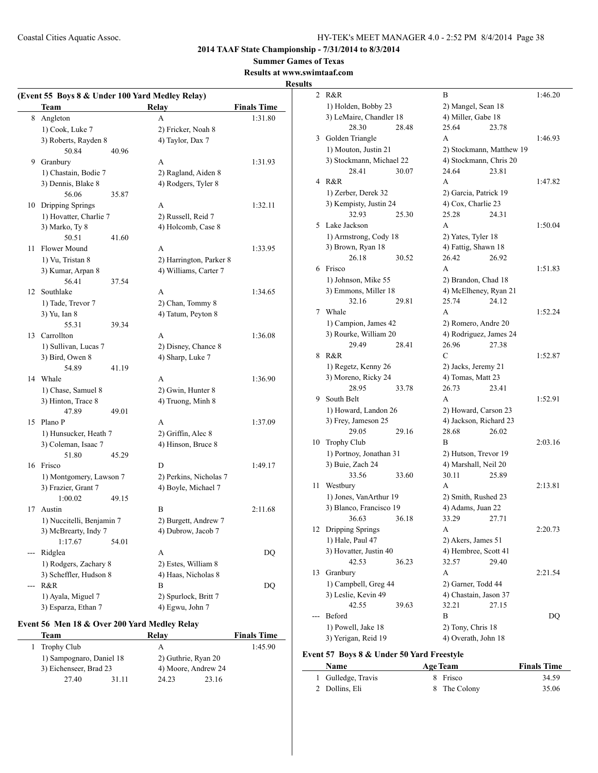**2014 TAAF State Championship - 7/31/2014 to 8/3/2014**

**Summer Games of Texas**

#### **Results at www.swimtaaf.com Results**

|     | (Event 55 Boys 8 & Under 100 Yard Medley Relay) |       |                         |                    |
|-----|-------------------------------------------------|-------|-------------------------|--------------------|
|     | Team                                            |       | <b>Relay</b>            | <b>Finals Time</b> |
| 8   | Angleton                                        |       | A                       | 1:31.80            |
|     | 1) Cook, Luke 7                                 |       | 2) Fricker, Noah 8      |                    |
|     | 3) Roberts, Rayden 8                            |       | 4) Taylor, Dax 7        |                    |
|     | 50.84                                           | 40.96 |                         |                    |
|     | 9 Granbury                                      |       | A                       | 1:31.93            |
|     | 1) Chastain, Bodie 7                            |       | 2) Ragland, Aiden 8     |                    |
|     | 3) Dennis, Blake 8                              |       | 4) Rodgers, Tyler 8     |                    |
|     | 56.06                                           | 35.87 |                         |                    |
| 10  | Dripping Springs                                |       | A                       | 1:32.11            |
|     | 1) Hovatter, Charlie 7                          |       | 2) Russell, Reid 7      |                    |
|     | 3) Marko, Ty 8                                  |       | 4) Holcomb, Case 8      |                    |
|     | 50.51                                           | 41.60 |                         |                    |
| 11  | Flower Mound                                    |       | A                       | 1:33.95            |
|     | 1) Vu, Tristan 8                                |       | 2) Harrington, Parker 8 |                    |
|     | 3) Kumar, Arpan 8                               |       | 4) Williams, Carter 7   |                    |
|     | 56.41                                           | 37.54 |                         |                    |
| 12  | Southlake                                       |       | A                       | 1:34.65            |
|     | 1) Tade, Trevor 7                               |       | 2) Chan, Tommy 8        |                    |
|     | 3) Yu, Ian 8                                    |       | 4) Tatum, Peyton 8      |                    |
|     | 55.31                                           | 39.34 |                         |                    |
| 13  | Carrollton                                      |       | A                       | 1:36.08            |
|     | 1) Sullivan, Lucas 7                            |       | 2) Disney, Chance 8     |                    |
|     | 3) Bird, Owen 8                                 |       | 4) Sharp, Luke 7        |                    |
|     | 54.89                                           | 41.19 |                         |                    |
| 14  | Whale                                           |       | A                       | 1:36.90            |
|     | 1) Chase, Samuel 8                              |       | 2) Gwin, Hunter 8       |                    |
|     | 3) Hinton, Trace 8                              |       | 4) Truong, Minh 8       |                    |
|     | 47.89                                           | 49.01 |                         |                    |
| 15  | Plano P                                         |       | A                       | 1:37.09            |
|     | 1) Hunsucker, Heath 7                           |       | 2) Griffin, Alec 8      |                    |
|     | 3) Coleman, Isaac 7                             |       | 4) Hinson, Bruce 8      |                    |
|     | 51.80                                           | 45.29 |                         |                    |
| 16  | Frisco                                          |       | D                       | 1:49.17            |
|     | 1) Montgomery, Lawson 7                         |       | 2) Perkins, Nicholas 7  |                    |
|     | 3) Frazier, Grant 7                             |       | 4) Boyle, Michael 7     |                    |
|     | 1:00.02                                         | 49.15 |                         |                    |
| 17  | Austin                                          |       | B                       | 2:11.68            |
|     | 1) Nuccitelli, Benjamin 7                       |       | 2) Burgett, Andrew 7    |                    |
|     | 3) McBrearty, Indy 7                            |       | 4) Dubrow, Jacob 7      |                    |
|     | 1:17.67                                         | 54.01 |                         |                    |
| --- | Ridglea                                         |       | А                       | DQ                 |
|     | 1) Rodgers, Zachary 8                           |       | 2) Estes, William 8     |                    |
|     | 3) Scheffler, Hudson 8                          |       | 4) Haas, Nicholas 8     |                    |
| --- | R&R                                             |       | В                       | DQ                 |
|     | 1) Ayala, Miguel 7                              |       | 2) Spurlock, Britt 7    |                    |
|     | 3) Esparza, Ethan 7                             |       | 4) Egwu, John 7         |                    |

## **Event 56 Men 18 & Over 200 Yard Medley Relay**

|       | Relav                                              |       | <b>Finals Time</b>                         |
|-------|----------------------------------------------------|-------|--------------------------------------------|
|       | А                                                  |       | 1:45.90                                    |
|       |                                                    |       |                                            |
|       |                                                    |       |                                            |
| 31 11 | 24.23                                              | 23.16 |                                            |
|       | 1) Sampognaro, Daniel 18<br>3) Eichenseer, Brad 23 |       | 2) Guthrie, Ryan 20<br>4) Moore, Andrew 24 |

| 2  | R&R                      |       | B                      |                          | 1:46.20 |
|----|--------------------------|-------|------------------------|--------------------------|---------|
|    | 1) Holden, Bobby 23      |       | 2) Mangel, Sean 18     |                          |         |
|    | 3) LeMaire, Chandler 18  |       | 4) Miller, Gabe 18     |                          |         |
|    | 28.30                    | 28.48 | 25.64                  | 23.78                    |         |
| 3  | Golden Triangle          |       | A                      |                          | 1:46.93 |
|    | 1) Mouton, Justin 21     |       |                        | 2) Stockmann, Matthew 19 |         |
|    | 3) Stockmann, Michael 22 |       | 4) Stockmann, Chris 20 |                          |         |
|    | 28.41                    | 30.07 | 24.64                  | 23.81                    |         |
| 4  | R&R                      |       | A                      |                          | 1:47.82 |
|    | 1) Zerber, Derek 32      |       | 2) Garcia, Patrick 19  |                          |         |
|    | 3) Kempisty, Justin 24   |       | 4) Cox, Charlie 23     |                          |         |
|    | 32.93                    | 25.30 | 25.28                  | 24.31                    |         |
| 5  | Lake Jackson             |       | A                      |                          | 1:50.04 |
|    | 1) Armstrong, Cody 18    |       | 2) Yates, Tyler 18     |                          |         |
|    | 3) Brown, Ryan 18        |       | 4) Fattig, Shawn 18    |                          |         |
|    | 26.18                    | 30.52 | 26.42                  | 26.92                    |         |
| 6  | Frisco                   |       | А                      |                          | 1:51.83 |
|    | 1) Johnson, Mike 55      |       | 2) Brandon, Chad 18    |                          |         |
|    | 3) Emmons, Miller 18     |       | 4) McElheney, Ryan 21  |                          |         |
|    | 32.16                    | 29.81 | 25.74                  | 24.12                    |         |
| 7  | Whale                    |       | A                      |                          | 1:52.24 |
|    | 1) Campion, James 42     |       | 2) Romero, Andre 20    |                          |         |
|    | 3) Rourke, William 20    |       | 4) Rodriguez, James 24 |                          |         |
|    | 29.49                    | 28.41 | 26.96                  | 27.38                    |         |
| 8  | R&R                      |       | С                      |                          | 1:52.87 |
|    | 1) Regetz, Kenny 26      |       | 2) Jacks, Jeremy 21    |                          |         |
|    | 3) Moreno, Ricky 24      |       | 4) Tomas, Matt 23      |                          |         |
|    | 28.95                    | 33.78 | 26.73                  | 23.41                    |         |
| 9  | South Belt               |       | A                      |                          | 1:52.91 |
|    | 1) Howard, Landon 26     |       | 2) Howard, Carson 23   |                          |         |
|    | 3) Frey, Jameson 25      |       | 4) Jackson, Richard 23 |                          |         |
|    | 29.05                    | 29.16 | 28.68                  | 26.02                    |         |
| 10 | <b>Trophy Club</b>       |       | B                      |                          | 2:03.16 |
|    | 1) Portnoy, Jonathan 31  |       | 2) Hutson, Trevor 19   |                          |         |
|    | 3) Buie, Zach 24         |       | 4) Marshall, Neil 20   |                          |         |
|    | 33.56                    | 33.60 | 30.11                  | 25.89                    |         |
| 11 | Westbury                 |       | A                      |                          | 2:13.81 |
|    | 1) Jones, VanArthur 19   |       | 2) Smith, Rushed 23    |                          |         |
|    | 3) Blanco, Francisco 19  |       | 4) Adams, Juan 22      |                          |         |
|    | 36.63                    | 36.18 | 33.29 27.71            |                          |         |
|    | 12 Dripping Springs      |       | A                      |                          | 2:20.73 |
|    | 1) Hale, Paul 47         |       | 2) Akers, James 51     |                          |         |
|    | 3) Hovatter, Justin 40   |       | 4) Hembree, Scott 41   |                          |         |
|    | 42.53                    | 36.23 | 32.57                  | 29.40                    |         |
| 13 | Granbury                 |       | А                      |                          | 2:21.54 |
|    | 1) Campbell, Greg 44     |       | 2) Garner, Todd 44     |                          |         |
|    | 3) Leslie, Kevin 49      |       | 4) Chastain, Jason 37  |                          |         |
|    | 42.55                    | 39.63 | 32.21                  | 27.15                    |         |
|    | Beford                   |       | B                      |                          | DQ      |
|    | 1) Powell, Jake 18       |       | 2) Tony, Chris 18      |                          |         |
|    | 3) Yerigan, Reid 19      |       | 4) Overath, John 18    |                          |         |

## **Event 57 Boys 8 & Under 50 Yard Freestyle**

 $\frac{1}{2}$ 

| <b>Name</b>        | <b>Age Team</b> | <b>Finals Time</b> |
|--------------------|-----------------|--------------------|
| 1 Gulledge, Travis | 8 Frisco        | 34.59              |
| 2 Dollins, Eli     | 8 The Colony    | 35.06              |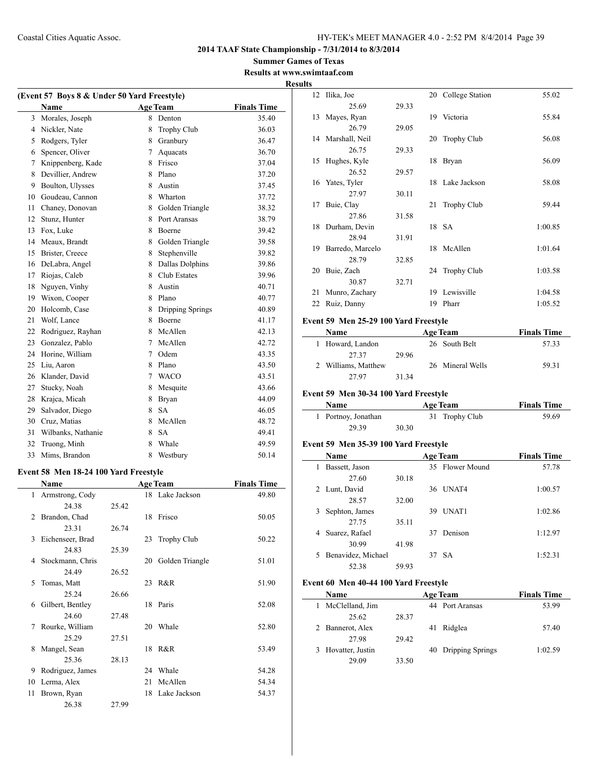**Summer Games of Texas Results at www.swimtaaf.com**

|    | (Event 57 Boys 8 & Under 50 Yard Freestyle) |                |                    |                    |
|----|---------------------------------------------|----------------|--------------------|--------------------|
|    | <b>Name</b>                                 |                | <b>Age Team</b>    | <b>Finals Time</b> |
| 3  | Morales, Joseph                             | 8              | Denton             | 35.40              |
| 4  | Nickler, Nate                               | 8              | <b>Trophy Club</b> | 36.03              |
| 5  | Rodgers, Tyler                              | 8              | Granbury           | 36.47              |
| 6  | Spencer, Oliver                             | 7              | Aquacats           | 36.70              |
| 7  | Knippenberg, Kade                           | 8              | Frisco             | 37.04              |
| 8  | Devillier, Andrew                           | 8              | Plano              | 37.20              |
| 9  | Boulton, Ulysses                            | 8              | Austin             | 37.45              |
| 10 | Goudeau, Cannon                             | 8              | Wharton            | 37.72              |
| 11 | Chaney, Donovan                             | 8              | Golden Triangle    | 38.32              |
| 12 | Stunz, Hunter                               | 8              | Port Aransas       | 38.79              |
| 13 | Fox, Luke                                   | 8              | Boerne             | 39.42              |
| 14 | Meaux, Brandt                               | 8              | Golden Triangle    | 39.58              |
| 15 | Brister, Creece                             | 8              | Stephenville       | 39.82              |
| 16 | DeLabra, Angel                              | 8              | Dallas Dolphins    | 39.86              |
| 17 | Riojas, Caleb                               | 8              | Club Estates       | 39.96              |
| 18 | Nguyen, Vinhy                               | 8              | Austin             | 40.71              |
| 19 | Wixon, Cooper                               | 8              | Plano              | 40.77              |
| 20 | Holcomb, Case                               | 8              | Dripping Springs   | 40.89              |
| 21 | Wolf, Lance                                 | 8              | Boerne             | 41.17              |
| 22 | Rodriguez, Rayhan                           | 8              | McAllen            | 42.13              |
| 23 | Gonzalez, Pablo                             | 7              | McAllen            | 42.72              |
| 24 | Horine, William                             | 7              | Odem               | 43.35              |
| 25 | Liu, Aaron                                  | 8              | Plano              | 43.50              |
| 26 | Klander, David                              | $\overline{7}$ | <b>WACO</b>        | 43.51              |
| 27 | Stucky, Noah                                | 8              | Mesquite           | 43.66              |
| 28 | Krajca, Micah                               | 8              | Bryan              | 44.09              |
| 29 | Salvador, Diego                             | 8              | <b>SA</b>          | 46.05              |
| 30 | Cruz, Matias                                | 8              | McAllen            | 48.72              |
| 31 | Wilbanks, Nathanie                          | 8              | <b>SA</b>          | 49.41              |
| 32 | Truong, Minh                                | 8              | Whale              | 49.59              |
| 33 | Mims, Brandon                               | 8              | Westbury           | 50.14              |

## **Event 58 Men 18-24 100 Yard Freestyle**

|    | Name             |       |    | <b>Age Team</b>    | <b>Finals Time</b> |
|----|------------------|-------|----|--------------------|--------------------|
| 1  | Armstrong, Cody  |       |    | 18 Lake Jackson    | 49.80              |
|    | 24.38            | 25.42 |    |                    |                    |
| 2  | Brandon, Chad    |       | 18 | Frisco             | 50.05              |
|    | 23.31            | 26.74 |    |                    |                    |
| 3  | Eichenseer, Brad |       | 23 | <b>Trophy Club</b> | 50.22              |
|    | 24.83            | 25.39 |    |                    |                    |
| 4  | Stockmann, Chris |       | 20 | Golden Triangle    | 51.01              |
|    | 24.49            | 26.52 |    |                    |                    |
| 5  | Tomas, Matt      |       | 23 | R&R                | 51.90              |
|    | 25.24            | 26.66 |    |                    |                    |
| 6  | Gilbert, Bentley |       |    | 18 Paris           | 52.08              |
|    | 24.60            | 27.48 |    |                    |                    |
| 7  | Rourke, William  |       | 20 | Whale              | 52.80              |
|    | 25.29            | 27.51 |    |                    |                    |
| 8  | Mangel, Sean     |       | 18 | R&R                | 53.49              |
|    | 25.36            | 28.13 |    |                    |                    |
| 9  | Rodriguez, James |       | 24 | Whale              | 54.28              |
| 10 | Lerma, Alex      |       | 21 | McAllen            | 54.34              |
| 11 | Brown, Ryan      |       | 18 | Lake Jackson       | 54.37              |
|    | 26.38            | 27.99 |    |                    |                    |

| <b>Results</b> |                     |       |    |                    |         |
|----------------|---------------------|-------|----|--------------------|---------|
|                | 12 Ilika, Joe       |       |    | 20 College Station | 55.02   |
|                | 25.69               | 29.33 |    |                    |         |
| 13             | Mayes, Ryan         |       |    | 19 Victoria        | 55.84   |
|                | 26.79               | 29.05 |    |                    |         |
|                | 14 Marshall, Neil   |       | 20 | Trophy Club        | 56.08   |
|                | 26.75               | 29.33 |    |                    |         |
|                | 15 Hughes, Kyle     |       |    | 18 Bryan           | 56.09   |
|                | 26.52               | 29.57 |    |                    |         |
|                | 16 Yates, Tyler     |       |    | 18 Lake Jackson    | 58.08   |
|                | 27.97               | 30.11 |    |                    |         |
| 17             | Buie, Clay          |       |    | 21 Trophy Club     | 59.44   |
|                | 27.86               | 31.58 |    |                    |         |
|                | 18 Durham, Devin    |       |    | 18 SA              | 1:00.85 |
|                | 28.94               | 31.91 |    |                    |         |
|                | 19 Barredo, Marcelo |       |    | 18 McAllen         | 1:01.64 |
|                | 28.79               | 32.85 |    |                    |         |
| 20             | Buie, Zach          |       |    | 24 Trophy Club     | 1:03.58 |
|                | 30.87               | 32.71 |    |                    |         |
| 21             | Munro, Zachary      |       |    | 19 Lewisville      | 1:04.58 |
| 22             | Ruiz, Danny         |       |    | 19 Pharr           | 1:05.52 |

## **Event 59 Men 25-29 100 Yard Freestyle**

| Name                |       | <b>Age Team</b>  | <b>Finals Time</b> |
|---------------------|-------|------------------|--------------------|
| 1 Howard, Landon    |       | 26 South Belt    | 57.33              |
| 2737                | 29.96 |                  |                    |
| 2 Williams, Matthew |       | 26 Mineral Wells | 59.31              |
| 27.97               | 31 34 |                  |                    |

## **Event 59 Men 30-34 100 Yard Freestyle**

| Name                |       | <b>Age Team</b> | <b>Finals Time</b> |
|---------------------|-------|-----------------|--------------------|
| 1 Portnoy, Jonathan |       | 31 Trophy Club  | 59.69              |
| 29.39               | 30.30 |                 |                    |

## **Event 59 Men 35-39 100 Yard Freestyle**

 $\overline{\phantom{a}}$ 

|   | Name               |       |    | <b>Age Team</b> | <b>Finals Time</b> |
|---|--------------------|-------|----|-----------------|--------------------|
| 1 | Bassett, Jason     |       |    | 35 Flower Mound | 57.78              |
|   | 27.60              | 30.18 |    |                 |                    |
| 2 | Lunt, David        |       |    | 36 UNAT4        | 1:00.57            |
|   | 28.57              | 32.00 |    |                 |                    |
| 3 | Sephton, James     |       | 39 | UNAT1           | 1:02.86            |
|   | 27.75              | 35.11 |    |                 |                    |
| 4 | Suarez, Rafael     |       | 37 | Denison         | 1:12.97            |
|   | 30.99              | 41.98 |    |                 |                    |
| 5 | Benavidez, Michael |       | 37 | - SA            | 1:52.31            |
|   | 52.38              | 59.93 |    |                 |                    |

## **Event 60 Men 40-44 100 Yard Freestyle**

| Name                  |       | <b>Age Team</b>     | <b>Finals Time</b> |
|-----------------------|-------|---------------------|--------------------|
| McClelland, Jim<br>1. |       | 44 Port Aransas     | 53.99              |
| 25.62                 | 28.37 |                     |                    |
| 2 Bannerot, Alex      |       | Ridglea<br>41       | 57.40              |
| 27.98                 | 29.42 |                     |                    |
| 3 Hovatter, Justin    |       | 40 Dripping Springs | 1:02.59            |
| 29.09                 | 33.50 |                     |                    |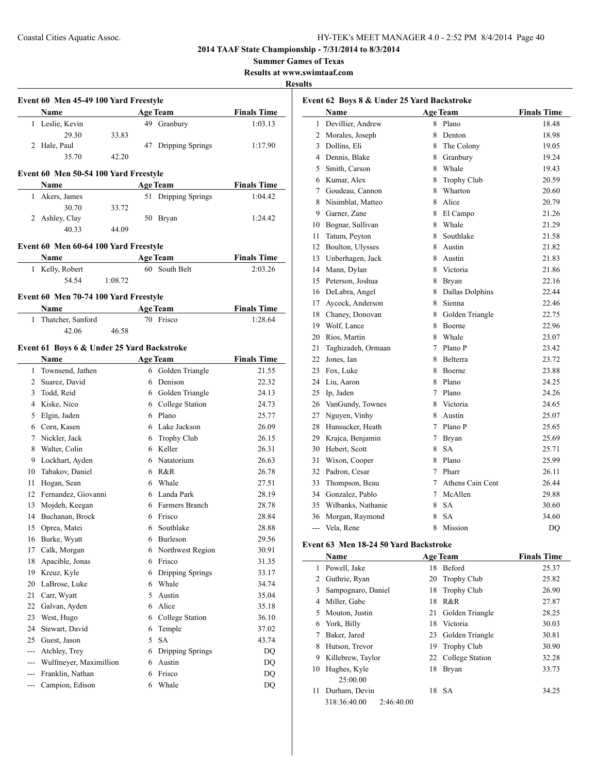## **2014 TAAF State Championship - 7/31/2014 to 8/3/2014**

**Summer Games of Texas**

**Results at www.swimtaaf.com**

#### **Results**

| Name          |       | <b>Age Team</b>     | <b>Finals Time</b> |
|---------------|-------|---------------------|--------------------|
| Leslie, Kevin |       | Granbury<br>49.     | 1:03.13            |
| 29.30         | 33.83 |                     |                    |
| 2 Hale, Paul  |       | 47 Dripping Springs | 1:17.90            |
| 35.70         | 42.20 |                     |                    |

| <b>Name</b>    |       | <b>Age Team</b>     | <b>Finals Time</b> |
|----------------|-------|---------------------|--------------------|
| 1 Akers, James |       | 51 Dripping Springs | 1:04.42            |
| 30.70          | 33.72 |                     |                    |
| 2 Ashley, Clay |       | 50 Bryan            | 1:24.42            |
| 40.33          | 44.09 |                     |                    |

## **Event 60 Men 60-64 100 Yard Freestyle**

| <b>Name</b>     | <b>Age Team</b> | <b>Finals Time</b> |
|-----------------|-----------------|--------------------|
| 1 Kelly, Robert | 60 South Belt   | 2:03.26            |
| 54.54           | 1:08.72         |                    |

## **Event 60 Men 70-74 100 Yard Freestyle**

| Name                | <b>Age Team</b> | <b>Finals Time</b> |
|---------------------|-----------------|--------------------|
| 1 Thatcher, Sanford | 70 Frisco       | 1:28.64            |
| 42.06               | 46.58           |                    |

#### **Event 61 Boys 6 & Under 25 Yard Backstroke**

|                | <b>Name</b>            |   | <b>Age Team</b>    | <b>Finals Time</b> |
|----------------|------------------------|---|--------------------|--------------------|
| $\mathbf{1}$   | Townsend, Jathen       | 6 | Golden Triangle    | 21.55              |
| $\overline{c}$ | Suarez, David          | 6 | Denison            | 22.32              |
| 3              | Todd, Reid             | 6 | Golden Triangle    | 24.13              |
| 4              | Kiske, Nico            | 6 | College Station    | 24.73              |
| 5              | Elgin, Jaden           | 6 | Plano              | 25.77              |
| 6              | Corn, Kasen            | 6 | Lake Jackson       | 26.09              |
| 7              | Nickler, Jack          | 6 | <b>Trophy Club</b> | 26.15              |
| 8              | Walter, Colin          | 6 | Keller             | 26.31              |
| 9              | Lockhart, Ayden        | 6 | Natatorium         | 26.63              |
| 10             | Tabakov, Daniel        | 6 | R&R                | 26.78              |
| 11             | Hogan, Sean            | 6 | Whale              | 27.51              |
| 12             | Fernandez, Giovanni    | 6 | Landa Park         | 28.19              |
| 13             | Mojdeh, Keegan         | 6 | Farmers Branch     | 28.78              |
| 14             | Buchanan, Brock        | 6 | Frisco             | 28.84              |
| 15             | Oprea, Matei           | 6 | Southlake          | 28.88              |
| 16             | Burke, Wyatt           | 6 | <b>Burleson</b>    | 29.56              |
| 17             | Calk, Morgan           | 6 | Northwest Region   | 30.91              |
| 18             | Apacible, Jonas        | 6 | Frisco             | 31.35              |
| 19             | Kreuz, Kyle            | 6 | Dripping Springs   | 33.17              |
| 20             | LaBrose, Luke          | 6 | Whale              | 34.74              |
| 21             | Carr, Wyatt            | 5 | Austin             | 35.04              |
| 22             | Galvan, Ayden          | 6 | Alice              | 35.18              |
| 23             | West, Hugo             | 6 | College Station    | 36.10              |
| 24             | Stewart, David         | 6 | Temple             | 37.02              |
| 25             | Guest, Jason           | 5 | <b>SA</b>          | 43.74              |
| $\overline{a}$ | Atchley, Trey          | 6 | Dripping Springs   | D <sub>O</sub>     |
| ---            | Wulfmeyer, Maximillion | 6 | Austin             | <b>DQ</b>          |
| ---            | Franklin, Nathan       | 6 | Frisco             | DO                 |
| $---$          | Campion, Edison        | 6 | Whale              | DQ                 |
|                |                        |   |                    |                    |

| Event 62 Boys 8 & Under 25 Yard Backstroke |                     |             |                  |                    |  |
|--------------------------------------------|---------------------|-------------|------------------|--------------------|--|
|                                            | Name                |             | <b>Age Team</b>  | <b>Finals Time</b> |  |
| $\mathbf{1}$                               | Devillier, Andrew   | 8           | Plano            | 18.48              |  |
|                                            | 2 Morales, Joseph   | 8.          | Denton           | 18.98              |  |
|                                            | 3 Dollins, Eli      |             | 8 The Colony     | 19.05              |  |
|                                            | 4 Dennis, Blake     |             | 8 Granbury       | 19.24              |  |
| 5                                          | Smith, Carson       |             | 8 Whale          | 19.43              |  |
|                                            | 6 Kumar, Alex       | 8           | Trophy Club      | 20.59              |  |
|                                            | 7 Goudeau, Cannon   | 8           | Wharton          | 20.60              |  |
|                                            | 8 Nisimblat, Matteo | 8           | Alice            | 20.79              |  |
| 9                                          | Garner, Zane        | 8           | El Campo         | 21.26              |  |
| 10                                         | Bognar, Sullivan    |             | 8 Whale          | 21.29              |  |
| 11                                         | Tatum, Peyton       | 8           | Southlake        | 21.58              |  |
| 12                                         | Boulton, Ulysses    | 8           | Austin           | 21.82              |  |
| 13                                         | Unberhagen, Jack    |             | 8 Austin         | 21.83              |  |
| 14                                         | Mann, Dylan         |             | 8 Victoria       | 21.86              |  |
| 15                                         | Peterson, Joshua    | 8           | <b>Bryan</b>     | 22.16              |  |
|                                            | 16 DeLabra, Angel   | 8           | Dallas Dolphins  | 22.44              |  |
| 17                                         | Aycock, Anderson    | 8.          | Sienna           | 22.46              |  |
| 18                                         | Chaney, Donovan     | 8           | Golden Triangle  | 22.75              |  |
|                                            | 19 Wolf, Lance      | 8           | Boerne           | 22.96              |  |
| 20                                         | Rios, Martin        | 8           | Whale            | 23.07              |  |
| 21                                         | Taghizadeh, Ormaan  |             | 7 Plano P        | 23.42              |  |
| 22                                         | Jones, Ian          | 8           | <b>Belterra</b>  | 23.72              |  |
| 23                                         | Fox, Luke           | 8           | <b>Boerne</b>    | 23.88              |  |
| 24                                         | Liu, Aaron          | 8.          | Plano            | 24.25              |  |
| 25                                         | Ip, Jaden           | $\tau$      | Plano            | 24.26              |  |
| 26                                         | VanGundy, Townes    | 8.          | Victoria         | 24.65              |  |
| 27                                         | Nguyen, Vinhy       | 8.          | Austin           | 25.07              |  |
|                                            | 28 Hunsucker, Heath | $7^{\circ}$ | Plano P          | 25.65              |  |
| 29                                         | Krajca, Benjamin    | $\tau$      | Bryan            | 25.69              |  |
|                                            | 30 Hebert, Scott    | 8           | <b>SA</b>        | 25.71              |  |
| 31                                         | Wixon, Cooper       |             | 8 Plano          | 25.99              |  |
| 32                                         | Padron, Cesar       | $7^{\circ}$ | Pharr            | 26.11              |  |
| 33                                         | Thompson, Beau      | $7^{\circ}$ | Athens Cain Cent | 26.44              |  |
| 34                                         | Gonzalez, Pablo     | $7^{\circ}$ | McAllen          | 29.88              |  |
| 35                                         | Wilbanks, Nathanie  | 8           | <b>SA</b>        | 30.60              |  |
| 36                                         | Morgan, Raymond     | 8           | <b>SA</b>        | 34.60              |  |
| $\overline{a}$                             | Vela, Rene          | 8           | Mission          | DQ                 |  |

## **Event 63 Men 18-24 50 Yard Backstroke**

|    | Name                       | <b>Age Team</b>          | <b>Finals Time</b> |
|----|----------------------------|--------------------------|--------------------|
| L  | Powell, Jake               | <b>Beford</b><br>18      | 25.37              |
| 2  | Guthrie, Ryan              | 20 Trophy Club           | 25.82              |
| 3  | Sampognaro, Daniel         | <b>Trophy Club</b><br>18 | 26.90              |
| 4  | Miller, Gabe               | R&R<br>18                | 27.87              |
| 5. | Mouton, Justin             | Golden Triangle<br>21    | 28.25              |
| 6  | York, Billy                | 18<br>Victoria           | 30.03              |
|    | Baker, Jared               | Golden Triangle<br>23    | 30.81              |
| 8  | Hutson, Trevor             | <b>Trophy Club</b><br>19 | 30.90              |
| 9  | Killebrew, Taylor          | 22 College Station       | 32.28              |
| 10 | Hughes, Kyle               | 18<br><b>Bryan</b>       | 33.73              |
|    | 25:00.00                   |                          |                    |
| 11 | Durham, Devin              | -SA<br>18                | 34.25              |
|    | 318:36:40.00<br>2:46:40.00 |                          |                    |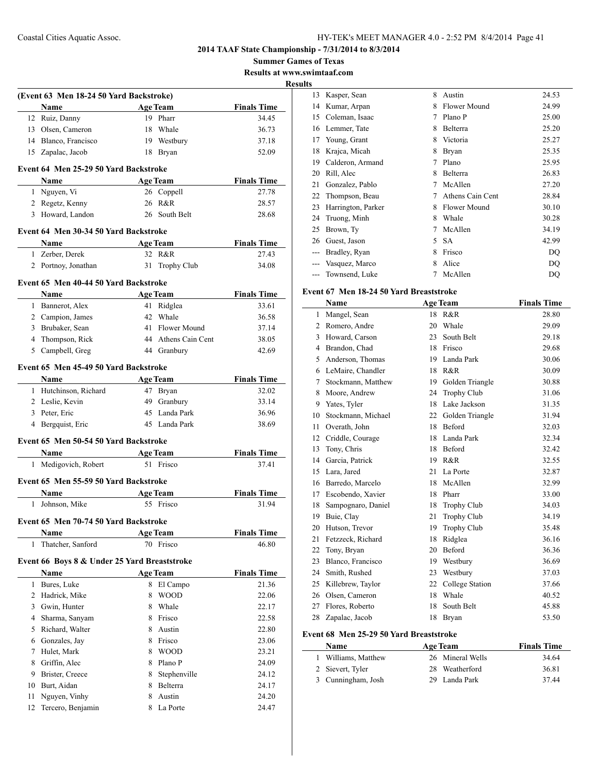**Summer Games of Texas Results at www.swimtaaf.com**

**Results**

|                | (Event 63 Men 18-24 50 Yard Backstroke)<br>Name      |   | <b>Age Team</b>     | <b>Finals Time</b> |
|----------------|------------------------------------------------------|---|---------------------|--------------------|
|                | 12 Ruiz, Danny                                       |   | 19 Pharr            | 34.45              |
|                | 13 Olsen, Cameron                                    |   | 18 Whale            | 36.73              |
|                | 14 Blanco, Francisco                                 |   | 19 Westbury         | 37.18              |
|                | 15 Zapalac, Jacob                                    |   | 18 Bryan            | 52.09              |
|                | Event 64 Men 25-29 50 Yard Backstroke                |   |                     |                    |
|                | Name                                                 |   | <b>Age Team</b>     | <b>Finals Time</b> |
|                | 1 Nguyen, Vi                                         |   | 26 Coppell          | 27.78              |
|                | 2 Regetz, Kenny                                      |   | 26 R&R              | 28.57              |
|                | 3 Howard, Landon                                     |   | 26 South Belt       | 28.68              |
|                | Event 64 Men 30-34 50 Yard Backstroke                |   |                     |                    |
|                | Name                                                 |   | Age Team            | <b>Finals Time</b> |
|                | 1 Zerber, Derek                                      |   | 32 R&R              | 27.43              |
|                | 2 Portnoy, Jonathan                                  |   | 31 Trophy Club      | 34.08              |
|                |                                                      |   |                     |                    |
|                | Event 65 Men 40-44 50 Yard Backstroke<br><b>Name</b> |   | <b>Age Team</b>     | <b>Finals Time</b> |
|                | 1 Bannerot, Alex                                     |   | 41 Ridglea          | 33.61              |
|                | 2 Campion, James                                     |   | 42 Whale            | 36.58              |
|                | 3 Brubaker, Sean                                     |   | 41 Flower Mound     | 37.14              |
|                | 4 Thompson, Rick                                     |   | 44 Athens Cain Cent | 38.05              |
|                | 5 Campbell, Greg                                     |   | 44 Granbury         | 42.69              |
|                | Event 65 Men 45-49 50 Yard Backstroke                |   |                     |                    |
|                | <b>Name</b>                                          |   | <b>Age Team</b>     | <b>Finals Time</b> |
|                | 1 Hutchinson, Richard                                |   | 47 Bryan            | 32.02              |
|                | 2 Leslie, Kevin                                      |   | 49 Granbury         | 33.14              |
|                | 3 Peter, Eric                                        |   | 45 Landa Park       | 36.96              |
|                | 4 Bergquist, Eric                                    |   | 45 Landa Park       | 38.69              |
|                | Event 65 Men 50-54 50 Yard Backstroke                |   |                     |                    |
|                | Name                                                 |   | <b>Age Team</b>     | <b>Finals Time</b> |
|                | 1 Medigovich, Robert                                 |   | 51 Frisco           | 37.41              |
|                | Event 65 Men 55-59 50 Yard Backstroke                |   |                     |                    |
|                | <b>Name</b>                                          |   | <b>Age Team</b>     | <b>Finals Time</b> |
|                | 1 Johnson, Mike                                      |   | 55 Frisco           | 31.94              |
|                |                                                      |   |                     |                    |
|                | Event 65 Men 70-74 50 Yard Backstroke<br>Name        |   | <b>Age Team</b>     | <b>Finals Time</b> |
| 1              | Thatcher, Sanford                                    |   | 70 Frisco           | 46.80              |
|                |                                                      |   |                     |                    |
|                | Event 66 Boys 8 & Under 25 Yard Breaststroke<br>Name |   | <b>Age Team</b>     | <b>Finals Time</b> |
| 1              | Bures, Luke                                          |   | 8 El Campo          | 21.36              |
| $\overline{2}$ | Hadrick, Mike                                        | 8 | <b>WOOD</b>         | 22.06              |
| 3              | Gwin, Hunter                                         |   | 8 Whale             | 22.17              |
|                | 4 Sharma, Sanyam                                     |   | 8 Frisco            | 22.58              |
| 5              | Richard, Walter                                      |   | 8 Austin            | 22.80              |
|                | 6 Gonzales, Jay                                      |   | 8 Frisco            | 23.06              |
| 7              | Hulet, Mark                                          |   | 8 WOOD              | 23.21              |
| 8              | Griffin, Alec                                        |   | 8 Plano P           | 24.09              |
| 9              | Brister, Creece                                      | 8 | Stephenville        | 24.12              |
| 10             | Burt, Aidan                                          |   | 8 Belterra          | 24.17              |
| 11             | Nguyen, Vinhy                                        | 8 | Austin              | 24.20              |
| 12             | Tercero, Benjamin                                    |   | 8 La Porte          | 24.47              |
|                |                                                      |   |                     |                    |

| S     |                    |   |                  |       |
|-------|--------------------|---|------------------|-------|
| 13    | Kasper, Sean       | 8 | Austin           | 24.53 |
| 14    | Kumar, Arpan       | 8 | Flower Mound     | 24.99 |
| 15    | Coleman, Isaac     | 7 | Plano P          | 25.00 |
| 16    | Lemmer, Tate       | 8 | Belterra         | 25.20 |
| 17    | Young, Grant       | 8 | Victoria         | 25.27 |
| 18    | Krajca, Micah      | 8 | Bryan            | 25.35 |
| 19    | Calderon, Armand   | 7 | Plano            | 25.95 |
| 20    | Rill, Alec         | 8 | Belterra         | 26.83 |
| 21    | Gonzalez, Pablo    | 7 | McAllen          | 27.20 |
| 22    | Thompson, Beau     | 7 | Athens Cain Cent | 28.84 |
| 23    | Harrington, Parker | 8 | Flower Mound     | 30.10 |
| 24    | Truong, Minh       | 8 | Whale            | 30.28 |
| 25    | Brown, Ty          | 7 | McAllen          | 34.19 |
| 26    | Guest, Jason       | 5 | <b>SA</b>        | 42.99 |
| $---$ | Bradley, Ryan      | 8 | Frisco           | DQ    |
|       | Vasquez, Marco     | 8 | Alice            | DO    |
|       | Townsend, Luke     | 7 | McAllen          | DQ    |
|       |                    |   |                  |       |

## **Event 67 Men 18-24 50 Yard Breaststroke**

|                | Name               |    | <b>Age Team</b>    | <b>Finals Time</b> |
|----------------|--------------------|----|--------------------|--------------------|
| $\mathbf{1}$   | Mangel, Sean       | 18 | R&R                | 28.80              |
| $\overline{2}$ | Romero, Andre      | 20 | Whale              | 29.09              |
| 3              | Howard, Carson     | 23 | South Belt         | 29.18              |
| $\overline{4}$ | Brandon, Chad      | 18 | Frisco             | 29.68              |
| 5              | Anderson, Thomas   | 19 | Landa Park         | 30.06              |
| 6              | LeMaire, Chandler  | 18 | R&R                | 30.09              |
| 7              | Stockmann, Matthew | 19 | Golden Triangle    | 30.88              |
| 8              | Moore, Andrew      | 24 | <b>Trophy Club</b> | 31.06              |
| 9              | Yates, Tyler       | 18 | Lake Jackson       | 31.35              |
| 10             | Stockmann, Michael | 22 | Golden Triangle    | 31.94              |
| 11             | Overath, John      | 18 | Beford             | 32.03              |
| 12             | Criddle, Courage   | 18 | Landa Park         | 32.34              |
| 13             | Tony, Chris        | 18 | Beford             | 32.42              |
| 14             | Garcia, Patrick    | 19 | R&R                | 32.55              |
| 15             | Lara, Jared        | 21 | La Porte           | 32.87              |
| 16             | Barredo, Marcelo   | 18 | McAllen            | 32.99              |
| 17             | Escobendo, Xavier  | 18 | Pharr              | 33.00              |
| 18             | Sampognaro, Daniel | 18 | <b>Trophy Club</b> | 34.03              |
| 19             | Buie, Clay         | 21 | <b>Trophy Club</b> | 34.19              |
| 20             | Hutson, Trevor     | 19 | <b>Trophy Club</b> | 35.48              |
| 21             | Fetzzeck, Richard  | 18 | Ridglea            | 36.16              |
| 22             | Tony, Bryan        | 20 | Beford             | 36.36              |
| 23             | Blanco, Francisco  | 19 | Westbury           | 36.69              |
| 24             | Smith, Rushed      | 23 | Westbury           | 37.03              |
| 25             | Killebrew, Taylor  | 22 | College Station    | 37.66              |
| 26             | Olsen, Cameron     | 18 | Whale              | 40.52              |
| 27             | Flores, Roberto    | 18 | South Belt         | 45.88              |
| 28             | Zapalac, Jacob     | 18 | Bryan              | 53.50              |

## **Event 68 Men 25-29 50 Yard Breaststroke**

| <b>Name</b>         | <b>Age Team</b>  | <b>Finals Time</b> |  |
|---------------------|------------------|--------------------|--|
| 1 Williams, Matthew | 26 Mineral Wells | 34.64              |  |
| 2 Sievert, Tyler    | 28 Weatherford   | 36.81              |  |
| 3 Cunningham, Josh  | 29 Landa Park    | 3744               |  |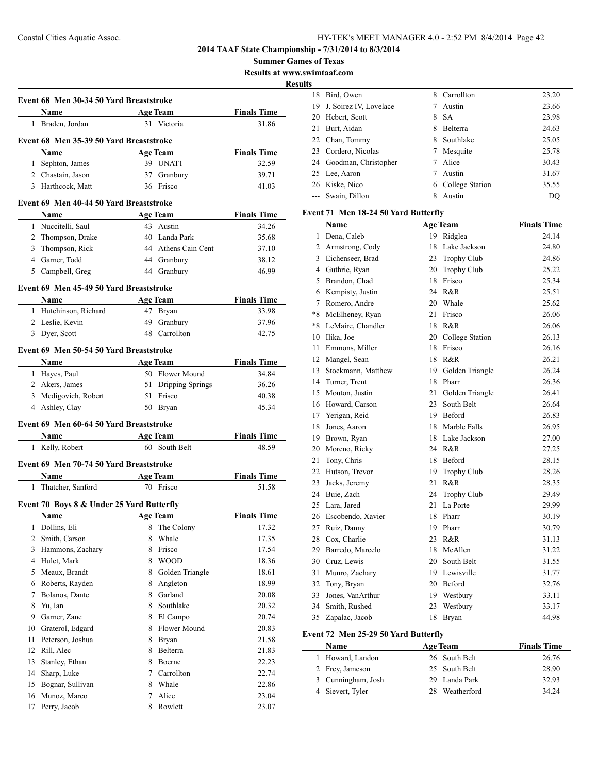**Summer Games of Texas**

**Results at www.swimtaaf.com**

**Results**

|                |                                                                    |   |                     |                    | <b>Resul</b> |
|----------------|--------------------------------------------------------------------|---|---------------------|--------------------|--------------|
|                | Event 68 Men 30-34 50 Yard Breaststroke                            |   |                     |                    |              |
|                | Name<br>Age Team                                                   |   |                     | <b>Finals Time</b> |              |
|                | 1 Braden, Jordan                                                   |   | 31 Victoria         | 31.86              |              |
|                | Event 68 Men 35-39 50 Yard Breaststroke                            |   |                     |                    |              |
|                | <b>Example 3</b> Age Team<br>Name                                  |   |                     | <b>Finals Time</b> |              |
|                | 1 Sephton, James                                                   |   | 39 UNAT1            | 32.59              |              |
|                | 2 Chastain, Jason                                                  |   | 37 Granbury         | 39.71              |              |
|                | 3 Harthcock, Matt                                                  |   | 36 Frisco           | 41.03              |              |
|                | Event 69 Men 40-44 50 Yard Breaststroke                            |   |                     |                    |              |
|                | Name                                                               |   | <b>Age Team</b>     | <b>Finals Time</b> |              |
|                | 1 Nuccitelli, Saul                                                 |   | 43 Austin           | 34.26              |              |
|                | 2 Thompson, Drake                                                  |   | 40 Landa Park       | 35.68              |              |
|                | 3 Thompson, Rick                                                   |   | 44 Athens Cain Cent | 37.10              |              |
|                | 4 Garner, Todd                                                     |   | 44 Granbury         | 38.12              |              |
|                | 5 Campbell, Greg                                                   |   | 44 Granbury         | 46.99              |              |
|                | Event 69 Men 45-49 50 Yard Breaststroke                            |   |                     |                    |              |
|                | <b>Name</b>                                                        |   | <b>Age Team</b>     | <b>Finals Time</b> |              |
|                | 1 Hutchinson, Richard                                              |   | 47 Bryan            | 33.98              |              |
|                | 2 Leslie, Kevin                                                    |   | 49 Granbury         | 37.96              |              |
|                | 3 Dyer, Scott                                                      |   | 48 Carrollton       | 42.75              |              |
|                |                                                                    |   |                     |                    |              |
|                | Event 69 Men 50-54 50 Yard Breaststroke                            |   |                     |                    |              |
|                | <b>Example 2 Age Team</b><br>Name                                  |   |                     | <b>Finals Time</b> |              |
|                | 1 Hayes, Paul                                                      |   | 50 Flower Mound     | 34.84              |              |
|                | 2 Akers, James                                                     |   | 51 Dripping Springs | 36.26              |              |
|                | 3 Medigovich, Robert                                               |   | 51 Frisco           | 40.38              |              |
|                | 4 Ashley, Clay                                                     |   | 50 Bryan            | 45.34              |              |
|                | Event 69 Men 60-64 50 Yard Breaststroke                            |   |                     |                    |              |
|                | <b>Name</b><br><u> 1980 - John Barn Barn, amerikansk politiker</u> |   | <b>Age Team</b>     | <b>Finals Time</b> |              |
|                | 1 Kelly, Robert                                                    |   | 60 South Belt       | 48.59              |              |
|                | Event 69 Men 70-74 50 Yard Breaststroke                            |   |                     |                    |              |
|                | <b>Age Team</b><br>Name                                            |   |                     | <b>Finals Time</b> |              |
|                | 1 Thatcher, Sanford                                                |   | 70 Frisco           | 51.58              |              |
|                | Event 70 Boys 8 & Under 25 Yard Butterfly                          |   |                     |                    |              |
|                | Name Age Team                                                      |   |                     | <b>Finals Time</b> |              |
| 1              | Dollins, Eli                                                       | 8 | The Colony          | 17.32              |              |
| $\overline{c}$ | Smith, Carson                                                      | 8 | Whale               | 17.35              |              |
| 3              | Hammons, Zachary                                                   | 8 | Frisco              | 17.54              |              |
|                | 4 Hulet, Mark                                                      | 8 | <b>WOOD</b>         | 18.36              |              |
| 5              | Meaux, Brandt                                                      | 8 | Golden Triangle     | 18.61              |              |
| 6              | Roberts, Rayden                                                    | 8 | Angleton            | 18.99              |              |
| 7              | Bolanos, Dante                                                     | 8 | Garland             | $20.08\,$          |              |
| 8              | Yu, Ian                                                            | 8 | Southlake           | 20.32              |              |
| 9              | Garner, Zane                                                       |   | 8 El Campo          | 20.74              |              |
| 10             | Graterol, Edgard                                                   | 8 | Flower Mound        | 20.83              |              |
| 11             | Peterson, Joshua                                                   | 8 | Bryan               | 21.58              |              |
| 12             | Rill, Alec                                                         | 8 | Belterra            | 21.83              |              |
| 13             | Stanley, Ethan                                                     | 8 | Boerne              | 22.23              |              |
| 14             | Sharp, Luke                                                        | 7 | Carrollton          | 22.74              |              |
| 15             | Bognar, Sullivan                                                   | 8 | Whale               | 22.86              |              |
| 16             | Munoz, Marco                                                       | 7 | Alice               | 23.04              |              |
| 17             | Perry, Jacob                                                       | 8 | Rowlett             | 23.07              |              |
|                |                                                                    |   |                     |                    |              |

| 18 | Bird, Owen              | 8  | Carrollton      | 23.20 |
|----|-------------------------|----|-----------------|-------|
| 19 | J. Soirez IV, Lovelace  |    | Austin          | 23.66 |
| 20 | Hebert, Scott           |    | 8 SA            | 23.98 |
| 21 | Burt, Aidan             | 8  | Belterra        | 24.63 |
|    | 22 Chan, Tommy          | 8. | Southlake       | 25.05 |
|    | 23 Cordero, Nicolas     | 7  | Mesquite        | 25.78 |
|    | 24 Goodman, Christopher |    | Alice           | 30.43 |
|    | 25 Lee, Aaron           |    | Austin          | 31.67 |
|    | 26 Kiske, Nico          | 6  | College Station | 35.55 |
|    | --- Swain, Dillon       | 8  | Austin          | DO    |

## **Event 71 Men 18-24 50 Yard Butterfly**

|                | <b>Name</b>        |    | <b>Age Team</b>    | <b>Finals Time</b> |
|----------------|--------------------|----|--------------------|--------------------|
| $\mathbf{1}$   | Dena, Caleb        | 19 | Ridglea            | 24.14              |
| $\overline{c}$ | Armstrong, Cody    | 18 | Lake Jackson       | 24.80              |
| 3              | Eichenseer, Brad   | 23 | <b>Trophy Club</b> | 24.86              |
| 4              | Guthrie, Ryan      | 20 | Trophy Club        | 25.22              |
| 5              | Brandon, Chad      | 18 | Frisco             | 25.34              |
| 6              | Kempisty, Justin   | 24 | R&R                | 25.51              |
| $\overline{7}$ | Romero, Andre      | 20 | Whale              | 25.62              |
| $*8$           | McElheney, Ryan    | 21 | Frisco             | 26.06              |
| *8             | LeMaire, Chandler  | 18 | R&R                | 26.06              |
| 10             | Ilika, Joe         |    | 20 College Station | 26.13              |
| 11             | Emmons, Miller     | 18 | Frisco             | 26.16              |
| 12             | Mangel, Sean       | 18 | R&R                | 26.21              |
| 13             | Stockmann, Matthew |    | 19 Golden Triangle | 26.24              |
| 14             | Turner, Trent      | 18 | Pharr              | 26.36              |
| 15             | Mouton, Justin     | 21 | Golden Triangle    | 26.41              |
| 16             | Howard, Carson     | 23 | South Belt         | 26.64              |
| 17             | Yerigan, Reid      | 19 | Beford             | 26.83              |
| 18             | Jones, Aaron       | 18 | Marble Falls       | 26.95              |
| 19             | Brown, Ryan        | 18 | Lake Jackson       | 27.00              |
| 20             | Moreno, Ricky      | 24 | R&R                | 27.25              |
| 21             | Tony, Chris        | 18 | Beford             | 28.15              |
| 22             | Hutson, Trevor     | 19 | Trophy Club        | 28.26              |
| 23             | Jacks, Jeremy      | 21 | R&R                | 28.35              |
| 24             | Buie, Zach         | 24 | <b>Trophy Club</b> | 29.49              |
| 25             | Lara, Jared        | 21 | La Porte           | 29.99              |
| 26             | Escobendo, Xavier  | 18 | Pharr              | 30.19              |
| 27             | Ruiz, Danny        | 19 | Pharr              | 30.79              |
| 28             | Cox, Charlie       | 23 | R&R                | 31.13              |
| 29             | Barredo, Marcelo   | 18 | McAllen            | 31.22              |
| 30             | Cruz, Lewis        | 20 | South Belt         | 31.55              |
| 31             | Munro, Zachary     | 19 | Lewisville         | 31.77              |
| 32             | Tony, Bryan        | 20 | Beford             | 32.76              |
| 33             | Jones, VanArthur   |    | 19 Westbury        | 33.11              |
| 34             | Smith, Rushed      | 23 | Westbury           | 33.17              |
| 35             | Zapalac, Jacob     | 18 | Bryan              | 44.98              |

## **Event 72 Men 25-29 50 Yard Butterfly**

| <b>Name</b>        | <b>Age Team</b> | <b>Finals Time</b> |
|--------------------|-----------------|--------------------|
| 1 Howard, Landon   | 26 South Belt   | 26.76              |
| 2 Frey, Jameson    | 25 South Belt   | 28.90              |
| 3 Cunningham, Josh | 29 Landa Park   | 32.93              |
| 4 Sievert, Tyler   | Weatherford     | 34 24              |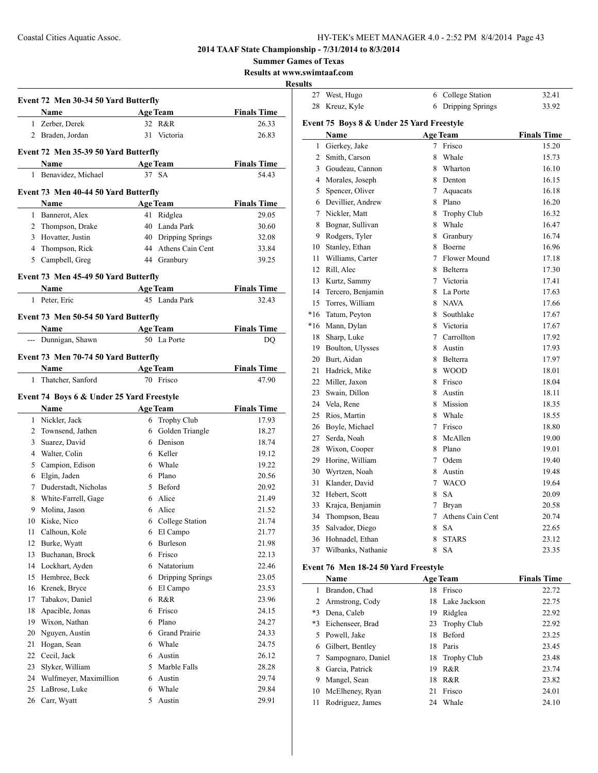27 West, Hugo 6 College Station 32.41 28 Kreuz, Kyle 6 Dripping Springs 33.92

**2014 TAAF State Championship - 7/31/2014 to 8/3/2014**

**Summer Games of Texas**

**Results at www.swimtaaf.com**

## **Results**

 $\overline{a}$ 

|    | Event 72 Men 30-34 50 Yard Butterfly         |    |                                  | <b>Finals Time</b>          |
|----|----------------------------------------------|----|----------------------------------|-----------------------------|
|    | Name                                         |    | <b>Age Team</b>                  |                             |
|    | 1 Zerber, Derek                              |    | 32 R&R                           | 26.33                       |
|    | 2 Braden, Jordan                             |    | 31 Victoria                      | 26.83                       |
|    | Event 72 Men 35-39 50 Yard Butterfly         |    |                                  |                             |
|    | Name                                         |    | <b>Age Team</b>                  | <b>Finals Time</b>          |
|    | 1 Benavidez, Michael                         |    | 37 SA                            | 54.43                       |
|    | Event 73 Men 40-44 50 Yard Butterfly         |    |                                  |                             |
|    | <b>Name</b>                                  |    | <b>Age Team</b>                  | <b>Finals Time</b>          |
|    | 1 Bannerot, Alex                             | 41 | Ridglea                          | 29.05                       |
|    | 2 Thompson, Drake                            |    | 40 Landa Park                    | 30.60                       |
|    | 3 Hovatter, Justin                           |    | 40 Dripping Springs              | 32.08                       |
|    | 4 Thompson, Rick                             |    | 44 Athens Cain Cent              | 33.84                       |
| 5  | Campbell, Greg                               |    | 44 Granbury                      | 39.25                       |
|    |                                              |    |                                  |                             |
|    | Event 73 Men 45-49 50 Yard Butterfly         |    |                                  |                             |
|    | Name                                         |    | <b>Age Team</b><br>45 Landa Park | <b>Finals Time</b>          |
|    | 1 Peter, Eric                                |    |                                  | 32.43                       |
|    | Event 73 Men 50-54 50 Yard Butterfly<br>Name |    | <b>Age Team</b>                  |                             |
|    |                                              |    | 50 La Porte                      | <b>Finals Time</b>          |
|    | --- Dunnigan, Shawn                          |    |                                  | DQ                          |
|    | Event 73 Men 70-74 50 Yard Butterfly         |    |                                  |                             |
| 1  | Name<br>Thatcher, Sanford                    |    | <b>Age Team</b><br>70 Frisco     | <b>Finals Time</b><br>47.90 |
|    | Event 74 Boys 6 & Under 25 Yard Freestyle    |    |                                  |                             |
|    | Name                                         |    | <b>Age Team</b>                  | <b>Finals Time</b>          |
| 1  |                                              |    |                                  | 17.93                       |
| 2  | Nickler, Jack<br>Townsend, Jathen            |    | 6 Trophy Club                    | 18.27                       |
|    |                                              |    | 6 Golden Triangle<br>6 Denison   |                             |
| 3  | Suarez, David                                |    |                                  | 18.74                       |
|    | 4 Walter, Colin                              |    | 6 Keller                         | 19.12                       |
|    | 5 Campion, Edison                            |    | 6 Whale                          | 19.22                       |
|    | 6 Elgin, Jaden                               |    | 6 Plano                          | 20.56                       |
|    | 7 Duderstadt, Nicholas                       |    | 5 Beford                         | 20.92                       |
| 8  | White-Farrell, Gage                          |    | 6 Alice                          | 21.49                       |
| 9. | Molina, Jason                                |    | 6 Alice                          | 21.52                       |
|    | 10 Kiske, Nico                               |    | 6 College Station                | 21.74                       |
| 11 | Calhoun, Kole                                | 6  | El Campo                         | 21.77                       |
| 12 | Burke, Wyatt                                 | 6  | Burleson                         | 21.98                       |
| 13 | Buchanan, Brock                              | 6  | Frisco                           | 22.13                       |
| 14 | Lockhart, Ayden                              |    | 6 Natatorium                     | 22.46                       |
|    | 15 Hembree, Beck                             | 6  | Dripping Springs                 | 23.05                       |
| 16 | Krenek, Bryce                                | 6  | El Campo                         | 23.53                       |
| 17 | Tabakov, Daniel                              | 6  | R&R                              | 23.96                       |
| 18 | Apacible, Jonas                              | 6  | Frisco                           | 24.15                       |
| 19 | Wixon, Nathan                                | 6  | Plano                            | 24.27                       |
| 20 | Nguyen, Austin                               | 6  | Grand Prairie                    | 24.33                       |
| 21 | Hogan, Sean                                  | 6  | Whale                            | 24.75                       |
| 22 | Cecil, Jack                                  | 6  | Austin                           | 26.12                       |
| 23 | Slyker, William                              | 5  | Marble Falls                     | 28.28                       |
| 24 |                                              | 6  | Austin                           | 29.74                       |
| 25 | Wulfmeyer, Maximillion<br>LaBrose, Luke      | 6  | Whale                            | 29.84                       |

| Event 75 Boys 8 & Under 25 Yard Freestyle |                    |        |                    |                    |  |  |
|-------------------------------------------|--------------------|--------|--------------------|--------------------|--|--|
|                                           | Name               |        | <b>Age Team</b>    | <b>Finals Time</b> |  |  |
| 1                                         | Gierkey, Jake      | $\tau$ | Frisco             | 15.20              |  |  |
| 2                                         | Smith, Carson      | 8      | Whale              | 15.73              |  |  |
| 3                                         | Goudeau, Cannon    | 8.     | Wharton            | 16.10              |  |  |
| 4                                         | Morales, Joseph    |        | 8 Denton           | 16.15              |  |  |
| 5                                         | Spencer, Oliver    | $\tau$ | Aquacats           | 16.18              |  |  |
| 6                                         | Devillier, Andrew  |        | 8 Plano            | 16.20              |  |  |
| 7                                         | Nickler, Matt      | 8      | <b>Trophy Club</b> | 16.32              |  |  |
| 8                                         | Bognar, Sullivan   | 8      | Whale              | 16.47              |  |  |
| 9                                         | Rodgers, Tyler     |        | 8 Granbury         | 16.74              |  |  |
| 10                                        | Stanley, Ethan     |        | 8 Boerne           | 16.96              |  |  |
| 11                                        | Williams, Carter   | $\tau$ | Flower Mound       | 17.18              |  |  |
| 12                                        | Rill, Alec         | 8      | Belterra           | 17.30              |  |  |
| 13                                        | Kurtz, Sammy       |        | 7 Victoria         | 17.41              |  |  |
| 14                                        | Tercero, Benjamin  |        | 8 La Porte         | 17.63              |  |  |
| 15                                        | Torres, William    |        | 8 NAVA             | 17.66              |  |  |
| $*16$                                     | Tatum, Peyton      | 8      | Southlake          | 17.67              |  |  |
| $*16$                                     | Mann, Dylan        |        | 8 Victoria         | 17.67              |  |  |
| 18                                        | Sharp, Luke        |        | 7 Carrollton       | 17.92              |  |  |
| 19                                        | Boulton, Ulysses   | 8      | Austin             | 17.93              |  |  |
| 20                                        | Burt, Aidan        | 8      | Belterra           | 17.97              |  |  |
| 21                                        | Hadrick, Mike      | 8      | <b>WOOD</b>        | 18.01              |  |  |
| 22                                        | Miller, Jaxon      | 8      | Frisco             | 18.04              |  |  |
| 23                                        | Swain, Dillon      | 8      | Austin             | 18.11              |  |  |
| 24                                        | Vela, Rene         | 8      | Mission            | 18.35              |  |  |
| 25                                        | Rios, Martin       | 8.     | Whale              | 18.55              |  |  |
| 26                                        | Boyle, Michael     | 7      | Frisco             | 18.80              |  |  |
| 27                                        | Serda, Noah        | 8      | McAllen            | 19.00              |  |  |
| 28                                        | Wixon, Cooper      | 8      | Plano              | 19.01              |  |  |
| 29                                        | Horine, William    | $\tau$ | Odem               | 19.40              |  |  |
| 30                                        | Wyrtzen, Noah      | 8      | Austin             | 19.48              |  |  |
| 31                                        | Klander, David     | 7      | <b>WACO</b>        | 19.64              |  |  |
| 32                                        | Hebert, Scott      | 8      | SA                 | 20.09              |  |  |
| 33                                        | Krajca, Benjamin   | 7      | <b>Bryan</b>       | 20.58              |  |  |
| 34                                        | Thompson, Beau     | 7      | Athens Cain Cent   | 20.74              |  |  |
| 35                                        | Salvador, Diego    | 8      | <b>SA</b>          | 22.65              |  |  |
| 36                                        | Hohnadel, Ethan    | 8      | <b>STARS</b>       | 23.12              |  |  |
| 37                                        | Wilbanks, Nathanie | 8      | <b>SA</b>          | 23.35              |  |  |

## **Event 76 Men 18-24 50 Yard Freestyle**

|      | <b>Age Team</b><br>Name |    |                    | <b>Finals Time</b> |
|------|-------------------------|----|--------------------|--------------------|
| 1    | Brandon, Chad           | 18 | Frisco             | 22.72              |
| 2    | Armstrong, Cody         | 18 | Lake Jackson       | 22.75              |
| $*3$ | Dena, Caleb             | 19 | Ridglea            | 22.92              |
| $*3$ | Eichenseer, Brad        | 23 | <b>Trophy Club</b> | 22.92              |
|      | Powell, Jake            | 18 | Beford             | 23.25              |
| 6    | Gilbert, Bentley        | 18 | Paris              | 23.45              |
|      | Sampognaro, Daniel      | 18 | Trophy Club        | 23.48              |
| 8    | Garcia, Patrick         | 19 | R&R                | 23.74              |
| 9    | Mangel, Sean            | 18 | R&R                | 23.82              |
| 10   | McElheney, Ryan         | 21 | Frisco             | 24.01              |
| 11   | Rodriguez, James        | 24 | Whale              | 24.10              |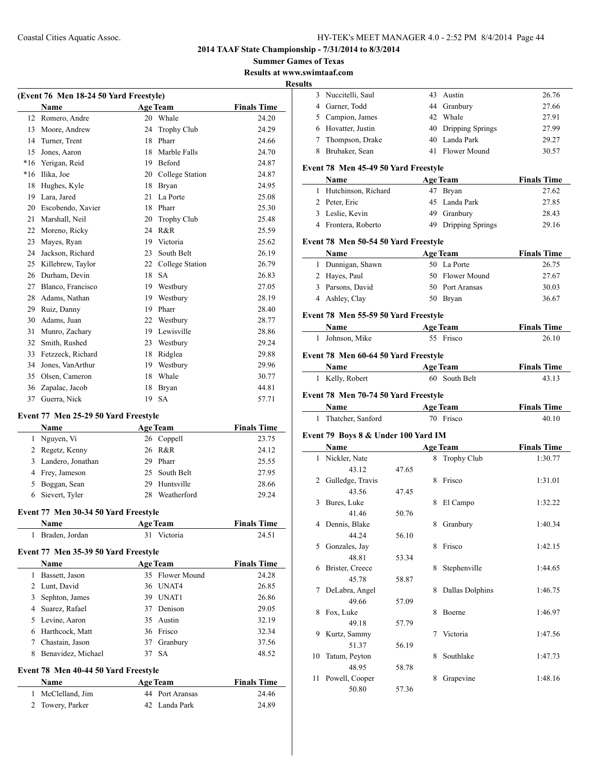**2014 TAAF State Championship - 7/31/2014 to 8/3/2014**

**Summer Games of Texas**

**Results at www.swimtaaf.com Results**

| (Event 76 Men 18-24 50 Yard Freestyle) |                   |                 |                    |                    |  |  |
|----------------------------------------|-------------------|-----------------|--------------------|--------------------|--|--|
|                                        | <b>Name</b>       | <b>Age Team</b> |                    | <b>Finals Time</b> |  |  |
| 12                                     | Romero, Andre     | 20              | Whale              | 24.20              |  |  |
| 13                                     | Moore, Andrew     | 24              | <b>Trophy Club</b> | 24.29              |  |  |
| 14                                     | Turner, Trent     | 18              | Pharr              | 24.66              |  |  |
| 15                                     | Jones, Aaron      | 18              | Marble Falls       | 24.70              |  |  |
| $*16$                                  | Yerigan, Reid     | 19              | Beford             | 24.87              |  |  |
| $*16$                                  | Ilika, Joe        | 20              | College Station    | 24.87              |  |  |
| 18                                     | Hughes, Kyle      | 18              | Bryan              | 24.95              |  |  |
| 19                                     | Lara, Jared       | 21              | La Porte           | 25.08              |  |  |
| 20                                     | Escobendo, Xavier | 18              | Pharr              | 25.30              |  |  |
| 21                                     | Marshall, Neil    | 20              | <b>Trophy Club</b> | 25.48              |  |  |
| 22                                     | Moreno, Ricky     | 24              | R&R                | 25.59              |  |  |
| 23                                     | Mayes, Ryan       | 19              | Victoria           | 25.62              |  |  |
| 24                                     | Jackson, Richard  | 23              | South Belt         | 26.19              |  |  |
| 25                                     | Killebrew, Taylor | 22              | College Station    | 26.79              |  |  |
| 26                                     | Durham, Devin     | 18              | <b>SA</b>          | 26.83              |  |  |
| 27                                     | Blanco, Francisco | 19              | Westbury           | 27.05              |  |  |
| 28                                     | Adams, Nathan     | 19              | Westbury           | 28.19              |  |  |
| 29                                     | Ruiz, Danny       | 19              | Pharr              | 28.40              |  |  |
| 30                                     | Adams, Juan       | 22              | Westbury           | 28.77              |  |  |
| 31                                     | Munro, Zachary    | 19              | Lewisville         | 28.86              |  |  |
| 32                                     | Smith, Rushed     | 23              | Westbury           | 29.24              |  |  |
| 33                                     | Fetzzeck, Richard | 18              | Ridglea            | 29.88              |  |  |
| 34                                     | Jones, VanArthur  | 19              | Westbury           | 29.96              |  |  |
| 35                                     | Olsen, Cameron    | 18              | Whale              | 30.77              |  |  |
| 36                                     | Zapalac, Jacob    | 18              | <b>Bryan</b>       | 44.81              |  |  |
| 37                                     | Guerra, Nick      | 19              | <b>SA</b>          | 57.71              |  |  |

## **Event 77 Men 25-29 50 Yard Freestyle**

|   | <b>Name</b>         |     | <b>Age Team</b> | <b>Finals Time</b> |
|---|---------------------|-----|-----------------|--------------------|
| 1 | Nguyen, Vi          |     | 26 Coppell      | 23.75              |
|   | 2 Regetz, Kenny     |     | 26 R&R          | 24.12              |
|   | 3 Landero, Jonathan | 29. | Pharr           | 25.55              |
|   | 4 Frey, Jameson     |     | 25 South Belt   | 27.95              |
|   | 5 Boggan, Sean      | 29. | Huntsville      | 28.66              |
|   | 6 Sievert, Tyler    | 28  | Weatherford     | 29.24              |

#### **Event 77 Men 30-34 50 Yard Freestyle**

| <b>Name</b>      | <b>Age Team</b> | <b>Finals Time</b> |
|------------------|-----------------|--------------------|
| 1 Braden, Jordan | 31 Victoria     | 24.51              |

#### **Event 77 Men 35-39 50 Yard Freestyle**

| <b>Name</b>        |                                                                           |     | <b>Finals Time</b>                                                                                             |
|--------------------|---------------------------------------------------------------------------|-----|----------------------------------------------------------------------------------------------------------------|
| Bassett, Jason     |                                                                           |     | 24.28                                                                                                          |
|                    |                                                                           |     | 26.85                                                                                                          |
| Sephton, James     | 39.                                                                       |     | 26.86                                                                                                          |
|                    |                                                                           |     | 29.05                                                                                                          |
|                    |                                                                           |     | 32.19                                                                                                          |
|                    |                                                                           |     | 32.34                                                                                                          |
| Chastain, Jason    |                                                                           |     | 37.56                                                                                                          |
| Benavidez, Michael | 37                                                                        | -SA | 48.52                                                                                                          |
|                    | 2 Lunt, David<br>4 Suarez, Rafael<br>5 Levine, Aaron<br>6 Harthcock, Matt |     | <b>Age Team</b><br>35 Flower Mound<br>36 UNAT4<br>UNAT1<br>37 Denison<br>35 Austin<br>36 Frisco<br>37 Granbury |

## **Event 78 Men 40-44 50 Yard Freestyle**

| Name              | <b>Age Team</b> | <b>Finals Time</b> |
|-------------------|-----------------|--------------------|
| 1 McClelland, Jim | 44 Port Aransas | 24.46              |
| 2 Towery, Parker  | 42 Landa Park   | 24.89              |

| uus |                                      |       |   |                     |                    |
|-----|--------------------------------------|-------|---|---------------------|--------------------|
|     | 3 Nuccitelli, Saul                   |       |   | 43 Austin           | 26.76              |
|     | 4 Garner, Todd                       |       |   | 44 Granbury         | 27.66              |
|     | 5 Campion, James                     |       |   | 42 Whale            | 27.91              |
|     | 6 Hovatter, Justin                   |       |   | 40 Dripping Springs | 27.99              |
|     | 7 Thompson, Drake                    |       |   | 40 Landa Park       | 29.27              |
|     | 8 Brubaker, Sean                     |       |   | 41 Flower Mound     | 30.57              |
|     | Event 78 Men 45-49 50 Yard Freestyle |       |   |                     |                    |
|     | Name                                 |       |   | <b>Age Team</b>     | <b>Finals Time</b> |
|     | 1 Hutchinson, Richard                |       |   | 47 Bryan            | 27.62              |
|     | 2 Peter, Eric                        |       |   | 45 Landa Park       | 27.85              |
|     | 3 Leslie, Kevin                      |       |   | 49 Granbury         | 28.43              |
|     | 4 Frontera, Roberto                  |       |   | 49 Dripping Springs | 29.16              |
|     | Event 78 Men 50-54 50 Yard Freestyle |       |   |                     |                    |
|     | Name                                 |       |   | <b>Age Team</b>     | <b>Finals Time</b> |
|     | 1 Dunnigan, Shawn                    |       |   | 50 La Porte         | 26.75              |
|     | 2 Hayes, Paul                        |       |   | 50 Flower Mound     | 27.67              |
|     | 3 Parsons, David                     |       |   | 50 Port Aransas     | 30.03              |
|     | 4 Ashley, Clay                       |       |   | 50 Bryan            | 36.67              |
|     | Event 78 Men 55-59 50 Yard Freestyle |       |   |                     |                    |
|     | Name                                 |       |   | <b>Age Team</b>     | <b>Finals Time</b> |
|     | 1 Johnson, Mike                      |       |   | 55 Frisco           | 26.10              |
|     |                                      |       |   |                     |                    |
|     | Event 78 Men 60-64 50 Yard Freestyle |       |   |                     |                    |
|     | Name                                 |       |   | <b>Age Team</b>     | <b>Finals Time</b> |
|     | 1 Kelly, Robert                      |       |   | 60 South Belt       | 43.13              |
|     | Event 78 Men 70-74 50 Yard Freestyle |       |   |                     |                    |
|     | Name                                 |       |   | <b>Age Team</b>     | <b>Finals Time</b> |
|     | 1 Thatcher, Sanford                  |       |   | 70 Frisco           | 40.10              |
|     | Event 79 Boys 8 & Under 100 Yard IM  |       |   |                     |                    |
|     | Name                                 |       |   | <b>Age Team</b>     | <b>Finals Time</b> |
| 1   | Nickler, Nate                        |       |   | 8 Trophy Club       | 1:30.77            |
|     | 43.12                                | 47.65 |   |                     |                    |
|     | 2 Gulledge, Travis                   |       |   | 8 Frisco            | 1:31.01            |
|     | 43.56                                | 47.45 |   |                     |                    |
| 3   | Bures, Luke                          |       |   | 8 El Campo          | 1:32.22            |
|     | 41.46                                | 50.76 |   |                     |                    |
| 4   | Dennis, Blake                        |       |   | Granbury            | 1:40.34            |
|     | 44.24                                | 56.10 |   |                     |                    |
| 5   | Gonzales, Jay                        |       | 8 | Frisco              | 1:42.15            |
|     | 48.81                                | 53.34 |   |                     |                    |
| 6   | Brister, Creece                      |       | 8 | Stephenville        | 1:44.65            |
|     | 45.78                                | 58.87 |   |                     |                    |
| 7   | DeLabra, Angel                       |       | 8 | Dallas Dolphins     | 1:46.75            |
|     | 49.66                                | 57.09 |   |                     |                    |
| 8   | Fox, Luke                            |       | 8 | Boerne              | 1:46.97            |
|     | 49.18                                | 57.79 |   |                     |                    |
| 9   | Kurtz, Sammy                         |       | 7 | Victoria            | 1:47.56            |
|     | 51.37                                | 56.19 |   |                     |                    |
| 10  | Tatum, Peyton                        |       | 8 | Southlake           | 1:47.73            |
|     | 48.95                                | 58.78 |   |                     |                    |
| 11  | Powell, Cooper                       |       | 8 | Grapevine           | 1:48.16            |
|     | 50.80                                | 57.36 |   |                     |                    |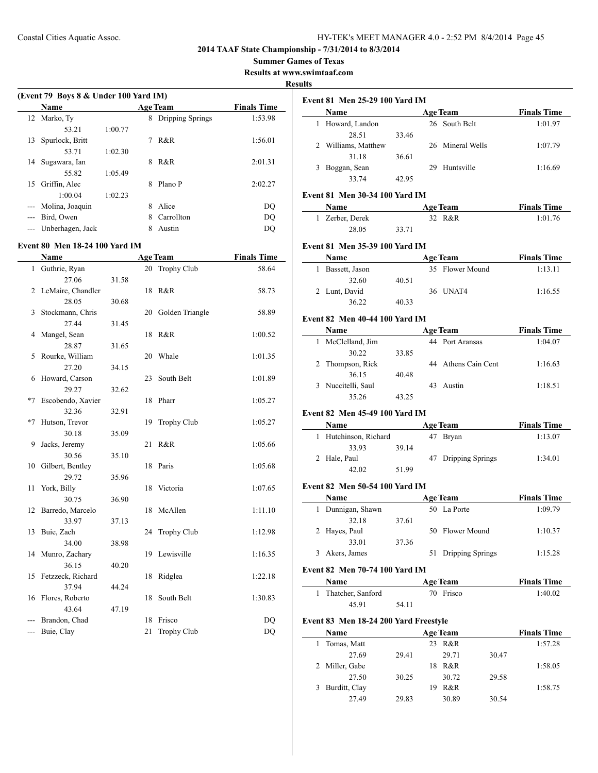**Summer Games of Texas**

**Results at www.swimtaaf.com**

## **Results**

| (Event 79 Boys 8 & Under 100 Yard IM) |                  |         |   |                  |                    |
|---------------------------------------|------------------|---------|---|------------------|--------------------|
|                                       | <b>Name</b>      |         |   | <b>Age Team</b>  | <b>Finals Time</b> |
|                                       | 12 Marko, Ty     |         | 8 | Dripping Springs | 1:53.98            |
|                                       | 53.21            | 1:00.77 |   |                  |                    |
| 13                                    | Spurlock, Britt  |         |   | R&R              | 1:56.01            |
|                                       | 53.71            | 1:02.30 |   |                  |                    |
| 14                                    | Sugawara, Ian    |         | 8 | R&R              | 2:01.31            |
|                                       | 55.82            | 1:05.49 |   |                  |                    |
| 15                                    | Griffin, Alec    |         | 8 | Plano P          | 2:02.27            |
|                                       | 1:00.04          | 1:02.23 |   |                  |                    |
|                                       | Molina, Joaquin  |         | 8 | Alice            | DO                 |
|                                       | Bird, Owen       |         | 8 | Carrollton       | DO                 |
|                                       | Unberhagen, Jack |         |   | Austin           | DO                 |
|                                       |                  |         |   |                  |                    |

#### **Event 80 Men 18-24 100 Yard IM**

 $\overline{a}$ 

|              | Name              |       |    | <b>Age Team</b>    | <b>Finals Time</b> |
|--------------|-------------------|-------|----|--------------------|--------------------|
| $\mathbf{1}$ | Guthrie, Ryan     |       |    | 20 Trophy Club     | 58.64              |
|              | 27.06             | 31.58 |    |                    |                    |
| 2            | LeMaire, Chandler |       | 18 | R&R                | 58.73              |
|              | 28.05             | 30.68 |    |                    |                    |
| 3            | Stockmann, Chris  |       | 20 | Golden Triangle    | 58.89              |
|              | 27.44             | 31.45 |    |                    |                    |
| 4            | Mangel, Sean      |       | 18 | R&R                | 1:00.52            |
|              | 28.87             | 31.65 |    |                    |                    |
| 5            | Rourke, William   |       | 20 | Whale              | 1:01.35            |
|              | 27.20             | 34.15 |    |                    |                    |
| 6            | Howard, Carson    |       | 23 | South Belt         | 1:01.89            |
|              | 29.27             | 32.62 |    |                    |                    |
| *7           | Escobendo, Xavier |       | 18 | Pharr              | 1:05.27            |
|              | 32.36             | 32.91 |    |                    |                    |
| $*7$         | Hutson, Trevor    |       | 19 | <b>Trophy Club</b> | 1:05.27            |
|              | 30.18             | 35.09 |    |                    |                    |
| 9            | Jacks, Jeremy     |       | 21 | R&R                | 1:05.66            |
|              | 30.56             | 35.10 |    |                    |                    |
| 10           | Gilbert, Bentley  |       | 18 | Paris              | 1:05.68            |
|              | 29.72             | 35.96 |    |                    |                    |
| 11           | York, Billy       |       | 18 | Victoria           | 1:07.65            |
|              | 30.75             | 36.90 |    |                    |                    |
| 12           | Barredo, Marcelo  |       | 18 | McAllen            | 1:11.10            |
|              | 33.97             | 37.13 |    |                    |                    |
| 13           | Buie, Zach        |       | 24 | Trophy Club        | 1:12.98            |
|              | 34.00             | 38.98 |    |                    |                    |
| 14           | Munro, Zachary    |       | 19 | Lewisville         | 1:16.35            |
|              | 36.15             | 40.20 |    |                    |                    |
| 15           | Fetzzeck, Richard |       | 18 | Ridglea            | 1:22.18            |
|              | 37.94             | 44.24 |    |                    |                    |
| 16           | Flores, Roberto   |       | 18 | South Belt         | 1:30.83            |
|              | 43.64             | 47.19 |    |                    |                    |
|              | Brandon, Chad     |       | 18 | Frisco             | DQ                 |
| ---          | Buie, Clay        |       | 21 | Trophy Club        | DQ                 |

| <b>Event 81 Men 25-29 100 Yard IM</b> |                                       |       |    |                     |       |                    |
|---------------------------------------|---------------------------------------|-------|----|---------------------|-------|--------------------|
|                                       | Name                                  |       |    | <b>Age Team</b>     |       | <b>Finals Time</b> |
|                                       | 1 Howard, Landon                      |       |    | 26 South Belt       |       | 1:01.97            |
|                                       | 28.51                                 | 33.46 |    |                     |       |                    |
|                                       | 2 Williams, Matthew                   |       |    | 26 Mineral Wells    |       | 1:07.79            |
|                                       | 31.18                                 | 36.61 |    |                     |       |                    |
|                                       | 3 Boggan, Sean                        |       |    | 29 Huntsville       |       | 1:16.69            |
|                                       | 33.74                                 | 42.95 |    |                     |       |                    |
|                                       |                                       |       |    |                     |       |                    |
|                                       | Event 81 Men 30-34 100 Yard IM        |       |    |                     |       |                    |
|                                       | <b>Name</b>                           |       |    | <b>Age Team</b>     |       | <b>Finals Time</b> |
|                                       | 1 Zerber, Derek                       |       |    | 32 R&R              |       | 1:01.76            |
|                                       | 28.05                                 | 33.71 |    |                     |       |                    |
|                                       | Event 81 Men 35-39 100 Yard IM        |       |    |                     |       |                    |
|                                       | Name                                  |       |    | Age Team            |       | <b>Finals Time</b> |
|                                       | 1 Bassett, Jason                      |       |    | 35 Flower Mound     |       | 1:13.11            |
|                                       | 32.60                                 | 40.51 |    |                     |       |                    |
|                                       | 2 Lunt, David                         |       |    | 36 UNAT4            |       | 1:16.55            |
|                                       | 36.22                                 | 40.33 |    |                     |       |                    |
|                                       | <b>Event 82 Men 40-44 100 Yard IM</b> |       |    |                     |       |                    |
|                                       | Name                                  |       |    | <b>Age Team</b>     |       | <b>Finals Time</b> |
|                                       | 1 McClelland, Jim                     |       |    | 44 Port Aransas     |       | 1:04.07            |
|                                       | 30.22                                 | 33.85 |    |                     |       |                    |
| 2                                     | Thompson, Rick                        |       |    | 44 Athens Cain Cent |       | 1:16.63            |
|                                       | 36.15                                 | 40.48 |    |                     |       |                    |
|                                       | 3 Nuccitelli, Saul                    |       |    | 43 Austin           |       | 1:18.51            |
|                                       | 35.26                                 | 43.25 |    |                     |       |                    |
|                                       |                                       |       |    |                     |       |                    |
|                                       | Event 82 Men 45-49 100 Yard IM        |       |    |                     |       |                    |
|                                       | <b>Name</b>                           |       |    | <b>Age Team</b>     |       | <b>Finals Time</b> |
|                                       | 1 Hutchinson, Richard                 |       |    | 47 Bryan            |       | 1:13.07            |
|                                       | 33.93                                 | 39.14 |    |                     |       |                    |
|                                       | 2 Hale, Paul                          |       |    | 47 Dripping Springs |       | 1:34.01            |
|                                       | 42.02                                 | 51.99 |    |                     |       |                    |
|                                       | <b>Event 82 Men 50-54 100 Yard IM</b> |       |    |                     |       |                    |
|                                       | Name                                  |       |    | <b>Age Team</b>     |       | <b>Finals Time</b> |
| 1                                     | Dunnigan, Shawn                       |       |    | 50 La Porte         |       | 1:09.79            |
|                                       | 32.18                                 | 37.61 |    |                     |       |                    |
| 2                                     | Hayes, Paul                           |       |    | 50 Flower Mound     |       | 1:10.37            |
|                                       | 33.01                                 | 37.36 |    |                     |       |                    |
| 3                                     | Akers, James                          |       | 51 | Dripping Springs    |       | 1:15.28            |
|                                       | Event 82 Men 70-74 100 Yard IM        |       |    |                     |       |                    |
|                                       | Name                                  |       |    | <b>Age Team</b>     |       | <b>Finals Time</b> |
| $\mathbf{1}$                          | Thatcher, Sanford                     |       |    | 70 Frisco           |       | 1:40.02            |
|                                       | 45.91                                 | 54.11 |    |                     |       |                    |
|                                       |                                       |       |    |                     |       |                    |
|                                       | Event 83 Men 18-24 200 Yard Freestyle |       |    |                     |       |                    |
|                                       | Name                                  |       |    | <b>Age Team</b>     |       | <b>Finals Time</b> |
| 1                                     | Tomas, Matt                           |       |    | 23 R&R              |       | 1:57.28            |
|                                       | 27.69                                 | 29.41 |    | 29.71               | 30.47 |                    |
|                                       | 2 Miller, Gabe                        |       |    | 18 R&R              |       | 1:58.05            |
|                                       | 27.50                                 | 30.25 |    | 30.72               | 29.58 |                    |

3 Burditt, Clay 19 R&R 1:58.75 27.49 29.83 30.89 30.54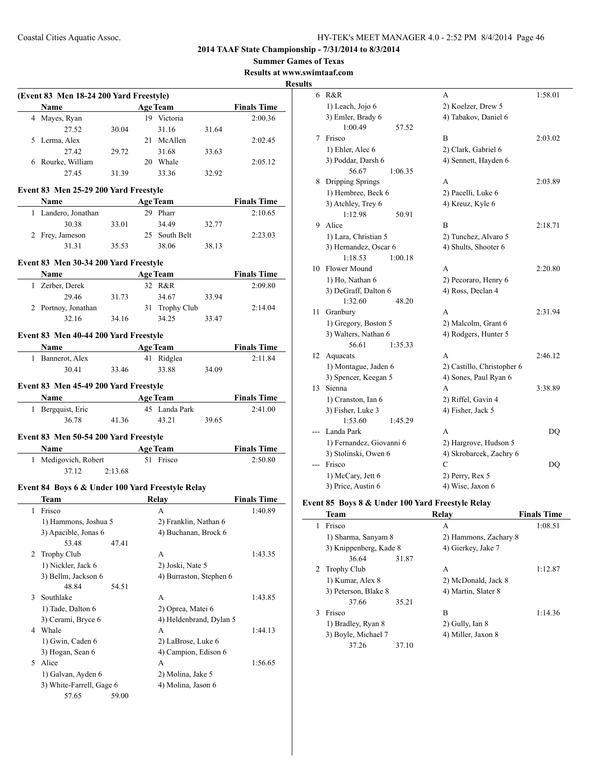**Summer Games of Texas**

**Results at www.swimtaaf.com**

#### **<u>esults</u>**

| Name                                             |                 | <b>Age Team</b>                         |       | <b>Finals Time</b> |
|--------------------------------------------------|-----------------|-----------------------------------------|-------|--------------------|
| 4 Mayes, Ryan                                    |                 | 19 Victoria                             |       | 2:00.36            |
| 27.52                                            | 30.04           | 31.16                                   | 31.64 |                    |
| 5 Lerma, Alex                                    |                 | 21 McAllen                              |       | 2:02.45            |
| 27.42                                            | 29.72           | 31.68                                   | 33.63 |                    |
| 6 Rourke, William                                |                 | 20 Whale                                |       | 2:05.12            |
| 27.45                                            | 31.39           | 33.36                                   | 32.92 |                    |
|                                                  |                 |                                         |       |                    |
| Event 83 Men 25-29 200 Yard Freestyle            |                 |                                         |       |                    |
| Name Age Team                                    |                 |                                         |       | <b>Finals Time</b> |
| 1 Landero, Jonathan                              |                 | 29 Pharr                                |       | 2:10.65            |
| 30.38                                            | 33.01           | 34.49                                   | 32.77 |                    |
| 2 Frey, Jameson                                  |                 | 25 South Belt                           |       | 2:23.03            |
| 31.31                                            | 35.53           | 38.06                                   | 38.13 |                    |
| Event 83 Men 30-34 200 Yard Freestyle            |                 |                                         |       |                    |
| Name                                             |                 | <b>Age Team</b>                         |       | <b>Finals Time</b> |
| 1 Zerber, Derek                                  |                 | 32 R&R                                  |       | 2:09.80            |
| 29.46                                            | 31.73           | 34.67                                   | 33.94 |                    |
| 2 Portnoy, Jonathan                              |                 | 31 Trophy Club                          |       | 2:14.04            |
| 32.16                                            | 34.16           | 34.25                                   | 33.47 |                    |
|                                                  |                 |                                         |       |                    |
| Event 83 Men 40-44 200 Yard Freestyle            |                 | <b>Age Team</b>                         |       | <b>Finals Time</b> |
| 1 Bannerot, Alex                                 |                 | 41 Ridglea                              |       | 2:11.84            |
| 30.41                                            | 33.46           | 33.88                                   | 34.09 |                    |
|                                                  |                 |                                         |       |                    |
| Event 83 Men 45-49 200 Yard Freestyle            |                 |                                         |       |                    |
| <b>Name</b>                                      |                 | <b>Age Team</b>                         |       | <b>Finals Time</b> |
| 1 Bergquist, Eric                                |                 | 45 Landa Park                           |       | 2:41.00            |
| 36.78                                            | 41.36           | 43.21                                   | 39.65 |                    |
|                                                  |                 |                                         |       |                    |
|                                                  |                 |                                         |       |                    |
| Event 83 Men 50-54 200 Yard Freestyle            |                 |                                         |       |                    |
| Name                                             | <b>Age Team</b> |                                         |       | <b>Finals Time</b> |
| 1 Medigovich, Robert                             |                 | 51 Frisco                               |       | 2:50.80            |
| 37.12                                            | 2:13.68         |                                         |       |                    |
| Event 84 Boys 6 & Under 100 Yard Freestyle Relay |                 |                                         |       |                    |
| Team                                             |                 | Relay                                   |       | <b>Finals Time</b> |
| 1 Frisco                                         |                 | A                                       |       | 1:40.89            |
| 1) Hammons, Joshua 5                             |                 | 2) Franklin, Nathan 6                   |       |                    |
| 3) Apacible, Jonas 6                             |                 | 4) Buchanan, Brock 6                    |       |                    |
| 53.48                                            | 47.41           |                                         |       |                    |
| 2 Trophy Club                                    |                 | A                                       |       | 1:43.35            |
| 1) Nickler, Jack 6                               |                 | 2) Joski, Nate 5                        |       |                    |
| 3) Bellm, Jackson 6                              |                 | 4) Burraston, Stephen 6                 |       |                    |
| 48.84                                            | 54.51           |                                         |       |                    |
| 3 Southlake                                      |                 | A                                       |       | 1:43.85            |
| 1) Tade, Dalton 6                                |                 | 2) Oprea, Matei 6                       |       |                    |
| 3) Cerami, Bryce 6                               |                 | 4) Heldenbrand, Dylan 5                 |       |                    |
| 4 Whale                                          |                 | A                                       |       | 1:44.13            |
|                                                  |                 |                                         |       |                    |
| 1) Gwin, Caden 6                                 |                 | 2) LaBrose, Luke 6                      |       |                    |
| 3) Hogan, Sean 6                                 |                 | 4) Campion, Edison 6                    |       |                    |
| 5 Alice                                          |                 | A                                       |       | 1:56.65            |
| 1) Galvan, Ayden 6<br>3) White-Farrell, Gage 6   |                 | 2) Molina, Jake 5<br>4) Molina, Jason 6 |       |                    |

| 6   | R&R                      | A                          | 1:58.01 |
|-----|--------------------------|----------------------------|---------|
|     | 1) Leach, Jojo 6         | 2) Koelzer, Drew 5         |         |
|     | 3) Emler, Brady 6        | 4) Tabakov, Daniel 6       |         |
|     | 1:00.49<br>57.52         |                            |         |
| 7   | Frisco                   | B                          | 2:03.02 |
|     | 1) Ehler, Alec 6         | 2) Clark, Gabriel 6        |         |
|     | 3) Poddar, Darsh 6       | 4) Sennett, Hayden 6       |         |
|     | 56.67<br>1:06.35         |                            |         |
| 8   | Dripping Springs         | A                          | 2:03.89 |
|     | 1) Hembree, Beck 6       | 2) Pacelli, Luke 6         |         |
|     | 3) Atchley, Trey 6       | 4) Kreuz, Kyle 6           |         |
|     | 1:12.98<br>50.91         |                            |         |
| 9   | Alice                    | B                          | 2:18.71 |
|     | 1) Lara, Christian 5     | 2) Tunchez, Alvaro 5       |         |
|     | 3) Hernandez, Oscar 6    | 4) Shults, Shooter 6       |         |
|     | 1:18.53<br>1:00.18       |                            |         |
| 10  | Flower Mound             | A                          | 2:20.80 |
|     | 1) Ho, Nathan 6          | 2) Pecoraro, Henry 6       |         |
|     | 3) DeGraff, Dalton 6     | 4) Ross, Declan 4          |         |
|     | 1:32.60<br>48.20         |                            |         |
| 11  | Granbury                 | A                          | 2:31.94 |
|     | 1) Gregory, Boston 5     | 2) Malcolm, Grant 6        |         |
|     | 3) Walters, Nathan 6     | 4) Rodgers, Hunter 5       |         |
|     | 56.61<br>1:35.33         |                            |         |
| 12  | Aquacats                 | A                          | 2:46.12 |
|     | 1) Montague, Jaden 6     | 2) Castillo, Christopher 6 |         |
|     | 3) Spencer, Keegan 5     | 4) Sones, Paul Ryan 6      |         |
| 13  | Sienna                   | A                          | 3:38.89 |
|     | 1) Cranston, Ian 6       | 2) Riffel, Gavin 4         |         |
|     | 3) Fisher, Luke 3        | 4) Fisher, Jack 5          |         |
|     | 1:53.60<br>1:45.29       |                            |         |
| --- | Landa Park               | А                          | DO      |
|     | 1) Fernandez, Giovanni 6 | 2) Hargrove, Hudson 5      |         |
|     | 3) Stolinski, Owen 6     | 4) Skrobarcek, Zachry 6    |         |
| --- | Frisco                   | C                          | DQ      |
|     | 1) McCary, Jett 6        | 2) Perry, Rex 5            |         |
|     | 3) Price, Austin 6       | 4) Wise, Jaxon 6           |         |

## **Event 85 Boys 8 & Under 100 Yard Freestyle Relay**

|   | <b>Team</b>            |       | Relay                 | <b>Finals Time</b> |
|---|------------------------|-------|-----------------------|--------------------|
| 1 | Frisco                 |       | А                     | 1:08.51            |
|   | 1) Sharma, Sanyam 8    |       | 2) Hammons, Zachary 8 |                    |
|   | 3) Knippenberg, Kade 8 |       | 4) Gierkey, Jake 7    |                    |
|   | 36.64                  | 31.87 |                       |                    |
|   | 2 Trophy Club          |       | A                     | 1:12.87            |
|   | 1) Kumar, Alex 8       |       | 2) McDonald, Jack 8   |                    |
|   | 3) Peterson, Blake 8   |       | 4) Martin, Slater 8   |                    |
|   | 37.66                  | 35.21 |                       |                    |
| 3 | Frisco                 |       | B                     | 1:14.36            |
|   | 1) Bradley, Ryan 8     |       | 2) Gully, Ian 8       |                    |
|   | 3) Boyle, Michael 7    |       | 4) Miller, Jaxon 8    |                    |
|   | 37.26                  | 37.10 |                       |                    |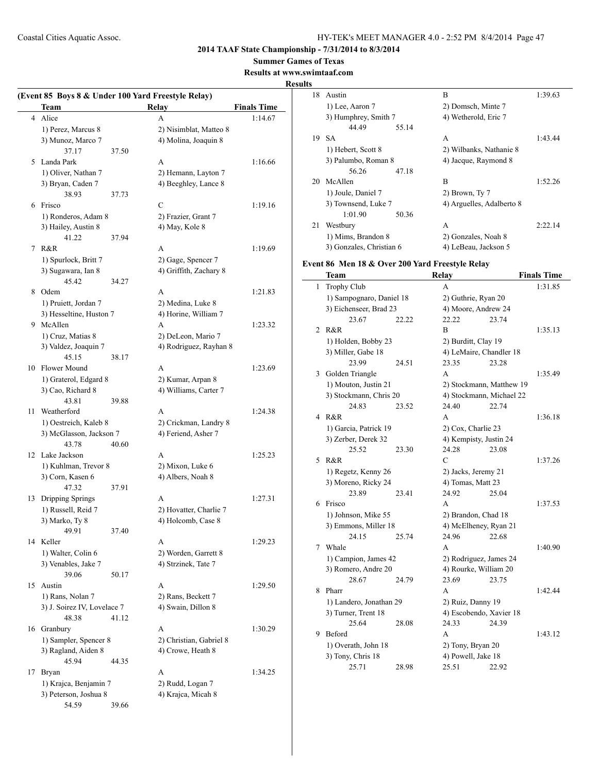## **2014 TAAF State Championship - 7/31/2014 to 8/3/2014**

**Summer Games of Texas**

## **Results at www.swimtaaf.com**

## **Results**

|    | (Event 85 Boys 8 & Under 100 Yard Freestyle Relay)<br>Team |       | <b>Relay</b>            | <b>Finals Time</b> |
|----|------------------------------------------------------------|-------|-------------------------|--------------------|
|    |                                                            |       |                         |                    |
|    | 4 Alice                                                    |       | A                       | 1:14.67            |
|    | 1) Perez, Marcus 8                                         |       | 2) Nisimblat, Matteo 8  |                    |
|    | 3) Munoz, Marco 7                                          |       | 4) Molina, Joaquin 8    |                    |
|    | 37.17                                                      | 37.50 |                         |                    |
| 5. | Landa Park                                                 |       | A                       | 1:16.66            |
|    | 1) Oliver, Nathan 7                                        |       | 2) Hemann, Layton 7     |                    |
|    | 3) Bryan, Caden 7                                          |       | 4) Beeghley, Lance 8    |                    |
|    | 38.93                                                      | 37.73 |                         |                    |
| 6  | Frisco                                                     |       | C                       | 1:19.16            |
|    | 1) Ronderos, Adam 8                                        |       | 2) Frazier, Grant 7     |                    |
|    | 3) Hailey, Austin 8                                        |       | 4) May, Kole 8          |                    |
|    | 41.22                                                      | 37.94 |                         |                    |
|    | 7 R&R                                                      |       | A                       | 1:19.69            |
|    | 1) Spurlock, Britt 7                                       |       | 2) Gage, Spencer 7      |                    |
|    | 3) Sugawara, Ian 8                                         |       | 4) Griffith, Zachary 8  |                    |
|    | 45.42                                                      | 34.27 |                         |                    |
| 8  | Odem                                                       |       | A                       | 1:21.83            |
|    | 1) Pruiett, Jordan 7                                       |       | 2) Medina, Luke 8       |                    |
|    | 3) Hesseltine, Huston 7                                    |       | 4) Horine, William 7    |                    |
|    | 9 McAllen                                                  |       | A                       | 1:23.32            |
|    |                                                            |       |                         |                    |
|    | 1) Cruz, Matias 8                                          |       | 2) DeLeon, Mario 7      |                    |
|    | 3) Valdez, Joaquin 7                                       |       | 4) Rodriguez, Rayhan 8  |                    |
|    | 45.15                                                      | 38.17 |                         |                    |
| 10 | Flower Mound                                               |       | A                       | 1:23.69            |
|    | 1) Graterol, Edgard 8                                      |       | 2) Kumar, Arpan 8       |                    |
|    | 3) Cao, Richard 8                                          |       | 4) Williams, Carter 7   |                    |
|    | 43.81                                                      | 39.88 |                         |                    |
| 11 | Weatherford                                                |       | A                       | 1:24.38            |
|    | 1) Oestreich, Kaleb 8                                      |       | 2) Crickman, Landry 8   |                    |
|    | 3) McGlasson, Jackson 7                                    |       | 4) Feriend, Asher 7     |                    |
|    | 43.78                                                      | 40.60 |                         |                    |
|    | 12 Lake Jackson                                            |       | A                       | 1:25.23            |
|    | 1) Kuhlman, Trevor 8                                       |       | 2) Mixon, Luke 6        |                    |
|    | 3) Corn, Kasen 6                                           |       | 4) Albers, Noah 8       |                    |
|    | 47.32                                                      | 37.91 |                         |                    |
| 13 | Dripping Springs                                           |       | A                       | 1:27.31            |
|    | 1) Russell, Reid 7                                         |       | 2) Hovatter, Charlie 7  |                    |
|    | 3) Marko, Ty 8                                             |       | 4) Holcomb, Case 8      |                    |
|    | 49.91                                                      | 37.40 |                         |                    |
|    | 14 Keller                                                  |       | A                       | 1:29.23            |
|    | 1) Walter, Colin 6                                         |       | 2) Worden, Garrett 8    |                    |
|    | 3) Venables, Jake 7                                        |       | 4) Strzinek, Tate 7     |                    |
|    | 39.06                                                      | 50.17 |                         |                    |
| 15 | Austin                                                     |       | A                       | 1:29.50            |
|    | 1) Rans, Nolan 7                                           |       | 2) Rans, Beckett 7      |                    |
|    | 3) J. Soirez IV, Lovelace 7                                |       | 4) Swain, Dillon 8      |                    |
|    | 48.38                                                      | 41.12 |                         |                    |
| 16 | Granbury                                                   |       | A                       |                    |
|    |                                                            |       |                         | 1:30.29            |
|    | 1) Sampler, Spencer 8                                      |       | 2) Christian, Gabriel 8 |                    |
|    | 3) Ragland, Aiden 8                                        |       | 4) Crowe, Heath 8       |                    |
|    | 45.94                                                      | 44.35 |                         |                    |
| 17 | Bryan                                                      |       | A                       | 1:34.25            |
|    | 1) Krajca, Benjamin 7                                      |       | 2) Rudd, Logan 7        |                    |
|    | 3) Peterson, Joshua 8                                      |       | 4) Krajca, Micah 8      |                    |
|    | 54.59                                                      | 39.66 |                         |                    |

| э  |                          |                           |         |
|----|--------------------------|---------------------------|---------|
| 18 | Austin                   | B                         | 1:39.63 |
|    | 1) Lee, Aaron 7          | 2) Domsch, Minte 7        |         |
|    | 3) Humphrey, Smith 7     | 4) Wetherold, Eric 7      |         |
|    | 44.49<br>55.14           |                           |         |
| 19 | <b>SA</b>                | A                         | 1:43.44 |
|    | 1) Hebert, Scott 8       | 2) Wilbanks, Nathanie 8   |         |
|    | 3) Palumbo, Roman 8      | 4) Jacque, Raymond 8      |         |
|    | 56.26<br>47.18           |                           |         |
| 20 | McAllen                  | B                         | 1:52.26 |
|    | 1) Joule, Daniel 7       | 2) Brown, Ty 7            |         |
|    | 3) Townsend, Luke 7      | 4) Arguelles, Adalberto 8 |         |
|    | 1:01.90<br>50.36         |                           |         |
| 21 | Westbury                 | A                         | 2:22.14 |
|    | 1) Mims, Brandon 8       | 2) Gonzales, Noah 8       |         |
|    | 3) Gonzales, Christian 6 | 4) LeBeau, Jackson 5      |         |

## **Event 86 Men 18 & Over 200 Yard Freestyle Relay**

|   | <b>Team</b>              |       | Relay                    |                     | <b>Finals Time</b> |
|---|--------------------------|-------|--------------------------|---------------------|--------------------|
| 1 | <b>Trophy Club</b>       |       | A                        |                     | 1:31.85            |
|   | 1) Sampognaro, Daniel 18 |       | 2) Guthrie, Ryan 20      |                     |                    |
|   | 3) Eichenseer, Brad 23   |       |                          | 4) Moore, Andrew 24 |                    |
|   | 23.67                    | 22.22 | 22.22                    | 23.74               |                    |
| 2 | R&R                      |       | B                        |                     | 1:35.13            |
|   | 1) Holden, Bobby 23      |       | 2) Burditt, Clay 19      |                     |                    |
|   | 3) Miller, Gabe 18       |       | 4) LeMaire, Chandler 18  |                     |                    |
|   | 23.99                    | 24.51 | 23.35                    | 23.28               |                    |
| 3 | Golden Triangle          |       | A                        |                     | 1:35.49            |
|   | 1) Mouton, Justin 21     |       | 2) Stockmann, Matthew 19 |                     |                    |
|   | 3) Stockmann, Chris 20   |       | 4) Stockmann, Michael 22 |                     |                    |
|   | 24.83                    | 23.52 | 24.40                    | 22.74               |                    |
| 4 | R&R                      |       | A                        |                     | 1:36.18            |
|   | 1) Garcia, Patrick 19    |       | 2) Cox, Charlie 23       |                     |                    |
|   | 3) Zerber, Derek 32      |       | 4) Kempisty, Justin 24   |                     |                    |
|   | 25.52                    | 23.30 | 24.28                    | 23.08               |                    |
| 5 | R&R                      |       | C                        |                     | 1:37.26            |
|   | 1) Regetz, Kenny 26      |       | 2) Jacks, Jeremy 21      |                     |                    |
|   | 3) Moreno, Ricky 24      |       | 4) Tomas, Matt 23        |                     |                    |
|   | 23.89                    | 23.41 | 24.92                    | 25.04               |                    |
| 6 | Frisco                   |       | A                        |                     | 1:37.53            |
|   | 1) Johnson, Mike 55      |       | 2) Brandon, Chad 18      |                     |                    |
|   | 3) Emmons, Miller 18     |       | 4) McElheney, Ryan 21    |                     |                    |
|   | 24.15                    | 25.74 | 24.96                    | 22.68               |                    |
| 7 | Whale                    |       | A                        |                     | 1:40.90            |
|   | 1) Campion, James 42     |       | 2) Rodriguez, James 24   |                     |                    |
|   | 3) Romero, Andre 20      |       | 4) Rourke, William 20    |                     |                    |
|   | 28.67                    | 24.79 | 23.69                    | 23.75               |                    |
| 8 | Pharr                    |       | A                        |                     | 1:42.44            |
|   | 1) Landero, Jonathan 29  |       | 2) Ruiz, Danny 19        |                     |                    |
|   | 3) Turner, Trent 18      |       | 4) Escobendo, Xavier 18  |                     |                    |
|   | 25.64                    | 28.08 | 24.33                    | 24.39               |                    |
| 9 | <b>Beford</b>            |       | A                        |                     | 1:43.12            |
|   | 1) Overath, John 18      |       | 2) Tony, Bryan 20        |                     |                    |
|   | 3) Tony, Chris 18        |       | 4) Powell, Jake 18       |                     |                    |
|   | 25.71                    | 28.98 | 25.51                    | 22.92               |                    |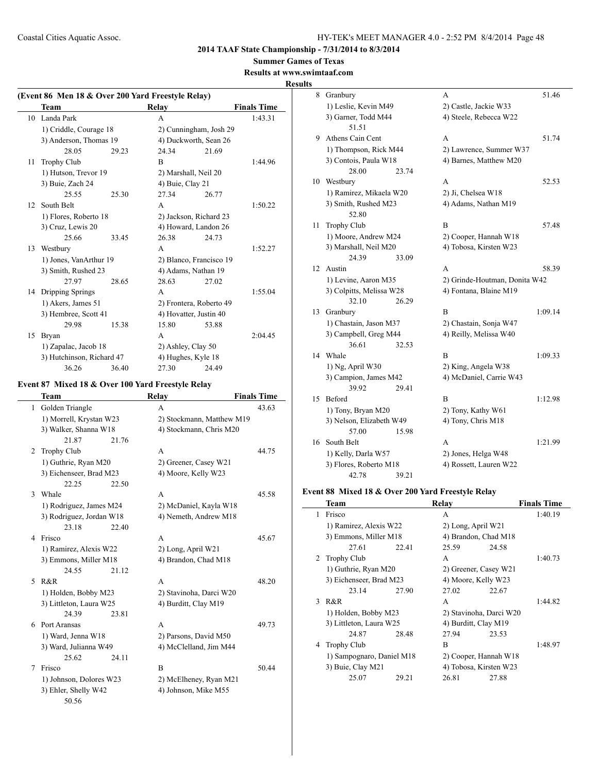**Summer Games of Texas**

## **Results at www.swimtaaf.com Results**

| (Event 86 Men 18 & Over 200 Yard Freestyle Relay) |                           |       |                         |       |                    |  |
|---------------------------------------------------|---------------------------|-------|-------------------------|-------|--------------------|--|
|                                                   | Team                      |       | Relay                   |       | <b>Finals Time</b> |  |
| 10                                                | Landa Park                |       | A                       |       | 1:43.31            |  |
|                                                   | 1) Criddle, Courage 18    |       | 2) Cunningham, Josh 29  |       |                    |  |
|                                                   | 3) Anderson, Thomas 19    |       | 4) Duckworth, Sean 26   |       |                    |  |
|                                                   | 28.05                     | 29.23 | 24.34                   | 21.69 |                    |  |
| 11                                                | <b>Trophy Club</b>        |       | B                       |       | 1:44.96            |  |
|                                                   | 1) Hutson, Trevor 19      |       | 2) Marshall, Neil 20    |       |                    |  |
|                                                   | 3) Buie, Zach 24          |       | 4) Buie, Clay 21        |       |                    |  |
|                                                   | 25.55                     | 25.30 | 27.34                   | 26.77 |                    |  |
| 12                                                | South Belt                |       | A                       |       | 1:50.22            |  |
|                                                   | 1) Flores, Roberto 18     |       | 2) Jackson, Richard 23  |       |                    |  |
|                                                   | 3) Cruz, Lewis 20         |       | 4) Howard, Landon 26    |       |                    |  |
|                                                   | 25.66                     | 33.45 | 26.38                   | 24.73 |                    |  |
| 13                                                | Westbury                  |       | A                       |       | 1:52.27            |  |
|                                                   | 1) Jones, VanArthur 19    |       | 2) Blanco, Francisco 19 |       |                    |  |
|                                                   | 3) Smith, Rushed 23       |       | 4) Adams, Nathan 19     |       |                    |  |
|                                                   | 27.97                     | 28.65 | 28.63                   | 27.02 |                    |  |
| 14                                                | Dripping Springs          |       | A                       |       | 1:55.04            |  |
|                                                   | 1) Akers, James 51        |       | 2) Frontera, Roberto 49 |       |                    |  |
|                                                   | 3) Hembree, Scott 41      |       | 4) Hovatter, Justin 40  |       |                    |  |
|                                                   | 29.98                     | 15.38 | 15.80                   | 53.88 |                    |  |
| 15                                                | Bryan                     |       | A                       |       | 2:04.45            |  |
|                                                   | 1) Zapalac, Jacob 18      |       | 2) Ashley, Clay 50      |       |                    |  |
|                                                   | 3) Hutchinson, Richard 47 |       | 4) Hughes, Kyle 18      |       |                    |  |
|                                                   | 36.26                     | 36.40 | 27.30                   | 24.49 |                    |  |

## **Event 87 Mixed 18 & Over 100 Yard Freestyle Relay**

 $\overline{\phantom{0}}$ 

|                          | Team                     | <b>Relay</b>              | <b>Finals Time</b> |
|--------------------------|--------------------------|---------------------------|--------------------|
| 1                        | Golden Triangle          | A                         | 43.63              |
|                          | 1) Morrell, Krystan W23  | 2) Stockmann, Matthew M19 |                    |
|                          | 3) Walker, Shanna W18    | 4) Stockmann, Chris M20   |                    |
|                          | 21.87<br>21.76           |                           |                    |
| 2                        | <b>Trophy Club</b>       | A                         | 44.75              |
|                          | 1) Guthrie, Ryan M20     | 2) Greener, Casey W21     |                    |
|                          | 3) Eichenseer, Brad M23  | 4) Moore, Kelly W23       |                    |
|                          | 22.25<br>22.50           |                           |                    |
| 3                        | Whale                    | A                         | 45.58              |
|                          | 1) Rodriguez, James M24  | 2) McDaniel, Kayla W18    |                    |
|                          | 3) Rodriguez, Jordan W18 | 4) Nemeth, Andrew M18     |                    |
|                          | 23.18<br>22.40           |                           |                    |
| $\overline{4}$           | Frisco                   | $\mathsf{A}$              | 45.67              |
|                          | 1) Ramirez, Alexis W22   | 2) Long, April W21        |                    |
|                          | 3) Emmons, Miller M18    | 4) Brandon, Chad M18      |                    |
|                          | 24.55<br>21.12           |                           |                    |
| $\overline{\mathcal{L}}$ | R&R                      | $\mathsf{A}$              | 48.20              |
|                          | 1) Holden, Bobby M23     | 2) Stavinoha, Darci W20   |                    |
|                          | 3) Littleton, Laura W25  | 4) Burditt, Clay M19      |                    |
|                          | 24.39<br>23.81           |                           |                    |
| 6                        | Port Aransas             | A                         | 49.73              |
|                          | 1) Ward, Jenna W18       | 2) Parsons, David M50     |                    |
|                          | 3) Ward, Julianna W49    | 4) McClelland, Jim M44    |                    |
|                          | 25.62<br>24.11           |                           |                    |
| 7                        | Frisco                   | B                         | 50.44              |
|                          | 1) Johnson, Dolores W23  | 2) McElheney, Ryan M21    |                    |
|                          | 3) Ehler, Shelly W42     | 4) Johnson, Mike M55      |                    |
|                          | 50.56                    |                           |                    |

| 8  | Granbury                 | 51.46<br>А                    |
|----|--------------------------|-------------------------------|
|    | 1) Leslie, Kevin M49     | 2) Castle, Jackie W33         |
|    | 3) Garner, Todd M44      | 4) Steele, Rebecca W22        |
|    | 51.51                    |                               |
| 9  | Athens Cain Cent         | 51.74<br>A                    |
|    | 1) Thompson, Rick M44    | 2) Lawrence, Summer W37       |
|    | 3) Contois, Paula W18    | 4) Barnes, Matthew M20        |
|    | 28.00<br>23.74           |                               |
| 10 | Westbury                 | 52.53<br>A                    |
|    | 1) Ramirez, Mikaela W20  | 2) Ji, Chelsea W18            |
|    | 3) Smith, Rushed M23     | 4) Adams, Nathan M19          |
|    | 52.80                    |                               |
| 11 | Trophy Club              | B<br>57.48                    |
|    | 1) Moore, Andrew M24     | 2) Cooper, Hannah W18         |
|    | 3) Marshall, Neil M20    | 4) Tobosa, Kirsten W23        |
|    | 24.39<br>33.09           |                               |
| 12 | Austin                   | A<br>58.39                    |
|    | 1) Levine, Aaron M35     | 2) Grinde-Houtman, Donita W42 |
|    | 3) Colpitts, Melissa W28 | 4) Fontana, Blaine M19        |
|    | 32.10<br>26.29           |                               |
| 13 | Granbury                 | B<br>1:09.14                  |
|    | 1) Chastain, Jason M37   | 2) Chastain, Sonja W47        |
|    | 3) Campbell, Greg M44    | 4) Reilly, Melissa W40        |
|    | 36.61<br>32.53           |                               |
| 14 | Whale                    | $\overline{B}$<br>1:09.33     |
|    | 1) Ng, April W30         | 2) King, Angela W38           |
|    | 3) Campion, James M42    | 4) McDaniel, Carrie W43       |
|    | 39.92<br>29.41           |                               |
| 15 | <b>Beford</b>            | B<br>1:12.98                  |
|    | 1) Tony, Bryan M20       | 2) Tony, Kathy W61            |
|    | 3) Nelson, Elizabeth W49 | 4) Tony, Chris M18            |
|    | 57.00<br>15.98           |                               |
| 16 | South Belt               | A<br>1:21.99                  |
|    | 1) Kelly, Darla W57      | 2) Jones, Helga W48           |
|    | 3) Flores, Roberto M18   | 4) Rossett, Lauren W22        |
|    | 42.78<br>39.21           |                               |

## **Event 88 Mixed 18 & Over 200 Yard Freestyle Relay**

|   | <b>Team</b>               |       | Relav                   |       | <b>Finals Time</b> |
|---|---------------------------|-------|-------------------------|-------|--------------------|
| 1 | Frisco                    |       | A                       |       | 1:40.19            |
|   | 1) Ramirez, Alexis W22    |       | 2) Long, April W21      |       |                    |
|   | 3) Emmons, Miller M18     |       | 4) Brandon, Chad M18    |       |                    |
|   | 27.61                     | 22.41 | 25.59                   | 24.58 |                    |
|   | 2 Trophy Club             |       | A                       |       | 1:40.73            |
|   | 1) Guthrie, Ryan M20      |       | 2) Greener, Casey W21   |       |                    |
|   | 3) Eichenseer, Brad M23   |       | 4) Moore, Kelly W23     |       |                    |
|   | 23.14                     | 27.90 | 27.02                   | 22.67 |                    |
|   | 3 R&R                     |       | A                       |       | 1:44.82            |
|   | 1) Holden, Bobby M23      |       | 2) Stavinoha, Darci W20 |       |                    |
|   | 3) Littleton, Laura W25   |       | 4) Burditt, Clay M19    |       |                    |
|   | 24.87                     | 28.48 | 27.94                   | 23.53 |                    |
| 4 | Trophy Club               |       | B                       |       | 1:48.97            |
|   | 1) Sampognaro, Daniel M18 |       | 2) Cooper, Hannah W18   |       |                    |
|   | 3) Buie, Clay M21         |       | 4) Tobosa, Kirsten W23  |       |                    |
|   | 25.07                     | 29.21 | 26.81                   | 27.88 |                    |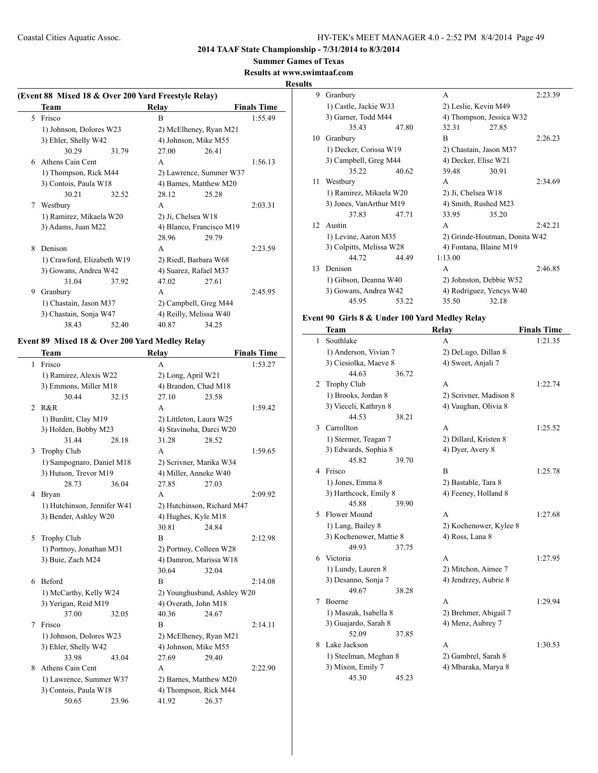#### **Summer Games of Texas**

**Results at www.swimtaaf.com**

## **Results**

| (Event 88 Mixed 18 & Over 200 Yard Freestyle Relay) |                            |       |                    |                          |                    |  |
|-----------------------------------------------------|----------------------------|-------|--------------------|--------------------------|--------------------|--|
|                                                     | Team                       |       | Relay              |                          | <b>Finals Time</b> |  |
|                                                     | 5 Frisco                   |       | B                  |                          | 1:55.49            |  |
|                                                     | 1) Johnson, Dolores W23    |       |                    | 2) McElheney, Ryan M21   |                    |  |
|                                                     | 3) Ehler, Shelly W42       |       |                    | 4) Johnson, Mike M55     |                    |  |
|                                                     | 30.29                      | 31.79 | 27.00              | 26.41                    |                    |  |
| 6                                                   | Athens Cain Cent           |       | A                  |                          | 1:56.13            |  |
|                                                     | 1) Thompson, Rick M44      |       |                    | 2) Lawrence, Summer W37  |                    |  |
|                                                     | 3) Contois, Paula W18      |       |                    | 4) Barnes, Matthew M20   |                    |  |
|                                                     | 30.21                      | 32.52 | 28.12              | 25.28                    |                    |  |
| 7                                                   | Westbury                   |       | A                  |                          | 2:03.31            |  |
|                                                     | 1) Ramirez, Mikaela W20    |       | 2) Ji, Chelsea W18 |                          |                    |  |
|                                                     | 3) Adams, Juan M22         |       |                    | 4) Blanco, Francisco M19 |                    |  |
|                                                     |                            |       | 28.96              | 29.79                    |                    |  |
| 8                                                   | Denison                    |       | A                  |                          | 2:23.59            |  |
|                                                     | 1) Crawford, Elizabeth W19 |       |                    | 2) Riedl, Barbara W68    |                    |  |
|                                                     | 3) Gowans, Andrea W42      |       |                    | 4) Suarez, Rafael M37    |                    |  |
|                                                     | 31.04                      | 37.92 | 47.02              | 27.61                    |                    |  |
| 9                                                   | Granbury                   |       | A                  |                          | 2:45.95            |  |
|                                                     | 1) Chastain, Jason M37     |       |                    | 2) Campbell, Greg M44    |                    |  |
|                                                     | 3) Chastain, Sonja W47     |       |                    | 4) Reilly, Melissa W40   |                    |  |
|                                                     | 38.43                      | 52.40 | 40.87              | 34.25                    |                    |  |

# **Event 89 Mixed 18 & Over 200 Yard Medley Relay**

 $\overline{\phantom{0}}$ 

|              | Team                        |       | Relay                   |                             | <b>Finals Time</b> |
|--------------|-----------------------------|-------|-------------------------|-----------------------------|--------------------|
| $\mathbf{1}$ | Frisco                      |       | A                       |                             | 1:53.27            |
|              | 1) Ramirez, Alexis W22      |       | 2) Long, April W21      |                             |                    |
|              | 3) Emmons, Miller M18       |       | 4) Brandon, Chad M18    |                             |                    |
|              | 30.44                       | 32.15 | 27.10                   | 23.58                       |                    |
| 2            | R&R                         |       | A                       |                             | 1:59.42            |
|              | 1) Burditt, Clay M19        |       | 2) Littleton, Laura W25 |                             |                    |
|              | 3) Holden, Bobby M23        |       | 4) Stavinoha, Darci W20 |                             |                    |
|              | 31.44                       | 28.18 | 31.28                   | 28.52                       |                    |
| 3            | <b>Trophy Club</b>          |       | A                       |                             | 1:59.65            |
|              | 1) Sampognaro, Daniel M18   |       | 2) Scrivner, Marika W34 |                             |                    |
|              | 3) Hutson, Trevor M19       |       | 4) Miller, Anneke W40   |                             |                    |
|              | 28.73                       | 36.04 | 27.85                   | 27.03                       |                    |
| 4            | <b>Bryan</b>                |       | A                       |                             | 2:09.92            |
|              | 1) Hutchinson, Jennifer W41 |       |                         | 2) Hutchinson, Richard M47  |                    |
|              | 3) Bender, Ashley W20       |       | 4) Hughes, Kyle M18     |                             |                    |
|              |                             |       | 30.81                   | 24.84                       |                    |
| 5            | <b>Trophy Club</b>          |       | B                       |                             | 2:12.98            |
|              | 1) Portnoy, Jonathan M31    |       | 2) Portnoy, Colleen W28 |                             |                    |
|              | 3) Buie, Zach M24           |       | 4) Damron, Marissa W18  |                             |                    |
|              |                             |       | 30.64                   | 32.04                       |                    |
| 6            | <b>Beford</b>               |       | B                       |                             | 2:14.08            |
|              | 1) McCarthy, Kelly W24      |       |                         | 2) Younghusband, Ashley W20 |                    |
|              | 3) Yerigan, Reid M19        |       | 4) Overath, John M18    |                             |                    |
|              | 37.00                       | 32.05 | 40.36                   | 24.67                       |                    |
| 7            | Frisco                      |       | B                       |                             | 2:14.11            |
|              | 1) Johnson, Dolores W23     |       | 2) McElheney, Ryan M21  |                             |                    |
|              | 3) Ehler, Shelly W42        |       | 4) Johnson, Mike M55    |                             |                    |
|              | 33.98                       | 43.04 | 27.69                   | 29.40                       |                    |
| 8            | Athens Cain Cent            |       | A                       |                             | 2:22.90            |
|              | 1) Lawrence, Summer W37     |       | 2) Barnes, Matthew M20  |                             |                    |
|              | 3) Contois, Paula W18       |       | 4) Thompson, Rick M44   |                             |                    |
|              | 50.65                       | 23.96 | 41.92                   | 26.37                       |                    |

| 9   | Granbury                 |       | A                        |                               | 2:23.39 |
|-----|--------------------------|-------|--------------------------|-------------------------------|---------|
|     | 1) Castle, Jackie W33    |       | 2) Leslie, Kevin M49     |                               |         |
|     | 3) Garner, Todd M44      |       |                          | 4) Thompson, Jessica W32      |         |
|     | 35.43                    | 47.80 | 32.31                    | 27.85                         |         |
| 10  | Granbury                 |       | R                        |                               | 2:26.23 |
|     | 1) Decker, Corissa W19   |       | 2) Chastain, Jason M37   |                               |         |
|     | 3) Campbell, Greg M44    |       | 4) Decker, Elise W21     |                               |         |
|     | 35.22                    | 40.62 | 39.48                    | 30.91                         |         |
| 11  | Westbury                 |       | A                        |                               | 2:34.69 |
|     | 1) Ramirez, Mikaela W20  |       | 2) Ji, Chelsea W18       |                               |         |
|     | 3) Jones, VanArthur M19  |       | 4) Smith, Rushed M23     |                               |         |
|     | 37.83                    | 47 71 | 33.95                    | 35.20                         |         |
| 12. | Austin                   |       | A                        |                               | 2.42.21 |
|     | 1) Levine, Aaron M35     |       |                          | 2) Grinde-Houtman, Donita W42 |         |
|     | 3) Colpitts, Melissa W28 |       | 4) Fontana, Blaine M19   |                               |         |
|     | 44 72                    | 44.49 | 1:13.00                  |                               |         |
| 13  | Denison                  |       | A                        |                               | 2:46.85 |
|     | 1) Gibson, Deanna W40    |       | 2) Johnston, Debbie W52  |                               |         |
|     | 3) Gowans, Andrea W42    |       | 4) Rodriguez, Yencys W40 |                               |         |
|     | 45.95                    | 53.22 | 35.50                    | 32.18                         |         |
|     |                          |       |                          |                               |         |

## **Event 90 Girls 8 & Under 100 Yard Medley Relay**

|   | <b>Team</b>             |       | Relay                  | <b>Finals Time</b> |
|---|-------------------------|-------|------------------------|--------------------|
| 1 | Southlake               |       | A                      | 1:21.35            |
|   | 1) Anderson, Vivian 7   |       | 2) DeLugo, Dillan 8    |                    |
|   | 3) Ciesiolka, Maeve 8   |       | 4) Sweet, Anjali 7     |                    |
|   | 44.63                   | 36.72 |                        |                    |
| 2 | <b>Trophy Club</b>      |       | A                      | 1:22.74            |
|   | 1) Brooks, Jordan 8     |       | 2) Scrivner, Madison 8 |                    |
|   | 3) Vieceli, Kathryn 8   |       | 4) Vaughan, Olivia 8   |                    |
|   | 44.53                   | 38.21 |                        |                    |
| 3 | Carrollton              |       | A                      | 1:25.52            |
|   | 1) Stermer, Teagan 7    |       | 2) Dillard, Kristen 8  |                    |
|   | 3) Edwards, Sophia 8    |       | 4) Dyer, Avery 8       |                    |
|   | 45.82                   | 39.70 |                        |                    |
| 4 | Frisco                  |       | B                      | 1:25.78            |
|   | 1) Jones, Emma 8        |       | 2) Bastable, Tara 8    |                    |
|   | 3) Harthcock, Emily 8   |       | 4) Feeney, Holland 8   |                    |
|   | 45.88                   | 39.90 |                        |                    |
| 5 | Flower Mound            |       | А                      | 1:27.68            |
|   | 1) Lang, Bailey 8       |       | 2) Kochenower, Kylee 8 |                    |
|   | 3) Kochenower, Mattie 8 |       | 4) Ross, Lana 8        |                    |
|   | 49.93                   | 37.75 |                        |                    |
| 6 | Victoria                |       | A                      | 1:27.95            |
|   | 1) Lundy, Lauren 8      |       | 2) Mitchon, Aimee 7    |                    |
|   | 3) Desanno, Sonja 7     |       | 4) Jendrzey, Aubrie 8  |                    |
|   | 49.67                   | 38.28 |                        |                    |
| 7 | Boerne                  |       | A                      | 1:29.94            |
|   | 1) Maszak, Isabella 8   |       | 2) Brehmer, Abigail 7  |                    |
|   | 3) Guajardo, Sarah 8    |       | 4) Menz, Aubrey 7      |                    |
|   | 52.09                   | 37.85 |                        |                    |
| 8 | Lake Jackson            |       | A                      | 1:30.53            |
|   | 1) Steelman, Meghan 8   |       | 2) Gambrel, Sarah 8    |                    |
|   | 3) Mixon, Emily 7       |       | 4) Mbaraka, Marya 8    |                    |
|   | 45.30                   | 45.23 |                        |                    |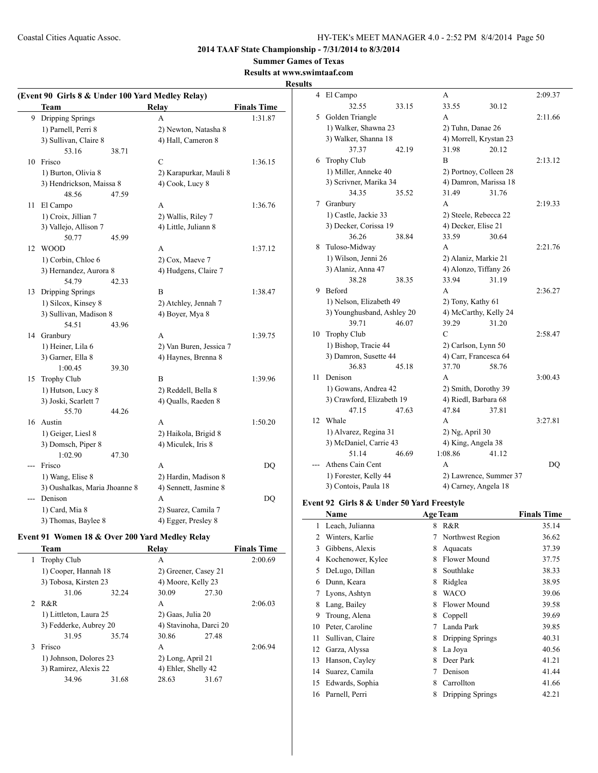## **Summer Games of Texas**

#### **Results at www.swimtaaf.com Results**

|                | (Event 90 Girls 8 & Under 100 Yard Medley Relay)<br>Team |       | <b>Relay</b>            | <b>Finals Time</b> |
|----------------|----------------------------------------------------------|-------|-------------------------|--------------------|
|                | 9 Dripping Springs                                       |       | A                       | 1:31.87            |
|                | 1) Parnell, Perri 8                                      |       | 2) Newton, Natasha 8    |                    |
|                | 3) Sullivan, Claire 8                                    |       | 4) Hall, Cameron 8      |                    |
|                | 53.16                                                    | 38.71 |                         |                    |
| 10             | Frisco                                                   |       | $\mathcal{C}$           | 1:36.15            |
|                | 1) Burton, Olivia 8                                      |       | 2) Karapurkar, Mauli 8  |                    |
|                | 3) Hendrickson, Maissa 8                                 |       | 4) Cook, Lucy 8         |                    |
|                | 48.56                                                    | 47.59 |                         |                    |
| 11             | El Campo                                                 |       | A                       | 1:36.76            |
|                | 1) Croix, Jillian 7                                      |       | 2) Wallis, Riley 7      |                    |
|                | 3) Vallejo, Allison 7                                    |       | 4) Little, Juliann 8    |                    |
|                | 50.77                                                    | 45.99 |                         |                    |
| 12             | <b>WOOD</b>                                              |       | A                       | 1:37.12            |
|                | 1) Corbin, Chloe 6                                       |       | 2) Cox, Maeve 7         |                    |
|                | 3) Hernandez, Aurora 8                                   |       | 4) Hudgens, Claire 7    |                    |
|                | 54.79                                                    | 42.33 |                         |                    |
| 13             | Dripping Springs                                         |       | B                       | 1:38.47            |
|                | 1) Silcox, Kinsey 8                                      |       | 2) Atchley, Jennah 7    |                    |
|                | 3) Sullivan, Madison 8                                   |       | 4) Boyer, Mya 8         |                    |
|                | 54.51                                                    | 43.96 |                         |                    |
| 14             | Granbury                                                 |       | A                       | 1:39.75            |
|                | 1) Heiner, Lila 6                                        |       | 2) Van Buren, Jessica 7 |                    |
|                | 3) Garner, Ella 8                                        |       | 4) Haynes, Brenna 8     |                    |
|                | 1:00.45                                                  | 39.30 |                         |                    |
| 15             | Trophy Club                                              |       | B                       | 1:39.96            |
|                | 1) Hutson, Lucy 8                                        |       | 2) Reddell, Bella 8     |                    |
|                | 3) Joski, Scarlett 7                                     |       | 4) Qualls, Raeden 8     |                    |
|                | 55.70                                                    | 44.26 |                         |                    |
| 16             | Austin                                                   |       | A                       | 1:50.20            |
|                | 1) Geiger, Liesl 8                                       |       | 2) Haikola, Brigid 8    |                    |
|                | 3) Domsch, Piper 8                                       |       | 4) Miculek, Iris 8      |                    |
|                | 1:02.90                                                  | 47.30 |                         |                    |
| $\overline{a}$ | Frisco                                                   |       | A                       | DQ                 |
|                | 1) Wang, Elise 8                                         |       | 2) Hardin, Madison 8    |                    |
|                | 3) Oushalkas, Maria Jhoanne 8                            |       | 4) Sennett, Jasmine 8   |                    |
| $-$ --         | Denison                                                  |       | A                       | <b>DQ</b>          |
|                | 1) Card, Mia 8                                           |       | 2) Suarez, Camila 7     |                    |
|                | 3) Thomas, Baylee 8                                      |       | 4) Egger, Presley 8     |                    |

# **Event 91 Women 18 & Over 200 Yard Medley Relay**

|   | Team                                            |       | Relav                  |       | <b>Finals Time</b> |
|---|-------------------------------------------------|-------|------------------------|-------|--------------------|
| 1 | <b>Trophy Club</b>                              |       | А                      |       | 2:00.69            |
|   | 1) Cooper, Hannah 18                            |       | 2) Greener, Casey 21   |       |                    |
|   | 3) Tobosa, Kirsten 23                           |       | 4) Moore, Kelly 23     |       |                    |
|   | 31.06                                           | 32.24 | 30.09                  | 27.30 |                    |
|   | 2 R&R                                           |       | A                      |       | 2:06.03            |
|   | 1) Littleton, Laura 25                          |       | 2) Gaas, Julia 20      |       |                    |
|   | 3) Fedderke, Aubrey 20                          |       | 4) Stavinoha, Darci 20 |       |                    |
|   | 31.95                                           | 35.74 | 30.86                  | 27.48 |                    |
| 3 | Frisco                                          |       | A                      |       | 2:06.94            |
|   | 1) Johnson, Dolores 23<br>3) Ramirez, Alexis 22 |       | 2) Long, April 21      |       |                    |
|   |                                                 |       | 4) Ehler, Shelly 42    |       |                    |
|   | 34.96                                           | 31.68 | 28.63                  | 31.67 |                    |
|   |                                                 |       |                        |       |                    |

| S  |                            |       |                       |                        |                |
|----|----------------------------|-------|-----------------------|------------------------|----------------|
| 4  | El Campo                   |       | A                     |                        | 2:09.37        |
|    | 32.55                      | 33.15 | 33.55                 | 30.12                  |                |
| 5  | Golden Triangle            |       | A                     |                        | 2:11.66        |
|    | 1) Walker, Shawna 23       |       | 2) Tuhn, Danae 26     |                        |                |
|    | 3) Walker, Shanna 18       |       |                       | 4) Morrell, Krystan 23 |                |
|    | 37.37                      | 42.19 | 31.98                 | 20.12                  |                |
| 6  | Trophy Club                |       | B                     |                        | 2:13.12        |
|    | 1) Miller, Anneke 40       |       |                       | 2) Portnoy, Colleen 28 |                |
|    | 3) Scrivner, Marika 34     |       |                       | 4) Damron, Marissa 18  |                |
|    | 34.35                      | 35.52 | 31.49                 | 31.76                  |                |
| 7  | Granbury                   |       | A                     |                        | 2:19.33        |
|    | 1) Castle, Jackie 33       |       |                       | 2) Steele, Rebecca 22  |                |
|    | 3) Decker, Corissa 19      |       | 4) Decker, Elise 21   |                        |                |
|    | 36.26                      | 38.84 | 33.59                 | 30.64                  |                |
| 8  | Tuloso-Midway              |       | A                     |                        | 2:21.76        |
|    | 1) Wilson, Jenni 26        |       | 2) Alaniz, Markie 21  |                        |                |
|    | 3) Alaniz, Anna 47         |       |                       | 4) Alonzo, Tiffany 26  |                |
|    | 38.28                      | 38.35 | 33.94                 | 31.19                  |                |
| 9  | <b>Beford</b>              |       | A                     |                        | 2:36.27        |
|    | 1) Nelson, Elizabeth 49    |       | 2) Tony, Kathy 61     |                        |                |
|    | 3) Younghusband, Ashley 20 |       |                       | 4) McCarthy, Kelly 24  |                |
|    | 39.71                      | 46.07 | 39.29                 | 31.20                  |                |
| 10 | Trophy Club                |       | C                     |                        | 2:58.47        |
|    | 1) Bishop, Tracie 44       |       | 2) Carlson, Lynn 50   |                        |                |
|    | 3) Damron, Susette 44      |       | 4) Carr, Francesca 64 |                        |                |
|    | 36.83                      | 45.18 | 37.70                 | 58.76                  |                |
| 11 | Denison                    |       | A                     |                        | 3:00.43        |
|    | 1) Gowans, Andrea 42       |       | 2) Smith, Dorothy 39  |                        |                |
|    | 3) Crawford, Elizabeth 19  |       | 4) Riedl, Barbara 68  |                        |                |
|    | 47.15                      | 47.63 | 47.84                 | 37.81                  |                |
| 12 | Whale                      |       | A                     |                        | 3:27.81        |
|    | 1) Alvarez, Regina 31      |       | 2) Ng, April 30       |                        |                |
|    | 3) McDaniel, Carrie 43     |       | 4) King, Angela 38    |                        |                |
|    | 51.14                      | 46.69 | 1:08.86               | 41.12                  |                |
|    | Athens Cain Cent           |       | A                     |                        | D <sub>O</sub> |
|    | 1) Forester, Kelly 44      |       |                       | 2) Lawrence, Summer 37 |                |
|    | 3) Contois, Paula 18       |       | 4) Carney, Angela 18  |                        |                |

#### **Event 92 Girls 8 & Under 50 Yard Freestyle**

 $\frac{1}{2}$ 

|    | Name              |   | <b>Age Team</b>         | <b>Finals Time</b> |
|----|-------------------|---|-------------------------|--------------------|
| 1  | Leach, Julianna   | 8 | R&R                     | 35.14              |
| 2  | Winters, Karlie   | 7 | Northwest Region        | 36.62              |
| 3  | Gibbens, Alexis   | 8 | Aquacats                | 37.39              |
| 4  | Kochenower, Kylee | 8 | Flower Mound            | 37.75              |
| 5  | DeLugo, Dillan    | 8 | Southlake               | 38.33              |
| 6  | Dunn, Keara       | 8 | Ridglea                 | 38.95              |
| 7  | Lyons, Ashtyn     | 8 | WACO                    | 39.06              |
| 8  | Lang, Bailey      | 8 | Flower Mound            | 39.58              |
| 9  | Troung, Alena     | 8 | Coppell                 | 39.69              |
| 10 | Peter, Caroline   | 7 | Landa Park              | 39.85              |
| 11 | Sullivan, Claire  | 8 | Dripping Springs        | 40.31              |
| 12 | Garza, Alyssa     | 8 | La Joya                 | 40.56              |
| 13 | Hanson, Cayley    | 8 | Deer Park               | 41.21              |
| 14 | Suarez, Camila    | 7 | Denison                 | 41.44              |
| 15 | Edwards, Sophia   | 8 | Carrollton              | 41.66              |
| 16 | Parnell, Perri    | 8 | <b>Dripping Springs</b> | 42.21              |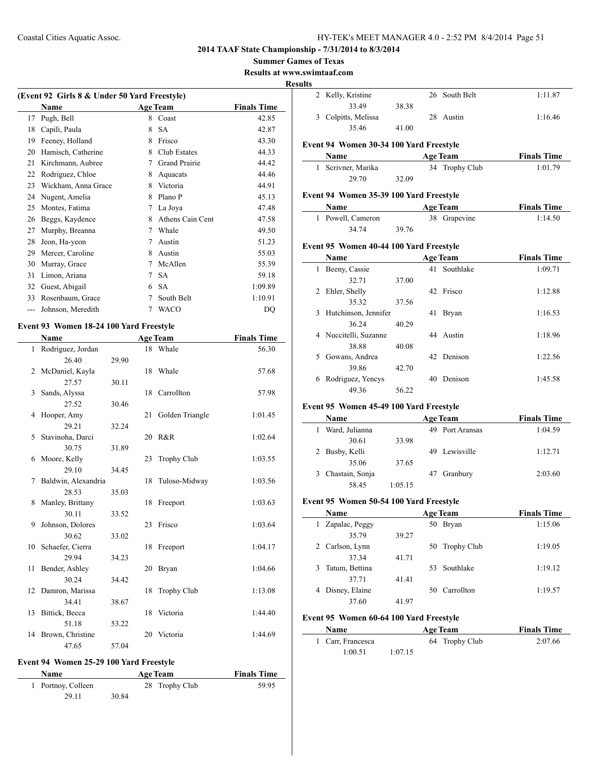## **Summer Games of Texas**

**Results at www.swimtaaf.com**

**Results**

 $\overline{\phantom{a}}$ 

 $\frac{1}{2}$ 

|     | (Event 92 Girls 8 & Under 50 Yard Freestyle) |   |                  |                    |  |  |  |
|-----|----------------------------------------------|---|------------------|--------------------|--|--|--|
|     | <b>Name</b>                                  |   | <b>Age Team</b>  | <b>Finals Time</b> |  |  |  |
| 17  | Pugh, Bell                                   | 8 | Coast            | 42.85              |  |  |  |
| 18  | Capili, Paula                                | 8 | <b>SA</b>        | 42.87              |  |  |  |
| 19  | Feeney, Holland                              | 8 | Frisco           | 43.30              |  |  |  |
| 20  | Hamisch, Catherine                           | 8 | Club Estates     | 44.33              |  |  |  |
| 21  | Kirchmann, Aubree                            | 7 | Grand Prairie    | 44.42              |  |  |  |
| 22  | Rodriguez, Chloe                             | 8 | Aquacats         | 44.46              |  |  |  |
| 23  | Wickham, Anna Grace                          | 8 | Victoria         | 44.91              |  |  |  |
| 24  | Nugent, Amelia                               | 8 | Plano P          | 45.13              |  |  |  |
| 25  | Montes, Fatima                               | 7 | La Joya          | 47.48              |  |  |  |
| 26  | Beggs, Kaydence                              | 8 | Athens Cain Cent | 47.58              |  |  |  |
| 27  | Murphy, Breanna                              | 7 | Whale            | 49.50              |  |  |  |
| 28  | Jeon, Ha-yeon                                | 7 | Austin           | 51.23              |  |  |  |
| 29  | Mercer, Caroline                             | 8 | Austin           | 55.03              |  |  |  |
| 30  | Murray, Grace                                | 7 | McAllen          | 55.39              |  |  |  |
| 31  | Limon, Ariana                                | 7 | <b>SA</b>        | 59.18              |  |  |  |
| 32  | Guest, Abigail                               | 6 | <b>SA</b>        | 1:09.89            |  |  |  |
| 33  | Rosenbaum, Grace                             | 7 | South Belt       | 1:10.91            |  |  |  |
| --- | Johnson, Meredith                            | 7 | WACO             | DQ                 |  |  |  |
|     |                                              |   |                  |                    |  |  |  |

## **Event 93 Women 18-24 100 Yard Freestyle**

|    | <b>Name</b>         |       |    | <b>Age Team</b>    | <b>Finals Time</b> |
|----|---------------------|-------|----|--------------------|--------------------|
| 1  | Rodriguez, Jordan   |       |    | 18 Whale           | 56.30              |
|    | 26.40               | 29.90 |    |                    |                    |
| 2  | McDaniel, Kayla     |       |    | 18 Whale           | 57.68              |
|    | 27.57               | 30.11 |    |                    |                    |
| 3  | Sands, Alyssa       |       |    | 18 Carrollton      | 57.98              |
|    | 27.52               | 30.46 |    |                    |                    |
| 4  | Hooper, Amy         |       | 21 | Golden Triangle    | 1:01.45            |
|    | 29.21               | 32.24 |    |                    |                    |
| 5  | Stavinoha, Darci    |       |    | 20 R&R             | 1:02.64            |
|    | 30.75               | 31.89 |    |                    |                    |
| 6  | Moore, Kelly        |       | 23 | <b>Trophy Club</b> | 1:03.55            |
|    | 29.10               | 34.45 |    |                    |                    |
| 7  | Baldwin, Alexandria |       |    | 18 Tuloso-Midway   | 1:03.56            |
|    | 28.53               | 35.03 |    |                    |                    |
| 8  | Manley, Brittany    |       |    | 18 Freeport        | 1:03.63            |
|    | 30.11               | 33.52 |    |                    |                    |
| 9  | Johnson, Dolores    |       |    | 23 Frisco          | 1:03.64            |
|    | 30.62               | 33.02 |    |                    |                    |
|    | 10 Schaefer, Cierra |       |    | 18 Freeport        | 1:04.17            |
|    | 29.94               | 34.23 |    |                    |                    |
| 11 | Bender, Ashley      |       |    | 20 Bryan           | 1:04.66            |
|    | 30.24               | 34.42 |    |                    |                    |
| 12 | Damron, Marissa     |       | 18 | <b>Trophy Club</b> | 1:13.08            |
|    | 34.41               | 38.67 |    |                    |                    |
| 13 | Bittick, Becca      |       |    | 18 Victoria        | 1:44.40            |
|    | 51.18               | 53.22 |    |                    |                    |
|    | 14 Brown, Christine |       | 20 | Victoria           | 1:44.69            |
|    | 47.65               | 57.04 |    |                    |                    |

## **Event 94 Women 25-29 100 Yard Freestyle**

 $\overline{a}$ 

| <b>Name</b>        | <b>Age Team</b> | <b>Finals Time</b> |
|--------------------|-----------------|--------------------|
| 1 Portnoy, Colleen | 28 Trophy Club  | 59.95              |
| 29.11              | 30.84           |                    |

| 2  | Kelly, Kristine                         |       |    | 26 South Belt   | 1:11.87            |
|----|-----------------------------------------|-------|----|-----------------|--------------------|
|    | 33.49                                   | 38.38 |    |                 |                    |
|    | 3 Colpitts, Melissa                     |       |    | 28 Austin       | 1:16.46            |
|    | 35.46                                   | 41.00 |    |                 |                    |
|    | Event 94 Women 30-34 100 Yard Freestyle |       |    |                 |                    |
|    | Name                                    |       |    | <b>Age Team</b> | <b>Finals Time</b> |
|    | 1 Scrivner, Marika                      |       |    | 34 Trophy Club  | 1:01.79            |
|    | 29.70                                   | 32.09 |    |                 |                    |
|    | Event 94 Women 35-39 100 Yard Freestyle |       |    |                 |                    |
|    | Name                                    |       |    | <b>Age Team</b> | <b>Finals Time</b> |
|    | 1 Powell, Cameron                       |       |    | 38 Grapevine    | 1:14.50            |
|    | 34.74                                   | 39.76 |    |                 |                    |
|    | Event 95 Women 40-44 100 Yard Freestyle |       |    |                 |                    |
|    | Name                                    |       |    | <b>Age Team</b> | <b>Finals Time</b> |
|    | 1 Beeny, Cassie                         |       |    | 41 Southlake    | 1:09.71            |
|    | 32.71                                   | 37.00 |    |                 |                    |
|    | 2 Ehler, Shelly                         |       |    | 42 Frisco       | 1:12.88            |
|    | 35.32                                   | 37.56 |    |                 |                    |
|    | 3 Hutchinson, Jennifer                  |       | 41 | <b>Bryan</b>    | 1:16.53            |
|    | 36.24                                   | 40.29 |    |                 |                    |
|    | 4 Nuccitelli, Suzanne                   |       |    | 44 Austin       | 1:18.96            |
|    | 38.88                                   | 40.08 |    |                 |                    |
| 5. | Gowans, Andrea                          |       |    | 42 Denison      | 1:22.56            |
|    | 39.86                                   | 42.70 |    |                 |                    |
| 6  |                                         |       |    |                 |                    |
|    | Rodriguez, Yencys                       |       | 40 | Denison         | 1:45.58            |

#### **Event 95 Women 45-49 100 Yard Freestyle**

| <b>Name</b>     |         | <b>Age Team</b> | <b>Finals Time</b> |         |
|-----------------|---------|-----------------|--------------------|---------|
| Ward, Julianna  |         |                 | 49 Port Aransas    | 1:04.59 |
| 30.61           | 33.98   |                 |                    |         |
| Busby, Kelli    |         |                 | 49 Lewisville      | 1:12.71 |
| 35.06           | 37.65   |                 |                    |         |
| Chastain, Sonja |         | 47              | Granbury           | 2:03.60 |
| 58.45           | 1:05.15 |                 |                    |         |

#### **Event 95 Women 50-54 100 Yard Freestyle**

| Name                 | <b>Age Team</b> | <b>Finals Time</b> |         |
|----------------------|-----------------|--------------------|---------|
| Zapalac, Peggy       | 50              | Bryan              | 1:15.06 |
| 35.79                | 39.27           |                    |         |
| 2 Carlson, Lynn      |                 | 50 Trophy Club     | 1:19.05 |
| 37.34                | 41.71           |                    |         |
| Tatum, Bettina<br>3. |                 | 53 Southlake       | 1:19.12 |
| 37.71                | 41.41           |                    |         |
| Disney, Elaine<br>4  | 50              | Carrollton         | 1:19.57 |
| 37.60                | 41.97           |                    |         |

#### **Event 95 Women 60-64 100 Yard Freestyle**

| <b>Name</b>       |         | <b>Age Team</b> | <b>Finals Time</b> |
|-------------------|---------|-----------------|--------------------|
| 1 Carr, Francesca |         | 64 Trophy Club  | 2:07.66            |
| 1:00.51           | 1:07.15 |                 |                    |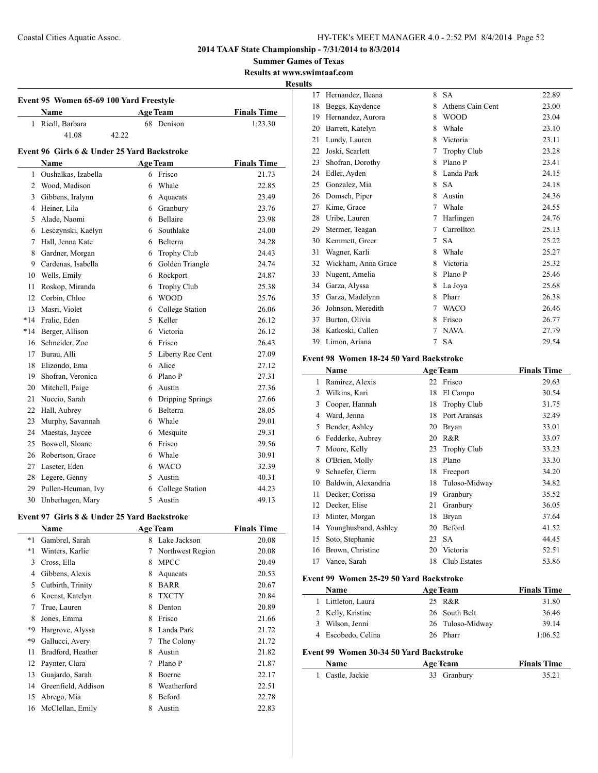**Summer Games of Texas Results at www.swimtaaf.com**

**Results**

|                | <b>Name</b>                                 | Event 95 Women 65-69 100 Yard Freestyle<br><b>Age Team</b> |             |                    | <b>Finals Time</b> |
|----------------|---------------------------------------------|------------------------------------------------------------|-------------|--------------------|--------------------|
| 1              | Riedl, Barbara                              |                                                            | 68          | Denison            | 1:23.30            |
|                | 41.08                                       | 42.22                                                      |             |                    |                    |
|                |                                             |                                                            |             |                    |                    |
|                | Event 96 Girls 6 & Under 25 Yard Backstroke |                                                            |             |                    |                    |
|                | <b>Name</b>                                 |                                                            |             | <b>Age Team</b>    | <b>Finals Time</b> |
|                | 1 Oushalkas, Izabella                       |                                                            |             | 6 Frisco           | 21.73              |
| $\overline{c}$ | Wood, Madison                               |                                                            |             | 6 Whale            | 22.85              |
| 3              | Gibbens, Iralynn                            |                                                            |             | 6 Aquacats         | 23.49              |
| 4              | Heiner, Lila                                |                                                            |             | 6 Granbury         | 23.76              |
| 5.             | Alade, Naomi                                |                                                            |             | 6 Bellaire         | 23.98              |
| 6              | Lesczynski, Kaelyn                          |                                                            |             | 6 Southlake        | 24.00              |
| 7              | Hall, Jenna Kate                            |                                                            |             | 6 Belterra         | 24.28              |
| 8              | Gardner, Morgan                             |                                                            |             | 6 Trophy Club      | 24.43              |
| 9              | Cardenas, Isabella                          |                                                            |             | 6 Golden Triangle  | 24.74              |
| 10             | Wells, Emily                                |                                                            | 6           | Rockport           | 24.87              |
| 11             | Roskop, Miranda                             |                                                            | 6           | Trophy Club        | 25.38              |
| 12             | Corbin, Chloe                               |                                                            |             | 6 WOOD             | 25.76              |
| 13             | Masri, Violet                               |                                                            |             | 6 College Station  | 26.06              |
| $*14$          | Fralic, Eden                                |                                                            | 5           | Keller             | 26.12              |
| $*14$          | Berger, Allison                             |                                                            |             | 6 Victoria         | 26.12              |
| 16             | Schneider, Zoe                              |                                                            |             | 6 Frisco           | 26.43              |
| 17             | Burau, Alli                                 |                                                            |             | 5 Liberty Rec Cent | 27.09              |
| 18             | Elizondo, Ema                               |                                                            |             | 6 Alice            | 27.12              |
| 19             | Shofran, Veronica                           |                                                            |             | 6 Plano P          | 27.31              |
| 20             | Mitchell, Paige                             |                                                            |             | 6 Austin           | 27.36              |
| 21             | Nuccio, Sarah                               |                                                            |             | 6 Dripping Springs | 27.66              |
| 22             | Hall, Aubrey                                |                                                            |             | 6 Belterra         | 28.05              |
| 23             | Murphy, Savannah                            |                                                            |             | 6 Whale            | 29.01              |
| 24             | Maestas, Jaycee                             |                                                            |             | 6 Mesquite         | 29.31              |
| 25             | Boswell, Sloane                             |                                                            |             | 6 Frisco           | 29.56              |
| 26             | Robertson, Grace                            |                                                            |             | 6 Whale            | 30.91              |
| 27             | Laseter, Eden                               |                                                            |             | 6 WACO             | 32.39              |
| 28             | Legere, Genny                               |                                                            |             | 5 Austin           | 40.31              |
| 29             | Pullen-Heuman, Ivy                          |                                                            |             | 6 College Station  | 44.23              |
| 30             | Unberhagen, Mary                            |                                                            | $\varsigma$ | Austin             | 49.13              |

## **Event 97 Girls 8 & Under 25 Yard Backstroke**

| <b>Name</b> |                     |   | <b>Age Team</b>  | <b>Finals Time</b> |  |
|-------------|---------------------|---|------------------|--------------------|--|
| $*1$        | Gambrel, Sarah      | 8 | Lake Jackson     | 20.08              |  |
| *1          | Winters, Karlie     | 7 | Northwest Region | 20.08              |  |
| 3           | Cross, Ella         | 8 | <b>MPCC</b>      | 20.49              |  |
| 4           | Gibbens, Alexis     | 8 | Aquacats         | 20.53              |  |
| 5           | Cutbirth, Trinity   | 8 | <b>BARR</b>      | 20.67              |  |
| 6           | Koenst, Katelyn     | 8 | <b>TXCTY</b>     | 20.84              |  |
| 7           | True, Lauren        | 8 | Denton           | 20.89              |  |
| 8           | Jones, Emma         | 8 | Frisco           | 21.66              |  |
| *9          | Hargrove, Alyssa    | 8 | Landa Park       | 21.72              |  |
| *9          | Gallucci, Avery     | 7 | The Colony       | 21.72              |  |
| 11          | Bradford, Heather   | 8 | Austin           | 21.82              |  |
| 12          | Paynter, Clara      | 7 | Plano P          | 21.87              |  |
| 13          | Guajardo, Sarah     | 8 | Boerne           | 22.17              |  |
| 14          | Greenfield, Addison | 8 | Weatherford      | 22.51              |  |
| 15          | Abrego, Mia         | 8 | Beford           | 22.78              |  |
| 16          | McClellan, Emily    | 8 | Austin           | 22.83              |  |
|             |                     |   |                  |                    |  |

| 17 | Hernandez, Ileana   | 8 | <b>SA</b>          | 22.89 |
|----|---------------------|---|--------------------|-------|
| 18 | Beggs, Kaydence     | 8 | Athens Cain Cent   | 23.00 |
| 19 | Hernandez, Aurora   | 8 | <b>WOOD</b>        | 23.04 |
| 20 | Barrett, Katelyn    | 8 | Whale              | 23.10 |
| 21 | Lundy, Lauren       | 8 | Victoria           | 23.11 |
| 22 | Joski, Scarlett     | 7 | <b>Trophy Club</b> | 23.28 |
| 23 | Shofran, Dorothy    | 8 | Plano P            | 23.41 |
| 24 | Edler, Ayden        | 8 | Landa Park         | 24.15 |
| 25 | Gonzalez, Mia       | 8 | <b>SA</b>          | 24.18 |
| 26 | Domsch, Piper       | 8 | Austin             | 24.36 |
| 27 | Kime, Grace         | 7 | Whale              | 24.55 |
| 28 | Uribe, Lauren       | 7 | Harlingen          | 24.76 |
| 29 | Stermer, Teagan     | 7 | Carrollton         | 25.13 |
| 30 | Kemmett, Greer      | 7 | <b>SA</b>          | 25.22 |
| 31 | Wagner, Karli       | 8 | Whale              | 25.27 |
| 32 | Wickham, Anna Grace | 8 | Victoria           | 25.32 |
| 33 | Nugent, Amelia      | 8 | Plano P            | 25.46 |
| 34 | Garza, Alyssa       | 8 | La Joya            | 25.68 |
| 35 | Garza, Madelynn     | 8 | Pharr              | 26.38 |
| 36 | Johnson, Meredith   | 7 | <b>WACO</b>        | 26.46 |
| 37 | Burton, Olivia      | 8 | Frisco             | 26.77 |
| 38 | Katkoski, Callen    | 7 | <b>NAVA</b>        | 27.79 |
| 39 | Limon, Ariana       | 7 | <b>SA</b>          | 29.54 |

## **Event 98 Women 18-24 50 Yard Backstroke**

|                                           | Name                 |    | <b>Age Team</b>    | <b>Finals Time</b> |  |
|-------------------------------------------|----------------------|----|--------------------|--------------------|--|
| 1                                         | Ramirez, Alexis      | 22 | Frisco             | 29.63              |  |
| 2                                         | Wilkins, Kari        | 18 | El Campo           | 30.54              |  |
| 3                                         | Cooper, Hannah       | 18 | <b>Trophy Club</b> | 31.75              |  |
| 4                                         | Ward, Jenna          | 18 | Port Aransas       | 32.49              |  |
| 5                                         | Bender, Ashley       | 20 | Bryan              | 33.01              |  |
| 6                                         | Fedderke, Aubrey     | 20 | R&R                | 33.07              |  |
| 7                                         | Moore, Kelly         | 23 | <b>Trophy Club</b> | 33.23              |  |
| 8                                         | O'Brien, Molly       | 18 | Plano              | 33.30              |  |
| 9                                         | Schaefer, Cierra     | 18 | Freeport           | 34.20              |  |
| 10                                        | Baldwin, Alexandria  | 18 | Tuloso-Midway      | 34.82              |  |
| 11                                        | Decker, Corissa      | 19 | Granbury           | 35.52              |  |
| 12                                        | Decker, Elise        | 21 | Granbury           | 36.05              |  |
| 13                                        | Minter, Morgan       | 18 | <b>Bryan</b>       | 37.64              |  |
| 14                                        | Younghusband, Ashley | 20 | Beford             | 41.52              |  |
| 15                                        | Soto, Stephanie      | 23 | <b>SA</b>          | 44.45              |  |
| 16                                        | Brown, Christine     | 20 | Victoria           | 52.51              |  |
| 17                                        | Vance, Sarah         | 18 | Club Estates       | 53.86              |  |
| Exant 00 Waman 25.20 50 Vand Baalzstualza |                      |    |                    |                    |  |

## **Event 99 Women 25-29 50 Yard Backstroke**

|                                         | Name              | <b>Age Team</b>  | <b>Finals Time</b> |  |  |  |  |
|-----------------------------------------|-------------------|------------------|--------------------|--|--|--|--|
| L                                       | Littleton, Laura  | 25 R&R           | 31.80              |  |  |  |  |
|                                         | 2 Kelly, Kristine | 26 South Belt    | 36.46              |  |  |  |  |
| 3                                       | Wilson, Jenni     | 26 Tuloso-Midway | 39.14              |  |  |  |  |
| 4                                       | Escobedo, Celina  | 26 Pharr         | 1:06.52            |  |  |  |  |
| Event 99 Women 30-34 50 Yard Backstroke |                   |                  |                    |  |  |  |  |
|                                         | Name              | <b>Age Team</b>  | <b>Finals Time</b> |  |  |  |  |
|                                         | Castle, Jackie    | Granbury<br>33   | 35.21              |  |  |  |  |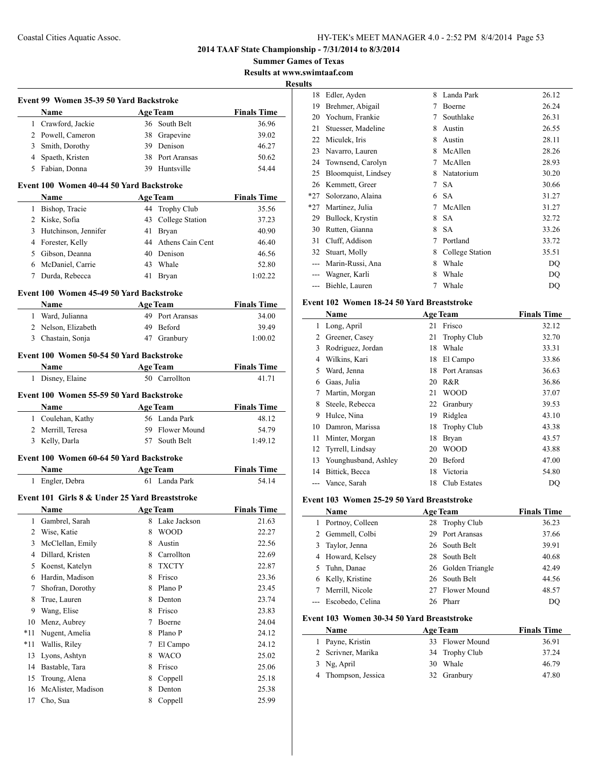**Summer Games of Texas Results at www.swimtaaf.com**

**Results**

 $\overline{a}$ 

|       |                                                | Event 99 Women 35-39 50 Yard Backstroke |                           |                                                                                                     |
|-------|------------------------------------------------|-----------------------------------------|---------------------------|-----------------------------------------------------------------------------------------------------|
|       | Name                                           |                                         | Age Team                  | <b>Finals Time</b>                                                                                  |
|       | 1 Crawford, Jackie                             |                                         | 36 South Belt             | 36.96                                                                                               |
|       | 2 Powell, Cameron                              |                                         | 38 Grapevine              | 39.02                                                                                               |
|       | 3 Smith, Dorothy                               |                                         | 39 Denison                | 46.27                                                                                               |
|       | 4 Spaeth, Kristen                              |                                         | 38 Port Aransas           | 50.62                                                                                               |
|       | 5 Fabian, Donna                                |                                         | 39 Huntsville             | 54.44                                                                                               |
|       | Event 100 Women 40-44 50 Yard Backstroke       |                                         |                           |                                                                                                     |
|       | Name                                           |                                         | <b>Age Team</b>           | <b>Finals Time</b>                                                                                  |
|       | 1 Bishop, Tracie                               |                                         | 44 Trophy Club            | 35.56                                                                                               |
|       | 2 Kiske, Sofia                                 |                                         | 43 College Station        | 37.23                                                                                               |
|       | 3 Hutchinson, Jennifer                         |                                         | 41 Bryan                  | 40.90                                                                                               |
|       | 4 Forester, Kelly                              |                                         | 44 Athens Cain Cent       | 46.40                                                                                               |
|       | 5 Gibson, Deanna                               |                                         | 40 Denison                | 46.56                                                                                               |
|       | 6 McDaniel, Carrie                             |                                         | 43 Whale                  | 52.80                                                                                               |
|       | 7 Durda, Rebecca                               |                                         | 41 Bryan                  | 1:02.22                                                                                             |
|       | Event 100 Women 45-49 50 Yard Backstroke       |                                         |                           |                                                                                                     |
|       | Name                                           |                                         | <b>Example 2 Age Team</b> | <b>Finals Time</b>                                                                                  |
|       | 1 Ward, Julianna                               |                                         | 49 Port Aransas           | 34.00                                                                                               |
|       | 2 Nelson, Elizabeth                            |                                         | 49 Beford                 | 39.49                                                                                               |
|       | 3 Chastain, Sonja                              |                                         | 47 Granbury               | 1:00.02                                                                                             |
|       | Event 100 Women 50-54 50 Yard Backstroke       |                                         |                           |                                                                                                     |
|       | Name<br><b>Age Team</b>                        |                                         |                           | <b>Finals Time</b>                                                                                  |
|       | 1 Disney, Elaine                               |                                         | 50 Carrollton             | 41.71                                                                                               |
|       | Event 100 Women 55-59 50 Yard Backstroke       |                                         |                           |                                                                                                     |
|       | <b>Age Team</b><br>Name                        |                                         |                           | <b>Finals Time</b>                                                                                  |
|       | 1 Coulehan, Kathy                              |                                         | 56 Landa Park             | 48.12                                                                                               |
|       |                                                |                                         | 59 Flower Mound           | 54.79                                                                                               |
|       | 2 Merrill, Teresa                              |                                         |                           |                                                                                                     |
|       | 3 Kelly, Darla                                 |                                         | 57 South Belt             |                                                                                                     |
|       |                                                |                                         |                           | 1:49.12                                                                                             |
|       | Event 100 Women 60-64 50 Yard Backstroke       |                                         |                           |                                                                                                     |
|       | <b>Example 2018 Age Team</b><br>Name           |                                         |                           |                                                                                                     |
|       | 1 Engler, Debra                                |                                         | 61 Landa Park             | <b>Finals Time</b><br>54.14                                                                         |
|       | Event 101 Girls 8 & Under 25 Yard Breaststroke |                                         |                           |                                                                                                     |
|       | <b>Example 3</b> Age Team<br>Name              |                                         |                           |                                                                                                     |
|       | 1 Gambrel, Sarah                               |                                         | 8 Lake Jackson            |                                                                                                     |
| 2     | Wise, Katie                                    | 8                                       | <b>WOOD</b>               |                                                                                                     |
| 3     | McClellan, Emily                               | 8                                       | Austin                    |                                                                                                     |
| 4     | Dillard, Kristen                               | 8                                       | Carrollton                |                                                                                                     |
| 5     | Koenst, Katelyn                                | 8                                       | <b>TXCTY</b>              |                                                                                                     |
| 6     | Hardin, Madison                                | 8                                       | Frisco                    |                                                                                                     |
| 7     | Shofran, Dorothy                               | 8                                       | Plano P                   |                                                                                                     |
| 8     | True, Lauren                                   | 8                                       | Denton                    |                                                                                                     |
| 9     | Wang, Elise                                    | 8                                       | Frisco                    | <b>Finals Time</b><br>21.63<br>22.27<br>22.56<br>22.69<br>22.87<br>23.36<br>23.45<br>23.74<br>23.83 |
| 10    | Menz, Aubrey                                   | 7                                       | Boerne                    | 24.04                                                                                               |
| $*11$ | Nugent, Amelia                                 | 8                                       | Plano P                   | 24.12                                                                                               |
| $*11$ | Wallis, Riley                                  | 7                                       | El Campo                  |                                                                                                     |
| 13    | Lyons, Ashtyn                                  | 8                                       | <b>WACO</b>               | 24.12<br>25.02                                                                                      |
| 14    | Bastable, Tara                                 | 8                                       | Frisco                    | 25.06                                                                                               |
| 15    | Troung, Alena                                  | 8                                       | Coppell                   | 25.18                                                                                               |
| 16    | McAlister, Madison                             | 8                                       | Denton                    |                                                                                                     |
| 17    | Cho, Sua                                       | 8                                       | Coppell                   | 25.38<br>25.99                                                                                      |

| гs    |                     |   |                 |       |
|-------|---------------------|---|-----------------|-------|
| 18    | Edler, Ayden        | 8 | Landa Park      | 26.12 |
| 19    | Brehmer, Abigail    | 7 | Boerne          | 26.24 |
| 20    | Yochum, Frankie     | 7 | Southlake       | 26.31 |
| 21    | Stuesser, Madeline  | 8 | Austin          | 26.55 |
| 22    | Miculek, Iris       | 8 | Austin          | 28.11 |
| 23    | Navarro, Lauren     | 8 | McAllen         | 28.26 |
| 24    | Townsend, Carolyn   | 7 | McAllen         | 28.93 |
| 25    | Bloomquist, Lindsey | 8 | Natatorium      | 30.20 |
| 26    | Kemmett, Greer      | 7 | SА              | 30.66 |
| $*27$ | Solorzano, Alaina   | 6 | <b>SA</b>       | 31.27 |
| $*27$ | Martinez, Julia     | 7 | McAllen         | 31.27 |
| 29    | Bullock, Krystin    | 8 | <b>SA</b>       | 32.72 |
| 30    | Rutten, Gianna      | 8 | <b>SA</b>       | 33.26 |
| 31    | Cluff, Addison      | 7 | Portland        | 33.72 |
| 32    | Stuart, Molly       | 8 | College Station | 35.51 |
|       | Marin-Russi, Ana    | 8 | Whale           | DQ    |
|       | Wagner, Karli       | 8 | Whale           | DQ    |
|       | Biehle, Lauren      | 7 | Whale           | DQ    |
|       |                     |   |                 |       |

#### **Event 102 Women 18-24 50 Yard Breaststroke**

|    | Name                 |    | <b>Age Team</b>    | <b>Finals Time</b> |
|----|----------------------|----|--------------------|--------------------|
| 1  | Long, April          | 21 | Frisco             | 32.12              |
| 2  | Greener, Casey       | 21 | <b>Trophy Club</b> | 32.70              |
| 3  | Rodriguez, Jordan    | 18 | Whale              | 33.31              |
| 4  | Wilkins, Kari        | 18 | El Campo           | 33.86              |
| 5  | Ward, Jenna          | 18 | Port Aransas       | 36.63              |
| 6  | Gaas, Julia          | 20 | R&R                | 36.86              |
| 7  | Martin, Morgan       | 21 | <b>WOOD</b>        | 37.07              |
| 8  | Steele, Rebecca      | 22 | Granbury           | 39.53              |
| 9  | Hulce, Nina          | 19 | Ridglea            | 43.10              |
| 10 | Damron, Marissa      | 18 | <b>Trophy Club</b> | 43.38              |
| 11 | Minter, Morgan       | 18 | Bryan              | 43.57              |
| 12 | Tyrrell, Lindsay     | 20 | <b>WOOD</b>        | 43.88              |
| 13 | Younghusband, Ashley | 20 | Beford             | 47.00              |
| 14 | Bittick, Becca       | 18 | Victoria           | 54.80              |
|    | Vance, Sarah         | 18 | Club Estates       | DQ                 |

#### **Event 103 Women 25-29 50 Yard Breaststroke**

| Name                 |    | <b>Age Team</b>    | <b>Finals Time</b> |
|----------------------|----|--------------------|--------------------|
| Portnoy, Colleen     |    | 28 Trophy Club     | 36.23              |
| 2 Gemmell, Colbi     |    | 29 Port Aransas    | 37.66              |
| 3 Taylor, Jenna      |    | 26 South Belt      | 39.91              |
| 4 Howard, Kelsey     |    | 28 South Belt      | 40.68              |
| 5 Tuhn, Danae        |    | 26 Golden Triangle | 42.49              |
| 6 Kelly, Kristine    |    | 26 South Belt      | 44.56              |
| Merrill, Nicole      |    | 27 Flower Mound    | 48.57              |
| --- Escobedo, Celina | 26 | Pharr              | DO                 |

#### **Event 103 Women 30-34 50 Yard Breaststroke**

| Name                | <b>Age Team</b> | <b>Finals Time</b> |
|---------------------|-----------------|--------------------|
| 1 Payne, Kristin    | 33 Flower Mound | 36.91              |
| 2 Scrivner, Marika  | 34 Trophy Club  | 37.24              |
| 3 Ng, April         | 30 Whale        | 46.79              |
| 4 Thompson, Jessica | 32 Granbury     | 47.80              |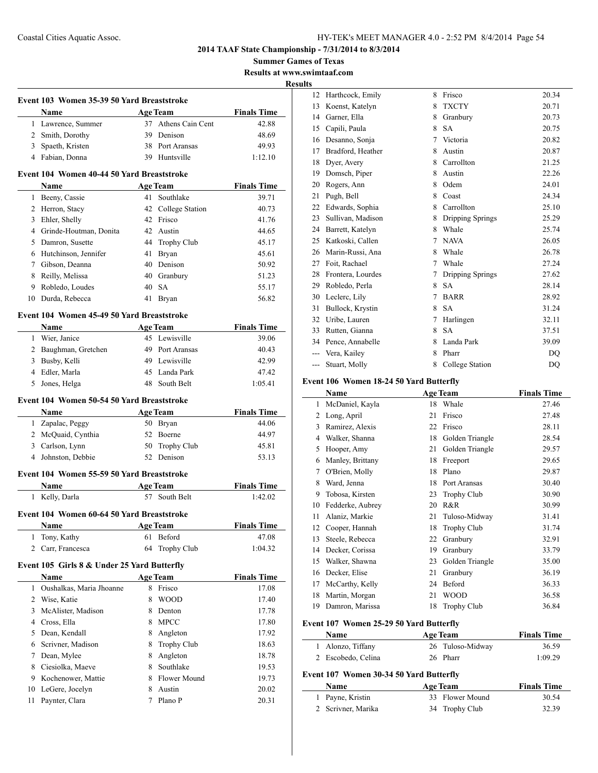**Summer Games of Texas Results at www.swimtaaf.com**

**<u>esult</u>** 

 $\frac{1}{2}$ 

 $\overline{\phantom{a}}$ 

|                | Event 103 Women 35-39 50 Yard Breaststroke          |        |                           |                             |
|----------------|-----------------------------------------------------|--------|---------------------------|-----------------------------|
|                | Name                                                |        | <b>Age Team</b>           | <b>Finals Time</b>          |
|                | 1 Lawrence, Summer                                  |        | 37 Athens Cain Cent       | 42.88                       |
|                | 2 Smith, Dorothy                                    |        | 39 Denison                | 48.69                       |
|                | 3 Spaeth, Kristen                                   |        | 38 Port Aransas           | 49.93                       |
|                | 4 Fabian, Donna                                     |        | 39 Huntsville             | 1:12.10                     |
|                | Event 104 Women 40-44 50 Yard Breaststroke          |        |                           |                             |
|                | Name                                                |        | <b>Age Team</b>           | <b>Finals Time</b>          |
|                | 1 Beeny, Cassie                                     |        | 41 Southlake              | 39.71                       |
|                | 2 Herron, Stacy                                     |        | 42 College Station        | 40.73                       |
|                | 3 Ehler, Shelly                                     |        | 42 Frisco                 | 41.76                       |
|                | 4 Grinde-Houtman, Donita                            |        | 42 Austin                 | 44.65                       |
|                | 5 Damron, Susette                                   |        | 44 Trophy Club            | 45.17                       |
|                | 6 Hutchinson, Jennifer                              | 41     | Bryan                     | 45.61                       |
|                | 7 Gibson, Deanna                                    |        | 40 Denison                | 50.92                       |
|                | 8 Reilly, Melissa                                   |        | 40 Granbury               | 51.23                       |
|                | 9 Robledo, Loudes                                   |        | 40 SA                     | 55.17                       |
|                | 10 Durda, Rebecca                                   |        | 41 Bryan                  | 56.82                       |
|                | Event 104 Women 45-49 50 Yard Breaststroke          |        |                           |                             |
|                | Name                                                |        | <b>Age Team</b>           | <b>Finals Time</b>          |
|                | 1 Wier, Janice                                      |        | 45 Lewisville             | 39.06                       |
|                | 2 Baughman, Gretchen                                |        | 49 Port Aransas           | 40.43                       |
|                | 3 Busby, Kelli                                      |        | 49 Lewisville             | 42.99                       |
|                | 4 Edler, Marla                                      |        | 45 Landa Park             | 47.42                       |
| 5              | Jones, Helga                                        |        | 48 South Belt             | 1:05.41                     |
|                | Event 104 Women 50-54 50 Yard Breaststroke          |        |                           |                             |
|                | Name                                                |        | <b>Age Team</b>           | <b>Finals Time</b>          |
|                | 1 Zapalac, Peggy                                    |        | 50 Bryan                  | 44.06                       |
|                | 2 McQuaid, Cynthia                                  |        | 52 Boerne                 | 44.97                       |
|                | 3 Carlson, Lynn                                     |        | 50 Trophy Club            | 45.81                       |
|                | 4 Johnston, Debbie                                  |        | 52 Denison                | 53.13                       |
|                | Event 104 Women 55-59 50 Yard Breaststroke          |        |                           |                             |
|                | Name                                                |        | <b>Age Team</b>           | <b>Finals Time</b>          |
|                | 1 Kelly, Darla                                      |        | 57 South Belt             | 1:42.02                     |
|                |                                                     |        |                           |                             |
|                | Event 104 Women 60-64 50 Yard Breaststroke          |        |                           |                             |
| 1              | Name<br>Tony, Kathy                                 | 61     | <b>Age Team</b><br>Beford | <b>Finals Time</b><br>47.08 |
| 2              | Carr, Francesca                                     | 64     | Trophy Club               | 1:04.32                     |
|                |                                                     |        |                           |                             |
|                | Event 105 Girls 8 & Under 25 Yard Butterfly<br>Name |        | <b>Age Team</b>           | <b>Finals Time</b>          |
| 1              | Oushalkas, Maria Jhoanne                            | 8      | Frisco                    | 17.08                       |
| $\overline{2}$ | Wise, Katie                                         | 8      | WOOD                      | 17.40                       |
| 3              | McAlister, Madison                                  | 8      | Denton                    | 17.78                       |
|                | Cross, Ella                                         | 8      | <b>MPCC</b>               |                             |
| 4              |                                                     |        |                           | 17.80                       |
|                | Dean, Kendall                                       | 8      | Angleton                  | 17.92                       |
| 5              | Scrivner, Madison                                   | 8      | Trophy Club               | 18.63                       |
| 6              |                                                     |        | Angleton                  | 18.78                       |
| 7              | Dean, Mylee                                         | 8      |                           |                             |
| 8              | Ciesiolka, Maeve                                    | 8      | Southlake                 | 19.53                       |
| 9              | Kochenower, Mattie                                  | 8      | Flower Mound              | 19.73                       |
| 10<br>11       | LeGere, Jocelyn<br>Paynter, Clara                   | 8<br>7 | Austin<br>Plano P         | 20.02<br>20.31              |

| .<br>S |                   |   |                  |                |
|--------|-------------------|---|------------------|----------------|
| 12     | Harthcock, Emily  | 8 | Frisco           | 20.34          |
| 13     | Koenst, Katelyn   | 8 | <b>TXCTY</b>     | 20.71          |
| 14     | Garner, Ella      | 8 | Granbury         | 20.73          |
| 15     | Capili, Paula     | 8 | <b>SA</b>        | 20.75          |
| 16     | Desanno, Sonja    | 7 | Victoria         | 20.82          |
| 17     | Bradford, Heather | 8 | Austin           | 20.87          |
| 18     | Dyer, Avery       | 8 | Carrollton       | 21.25          |
| 19     | Domsch, Piper     | 8 | Austin           | 22.26          |
| 20     | Rogers, Ann       | 8 | Odem             | 24.01          |
| 21     | Pugh, Bell        | 8 | Coast            | 24.34          |
| 22     | Edwards, Sophia   | 8 | Carrollton       | 25.10          |
| 23     | Sullivan, Madison | 8 | Dripping Springs | 25.29          |
| 24     | Barrett, Katelyn  | 8 | Whale            | 25.74          |
| 25     | Katkoski, Callen  | 7 | <b>NAVA</b>      | 26.05          |
| 26     | Marin-Russi, Ana  | 8 | Whale            | 26.78          |
| 27     | Foit, Rachael     | 7 | Whale            | 27.24          |
| 28     | Frontera, Lourdes | 7 | Dripping Springs | 27.62          |
| 29     | Robledo, Perla    | 8 | <b>SA</b>        | 28.14          |
| 30     | Leclerc, Lily     | 7 | <b>BARR</b>      | 28.92          |
| 31     | Bullock, Krystin  | 8 | <b>SA</b>        | 31.24          |
| 32     | Uribe, Lauren     | 7 | Harlingen        | 32.11          |
| 33     | Rutten, Gianna    | 8 | <b>SA</b>        | 37.51          |
| 34     | Pence, Annabelle  | 8 | Landa Park       | 39.09          |
| ---    | Vera, Kailey      | 8 | Pharr            | D <sub>O</sub> |
|        | Stuart, Molly     | 8 | College Station  | D <sub>O</sub> |
|        |                   |   |                  |                |

## **Event 106 Women 18-24 50 Yard Butterfly**

|    | Name             |    | <b>Age Team</b>    | <b>Finals Time</b> |
|----|------------------|----|--------------------|--------------------|
| 1  | McDaniel, Kayla  | 18 | Whale              | 27.46              |
| 2  | Long, April      | 21 | Frisco             | 27.48              |
| 3  | Ramirez, Alexis  | 22 | Frisco             | 28.11              |
| 4  | Walker, Shanna   | 18 | Golden Triangle    | 28.54              |
| 5  | Hooper, Amy      | 21 | Golden Triangle    | 29.57              |
| 6  | Manley, Brittany | 18 | Freeport           | 29.65              |
| 7  | O'Brien, Molly   | 18 | Plano              | 29.87              |
| 8  | Ward, Jenna      | 18 | Port Aransas       | 30.40              |
| 9  | Tobosa, Kirsten  | 23 | <b>Trophy Club</b> | 30.90              |
| 10 | Fedderke, Aubrey | 20 | R&R                | 30.99              |
| 11 | Alaniz, Markie   | 21 | Tuloso-Midway      | 31.41              |
| 12 | Cooper, Hannah   | 18 | <b>Trophy Club</b> | 31.74              |
| 13 | Steele, Rebecca  | 22 | Granbury           | 32.91              |
| 14 | Decker, Corissa  | 19 | Granbury           | 33.79              |
| 15 | Walker, Shawna   | 23 | Golden Triangle    | 35.00              |
| 16 | Decker, Elise    | 21 | Granbury           | 36.19              |
| 17 | McCarthy, Kelly  | 24 | Beford             | 36.33              |
| 18 | Martin, Morgan   | 21 | WOOD               | 36.58              |
| 19 | Damron, Marissa  | 18 | <b>Trophy Club</b> | 36.84              |

## **Event 107 Women 25-29 50 Yard Butterfly**

|                                         | <b>Name</b>        | <b>Age Team</b>  | <b>Finals Time</b> |  |  |
|-----------------------------------------|--------------------|------------------|--------------------|--|--|
|                                         | 1 Alonzo, Tiffany  | 26 Tuloso-Midway | 36.59              |  |  |
|                                         | 2 Escobedo, Celina | 26 Pharr         | 1:09.29            |  |  |
| Event 107 Women 30-34 50 Yard Butterfly |                    |                  |                    |  |  |
|                                         | Name               | <b>Age Team</b>  | <b>Finals Time</b> |  |  |

| глание             | лес ісаш |  | т шав типе      |       |
|--------------------|----------|--|-----------------|-------|
| 1 Payne, Kristin   |          |  | 33 Flower Mound | 30.54 |
| 2 Scrivner, Marika |          |  | 34 Trophy Club  | 32.39 |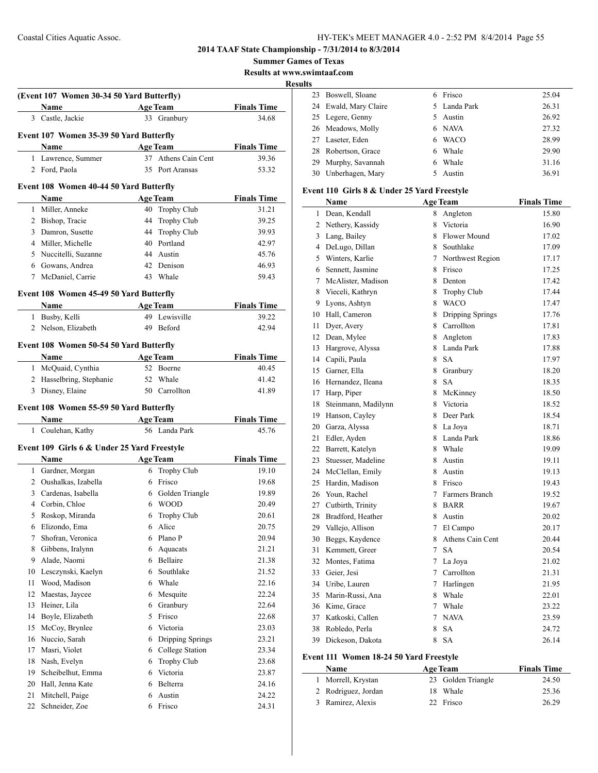**2014 TAAF State Championship - 7/31/2014 to 8/3/2014**

**Summer Games of Texas**

**Results at www.swimtaaf.com**

|    |                                             |    |                     |                    | <b>Results</b> |                    |
|----|---------------------------------------------|----|---------------------|--------------------|----------------|--------------------|
|    | (Event 107 Women 30-34 50 Yard Butterfly)   |    |                     |                    |                | 23 Boswell, Sloar  |
|    | Name                                        |    | <b>Age Team</b>     | <b>Finals Time</b> |                | 24 Ewald, Mary 0   |
|    | 3 Castle, Jackie                            |    | 33 Granbury         | 34.68              |                | 25 Legere, Genny   |
|    | Event 107 Women 35-39 50 Yard Butterfly     |    |                     |                    |                | 26 Meadows, Mo     |
|    | Name                                        |    | <b>Age Team</b>     | <b>Finals Time</b> |                | 27 Laseter, Eden   |
|    | 1 Lawrence, Summer                          |    | 37 Athens Cain Cent | 39.36              | 28             | Robertson, Gra     |
|    | 2 Ford, Paola                               |    | 35 Port Aransas     | 53.32              | 29             | Murphy, Savai      |
|    |                                             |    |                     |                    | 30             | Unberhagen, N      |
|    | Event 108 Women 40-44 50 Yard Butterfly     |    |                     |                    |                | Event 110 Girls 8  |
|    | Name                                        |    | <b>Age Team</b>     | <b>Finals Time</b> |                | Name               |
|    | 1 Miller, Anneke                            |    | 40 Trophy Club      | 31.21              |                | 1 Dean, Kendall    |
|    | 2 Bishop, Tracie                            | 44 | Trophy Club         | 39.25              |                | 2 Nethery, Kassi   |
|    | 3 Damron, Susette                           |    | 44 Trophy Club      | 39.93              |                | 3 Lang, Bailey     |
|    | 4 Miller, Michelle                          |    | 40 Portland         | 42.97              |                | 4 DeLugo, Dilla    |
|    | 5 Nuccitelli, Suzanne                       |    | 44 Austin           | 45.76              |                | 5 Winters, Karli   |
|    | 6 Gowans, Andrea                            |    | 42 Denison          | 46.93              | 6              | Sennett, Jasmi     |
| 7  | McDaniel, Carrie                            |    | 43 Whale            | 59.43              |                | 7 McAlister, Ma    |
|    | Event 108 Women 45-49 50 Yard Butterfly     |    |                     |                    | 8              | Vieceli, Kathry    |
|    | Name                                        |    | <b>Age Team</b>     | <b>Finals Time</b> |                | 9 Lyons, Ashtyn    |
|    | 1 Busby, Kelli                              |    | 49 Lewisville       | 39.22              |                | 10 Hall, Cameron   |
|    | 2 Nelson, Elizabeth                         |    | 49 Beford           | 42.94              |                | 11 Dyer, Avery     |
|    |                                             |    |                     |                    |                | 12 Dean, Mylee     |
|    | Event 108 Women 50-54 50 Yard Butterfly     |    |                     |                    |                | 13 Hargrove, Alys  |
|    | Name                                        |    | <b>Age Team</b>     | <b>Finals Time</b> |                | 14 Capili, Paula   |
|    | 1 McQuaid, Cynthia                          |    | 52 Boerne           | 40.45              |                | 15 Garner, Ella    |
|    | 2 Hasselbring, Stephanie                    |    | 52 Whale            | 41.42              |                | 16 Hernandez, Ile  |
|    | 3 Disney, Elaine                            |    | 50 Carrollton       | 41.89              |                | 17 Harp, Piper     |
|    | Event 108 Women 55-59 50 Yard Butterfly     |    |                     |                    | 18             | Steinmann, Ma      |
|    | Name                                        |    | <b>Age Team</b>     | <b>Finals Time</b> |                | 19 Hanson, Cayle   |
|    | 1 Coulehan, Kathy                           |    | 56 Landa Park       | 45.76              |                | 20 Garza, Alyssa   |
|    |                                             |    |                     |                    |                | 21 Edler, Ayden    |
|    | Event 109 Girls 6 & Under 25 Yard Freestyle |    |                     |                    |                | 22 Barrett, Kately |
|    | Name                                        |    | <b>Age Team</b>     | <b>Finals Time</b> | 23             | Stuesser, Made     |
|    | 1 Gardner, Morgan                           |    | 6 Trophy Club       | 19.10              | 24             | McClellan, En      |
|    | 2 Oushalkas, Izabella                       |    | 6 Frisco            | 19.68              | 25             | Hardin, Madis      |
|    | 3 Cardenas, Isabella                        |    | 6 Golden Triangle   | 19.89              | 26             | Youn, Rachel       |
|    | 4 Corbin, Chloe                             |    | 6 WOOD              | 20.49              |                | 27 Cutbirth, Trini |
| 5  | Roskop, Miranda                             |    | 6 Trophy Club       | 20.61              | 28             | Bradford, Hea      |
| 6  | Elizondo, Ema                               | 6  | Alice               | 20.75              | 29             | Vallejo, Alliso    |
| 7  | Shofran, Veronica                           | 6  | Plano P             | 20.94              | 30             | Beggs, Kayder      |
| 8  | Gibbens, Iralynn                            | 6  | Aquacats            | 21.21              | 31             | Kemmett, Gre       |
| 9  | Alade, Naomi                                | 6  | Bellaire            | 21.38              | 32             | Montes, Fatim      |
| 10 | Lesczynski, Kaelyn                          | 6  | Southlake           | 21.52              | 33             | Geier, Jesi        |
| 11 | Wood, Madison                               | 6  | Whale               | 22.16              | 34             | Uribe, Lauren      |
| 12 | Maestas, Jaycee                             | 6  | Mesquite            | 22.24              | 35             | Marin-Russi, A     |
| 13 | Heiner, Lila                                | 6  | Granbury            | 22.64              | 36             | Kime, Grace        |
| 14 | Boyle, Elizabeth                            | 5  | Frisco              | 22.68              | 37             | Katkoski, Call     |
| 15 | McCoy, Brynlee                              | 6  | Victoria            | 23.03              | 38             | Robledo, Perla     |
| 16 | Nuccio, Sarah                               | 6  | Dripping Springs    | 23.21              | 39             | Dickeson, Dak      |
| 17 | Masri, Violet                               | 6  | College Station     | 23.34              |                |                    |
| 18 | Nash, Evelyn                                | 6  | Trophy Club         | 23.68              |                | Event 111 Women    |
| 19 | Scheibelhut, Emma                           | 6  | Victoria            | 23.87              |                | Name               |
| 20 | Hall, Jenna Kate                            | 6  | Belterra            | 24.16              |                | 1 Morrell, Kryst   |
| 21 | Mitchell, Paige                             | 6  | Austin              | 24.22              | 2              | Rodriguez, Jor     |
| 22 | Schneider, Zoe                              |    | 6 Frisco            | 24.31              | 3              | Ramirez, Alex      |

| 23 Boswell, Sloane    |   | 6 Frisco     | 25.04 |
|-----------------------|---|--------------|-------|
| 24 Ewald, Mary Claire |   | 5 Landa Park | 26.31 |
| 25 Legere, Genny      |   | 5 Austin     | 26.92 |
| 26 Meadows, Molly     |   | 6 NAVA       | 27.32 |
| 27 Laseter, Eden      | 6 | WACO         | 28.99 |
| 28 Robertson, Grace   |   | 6 Whale      | 29.90 |
| 29 Murphy, Savannah   | 6 | Whale        | 31.16 |
| 30 Unberhagen, Mary   |   | Austin       | 36.91 |

#### $&$  Under 25 Yard Freestyle

|                | Name                |                | <b>Age Team</b>  | <b>Finals Time</b> |
|----------------|---------------------|----------------|------------------|--------------------|
| 1              | Dean, Kendall       | 8              | Angleton         | 15.80              |
| $\overline{2}$ | Nethery, Kassidy    | 8              | Victoria         | 16.90              |
| 3              | Lang, Bailey        | 8              | Flower Mound     | 17.02              |
| 4              | DeLugo, Dillan      | 8              | Southlake        | 17.09              |
| 5              | Winters, Karlie     | 7              | Northwest Region | 17.17              |
| 6              | Sennett, Jasmine    | 8              | Frisco           | 17.25              |
| 7              | McAlister, Madison  | 8              | Denton           | 17.42              |
| 8              | Vieceli, Kathryn    | 8              | Trophy Club      | 17.44              |
| 9              | Lyons, Ashtyn       | 8              | <b>WACO</b>      | 17.47              |
| 10             | Hall, Cameron       | 8              | Dripping Springs | 17.76              |
| 11             | Dyer, Avery         | 8              | Carrollton       | 17.81              |
| 12             | Dean, Mylee         | 8              | Angleton         | 17.83              |
| 13             | Hargrove, Alyssa    | 8              | Landa Park       | 17.88              |
| 14             | Capili, Paula       | 8              | <b>SA</b>        | 17.97              |
| 15             | Garner, Ella        | 8              | Granbury         | 18.20              |
| 16             | Hernandez, Ileana   | 8              | <b>SA</b>        | 18.35              |
| 17             | Harp, Piper         | 8              | McKinney         | 18.50              |
| 18             | Steinmann, Madilynn | 8              | Victoria         | 18.52              |
| 19             | Hanson, Cayley      | 8              | Deer Park        | 18.54              |
| 20             | Garza, Alyssa       | 8              | La Joya          | 18.71              |
| 21             | Edler, Ayden        | 8              | Landa Park       | 18.86              |
| 22             | Barrett, Katelyn    | 8              | Whale            | 19.09              |
| 23             | Stuesser, Madeline  | 8              | Austin           | 19.11              |
| 24             | McClellan, Emily    | 8              | Austin           | 19.13              |
| 25             | Hardin, Madison     | 8              | Frisco           | 19.43              |
| 26             | Youn, Rachel        | 7              | Farmers Branch   | 19.52              |
| 27             | Cutbirth, Trinity   | 8              | <b>BARR</b>      | 19.67              |
| 28             | Bradford, Heather   | 8              | Austin           | 20.02              |
| 29             | Vallejo, Allison    | $\overline{7}$ | El Campo         | 20.17              |
| 30             | Beggs, Kaydence     | 8              | Athens Cain Cent | 20.44              |
| 31             | Kemmett, Greer      | $\overline{7}$ | <b>SA</b>        | 20.54              |
| 32             | Montes, Fatima      | $\overline{7}$ | La Joya          | 21.02              |
| 33             | Geier, Jesi         | $\overline{7}$ | Carrollton       | 21.31              |
| 34             | Uribe, Lauren       | 7              | Harlingen        | 21.95              |
| 35             | Marin-Russi, Ana    | 8              | Whale            | 22.01              |
| 36             | Kime, Grace         | $\tau$         | Whale            | 23.22              |
| 37             | Katkoski, Callen    | $\tau$         | <b>NAVA</b>      | 23.59              |
| 38             | Robledo, Perla      | 8              | <b>SA</b>        | 24.72              |
| 39             | Dickeson, Dakota    | 8              | <b>SA</b>        | 26.14              |
|                |                     |                |                  |                    |

## **18-24 50 Yard Freestyle**

| <b>Name</b>         | <b>Age Team</b>    | <b>Finals Time</b> |
|---------------------|--------------------|--------------------|
| Morrell, Krystan    | 23 Golden Triangle | 24.50              |
| 2 Rodriguez, Jordan | 18 Whale           | 25.36              |
| 3 Ramirez, Alexis   | 22 Frisco          | 26.29              |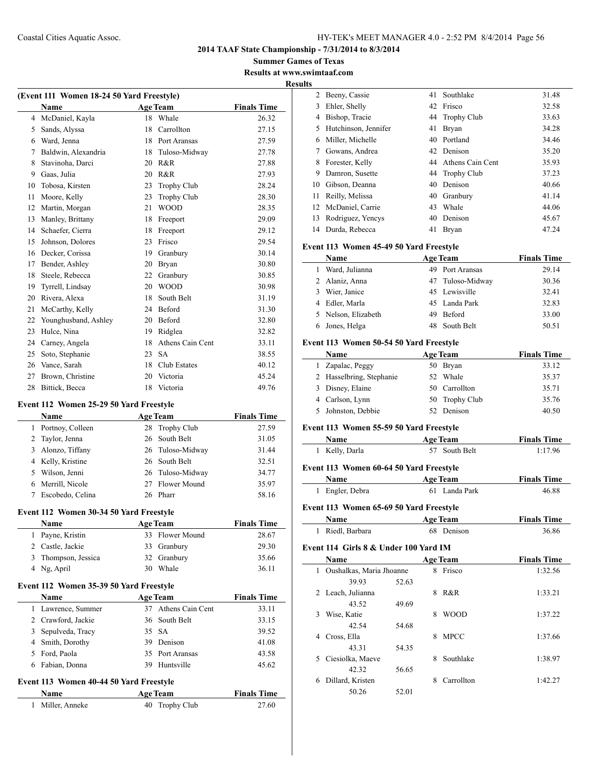**Summer Games of Texas Results at www.swimtaaf.com**

#### **Results**

| (Event 111 Women 18-24 50 Yard Freestyle) |                      |    |                    |                    |  |
|-------------------------------------------|----------------------|----|--------------------|--------------------|--|
|                                           | <b>Name</b>          |    | <b>Age Team</b>    | <b>Finals Time</b> |  |
| 4                                         | McDaniel, Kayla      | 18 | Whale              | 26.32              |  |
| 5                                         | Sands, Alyssa        | 18 | Carrollton         | 27.15              |  |
| 6                                         | Ward, Jenna          | 18 | Port Aransas       | 27.59              |  |
| 7                                         | Baldwin, Alexandria  | 18 | Tuloso-Midway      | 27.78              |  |
| 8                                         | Stavinoha, Darci     | 20 | R&R                | 27.88              |  |
| 9                                         | Gaas, Julia          | 20 | R&R                | 27.93              |  |
| 10                                        | Tobosa, Kirsten      | 23 | <b>Trophy Club</b> | 28.24              |  |
| 11                                        | Moore, Kelly         | 23 | <b>Trophy Club</b> | 28.30              |  |
| 12                                        | Martin, Morgan       | 21 | <b>WOOD</b>        | 28.35              |  |
| 13                                        | Manley, Brittany     | 18 | Freeport           | 29.09              |  |
| 14                                        | Schaefer, Cierra     | 18 | Freeport           | 29.12              |  |
| 15                                        | Johnson, Dolores     | 23 | Frisco             | 29.54              |  |
| 16                                        | Decker, Corissa      | 19 | Granbury           | 30.14              |  |
| 17                                        | Bender, Ashley       | 20 | Bryan              | 30.80              |  |
| 18                                        | Steele, Rebecca      | 22 | Granbury           | 30.85              |  |
| 19                                        | Tyrrell, Lindsay     | 20 | <b>WOOD</b>        | 30.98              |  |
| 20                                        | Rivera, Alexa        | 18 | South Belt         | 31.19              |  |
| 21                                        | McCarthy, Kelly      | 24 | Beford             | 31.30              |  |
| 22                                        | Younghusband, Ashley | 20 | Beford             | 32.80              |  |
| 23                                        | Hulce, Nina          | 19 | Ridglea            | 32.82              |  |
| 24                                        | Carney, Angela       | 18 | Athens Cain Cent   | 33.11              |  |
| 25                                        | Soto, Stephanie      | 23 | <b>SA</b>          | 38.55              |  |
| 26                                        | Vance, Sarah         | 18 | Club Estates       | 40.12              |  |
| 27                                        | Brown, Christine     | 20 | Victoria           | 45.24              |  |
| 28                                        | Bittick, Becca       | 18 | Victoria           | 49.76              |  |

#### **Event 112 Women 25-29 50 Yard Freestyle**

| <b>Name</b>        | <b>Age Team</b> | <b>Finals Time</b> |       |
|--------------------|-----------------|--------------------|-------|
| 1 Portnoy, Colleen |                 | 28 Trophy Club     | 27.59 |
| 2 Taylor, Jenna    |                 | 26 South Belt      | 31.05 |
| 3 Alonzo, Tiffany  |                 | 26 Tuloso-Midway   | 31.44 |
| 4 Kelly, Kristine  |                 | 26 South Belt      | 32.51 |
| 5 Wilson, Jenni    |                 | 26 Tuloso-Midway   | 34.77 |
| 6 Merrill, Nicole  |                 | 27 Flower Mound    | 35.97 |
| Escobedo, Celina   |                 | 26 Pharr           | 58.16 |

#### **Event 112 Women 30-34 50 Yard Freestyle**

| Name        |                     | <b>Age Team</b> | <b>Finals Time</b> |
|-------------|---------------------|-----------------|--------------------|
|             | 1 Payne, Kristin    | 33 Flower Mound | 28.67              |
|             | 2 Castle, Jackie    | 33 Granbury     | 29.30              |
|             | 3 Thompson, Jessica | 32 Granbury     | 35.66              |
| 4 Ng, April |                     | 30 Whale        | 36.11              |

#### **Event 112 Women 35-39 50 Yard Freestyle**

 $\overline{a}$ 

|   | <b>Name</b>        | <b>Age Team</b>     | <b>Finals Time</b> |
|---|--------------------|---------------------|--------------------|
|   | 1 Lawrence, Summer | 37 Athens Cain Cent | 33.11              |
|   | 2 Crawford, Jackie | 36 South Belt       | 33.15              |
|   | 3 Sepulveda, Tracy | 35 SA               | 39.52              |
|   | 4 Smith, Dorothy   | 39 Denison          | 41.08              |
|   | 5 Ford, Paola      | 35 Port Aransas     | 43.58              |
| 6 | Fabian, Donna      | 39 Huntsville       | 45.62              |

## **Event 113 Women 40-44 50 Yard Freestyle**

| <b>Name</b>      | <b>Age Team</b> | <b>Finals Time</b> |
|------------------|-----------------|--------------------|
| 1 Miller, Anneke | 40 Trophy Club  | 27.60              |

| $\overline{2}$ | Beeny, Cassie        | 41 | Southlake           | 31.48 |
|----------------|----------------------|----|---------------------|-------|
| 3              | Ehler, Shelly        |    | 42 Frisco           | 32.58 |
| 4              | Bishop, Tracie       |    | 44 Trophy Club      | 33.63 |
| 5              | Hutchinson, Jennifer | 41 | <b>Bryan</b>        | 34.28 |
| 6              | Miller, Michelle     | 40 | Portland            | 34.46 |
| 7              | Gowans, Andrea       |    | 42 Denison          | 35.20 |
| 8              | Forester, Kelly      |    | 44 Athens Cain Cent | 35.93 |
| 9              | Damron, Susette      |    | 44 Trophy Club      | 37.23 |
| 10             | Gibson, Deanna       | 40 | Denison             | 40.66 |
| 11             | Reilly, Melissa      | 40 | Granbury            | 41.14 |
|                | 12 McDaniel, Carrie  | 43 | Whale               | 44.06 |
| 13             | Rodriguez, Yencys    | 40 | Denison             | 45.67 |
|                | 14 Durda, Rebecca    | 41 | Brvan               | 47.24 |

#### **Event 113 Women 45-49 50 Yard Freestyle**

|   | Name                |     | <b>Age Team</b>  | <b>Finals Time</b> |
|---|---------------------|-----|------------------|--------------------|
| L | Ward, Julianna      |     | 49 Port Aransas  | 29.14              |
|   | 2 Alaniz, Anna      |     | 47 Tuloso-Midway | 30.36              |
|   | 3 Wier, Janice      |     | 45 Lewisville    | 32.41              |
|   | 4 Edler, Marla      |     | 45 Landa Park    | 32.83              |
|   | 5 Nelson, Elizabeth | 49. | Beford           | 33.00              |
|   | 6 Jones, Helga      |     | 48 South Belt    | 50.51              |

#### **Event 113 Women 50-54 50 Yard Freestyle**

| Name                     | <b>Age Team</b> | <b>Finals Time</b> |
|--------------------------|-----------------|--------------------|
| 1 Zapalac, Peggy         | 50 Bryan        | 33.12              |
| 2 Hasselbring, Stephanie | 52 Whale        | 35.37              |
| 3 Disney, Elaine         | 50 Carrollton   | 35.71              |
| 4 Carlson, Lynn          | 50 Trophy Club  | 35.76              |
| 5 Johnston, Debbie       | 52 Denison      | 40.50              |

#### **Event 113 Women 55-59 50 Yard Freestyle**

| Name                                    | <b>Age Team</b> | <b>Finals Time</b> |
|-----------------------------------------|-----------------|--------------------|
| 1 Kelly, Darla                          | 57 South Belt   | 1:17.96            |
| Event 113 Women 60-64 50 Yard Freestyle |                 |                    |

#### **Name Age Team Finals Time** Engler, Debra 61 Landa Park 46.88

#### **Event 113 Women 65-69 50 Yard Freestyle**

| <b>Name</b>      | <b>Age Team</b> | <b>Finals Time</b> |
|------------------|-----------------|--------------------|
| 1 Riedl, Barbara | 68 Denison      | 36.86              |

## **Event 114 Girls 8 & Under 100 Yard IM**

|   | Name                     |       |   | <b>Age Team</b> | <b>Finals Time</b> |
|---|--------------------------|-------|---|-----------------|--------------------|
| 1 | Oushalkas, Maria Jhoanne |       | 8 | Frisco          | 1:32.56            |
|   | 39.93                    | 52.63 |   |                 |                    |
| 2 | Leach, Julianna          |       | 8 | R&R             | 1:33.21            |
|   | 43.52                    | 49.69 |   |                 |                    |
| 3 | Wise, Katie              |       | 8 | <b>WOOD</b>     | 1:37.22            |
|   | 42.54                    | 54.68 |   |                 |                    |
| 4 | Cross, Ella              |       | 8 | <b>MPCC</b>     | 1:37.66            |
|   | 43.31                    | 54.35 |   |                 |                    |
| 5 | Ciesiolka, Maeve         |       | 8 | Southlake       | 1:38.97            |
|   | 42.32                    | 56.65 |   |                 |                    |
| 6 | Dillard, Kristen         |       | 8 | Carrollton      | 1:42.27            |
|   | 50.26                    | 52.01 |   |                 |                    |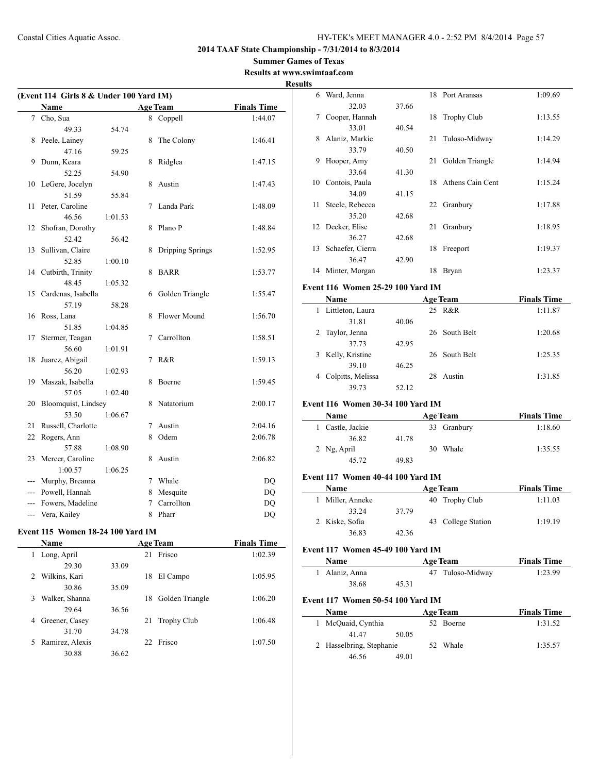#### **Summer Games of Texas Results at www.swimtaaf.com**

|     | (Event 114 Girls 8 & Under 100 Yard IM)<br>Name |         |   | <b>Age Team</b>    | <b>Finals Time</b> |
|-----|-------------------------------------------------|---------|---|--------------------|--------------------|
|     |                                                 |         |   |                    |                    |
| 7   | Cho, Sua                                        |         |   | 8 Coppell          | 1:44.07            |
|     | 49.33                                           | 54.74   |   |                    |                    |
| 8   | Peele, Lainey                                   |         | 8 | The Colony         | 1:46.41            |
| 9   | 47.16                                           | 59.25   |   |                    |                    |
|     | Dunn, Keara<br>52.25                            |         | 8 | Ridglea            | 1:47.15            |
|     |                                                 | 54.90   |   |                    |                    |
| 10  | LeGere, Jocelyn<br>51.59                        |         | 8 | Austin             | 1:47.43            |
|     |                                                 | 55.84   |   |                    |                    |
| 11  | Peter, Caroline                                 |         | 7 | Landa Park         | 1:48.09            |
|     | 46.56                                           | 1:01.53 | 8 | Plano <sub>P</sub> |                    |
| 12  | Shofran, Dorothy                                |         |   |                    | 1:48.84            |
|     | 52.42                                           | 56.42   |   |                    |                    |
| 13  | Sullivan, Claire                                |         | 8 | Dripping Springs   | 1:52.95            |
|     | 52.85                                           | 1:00.10 |   |                    |                    |
| 14  | Cutbirth, Trinity<br>48.45                      | 1:05.32 | 8 | <b>BARR</b>        | 1:53.77            |
| 15  |                                                 |         |   |                    |                    |
|     | Cardenas, Isabella                              |         | 6 | Golden Triangle    | 1:55.47            |
|     | 57.19                                           | 58.28   | 8 | Flower Mound       |                    |
| 16  | Ross, Lana<br>51.85                             |         |   |                    | 1:56.70            |
|     |                                                 | 1:04.85 |   | Carrollton         |                    |
| 17  | Stermer, Teagan<br>56.60                        |         | 7 |                    | 1:58.51            |
|     |                                                 | 1:01.91 |   |                    |                    |
| 18  | Juarez, Abigail                                 |         | 7 | R&R                | 1:59.13            |
|     | 56.20                                           | 1:02.93 |   |                    |                    |
| 19  | Maszak, Isabella                                |         | 8 | Boerne             | 1:59.45            |
|     | 57.05                                           | 1:02.40 |   |                    |                    |
| 20  | Bloomquist, Lindsey<br>53.50                    |         | 8 | Natatorium         | 2:00.17            |
|     |                                                 | 1:06.67 |   |                    |                    |
| 21  | Russell, Charlotte                              |         | 7 | Austin<br>Odem     | 2:04.16            |
| 22  | Rogers, Ann                                     |         | 8 |                    | 2:06.78            |
|     | 57.88                                           | 1:08.90 |   |                    |                    |
| 23  | Mercer, Caroline                                |         | 8 | Austin             | 2:06.82            |
|     | 1:00.57                                         | 1:06.25 |   |                    |                    |
| --- | Murphy, Breanna                                 |         | 7 | Whale              | DQ                 |
| --- | Powell, Hannah                                  |         | 8 | Mesquite           | DQ                 |
|     | Fowers, Madeline                                |         | 7 | Carrollton         | <b>DQ</b>          |
| --- | Vera, Kailey                                    |         | 8 | Pharr              | DQ                 |

## **Event 115 Women 18-24 100 Yard IM**

|   | Name            |       |    | <b>Age Team</b>    | <b>Finals Time</b> |
|---|-----------------|-------|----|--------------------|--------------------|
| 1 | Long, April     |       | 21 | Frisco             | 1:02.39            |
|   | 29.30           | 33.09 |    |                    |                    |
|   | 2 Wilkins, Kari |       | 18 | El Campo           | 1:05.95            |
|   | 30.86           | 35.09 |    |                    |                    |
| 3 | Walker, Shanna  |       | 18 | Golden Triangle    | 1:06.20            |
|   | 29.64           | 36.56 |    |                    |                    |
| 4 | Greener, Casey  |       | 21 | <b>Trophy Club</b> | 1:06.48            |
|   | 31.70           | 34.78 |    |                    |                    |
| 5 | Ramirez, Alexis |       |    | 22 Frisco          | 1:07.50            |
|   | 30.88           | 36.62 |    |                    |                    |

| 6 Ward, Jenna                     |       |    | 18 Port Aransas     | 1:09.69                                                                   |
|-----------------------------------|-------|----|---------------------|---------------------------------------------------------------------------|
| 32.03                             | 37.66 |    |                     |                                                                           |
| 7 Cooper, Hannah                  |       |    | 18 Trophy Club      | 1:13.55                                                                   |
| 33.01                             | 40.54 |    |                     |                                                                           |
| 8 Alaniz, Markie                  |       | 21 | Tuloso-Midway       | 1:14.29                                                                   |
| 33.79                             | 40.50 |    |                     |                                                                           |
| 9 Hooper, Amy                     |       | 21 | Golden Triangle     | 1:14.94                                                                   |
| 33.64                             | 41.30 |    |                     |                                                                           |
| 10 Contois, Paula                 |       |    | 18 Athens Cain Cent | 1:15.24                                                                   |
| 34.09                             | 41.15 |    |                     |                                                                           |
| 11 Steele, Rebecca                |       |    | 22 Granbury         | 1:17.88                                                                   |
| 35.20                             | 42.68 |    |                     |                                                                           |
| 12 Decker, Elise                  |       |    | 21 Granbury         | 1:18.95                                                                   |
| 36.27                             | 42.68 |    |                     |                                                                           |
| 13 Schaefer, Cierra               |       |    | 18 Freeport         | 1:19.37                                                                   |
| 36.47                             | 42.90 |    |                     |                                                                           |
|                                   |       |    |                     | 1:23.37                                                                   |
| 14 Minter, Morgan                 |       |    | 18 Bryan            |                                                                           |
| Event 116 Women 25-29 100 Yard IM |       |    |                     |                                                                           |
| Name                              |       |    | <b>Age Team</b>     | <b>Finals Time</b>                                                        |
| 1 Littleton, Laura                |       |    | 25 R&R              | 1:11.87                                                                   |
| 31.81                             | 40.06 |    |                     |                                                                           |
| 2 Taylor, Jenna                   |       |    | 26 South Belt       | 1:20.68                                                                   |
| 37.73                             | 42.95 |    |                     |                                                                           |
|                                   |       |    | 26 South Belt       | 1:25.35                                                                   |
|                                   |       |    |                     |                                                                           |
| 3 Kelly, Kristine                 |       |    |                     |                                                                           |
| 39.10                             | 46.25 |    |                     |                                                                           |
| 4 Colpitts, Melissa<br>39.73      |       |    | 28 Austin           | 1:31.85                                                                   |
|                                   | 52.12 |    |                     |                                                                           |
| Event 116 Women 30-34 100 Yard IM |       |    |                     |                                                                           |
| Name                              |       |    | <b>Age Team</b>     |                                                                           |
| 1 Castle, Jackie                  |       |    | 33 Granbury         | 1:18.60                                                                   |
| 36.82                             | 41.78 |    |                     |                                                                           |
| 2 Ng, April                       |       |    | 30 Whale            | 1:35.55                                                                   |
| 45.72                             | 49.83 |    |                     |                                                                           |
|                                   |       |    |                     |                                                                           |
| Event 117 Women 40-44 100 Yard IM |       |    |                     |                                                                           |
| Name                              |       |    | <b>Age Team</b>     |                                                                           |
| 1 Miller, Anneke                  |       | 40 | Trophy Club         | 1:11.03                                                                   |
| 33.24                             | 37.79 |    |                     |                                                                           |
| 2 Kiske, Sofia                    |       |    | 43 College Station  | 1:19.19                                                                   |
| 36.83                             | 42.36 |    |                     |                                                                           |
| Event 117 Women 45-49 100 Yard IM |       |    |                     |                                                                           |
| Name                              |       |    |                     |                                                                           |
|                                   |       |    | <b>Age Team</b>     |                                                                           |
| 1 Alaniz, Anna<br>38.68           | 45.31 |    | 47 Tuloso-Midway    | <b>Finals Time</b><br><b>Finals Time</b><br><b>Finals Time</b><br>1:23.99 |

#### **Name Age Team Finals Time** 1 McQuaid, Cynthia 52 Boerne 1:31.52 41.47 50.05

| $+1. + 7$                | JU.UJ |          |         |
|--------------------------|-------|----------|---------|
| 2 Hasselbring, Stephanie |       | 52 Whale | 1:35.57 |
| 46.56                    | 49.01 |          |         |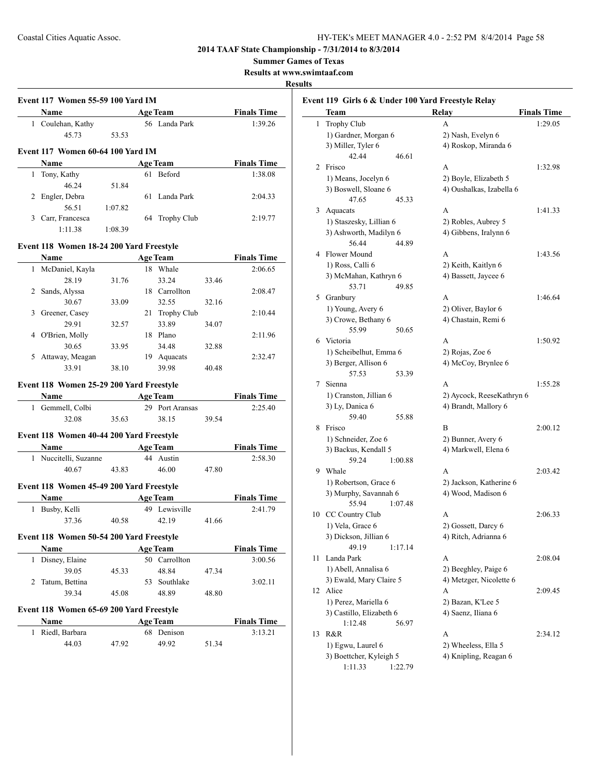**Summer Games of Texas**

**Results at www.swimtaaf.com**

## **Results**

|   | Name                                     |         |    | <b>Age Team</b>               |       | <b>Finals Time</b>                                                                                                               |
|---|------------------------------------------|---------|----|-------------------------------|-------|----------------------------------------------------------------------------------------------------------------------------------|
|   | 1 Coulehan, Kathy                        |         |    | 56 Landa Park                 |       | 1:39.26                                                                                                                          |
|   | 45.73                                    | 53.53   |    |                               |       |                                                                                                                                  |
|   | Event 117 Women 60-64 100 Yard IM        |         |    |                               |       |                                                                                                                                  |
|   | Name                                     |         |    | <b>Age Team</b>               |       | <b>Finals Time</b>                                                                                                               |
|   | 1 Tony, Kathy                            |         |    | 61 Beford                     |       | 1:38.08                                                                                                                          |
|   | 46.24                                    | 51.84   |    |                               |       |                                                                                                                                  |
|   | 2 Engler, Debra                          |         |    | 61 Landa Park                 |       | 2:04.33                                                                                                                          |
|   | 56.51                                    | 1:07.82 |    |                               |       |                                                                                                                                  |
|   | 3 Carr, Francesca                        |         | 64 | <b>Trophy Club</b>            |       | 2:19.77                                                                                                                          |
|   | 1:11.38                                  | 1:08.39 |    |                               |       |                                                                                                                                  |
|   | Event 118 Women 18-24 200 Yard Freestyle |         |    |                               |       |                                                                                                                                  |
|   | <b>Name</b>                              |         |    | <b>Age Team</b>               |       | <b>Finals Time</b>                                                                                                               |
|   | 1 McDaniel, Kayla                        |         |    | 18 Whale                      |       | 2:06.65                                                                                                                          |
|   | 28.19                                    | 31.76   |    | 33.24                         | 33.46 |                                                                                                                                  |
|   | 2 Sands, Alyssa                          |         |    | 18 Carrollton                 |       | 2:08.47                                                                                                                          |
|   | 30.67                                    | 33.09   |    | 32.55                         | 32.16 |                                                                                                                                  |
|   | 3 Greener, Casey                         |         |    | 21 Trophy Club                |       | 2:10.44                                                                                                                          |
|   | 29.91                                    | 32.57   |    | 33.89                         | 34.07 |                                                                                                                                  |
|   | 4 O'Brien, Molly                         |         |    | 18 Plano                      |       | 2:11.96                                                                                                                          |
|   | 30.65                                    | 33.95   |    | 34.48                         | 32.88 |                                                                                                                                  |
|   | 5 Attaway, Meagan                        |         |    | 19 Aquacats                   |       | 2:32.47                                                                                                                          |
|   | 33.91                                    | 38.10   |    | 39.98                         | 40.48 |                                                                                                                                  |
|   |                                          |         |    |                               |       |                                                                                                                                  |
|   | Event 118 Women 25-29 200 Yard Freestyle |         |    |                               |       |                                                                                                                                  |
|   |                                          |         |    |                               |       |                                                                                                                                  |
|   | <b>Name</b>                              |         |    | <b>Age Team</b>               |       |                                                                                                                                  |
|   | 1 Gemmell, Colbi                         |         |    | 29 Port Aransas               |       | 2:25.40                                                                                                                          |
|   | 32.08                                    | 35.63   |    | 38.15                         | 39.54 |                                                                                                                                  |
|   | Event 118 Women 40-44 200 Yard Freestyle |         |    |                               |       |                                                                                                                                  |
|   | Name                                     |         |    | <b>Age Team</b>               |       |                                                                                                                                  |
|   | 1 Nuccitelli, Suzanne                    |         |    | 44 Austin                     |       |                                                                                                                                  |
|   | 40.67                                    | 43.83   |    | 46.00                         | 47.80 |                                                                                                                                  |
|   |                                          |         |    |                               |       |                                                                                                                                  |
|   | Event 118 Women 45-49 200 Yard Freestyle |         |    |                               |       |                                                                                                                                  |
|   | Name                                     |         |    | <b>Age Team</b>               |       |                                                                                                                                  |
|   | 1 Busby, Kelli                           |         |    | 49 Lewisville                 |       | 2:41.79                                                                                                                          |
|   | 37.36                                    | 40.58   |    | 42.19                         | 41.66 | 2:58.30                                                                                                                          |
|   | Event 118 Women 50-54 200 Yard Freestyle |         |    |                               |       |                                                                                                                                  |
|   | Name                                     |         |    | <b>Age Team</b>               |       |                                                                                                                                  |
|   | 1 Disney, Elaine                         |         |    | 50 Carrollton                 |       |                                                                                                                                  |
|   | 39.05                                    | 45.33   |    | 48.84                         | 47.34 |                                                                                                                                  |
| 2 | Tatum, Bettina                           |         |    | 53 Southlake                  |       | 3:02.11                                                                                                                          |
|   | 39.34                                    | 45.08   |    | 48.89                         | 48.80 |                                                                                                                                  |
|   | Event 118 Women 65-69 200 Yard Freestyle |         |    |                               |       |                                                                                                                                  |
|   | Name                                     |         |    |                               |       |                                                                                                                                  |
|   | 1 Riedl, Barbara                         |         |    | <b>Age Team</b><br>68 Denison |       | <b>Finals Time</b><br><b>Finals Time</b><br><b>Finals Time</b><br><b>Finals Time</b><br>3:00.56<br><b>Finals Time</b><br>3:13.21 |

|    | Event 119 Girls 6 & Under 100 Yard Freestyle Relay<br>Team | Relay                                             | <b>Finals Time</b> |
|----|------------------------------------------------------------|---------------------------------------------------|--------------------|
| 1  | Trophy Club                                                | A                                                 | 1:29.05            |
|    | 1) Gardner, Morgan 6                                       |                                                   |                    |
|    | 3) Miller, Tyler 6                                         | 2) Nash, Evelyn 6<br>4) Roskop, Miranda 6         |                    |
|    | 42.44<br>46.61                                             |                                                   |                    |
| 2  | Frisco                                                     | А                                                 | 1:32.98            |
|    |                                                            |                                                   |                    |
|    | 1) Means, Jocelyn 6<br>3) Boswell, Sloane 6                | 2) Boyle, Elizabeth 5<br>4) Oushalkas, Izabella 6 |                    |
|    | 47.65<br>45.33                                             |                                                   |                    |
| 3  | Aquacats                                                   | A                                                 | 1:41.33            |
|    | 1) Staszesky, Lillian 6                                    | 2) Robles, Aubrey 5                               |                    |
|    | 3) Ashworth, Madilyn 6                                     | 4) Gibbens, Iralynn 6                             |                    |
|    | 56.44<br>44.89                                             |                                                   |                    |
|    | 4 Flower Mound                                             | A                                                 | 1:43.56            |
|    |                                                            |                                                   |                    |
|    | 1) Ross, Calli 6                                           | 2) Keith, Kaitlyn 6                               |                    |
|    | 3) McMahan, Kathryn 6<br>53.71                             | 4) Bassett, Jaycee 6                              |                    |
|    | 49.85                                                      |                                                   |                    |
|    | 5 Granbury                                                 | A                                                 | 1:46.64            |
|    | 1) Young, Avery 6                                          | 2) Oliver, Baylor 6                               |                    |
|    | 3) Crowe, Bethany 6                                        | 4) Chastain, Remi 6                               |                    |
|    | 55.99<br>50.65                                             |                                                   |                    |
|    | 6 Victoria                                                 | A                                                 | 1:50.92            |
|    | 1) Scheibelhut, Emma 6                                     | 2) Rojas, Zoe 6                                   |                    |
|    | 3) Berger, Allison 6                                       | 4) McCoy, Brynlee 6                               |                    |
|    | 57.53<br>53.39                                             |                                                   |                    |
| 7  | Sienna                                                     | A                                                 | 1:55.28            |
|    | 1) Cranston, Jillian 6                                     | 2) Aycock, ReeseKathryn 6                         |                    |
|    | 3) Ly, Danica 6                                            | 4) Brandt, Mallory 6                              |                    |
|    | 59.40<br>55.88                                             |                                                   |                    |
| 8  | Frisco                                                     | B                                                 | 2:00.12            |
|    | 1) Schneider, Zoe 6                                        | 2) Bunner, Avery 6                                |                    |
|    | 3) Backus, Kendall 5                                       | 4) Markwell, Elena 6                              |                    |
|    | 59.24<br>1:00.88                                           |                                                   |                    |
| 9  | Whale                                                      | A                                                 | 2:03.42            |
|    | 1) Robertson, Grace 6                                      | 2) Jackson, Katherine 6                           |                    |
|    | 3) Murphy, Savannah 6                                      | 4) Wood, Madison 6                                |                    |
|    | 55.94<br>1:07.48                                           | A                                                 | 2:06.33            |
|    | 10 CC Country Club                                         |                                                   |                    |
|    | 1) Vela, Grace 6<br>3) Dickson, Jillian 6                  | 2) Gossett, Darcy 6                               |                    |
|    | 49.19                                                      | 4) Ritch, Adrianna 6                              |                    |
| 11 | 1:17.14<br>Landa Park                                      | A                                                 | 2:08.04            |
|    |                                                            |                                                   |                    |
|    | 1) Abell, Annalisa 6                                       | 2) Beeghley, Paige 6<br>4) Metzger, Nicolette 6   |                    |
| 12 | 3) Ewald, Mary Claire 5<br>Alice                           | А                                                 | 2:09.45            |
|    | 1) Perez, Mariella 6                                       | 2) Bazan, K'Lee 5                                 |                    |
|    |                                                            | 4) Saenz, Iliana 6                                |                    |
|    | 3) Castillo, Elizabeth 6                                   |                                                   |                    |
|    | 1:12.48<br>56.97<br>R&R                                    |                                                   |                    |
| 13 |                                                            | А                                                 | 2:34.12            |
|    | 1) Egwu, Laurel 6<br>3) Boettcher, Kyleigh 5               | 2) Wheeless, Ella 5<br>4) Knipling, Reagan 6      |                    |
|    | 1:11.33<br>1:22.79                                         |                                                   |                    |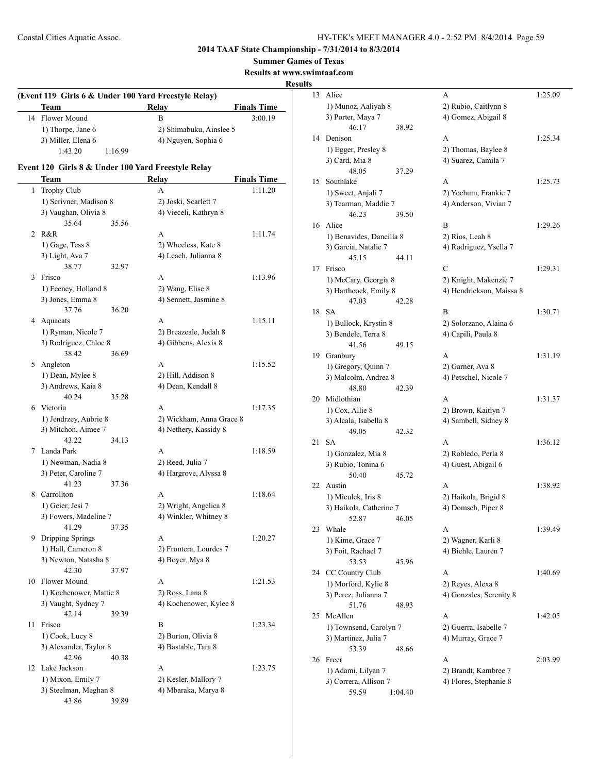**Summer Games of Texas**

**Results at www.swimtaaf.com**

## **Results**

|    |                                                            |         | (Event 119 Girls 6 & Under 100 Yard Freestyle Relay) |                    |
|----|------------------------------------------------------------|---------|------------------------------------------------------|--------------------|
|    | Team                                                       |         | <b>Relay</b>                                         | <b>Finals Time</b> |
| 14 | Flower Mound                                               |         | B                                                    | 3:00.19            |
|    | 1) Thorpe, Jane 6                                          |         | 2) Shimabuku, Ainslee 5                              |                    |
|    | 3) Miller, Elena 6                                         |         | 4) Nguyen, Sophia 6                                  |                    |
|    | 1:43.20                                                    | 1:16.99 |                                                      |                    |
|    | Event 120 Girls 8 & Under 100 Yard Freestyle Relay<br>Team |         | Relay                                                | <b>Finals Time</b> |
| 1  | Trophy Club                                                |         | A                                                    | 1:11.20            |
|    | 1) Scrivner, Madison 8                                     |         | 2) Joski, Scarlett 7                                 |                    |
|    | 3) Vaughan, Olivia 8                                       |         | 4) Vieceli, Kathryn 8                                |                    |
|    | 35.64                                                      | 35.56   |                                                      |                    |
| 2  | R&R                                                        |         | A                                                    | 1:11.74            |
|    | 1) Gage, Tess 8                                            |         | 2) Wheeless, Kate 8                                  |                    |
|    | 3) Light, Ava 7                                            |         | 4) Leach, Julianna 8                                 |                    |
|    | 38.77                                                      | 32.97   |                                                      |                    |
| 3  | Frisco                                                     |         | A                                                    | 1:13.96            |
|    | 1) Feeney, Holland 8                                       |         | 2) Wang, Elise 8                                     |                    |
|    | 3) Jones, Emma 8                                           |         | 4) Sennett, Jasmine 8                                |                    |
|    | 37.76                                                      | 36.20   |                                                      |                    |
|    | 4 Aquacats                                                 |         | A                                                    | 1:15.11            |
|    | 1) Ryman, Nicole 7                                         |         | 2) Breazeale, Judah 8                                |                    |
|    | 3) Rodriguez, Chloe 8                                      |         | 4) Gibbens, Alexis 8                                 |                    |
|    | 38.42                                                      | 36.69   |                                                      |                    |
|    | 5 Angleton                                                 |         | A                                                    | 1:15.52            |
|    | 1) Dean, Mylee 8                                           |         | 2) Hill, Addison 8                                   |                    |
|    | 3) Andrews, Kaia 8                                         |         | 4) Dean, Kendall 8                                   |                    |
|    | 40.24                                                      | 35.28   |                                                      |                    |
|    | 6 Victoria                                                 |         | A                                                    | 1:17.35            |
|    | 1) Jendrzey, Aubrie 8                                      |         | 2) Wickham, Anna Grace 8                             |                    |
|    | 3) Mitchon, Aimee 7                                        |         | 4) Nethery, Kassidy 8                                |                    |
|    | 43.22                                                      | 34.13   |                                                      |                    |
| 7  | Landa Park                                                 |         | A                                                    | 1:18.59            |
|    | 1) Newman, Nadia 8                                         |         | 2) Reed, Julia 7                                     |                    |
|    | 3) Peter, Caroline 7                                       |         | 4) Hargrove, Alyssa 8                                |                    |
|    | 41.23                                                      | 37.36   |                                                      |                    |
| 8  | Carrollton                                                 |         | А                                                    | 1:18.64            |
|    | 1) Geier, Jesi 7                                           |         | 2) Wright, Angelica 8                                |                    |
|    | 3) Fowers, Madeline 7                                      |         | 4) Winkler, Whitney 8                                |                    |
|    | 41.29                                                      | 37.35   |                                                      |                    |
| 9  | Dripping Springs                                           |         | А                                                    | 1:20.27            |
|    | 1) Hall, Cameron 8                                         |         | 2) Frontera, Lourdes 7                               |                    |
|    | 3) Newton, Natasha 8                                       |         | 4) Boyer, Mya 8                                      |                    |
|    | 42.30                                                      | 37.97   |                                                      |                    |
| 10 | Flower Mound                                               |         | A                                                    | 1:21.53            |
|    | 1) Kochenower, Mattie 8                                    |         | 2) Ross, Lana 8                                      |                    |
|    | 3) Vaught, Sydney 7                                        |         | 4) Kochenower, Kylee 8                               |                    |
|    | 42.14                                                      | 39.39   |                                                      |                    |
| 11 | Frisco                                                     |         | B                                                    | 1:23.34            |
|    | 1) Cook, Lucy 8                                            |         | 2) Burton, Olivia 8                                  |                    |
|    | 3) Alexander, Taylor 8                                     |         | 4) Bastable, Tara 8                                  |                    |
|    | 42.96                                                      | 40.38   |                                                      |                    |
| 12 | Lake Jackson                                               |         | A                                                    | 1:23.75            |
|    | 1) Mixon, Emily 7                                          |         | 2) Kesler, Mallory 7                                 |                    |
|    | 3) Steelman, Meghan 8                                      |         | 4) Mbaraka, Marya 8                                  |                    |
|    | 43.86                                                      | 39.89   |                                                      |                    |

| 13 | Alice                         |         | А                        | 1:25.09 |
|----|-------------------------------|---------|--------------------------|---------|
|    | 1) Munoz, Aaliyah 8           |         | 2) Rubio, Caitlynn 8     |         |
|    | 3) Porter, Maya 7             |         | 4) Gomez, Abigail 8      |         |
|    | 46.17                         | 38.92   |                          |         |
| 14 | Denison                       |         | A                        | 1:25.34 |
|    | 1) Egger, Presley 8           |         | 2) Thomas, Baylee 8      |         |
|    | 3) Card, Mia 8                |         | 4) Suarez, Camila 7      |         |
|    | 48.05                         | 37.29   |                          |         |
| 15 | Southlake                     |         | A                        | 1:25.73 |
|    | 1) Sweet, Anjali 7            |         | 2) Yochum, Frankie 7     |         |
|    | 3) Tearman, Maddie 7          |         | 4) Anderson, Vivian 7    |         |
|    | 46.23                         | 39.50   |                          |         |
| 16 | Alice                         |         | B                        | 1:29.26 |
|    | 1) Benavides, Daneilla 8      |         | 2) Rios, Leah 8          |         |
|    | 3) Garcia, Natalie 7          |         | 4) Rodriguez, Ysella 7   |         |
|    | 45.15                         | 44.11   |                          |         |
| 17 | Frisco                        |         | $\overline{C}$           | 1:29.31 |
|    | 1) McCary, Georgia 8          |         | 2) Knight, Makenzie 7    |         |
|    | 3) Harthcock, Emily 8         |         | 4) Hendrickson, Maissa 8 |         |
|    | 47.03                         | 42.28   |                          |         |
| 18 | SА                            |         | B                        | 1:30.71 |
|    | 1) Bullock, Krystin 8         |         | 2) Solorzano, Alaina 6   |         |
|    | 3) Bendele, Terra 8           |         | 4) Capili, Paula 8       |         |
|    | 41.56                         | 49.15   |                          |         |
|    |                               |         | A                        | 1:31.19 |
| 19 | Granbury                      |         |                          |         |
|    | 1) Gregory, Quinn 7           |         | 2) Garner, Ava 8         |         |
|    | 3) Malcolm, Andrea 8<br>48.80 |         | 4) Petschel, Nicole 7    |         |
| 20 | Midlothian                    | 42.39   | A                        | 1:31.37 |
|    |                               |         |                          |         |
|    | 1) Cox, Allie 8               |         | 2) Brown, Kaitlyn 7      |         |
|    | 3) Alcala, Isabella 8         |         | 4) Sambell, Sidney 8     |         |
|    | 49.05                         | 42.32   |                          |         |
| 21 | SА                            |         | A                        | 1:36.12 |
|    | 1) Gonzalez, Mia 8            |         | 2) Robledo, Perla 8      |         |
|    | 3) Rubio, Tonina 6            |         | 4) Guest, Abigail 6      |         |
|    | 50.40                         | 45.72   |                          |         |
| 22 | Austin                        |         | А                        | 1:38.92 |
|    | 1) Miculek, Iris 8            |         | 2) Haikola, Brigid 8     |         |
|    | 3) Haikola, Catherine 7       |         | 4) Domsch, Piper 8       |         |
|    | 52.87                         | 46.05   |                          |         |
| 23 | Whale                         |         | A                        | 1:39.49 |
|    | 1) Kime, Grace 7              |         | 2) Wagner, Karli 8       |         |
|    | 3) Foit, Rachael 7            |         | 4) Biehle, Lauren 7      |         |
|    | 53.53                         | 45.96   |                          |         |
| 24 | CC Country Club               |         | А                        | 1:40.69 |
|    | 1) Morford, Kylie 8           |         | 2) Reyes, Alexa 8        |         |
|    | 3) Perez, Julianna 7          |         | 4) Gonzales, Serenity 8  |         |
|    | 51.76                         | 48.93   |                          |         |
| 25 | McAllen                       |         | А                        | 1:42.05 |
|    | 1) Townsend, Carolyn 7        |         | 2) Guerra, Isabelle 7    |         |
|    | 3) Martinez, Julia 7          |         | 4) Murray, Grace 7       |         |
|    | 53.39                         | 48.66   |                          |         |
| 26 | Freer                         |         | А                        | 2:03.99 |
|    | 1) Adami, Lilyan 7            |         | 2) Brandt, Kambree 7     |         |
|    | 3) Correra, Allison 7         |         | 4) Flores, Stephanie 8   |         |
|    | 59.59                         | 1:04.40 |                          |         |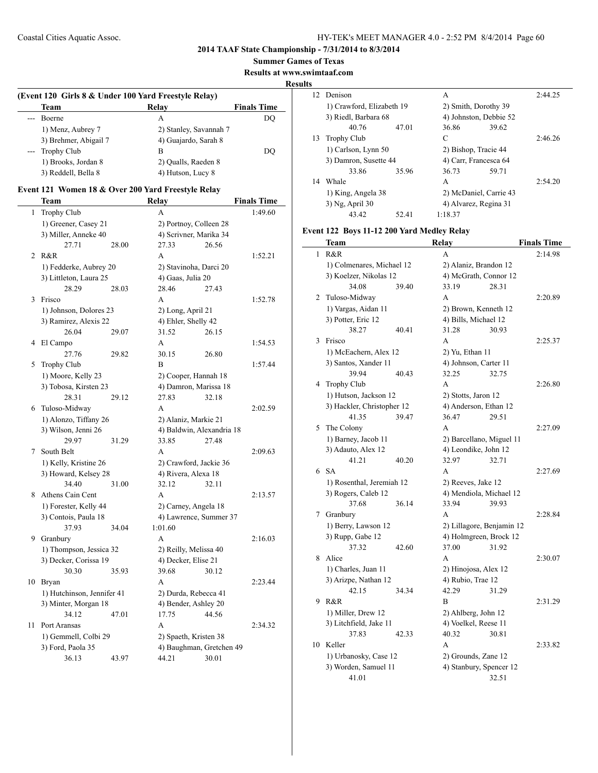**Summer Games of Texas**

**Results at www.swimtaaf.com**

## **Results**

|         | (Event 120 Girls 8 & Under 100 Yard Freestyle Relay) |                        |                    |  |  |  |
|---------|------------------------------------------------------|------------------------|--------------------|--|--|--|
|         | <b>Team</b>                                          | Relay                  | <b>Finals Time</b> |  |  |  |
| $- - -$ | Boerne                                               | А                      | DO                 |  |  |  |
|         | 1) Menz, Aubrey 7                                    | 2) Stanley, Savannah 7 |                    |  |  |  |
|         | 3) Brehmer, Abigail 7                                | 4) Guajardo, Sarah 8   |                    |  |  |  |
|         | --- Trophy Club                                      | в                      | DO                 |  |  |  |
|         | 1) Brooks, Jordan 8                                  | 2) Qualls, Raeden 8    |                    |  |  |  |
|         | 3) Reddell, Bella 8                                  | 4) Hutson, Lucy 8      |                    |  |  |  |

## **Event 121 Women 18 & Over 200 Yard Freestyle Relay**

|    | Team                       |       | Relay                     |       | <b>Finals Time</b> |
|----|----------------------------|-------|---------------------------|-------|--------------------|
| 1  | <b>Trophy Club</b>         |       | A                         |       | 1:49.60            |
|    | 1) Greener, Casey 21       |       | 2) Portnoy, Colleen 28    |       |                    |
|    | 3) Miller, Anneke 40       |       | 4) Scrivner, Marika 34    |       |                    |
|    | 27.71                      | 28.00 | 27.33                     | 26.56 |                    |
| 2  | R&R                        |       | A                         |       | 1:52.21            |
|    | 1) Fedderke, Aubrey 20     |       | 2) Stavinoha, Darci 20    |       |                    |
|    | 3) Littleton, Laura 25     |       | 4) Gaas, Julia 20         |       |                    |
|    | 28.29                      | 28.03 | 28.46                     | 27.43 |                    |
| 3  | Frisco                     |       | A                         |       | 1:52.78            |
|    | 1) Johnson, Dolores 23     |       | 2) Long, April 21         |       |                    |
|    | 3) Ramirez, Alexis 22      |       | 4) Ehler, Shelly 42       |       |                    |
|    | 26.04                      | 29.07 | 31.52                     | 26.15 |                    |
| 4  | El Campo                   |       | A                         |       | 1:54.53            |
|    | 27.76                      | 29.82 | 30.15                     | 26.80 |                    |
| 5  | <b>Trophy Club</b>         |       | B                         |       | 1:57.44            |
|    | 1) Moore, Kelly 23         |       | 2) Cooper, Hannah 18      |       |                    |
|    | 3) Tobosa, Kirsten 23      |       | 4) Damron, Marissa 18     |       |                    |
|    | 28.31                      | 29.12 | 27.83                     | 32.18 |                    |
| 6  | Tuloso-Midway              |       | A                         |       | 2:02.59            |
|    | 1) Alonzo, Tiffany 26      |       | 2) Alaniz, Markie 21      |       |                    |
|    | 3) Wilson, Jenni 26        |       | 4) Baldwin, Alexandria 18 |       |                    |
|    | 29.97                      | 31.29 | 33.85                     | 27.48 |                    |
| 7  | South Belt                 |       | A                         |       | 2:09.63            |
|    | 1) Kelly, Kristine 26      |       | 2) Crawford, Jackie 36    |       |                    |
|    | 3) Howard, Kelsey 28       |       | 4) Rivera, Alexa 18       |       |                    |
|    | 34.40                      | 31.00 | 32.12                     | 32.11 |                    |
| 8  | Athens Cain Cent           |       | A                         |       | 2:13.57            |
|    | 1) Forester, Kelly 44      |       | 2) Carney, Angela 18      |       |                    |
|    | 3) Contois, Paula 18       |       | 4) Lawrence, Summer 37    |       |                    |
|    | 37.93                      | 34.04 | 1:01.60                   |       |                    |
| 9  | Granbury                   |       | A                         |       | 2:16.03            |
|    | 1) Thompson, Jessica 32    |       | 2) Reilly, Melissa 40     |       |                    |
|    | 3) Decker, Corissa 19      |       | 4) Decker, Elise 21       |       |                    |
|    | 30.30                      | 35.93 | 39.68                     | 30.12 |                    |
| 10 | Bryan                      |       | A                         |       | 2:23.44            |
|    | 1) Hutchinson, Jennifer 41 |       | 2) Durda, Rebecca 41      |       |                    |
|    | 3) Minter, Morgan 18       |       | 4) Bender, Ashley 20      |       |                    |
|    | 34.12                      | 47.01 | 17.75                     | 44.56 |                    |
| 11 | Port Aransas               |       | A                         |       | 2:34.32            |
|    | 1) Gemmell, Colbi 29       |       | 2) Spaeth, Kristen 38     |       |                    |
|    | 3) Ford, Paola 35          |       | 4) Baughman, Gretchen 49  |       |                    |
|    | 36.13                      | 43.97 | 44.21                     | 30.01 |                    |

| 12 | Denison<br>1) Crawford, Elizabeth 19 |       | A                     |                        |         |  |
|----|--------------------------------------|-------|-----------------------|------------------------|---------|--|
|    |                                      |       | 2) Smith, Dorothy 39  |                        |         |  |
|    | 3) Riedl, Barbara 68                 |       |                       | 4) Johnston, Debbie 52 |         |  |
|    | 40.76                                | 47.01 | 36.86                 | 39.62                  |         |  |
| 13 | Trophy Club                          |       | C                     |                        | 2:46.26 |  |
|    | 1) Carlson, Lynn 50                  |       | 2) Bishop, Tracie 44  |                        |         |  |
|    | 3) Damron, Susette 44                |       | 4) Carr, Francesca 64 |                        |         |  |
|    | 33.86                                | 35.96 | 36.73                 | 59.71                  |         |  |
| 14 | Whale                                |       | A                     |                        | 2:54.20 |  |
|    | 1) King, Angela 38                   |       |                       | 2) McDaniel, Carrie 43 |         |  |
|    | 3) Ng, April 30                      |       |                       | 4) Alvarez, Regina 31  |         |  |
|    | 43.42                                | 52.41 | 1:18.37               |                        |         |  |

## **Event 122 Boys 11-12 200 Yard Medley Relay**

|    | Team                       | Relay                     | <b>Finals Time</b> |
|----|----------------------------|---------------------------|--------------------|
| 1  | R&R                        | A                         | 2:14.98            |
|    | 1) Colmenares, Michael 12  | 2) Alaniz, Brandon 12     |                    |
|    | 3) Koelzer, Nikolas 12     | 4) McGrath, Connor 12     |                    |
|    | 34.08<br>39.40             | 33.19<br>28.31            |                    |
| 2  | Tuloso-Midway              | А                         | 2:20.89            |
|    | 1) Vargas, Aidan 11        | 2) Brown, Kenneth 12      |                    |
|    | 3) Potter, Eric 12         | 4) Bills, Michael 12      |                    |
|    | 38.27<br>40.41             | 31.28<br>30.93            |                    |
| 3  | Frisco                     | A                         | 2:25.37            |
|    | 1) McEachern, Alex 12      | 2) Yu, Ethan 11           |                    |
|    | 3) Santos, Xander 11       | 4) Johnson, Carter 11     |                    |
|    | 39.94<br>40.43             | 32.25<br>32.75            |                    |
| 4  | Trophy Club                | A                         | 2:26.80            |
|    | 1) Hutson, Jackson 12      | 2) Stotts, Jaron 12       |                    |
|    | 3) Hackler, Christopher 12 | 4) Anderson, Ethan 12     |                    |
|    | 41.35<br>39.47             | 36.47<br>29.51            |                    |
| 5  | The Colony                 | A                         | 2:27.09            |
|    | 1) Barney, Jacob 11        | 2) Barcellano, Miguel 11  |                    |
|    | 3) Adauto, Alex 12         | 4) Leondike, John 12      |                    |
|    | 41.21<br>40.20             | 32.97<br>32.71            |                    |
|    | $6$ SA                     | A                         | 2:27.69            |
|    | 1) Rosenthal, Jeremiah 12  | 2) Reeves, Jake 12        |                    |
|    | 3) Rogers, Caleb 12        | 4) Mendiola, Michael 12   |                    |
|    | 37.68<br>36.14             | 33.94<br>39.93            |                    |
| 7  | Granbury                   | A                         | 2:28.84            |
|    | 1) Berry, Lawson 12        | 2) Lillagore, Benjamin 12 |                    |
|    | 3) Rupp, Gabe 12           | 4) Holmgreen, Brock 12    |                    |
|    | 37.32<br>42.60             | 37.00<br>31.92            |                    |
| 8  | Alice                      | A                         | 2:30.07            |
|    | 1) Charles, Juan 11        | 2) Hinojosa, Alex 12      |                    |
|    | 3) Arizpe, Nathan 12       | 4) Rubio, Trae 12         |                    |
|    | 42.15<br>34.34             | 42.29<br>31.29            |                    |
| 9  | R&R                        | B                         | 2:31.29            |
|    | 1) Miller, Drew 12         | 2) Ahlberg, John 12       |                    |
|    | 3) Litchfield, Jake 11     | 4) Voelkel, Reese 11      |                    |
|    | 37.83<br>42.33             | 40.32<br>30.81            |                    |
| 10 | Keller                     | A                         | 2:33.82            |
|    | 1) Urbanosky, Case 12      | 2) Grounds, Zane 12       |                    |
|    | 3) Worden, Samuel 11       | 4) Stanbury, Spencer 12   |                    |
|    | 41.01                      | 32.51                     |                    |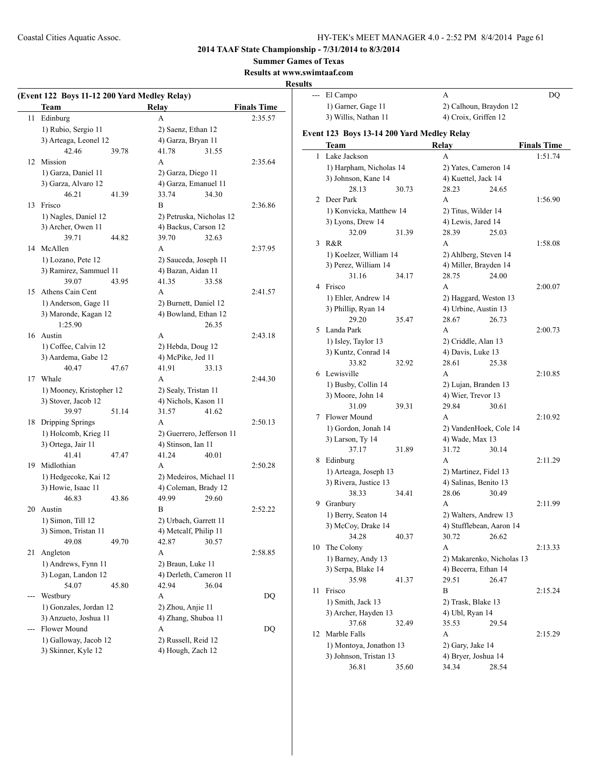**2014 TAAF State Championship - 7/31/2014 to 8/3/2014**

**Summer Games of Texas**

**Results at www.swimtaaf.com**

## **Results**

|    | (Event 122 Boys 11-12 200 Yard Medley Relay) |       |                               |                    |  |  |
|----|----------------------------------------------|-------|-------------------------------|--------------------|--|--|
|    | Team                                         |       | Relay                         | <b>Finals Time</b> |  |  |
| 11 | Edinburg                                     |       | A                             | 2:35.57            |  |  |
|    | 1) Rubio, Sergio 11                          |       | 2) Saenz, Ethan 12            |                    |  |  |
|    | 3) Arteaga, Leonel 12                        |       | 4) Garza, Bryan 11            |                    |  |  |
|    | 42.46                                        | 39.78 | 41.78                         | 31.55              |  |  |
| 12 | Mission                                      |       | A                             | 2:35.64            |  |  |
|    | 1) Garza, Daniel 11                          |       | 2) Garza, Diego 11            |                    |  |  |
|    | 3) Garza, Alvaro 12                          |       | 4) Garza, Emanuel 11          |                    |  |  |
|    | 46.21                                        | 41.39 | 33.74                         | 34.30              |  |  |
| 13 | Frisco                                       |       | B                             | 2:36.86            |  |  |
|    | 1) Nagles, Daniel 12                         |       | 2) Petruska, Nicholas 12      |                    |  |  |
|    | 3) Archer, Owen 11                           |       | 4) Backus, Carson 12          |                    |  |  |
|    | 39.71                                        | 44.82 | 39.70                         | 32.63              |  |  |
|    | 14 McAllen                                   |       | A                             | 2:37.95            |  |  |
|    | 1) Lozano, Pete 12                           |       | 2) Sauceda, Joseph 11         |                    |  |  |
|    | 3) Ramirez, Sammuel 11                       |       | 4) Bazan, Aidan 11            |                    |  |  |
|    | 39.07                                        | 43.95 | 41.35                         | 33.58              |  |  |
|    | 15 Athens Cain Cent                          |       | A                             | 2:41.57            |  |  |
|    | 1) Anderson, Gage 11                         |       | 2) Burnett, Daniel 12         |                    |  |  |
|    | 3) Maronde, Kagan 12                         |       | 4) Bowland, Ethan 12          |                    |  |  |
|    | 1:25.90                                      |       |                               | 26.35              |  |  |
|    | 16 Austin                                    |       | A                             | 2:43.18            |  |  |
|    | 1) Coffee, Calvin 12                         |       | 2) Hebda, Doug 12             |                    |  |  |
|    | 3) Aardema, Gabe 12                          |       | 4) McPike, Jed 11             |                    |  |  |
|    | 40.47                                        | 47.67 | 41.91                         | 33.13              |  |  |
| 17 | Whale                                        |       | A                             | 2:44.30            |  |  |
|    | 1) Mooney, Kristopher 12                     |       | 2) Sealy, Tristan 11          |                    |  |  |
|    | 3) Stover, Jacob 12                          |       | 4) Nichols, Kason 11          |                    |  |  |
|    | 39.97                                        | 51.14 | 31.57                         | 41.62              |  |  |
| 18 | Dripping Springs                             |       | A                             | 2:50.13            |  |  |
|    | 1) Holcomb, Krieg 11                         |       | 2) Guerrero, Jefferson 11     |                    |  |  |
|    | 3) Ortega, Jair 11                           |       | 4) Stinson, Ian 11            |                    |  |  |
|    | 41.41                                        | 47.47 | 41.24                         | 40.01              |  |  |
|    | 19 Midlothian                                |       | A                             | 2:50.28            |  |  |
|    | 1) Hedgecoke, Kai 12                         |       | 2) Medeiros, Michael 11       |                    |  |  |
|    | 3) Howie, Isaac 11<br>46.83                  | 43.86 | 4) Coleman, Brady 12<br>49.99 | 29.60              |  |  |
| 20 | Austin                                       |       | В                             | 2:52.22            |  |  |
|    | 1) Simon, Till 12                            |       | 2) Urbach, Garrett 11         |                    |  |  |
|    | 3) Simon, Tristan 11                         |       | 4) Metcalf, Philip 11         |                    |  |  |
|    | 49.08                                        | 49.70 | 42.87                         | 30.57              |  |  |
| 21 | Angleton                                     |       | A                             | 2:58.85            |  |  |
|    | 1) Andrews, Fynn 11                          |       | 2) Braun, Luke 11             |                    |  |  |
|    | 3) Logan, Landon 12                          |       | 4) Derleth, Cameron 11        |                    |  |  |
|    | 54.07                                        | 45.80 | 42.94                         | 36.04              |  |  |
|    | Westbury                                     |       | A                             | DQ                 |  |  |
|    | 1) Gonzales, Jordan 12                       |       | 2) Zhou, Anjie 11             |                    |  |  |
|    | 3) Anzueto, Joshua 11                        |       | 4) Zhang, Shuboa 11           |                    |  |  |
|    | Flower Mound                                 |       | A                             | DQ                 |  |  |
|    | 1) Galloway, Jacob 12                        |       | 2) Russell, Reid 12           |                    |  |  |
|    | 3) Skinner, Kyle 12                          |       | 4) Hough, Zach 12             |                    |  |  |
|    |                                              |       |                               |                    |  |  |

| lts            |                                                |       |                                                |       |                    |
|----------------|------------------------------------------------|-------|------------------------------------------------|-------|--------------------|
| $\overline{a}$ | El Campo                                       |       | А                                              |       | DQ                 |
|                | 1) Garner, Gage 11                             |       | 2) Calhoun, Braydon 12                         |       |                    |
|                | 3) Willis, Nathan 11                           |       | 4) Croix, Griffen 12                           |       |                    |
|                | Event 123 Boys 13-14 200 Yard Medley Relay     |       |                                                |       |                    |
|                | Team                                           |       | <b>Relay</b>                                   |       | <b>Finals Time</b> |
| 1              | Lake Jackson                                   |       | A                                              |       | 1:51.74            |
|                |                                                |       |                                                |       |                    |
|                | 1) Harpham, Nicholas 14<br>3) Johnson, Kane 14 |       | 2) Yates, Cameron 14<br>4) Kuettel, Jack 14    |       |                    |
|                | 28.13                                          |       | 28.23                                          | 24.65 |                    |
| 2              | Deer Park                                      | 30.73 | A                                              |       | 1:56.90            |
|                | 1) Konvicka, Matthew 14                        |       | 2) Titus, Wilder 14                            |       |                    |
|                | 3) Lyons, Drew 14                              |       | 4) Lewis, Jared 14                             |       |                    |
|                | 32.09                                          | 31.39 | 28.39                                          | 25.03 |                    |
| 3              | R&R                                            |       | A                                              |       | 1:58.08            |
|                | 1) Koelzer, William 14                         |       |                                                |       |                    |
|                | 3) Perez, William 14                           |       | 2) Ahlberg, Steven 14<br>4) Miller, Brayden 14 |       |                    |
|                | 31.16                                          | 34.17 | 28.75                                          | 24.00 |                    |
| 4              | Frisco                                         |       | A                                              |       | 2:00.07            |
|                | 1) Ehler, Andrew 14                            |       | 2) Haggard, Weston 13                          |       |                    |
|                | 3) Phillip, Ryan 14                            |       | 4) Urbine, Austin 13                           |       |                    |
|                | 29.20                                          | 35.47 | 28.67                                          | 26.73 |                    |
| 5              | Landa Park                                     |       | A                                              |       | 2:00.73            |
|                | 1) Isley, Taylor 13                            |       | 2) Criddle, Alan 13                            |       |                    |
|                | 3) Kuntz, Conrad 14                            |       | 4) Davis, Luke 13                              |       |                    |
|                | 33.82                                          | 32.92 | 28.61                                          | 25.38 |                    |
|                | 6 Lewisville                                   |       | A                                              |       | 2:10.85            |
|                | 1) Busby, Collin 14                            |       | 2) Lujan, Branden 13                           |       |                    |
|                | 3) Moore, John 14                              |       | 4) Wier, Trevor 13                             |       |                    |
|                | 31.09                                          | 39.31 | 29.84                                          | 30.61 |                    |
| 7              | Flower Mound                                   |       | A                                              |       | 2:10.92            |
|                | 1) Gordon, Jonah 14                            |       | 2) VandenHoek, Cole 14                         |       |                    |
|                | 3) Larson, Ty 14                               |       | 4) Wade, Max 13                                |       |                    |
|                | 37.17                                          | 31.89 | 31.72                                          | 30.14 |                    |
| 8              | Edinburg                                       |       | A                                              |       | 2:11.29            |
|                | 1) Arteaga, Joseph 13                          |       | 2) Martinez, Fidel 13                          |       |                    |
|                | 3) Rivera, Justice 13                          |       | 4) Salinas, Benito 13                          |       |                    |
|                | 38.33                                          | 34.41 | 28.06                                          | 30.49 |                    |
| 9              | Granbury                                       |       | A                                              |       | 2:11.99            |
|                | 1) Berry, Seaton 14                            |       | 2) Walters, Andrew 13                          |       |                    |
|                | 3) McCoy, Drake 14                             |       | 4) Stufflebean, Aaron 14                       |       |                    |
|                | 34.28                                          | 40.37 | 30.72                                          | 26.62 |                    |
| 10             | The Colony                                     |       | А                                              |       | 2:13.33            |
|                | 1) Barney, Andy 13                             |       | 2) Makarenko, Nicholas 13                      |       |                    |
|                | 3) Serpa, Blake 14                             |       | 4) Becerra, Ethan 14                           |       |                    |
|                | 35.98                                          | 41.37 | 29.51                                          | 26.47 |                    |
| 11             | Frisco                                         |       | B                                              |       | 2:15.24            |
|                | 1) Smith, Jack 13                              |       | 2) Trask, Blake 13                             |       |                    |
|                | 3) Archer, Hayden 13                           |       | 4) Ubl, Ryan 14                                |       |                    |
|                | 37.68                                          | 32.49 | 35.53                                          | 29.54 |                    |
| 12             | Marble Falls                                   |       | A                                              |       | 2:15.29            |
|                | 1) Montoya, Jonathon 13                        |       | 2) Gary, Jake 14                               |       |                    |
|                | 3) Johnson, Tristan 13                         |       | 4) Bryer, Joshua 14                            |       |                    |
|                | 36.81                                          | 35.60 | 34.34                                          | 28.54 |                    |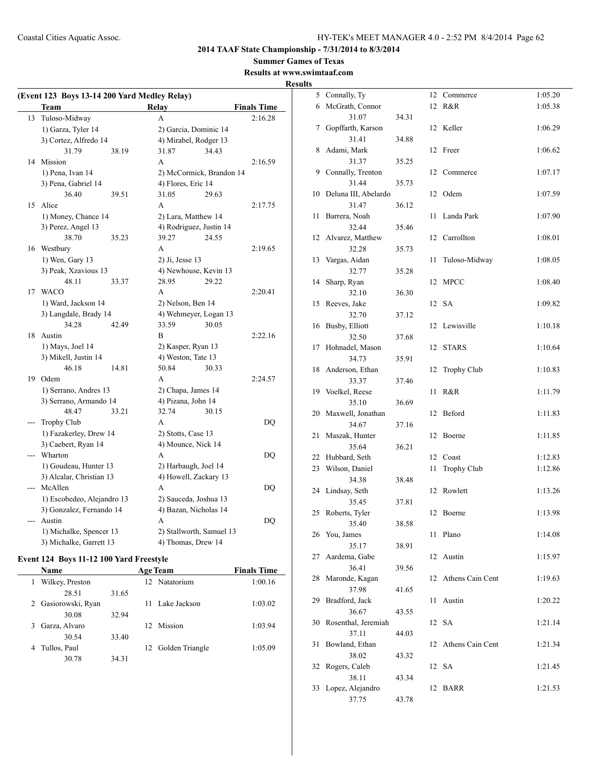#### **Summer Games of Texas**

**Results at www.swimtaaf.com**

**Results**

|     | (Event 123 Boys 13-14 200 Yard Medley Relay) |       |                       |                          |                    |  |  |
|-----|----------------------------------------------|-------|-----------------------|--------------------------|--------------------|--|--|
|     | <b>Team</b>                                  |       | <b>Relay</b>          |                          | <b>Finals Time</b> |  |  |
| 13  | Tuloso-Midway                                |       | A                     |                          | 2:16.28            |  |  |
|     | 1) Garza, Tyler 14                           |       | 2) Garcia, Dominic 14 |                          |                    |  |  |
|     | 3) Cortez, Alfredo 14                        |       | 4) Mirabel, Rodger 13 |                          |                    |  |  |
|     | 31.79                                        | 38.19 | 31.87                 | 34.43                    |                    |  |  |
| 14  | Mission                                      |       | A                     |                          | 2:16.59            |  |  |
|     | 1) Pena, Ivan 14                             |       |                       | 2) McCormick, Brandon 14 |                    |  |  |
|     | 3) Pena, Gabriel 14                          |       | 4) Flores, Eric 14    |                          |                    |  |  |
|     | 36.40                                        | 39.51 | 31.05                 | 29.63                    |                    |  |  |
| 15  | Alice                                        |       | A                     |                          | 2:17.75            |  |  |
|     | 1) Money, Chance 14                          |       | 2) Lara, Matthew 14   |                          |                    |  |  |
|     | 3) Perez, Angel 13                           |       |                       | 4) Rodriguez, Justin 14  |                    |  |  |
|     | 38.70                                        | 35.23 | 39.27                 | 24.55                    |                    |  |  |
| 16  | Westbury                                     |       | A                     |                          | 2:19.65            |  |  |
|     | 1) Wen, Gary 13                              |       | 2) Ji, Jesse 13       |                          |                    |  |  |
|     | 3) Peak, Xzavious 13                         |       |                       | 4) Newhouse, Kevin 13    |                    |  |  |
|     | 48.11                                        | 33.37 | 28.95                 | 29.22                    |                    |  |  |
| 17  | WACO                                         |       | A                     |                          | 2:20.41            |  |  |
|     | 1) Ward, Jackson 14                          |       | 2) Nelson, Ben 14     |                          |                    |  |  |
|     | 3) Langdale, Brady 14                        |       |                       | 4) Wehmeyer, Logan 13    |                    |  |  |
|     | 34.28                                        | 42.49 | 33.59                 | 30.05                    |                    |  |  |
| 18  | Austin                                       |       | B                     |                          | 2:22.16            |  |  |
|     | 1) Mays, Joel 14                             |       | 2) Kasper, Ryan 13    |                          |                    |  |  |
|     | 3) Mikell, Justin 14                         |       | 4) Weston, Tate 13    |                          |                    |  |  |
|     | 46.18                                        | 14.81 | 50.84                 | 30.33                    |                    |  |  |
|     | 19 Odem                                      |       | A                     |                          | 2:24.57            |  |  |
|     | 1) Serrano, Andres 13                        |       |                       | 2) Chapa, James 14       |                    |  |  |
|     | 3) Serrano, Armando 14                       |       | 4) Pizana, John 14    |                          |                    |  |  |
|     | 48.47                                        | 33.21 | 32.74                 | 30.15                    |                    |  |  |
| --- | <b>Trophy Club</b>                           |       | A                     |                          | DQ                 |  |  |
|     | 1) Fazakerley, Drew 14                       |       | 2) Stotts, Case 13    |                          |                    |  |  |
|     | 3) Caebert, Ryan 14                          |       | 4) Mounce, Nick 14    |                          |                    |  |  |
|     | Wharton                                      |       | A                     |                          | DO                 |  |  |
|     | 1) Goudeau, Hunter 13                        |       | 2) Harbaugh, Joel 14  |                          |                    |  |  |
|     | 3) Alcalar, Christian 13                     |       | 4) Howell, Zackary 13 |                          |                    |  |  |
| --- | McAllen                                      |       | A                     |                          | DQ                 |  |  |
|     | 1) Escobedeo, Alejandro 13                   |       | 2) Sauceda, Joshua 13 |                          |                    |  |  |
|     | 3) Gonzalez, Fernando 14                     |       | 4) Bazan, Nicholas 14 |                          |                    |  |  |
| --- | Austin                                       |       | A                     |                          | DQ                 |  |  |
|     | 1) Michalke, Spencer 13                      |       |                       | 2) Stallworth, Samuel 13 |                    |  |  |
|     | 3) Michalke, Garrett 13                      |       | 4) Thomas, Drew 14    |                          |                    |  |  |

## **Event 124 Boys 11-12 100 Yard Freestyle**

| <b>Name</b>        |                     | <b>Age Team</b> |                 |                    | <b>Finals Time</b> |  |
|--------------------|---------------------|-----------------|-----------------|--------------------|--------------------|--|
|                    | Wilkey, Preston     |                 | 12 <sub>1</sub> | Natatorium         | 1:00.16            |  |
|                    | 28.51               | 31.65           |                 |                    |                    |  |
|                    | 2 Gasiorowski, Ryan |                 |                 | 11 Lake Jackson    | 1:03.02            |  |
|                    | 30.08               | 32.94           |                 |                    |                    |  |
| Garza, Alvaro<br>3 |                     |                 | 12 <sub>1</sub> | Mission            | 1:03.94            |  |
|                    | 30.54               | 33.40           |                 |                    |                    |  |
| Tullos, Paul<br>4  |                     |                 |                 | 12 Golden Triangle | 1:05.09            |  |
|                    | 30.78               | 34.31           |                 |                    |                    |  |

| 5  | Connally, Ty              |       | 12 | Commerce           | 1:05.20 |
|----|---------------------------|-------|----|--------------------|---------|
| 6  | McGrath, Connor           |       | 12 | R&R                | 1:05.38 |
|    | 31.07                     | 34.31 |    |                    |         |
| 7  | Gopffarth, Karson         |       |    | 12 Keller          | 1:06.29 |
|    | 31.41                     | 34.88 |    |                    |         |
| 8  | Adami, Mark               |       | 12 | Freer              | 1:06.62 |
|    | 31.37                     | 35.25 |    |                    |         |
| 9  | Connally, Trenton         |       | 12 | Commerce           | 1:07.17 |
|    | 31.44                     | 35.73 |    |                    |         |
| 10 | Deluna III, Abelardo      |       | 12 | Odem               | 1:07.59 |
|    | 31.47                     | 36.12 |    |                    |         |
| 11 | Barrera, Noah             |       | 11 | Landa Park         | 1:07.90 |
|    | 32.44                     | 35.46 |    |                    |         |
| 12 | Alvarez, Matthew          |       | 12 | Carrollton         | 1:08.01 |
|    | 32.28                     | 35.73 |    |                    |         |
| 13 | Vargas, Aidan             |       | 11 | Tuloso-Midway      | 1:08.05 |
|    | 32.77                     | 35.28 |    |                    |         |
| 14 | Sharp, Ryan               |       | 12 | MPCC               | 1:08.40 |
|    | 32.10                     | 36.30 |    |                    |         |
| 15 | Reeves, Jake              |       | 12 | SA                 | 1:09.82 |
|    | 32.70                     | 37.12 |    |                    |         |
| 16 | Busby, Elliott            |       | 12 | Lewisville         | 1:10.18 |
|    | 32.50                     | 37.68 |    |                    |         |
| 17 | Hohnadel, Mason           |       | 12 | <b>STARS</b>       | 1:10.64 |
|    | 34.73                     | 35.91 |    |                    |         |
| 18 | Anderson, Ethan           |       | 12 | <b>Trophy Club</b> | 1:10.83 |
|    | 33.37                     | 37.46 |    |                    |         |
| 19 | Voelkel, Reese            |       | 11 | R&R                | 1:11.79 |
|    | 35.10                     | 36.69 |    |                    |         |
| 20 | Maxwell, Jonathan         |       | 12 | Beford             | 1:11.83 |
|    | 34.67                     | 37.16 |    |                    |         |
| 21 | Maszak, Hunter            |       | 12 | Boerne             | 1:11.85 |
|    | 35.64                     | 36.21 |    |                    |         |
| 22 | Hubbard, Seth             |       | 12 | Coast              | 1:12.83 |
| 23 | Wilson, Daniel            |       | 11 | Trophy Club        | 1:12.86 |
|    | 34.38                     | 38.48 |    |                    |         |
| 24 | Lindsay, Seth             |       | 12 | Rowlett            | 1:13.26 |
|    | 35.45                     | 37.81 |    |                    |         |
| 25 | Roberts, Tyler            |       | 12 | Boerne             | 1:13.98 |
|    | 35.40                     | 38.58 |    |                    |         |
|    | 26 You, James             |       | 11 | Plano              | 1:14.08 |
|    | 35.17                     | 38.91 |    |                    |         |
| 27 | Aardema, Gabe             |       | 12 | Austin             | 1:15.97 |
|    | 36.41                     | 39.56 |    |                    |         |
| 28 | Maronde, Kagan            |       | 12 | Athens Cain Cent   | 1:19.63 |
|    | 37.98                     | 41.65 |    |                    |         |
| 29 | Bradford, Jack            |       | 11 | Austin             | 1:20.22 |
|    | 36.67                     | 43.55 |    |                    |         |
| 30 | Rosenthal, Jeremiah       |       |    | 12 SA              | 1:21.14 |
|    | 37.11                     | 44.03 |    |                    |         |
| 31 | Bowland, Ethan            |       | 12 | Athens Cain Cent   | 1:21.34 |
|    | 38.02                     | 43.32 |    |                    |         |
| 32 | Rogers, Caleb             |       |    | 12 SA              | 1:21.45 |
| 33 | 38.11<br>Lopez, Alejandro | 43.34 | 12 | <b>BARR</b>        | 1:21.53 |
|    | 37.75                     | 43.78 |    |                    |         |
|    |                           |       |    |                    |         |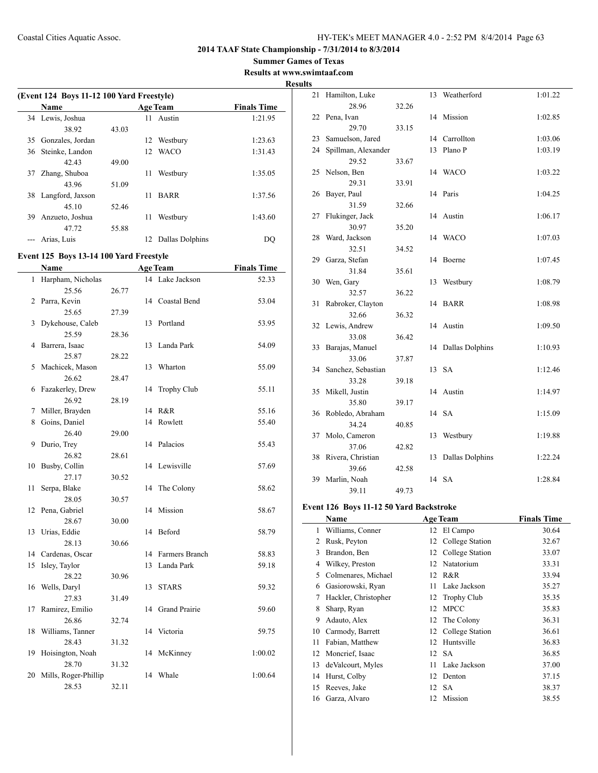**Summer Games of Texas**

**Results at www.swimtaaf.com Results**

|    | (Event 124 Boys 11-12 100 Yard Freestyle) |       |    |                 |                    |  |
|----|-------------------------------------------|-------|----|-----------------|--------------------|--|
|    | <b>Name</b>                               |       |    | <b>Age Team</b> | <b>Finals Time</b> |  |
|    | 34 Lewis, Joshua                          |       | 11 | Austin          | 1:21.95            |  |
|    | 38.92                                     | 43.03 |    |                 |                    |  |
| 35 | Gonzales, Jordan                          |       | 12 | Westbury        | 1:23.63            |  |
| 36 | Steinke, Landon                           |       | 12 | <b>WACO</b>     | 1:31.43            |  |
|    | 42.43                                     | 49.00 |    |                 |                    |  |
| 37 | Zhang, Shuboa                             |       | 11 | Westbury        | 1:35.05            |  |
|    | 43.96                                     | 51.09 |    |                 |                    |  |
| 38 | Langford, Jaxson                          |       | 11 | <b>BARR</b>     | 1:37.56            |  |
|    | 45 10                                     | 52.46 |    |                 |                    |  |
| 39 | Anzueto, Joshua                           |       | 11 | Westbury        | 1:43.60            |  |
|    | 47.72                                     | 55.88 |    |                 |                    |  |
|    | Arias, Luis                               |       | 12 | Dallas Dolphins | DO.                |  |

## **Event 125 Boys 13-14 100 Yard Freestyle**

|    | Name                 |       |    | <b>Age Team</b> | <b>Finals Time</b> |
|----|----------------------|-------|----|-----------------|--------------------|
| 1  | Harpham, Nicholas    |       |    | 14 Lake Jackson | 52.33              |
|    | 25.56                | 26.77 |    |                 |                    |
| 2  | Parra, Kevin         |       |    | 14 Coastal Bend | 53.04              |
|    | 25.65                | 27.39 |    |                 |                    |
| 3  | Dykehouse, Caleb     |       | 13 | Portland        | 53.95              |
|    | 25.59                | 28.36 |    |                 |                    |
| 4  | Barrera, Isaac       |       | 13 | Landa Park      | 54.09              |
|    | 25.87                | 28.22 |    |                 |                    |
| 5  | Machicek, Mason      |       | 13 | Wharton         | 55.09              |
|    | 26.62                | 28.47 |    |                 |                    |
| 6  | Fazakerley, Drew     |       | 14 | Trophy Club     | 55.11              |
|    | 26.92                | 28.19 |    |                 |                    |
| 7  | Miller, Brayden      |       | 14 | R&R             | 55.16              |
| 8  | Goins, Daniel        |       | 14 | Rowlett         | 55.40              |
|    | 26.40                | 29.00 |    |                 |                    |
| 9  | Durio, Trey          |       | 14 | Palacios        | 55.43              |
|    | 26.82                | 28.61 |    |                 |                    |
| 10 | Busby, Collin        |       | 14 | Lewisville      | 57.69              |
|    | 27.17                | 30.52 |    |                 |                    |
| 11 | Serpa, Blake         |       | 14 | The Colony      | 58.62              |
|    | 28.05                | 30.57 |    |                 |                    |
| 12 | Pena, Gabriel        |       | 14 | Mission         | 58.67              |
|    | 28.67                | 30.00 |    |                 |                    |
| 13 | Urias, Eddie         |       | 14 | Beford          | 58.79              |
|    | 28.13                | 30.66 |    |                 |                    |
| 14 | Cardenas, Oscar      |       | 14 | Farmers Branch  | 58.83              |
| 15 | Isley, Taylor        |       | 13 | Landa Park      | 59.18              |
|    | 28.22                | 30.96 |    |                 |                    |
| 16 | Wells, Daryl         |       | 13 | <b>STARS</b>    | 59.32              |
|    | 27.83                | 31.49 |    |                 |                    |
| 17 | Ramirez, Emilio      |       | 14 | Grand Prairie   | 59.60              |
|    | 26.86                | 32.74 |    |                 |                    |
| 18 | Williams, Tanner     |       |    | 14 Victoria     | 59.75              |
|    | 28.43                | 31.32 |    |                 |                    |
| 19 | Hoisington, Noah     |       | 14 | McKinney        | 1:00.02            |
|    | 28.70                | 31.32 |    |                 |                    |
| 20 | Mills, Roger-Phillip |       | 14 | Whale           | 1:00.64            |
|    | 28.53                | 32.11 |    |                 |                    |

| 21 | Hamilton, Luke      |       | 13 | Weatherford     | 1:01.22 |
|----|---------------------|-------|----|-----------------|---------|
|    | 28.96               | 32.26 |    |                 |         |
| 22 | Pena, Ivan          |       | 14 | Mission         | 1:02.85 |
|    | 29.70               | 33.15 |    |                 |         |
| 23 | Samuelson, Jared    |       | 14 | Carrollton      | 1:03.06 |
| 24 | Spillman, Alexander |       | 13 | Plano P         | 1:03.19 |
|    | 29.52               | 33.67 |    |                 |         |
| 25 | Nelson, Ben         |       |    | 14 WACO         | 1:03.22 |
|    | 29.31               | 33.91 |    |                 |         |
| 26 | Bayer, Paul         |       | 14 | Paris           | 1:04.25 |
|    | 31.59               | 32.66 |    |                 |         |
| 27 | Flukinger, Jack     |       | 14 | Austin          | 1:06.17 |
|    | 30.97               | 35.20 |    |                 |         |
| 28 | Ward, Jackson       |       | 14 | <b>WACO</b>     | 1:07.03 |
|    | 32.51               | 34.52 |    |                 |         |
| 29 | Garza, Stefan       |       | 14 | Boerne          | 1:07.45 |
|    | 31.84               | 35.61 |    |                 |         |
| 30 | Wen, Gary           |       | 13 | Westbury        | 1:08.79 |
|    | 32.57               | 36.22 |    |                 |         |
| 31 | Rabroker, Clayton   |       | 14 | <b>BARR</b>     | 1:08.98 |
|    | 32.66               | 36.32 |    |                 |         |
| 32 | Lewis, Andrew       |       | 14 | Austin          | 1:09.50 |
|    | 33.08               | 36.42 |    |                 |         |
| 33 | Barajas, Manuel     |       | 14 | Dallas Dolphins | 1:10.93 |
|    | 33.06               | 37.87 |    |                 |         |
| 34 | Sanchez, Sebastian  |       | 13 | <b>SA</b>       | 1:12.46 |
|    | 33.28               | 39.18 |    |                 |         |
| 35 | Mikell, Justin      |       | 14 | Austin          | 1:14.97 |
|    | 35.80               | 39.17 |    |                 |         |
| 36 | Robledo, Abraham    |       |    | 14 SA           | 1:15.09 |
|    | 34.24               | 40.85 |    |                 |         |
| 37 | Molo, Cameron       |       | 13 | Westbury        | 1:19.88 |
|    | 37.06               | 42.82 |    |                 |         |
| 38 | Rivera, Christian   |       | 13 | Dallas Dolphins | 1:22.24 |
|    | 39.66               | 42.58 |    |                 |         |
| 39 | Marlin, Noah        |       | 14 | <b>SA</b>       | 1:28.84 |
|    | 39.11               | 49.73 |    |                 |         |

## **Event 126 Boys 11-12 50 Yard Backstroke**

 $\frac{1}{2}$ 

|    | Name                 |     | <b>Age Team</b>    | <b>Finals Time</b> |
|----|----------------------|-----|--------------------|--------------------|
| 1  | Williams, Conner     |     | 12 El Campo        | 30.64              |
| 2  | Rusk, Peyton         |     | 12 College Station | 32.67              |
| 3  | Brandon, Ben         | 12  | College Station    | 33.07              |
| 4  | Wilkey, Preston      |     | 12 Natatorium      | 33.31              |
| 5  | Colmenares, Michael  | 12  | R&R                | 33.94              |
| 6  | Gasiorowski, Ryan    | 11  | Lake Jackson       | 35.27              |
| 7  | Hackler, Christopher |     | 12 Trophy Club     | 35.35              |
| 8  | Sharp, Ryan          | 12  | <b>MPCC</b>        | 35.83              |
| 9  | Adauto, Alex         | 12  | The Colony         | 36.31              |
| 10 | Carmody, Barrett     |     | 12 College Station | 36.61              |
| 11 | Fabian, Matthew      | 12  | Huntsville         | 36.83              |
| 12 | Moncrief, Isaac      |     | 12 SA              | 36.85              |
| 13 | deValcourt, Myles    | 11. | Lake Jackson       | 37.00              |
| 14 | Hurst, Colby         | 12  | Denton             | 37.15              |
| 15 | Reeves, Jake         |     | 12 SA              | 38.37              |
| 16 | Garza, Alvaro        | 12  | Mission            | 38.55              |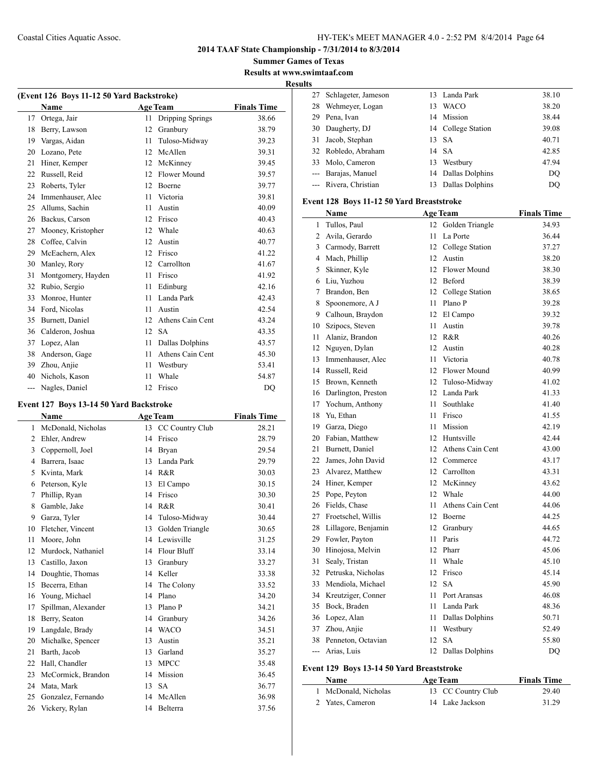**2014 TAAF State Championship - 7/31/2014 to 8/3/2014**

**Summer Games of Texas Results at www.swimtaaf.com**

**Results**

| (Event 126 Boys 11-12 50 Yard Backstroke) |                    |    |                         |                    |  |
|-------------------------------------------|--------------------|----|-------------------------|--------------------|--|
|                                           | Name               |    | <b>Age Team</b>         | <b>Finals Time</b> |  |
| 17                                        | Ortega, Jair       | 11 | <b>Dripping Springs</b> | 38.66              |  |
| 18                                        | Berry, Lawson      | 12 | Granbury                | 38.79              |  |
| 19                                        | Vargas, Aidan      | 11 | Tuloso-Midway           | 39.23              |  |
| 20                                        | Lozano, Pete       | 12 | McAllen                 | 39.31              |  |
| 21                                        | Hiner, Kemper      | 12 | McKinney                | 39.45              |  |
| 22                                        | Russell, Reid      | 12 | Flower Mound            | 39.57              |  |
| 23                                        | Roberts, Tyler     | 12 | <b>Boerne</b>           | 39.77              |  |
| 24                                        | Immenhauser, Alec  | 11 | Victoria                | 39.81              |  |
| 25                                        | Allums, Sachin     | 11 | Austin                  | 40.09              |  |
| 26                                        | Backus, Carson     | 12 | Frisco                  | 40.43              |  |
| 27                                        | Mooney, Kristopher | 12 | Whale                   | 40.63              |  |
| 28                                        | Coffee, Calvin     | 12 | Austin                  | 40.77              |  |
| 29                                        | McEachern, Alex    | 12 | Frisco                  | 41.22              |  |
| 30                                        | Manley, Rory       | 12 | Carrollton              | 41.67              |  |
| 31                                        | Montgomery, Hayden | 11 | Frisco                  | 41.92              |  |
| 32                                        | Rubio, Sergio      | 11 | Edinburg                | 42.16              |  |
| 33                                        | Monroe, Hunter     | 11 | Landa Park              | 42.43              |  |
| 34                                        | Ford, Nicolas      | 11 | Austin                  | 42.54              |  |
| 35                                        | Burnett, Daniel    | 12 | Athens Cain Cent        | 43.24              |  |
| 36                                        | Calderon, Joshua   | 12 | <b>SA</b>               | 43.35              |  |
| 37                                        | Lopez, Alan        | 11 | Dallas Dolphins         | 43.57              |  |
| 38                                        | Anderson, Gage     | 11 | Athens Cain Cent        | 45.30              |  |
| 39                                        | Zhou, Anjie        | 11 | Westbury                | 53.41              |  |
| 40                                        | Nichols, Kason     | 11 | Whale                   | 54.87              |  |
| ---                                       | Nagles, Daniel     | 12 | Frisco                  | DO                 |  |

## **Event 127 Boys 13-14 50 Yard Backstroke**

 $\overline{a}$ 

|    | Name                |    | <b>Age Team</b> | <b>Finals Time</b> |  |
|----|---------------------|----|-----------------|--------------------|--|
| 1  | McDonald, Nicholas  | 13 | CC Country Club | 28.21              |  |
| 2  | Ehler, Andrew       | 14 | Frisco          | 28.79              |  |
| 3  | Coppernoll, Joel    | 14 | <b>Bryan</b>    | 29.54              |  |
| 4  | Barrera, Isaac      | 13 | Landa Park      | 29.79              |  |
| 5  | Kvinta, Mark        | 14 | R&R             | 30.03              |  |
| 6  | Peterson, Kyle      | 13 | El Campo        | 30.15              |  |
| 7  | Phillip, Ryan       | 14 | Frisco          | 30.30              |  |
| 8  | Gamble, Jake        | 14 | R&R             | 30.41              |  |
| 9  | Garza, Tyler        | 14 | Tuloso-Midway   | 30.44              |  |
| 10 | Fletcher, Vincent   | 13 | Golden Triangle | 30.65              |  |
| 11 | Moore, John         | 14 | Lewisville      | 31.25              |  |
| 12 | Murdock, Nathaniel  | 14 | Flour Bluff     | 33.14              |  |
| 13 | Castillo, Jaxon     | 13 | Granbury        | 33.27              |  |
| 14 | Doughtie, Thomas    | 14 | Keller          | 33.38              |  |
| 15 | Becerra, Ethan      | 14 | The Colony      | 33.52              |  |
| 16 | Young, Michael      | 14 | Plano           | 34.20              |  |
| 17 | Spillman, Alexander | 13 | Plano P         | 34.21              |  |
| 18 | Berry, Seaton       | 14 | Granbury        | 34.26              |  |
| 19 | Langdale, Brady     | 14 | <b>WACO</b>     | 34.51              |  |
| 20 | Michalke, Spencer   | 13 | Austin          | 35.21              |  |
| 21 | Barth, Jacob        | 13 | Garland         | 35.27              |  |
| 22 | Hall, Chandler      | 13 | <b>MPCC</b>     | 35.48              |  |
| 23 | McCormick, Brandon  | 14 | Mission         | 36.45              |  |
| 24 | Mata, Mark          | 13 | <b>SA</b>       | 36.77              |  |
| 25 | Gonzalez, Fernando  | 14 | McAllen         | 36.98              |  |
| 26 | Vickery, Rylan      | 14 | Belterra        | 37.56              |  |

|    | 27 Schlageter, Jameson |    | 13 Landa Park      | 38.10 |
|----|------------------------|----|--------------------|-------|
| 28 | Wehmeyer, Logan        | 13 | WACO               | 38.20 |
| 29 | Pena, Ivan             |    | 14 Mission         | 38.44 |
|    | 30 Daugherty, DJ       |    | 14 College Station | 39.08 |
|    | 31 Jacob, Stephan      |    | 13 SA              | 40.71 |
|    | 32 Robledo, Abraham    |    | 14 SA              | 42.85 |
|    | 33 Molo, Cameron       | 13 | Westbury           | 47.94 |
|    | --- Barajas, Manuel    |    | 14 Dallas Dolphins | DO    |
|    | --- Rivera, Christian  | 13 | Dallas Dolphins    | DO    |

## **Event 128 Boys 11-12 50 Yard Breaststroke**

|                | Name                  |                 | <b>Age Team</b>    | <b>Finals Time</b> |
|----------------|-----------------------|-----------------|--------------------|--------------------|
| $\mathbf{1}$   | Tullos, Paul          | 12              | Golden Triangle    | 34.93              |
| $\overline{2}$ | Avila, Gerardo        | 11              | La Porte           | 36.44              |
|                | 3 Carmody, Barrett    |                 | 12 College Station | 37.27              |
|                | 4 Mach, Phillip       | 12              | Austin             | 38.20              |
| 5              | Skinner, Kyle         |                 | 12 Flower Mound    | 38.30              |
|                | 6 Liu, Yuzhou         |                 | 12 Beford          | 38.39              |
| $\tau$         | Brandon, Ben          |                 | 12 College Station | 38.65              |
| 8              | Spoonemore, A J       | 11              | Plano P            | 39.28              |
|                | 9 Calhoun, Braydon    |                 | 12 El Campo        | 39.32              |
| 10             | Szipocs, Steven       | 11              | Austin             | 39.78              |
| 11             | Alaniz, Brandon       |                 | 12 R&R             | 40.26              |
| 12             | Nguyen, Dylan         | 12              | Austin             | 40.28              |
| 13             | Immenhauser, Alec     | 11              | Victoria           | 40.78              |
|                | 14 Russell, Reid      |                 | 12 Flower Mound    | 40.99              |
|                | 15 Brown, Kenneth     | 12 <sup>2</sup> | Tuloso-Midway      | 41.02              |
| 16             | Darlington, Preston   |                 | 12 Landa Park      | 41.33              |
| 17             | Yochum, Anthony       | 11              | Southlake          | 41.40              |
| 18             | Yu, Ethan             | 11              | Frisco             | 41.55              |
|                | 19 Garza, Diego       | 11              | Mission            | 42.19              |
|                | 20 Fabian, Matthew    |                 | 12 Huntsville      | 42.44              |
|                | 21 Burnett, Daniel    | 12 <sup>2</sup> | Athens Cain Cent   | 43.00              |
|                | 22 James, John David  |                 | 12 Commerce        | 43.17              |
| 23             | Alvarez, Matthew      |                 | 12 Carrollton      | 43.31              |
|                | 24 Hiner, Kemper      |                 | 12 McKinney        | 43.62              |
| 25             | Pope, Peyton          | 12              | Whale              | 44.00              |
|                | 26 Fields, Chase      | 11              | Athens Cain Cent   | 44.06              |
|                | 27 Froetschel, Willis |                 | 12 Boerne          | 44.25              |
| 28             | Lillagore, Benjamin   |                 | 12 Granbury        | 44.65              |
| 29             | Fowler, Payton        | 11              | Paris              | 44.72              |
| 30             | Hinojosa, Melvin      | 12              | Pharr              | 45.06              |
| 31             | Sealy, Tristan        | 11              | Whale              | 45.10              |
| 32             | Petruska, Nicholas    |                 | 12 Frisco          | 45.14              |
| 33             | Mendiola, Michael     | 12 <sup>2</sup> | <b>SA</b>          | 45.90              |
|                | 34 Kreutziger, Conner | 11              | Port Aransas       | 46.08              |
| 35             | Bock, Braden          | 11              | Landa Park         | 48.36              |
| 36             | Lopez, Alan           | 11              | Dallas Dolphins    | 50.71              |
| 37             | Zhou, Anjie           | 11              | Westbury           | 52.49              |
|                | 38 Penneton, Octavian | 12              | <b>SA</b>          | 55.80              |
|                | --- Arias, Luis       | 12              | Dallas Dolphins    | DQ                 |

## **Event 129 Boys 13-14 50 Yard Breaststroke**

| <b>Name</b>          | <b>Age Team</b>    | <b>Finals Time</b> |
|----------------------|--------------------|--------------------|
| 1 McDonald, Nicholas | 13 CC Country Club | 29.40              |
| 2 Yates, Cameron     | 14 Lake Jackson    | 31.29              |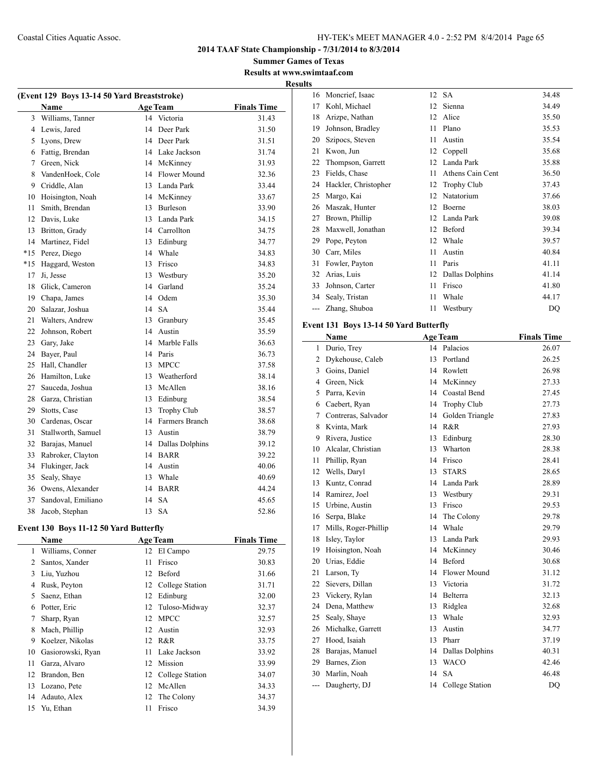**2014 TAAF State Championship - 7/31/2014 to 8/3/2014**

**Summer Games of Texas Results at www.swimtaaf.com**

**Results**

 $\frac{1}{2}$ 

| (Event 129 Boys 13-14 50 Yard Breaststroke) |                    |    |                 |                    |  |
|---------------------------------------------|--------------------|----|-----------------|--------------------|--|
|                                             | <b>Name</b>        |    | <b>Age Team</b> | <b>Finals Time</b> |  |
| 3                                           | Williams, Tanner   | 14 | Victoria        | 31.43              |  |
| 4                                           | Lewis, Jared       | 14 | Deer Park       | 31.50              |  |
| 5                                           | Lyons, Drew        |    | 14 Deer Park    | 31.51              |  |
| 6                                           | Fattig, Brendan    |    | 14 Lake Jackson | 31.74              |  |
| 7                                           | Green, Nick        |    | 14 McKinney     | 31.93              |  |
| 8                                           | VandenHoek, Cole   |    | 14 Flower Mound | 32.36              |  |
| 9                                           | Criddle, Alan      |    | 13 Landa Park   | 33.44              |  |
| 10                                          | Hoisington, Noah   |    | 14 McKinney     | 33.67              |  |
| 11                                          | Smith, Brendan     |    | 13 Burleson     | 33.90              |  |
| 12                                          | Davis, Luke        | 13 | Landa Park      | 34.15              |  |
| 13                                          | Britton, Grady     |    | 14 Carrollton   | 34.75              |  |
| 14                                          | Martinez, Fidel    |    | 13 Edinburg     | 34.77              |  |
| $*15$                                       | Perez, Diego       |    | 14 Whale        | 34.83              |  |
| $*15$                                       | Haggard, Weston    | 13 | Frisco          | 34.83              |  |
| 17                                          | Ji, Jesse          |    | 13 Westbury     | 35.20              |  |
| 18                                          | Glick, Cameron     |    | 14 Garland      | 35.24              |  |
| 19                                          | Chapa, James       |    | 14 Odem         | 35.30              |  |
| 20                                          | Salazar, Joshua    | 14 | <b>SA</b>       | 35.44              |  |
| 21                                          | Walters, Andrew    | 13 | Granbury        | 35.45              |  |
| 22                                          | Johnson, Robert    |    | 14 Austin       | 35.59              |  |
| 23                                          | Gary, Jake         |    | 14 Marble Falls | 36.63              |  |
| 24                                          | Bayer, Paul        | 14 | Paris           | 36.73              |  |
| 25                                          | Hall, Chandler     | 13 | <b>MPCC</b>     | 37.58              |  |
| 26                                          | Hamilton, Luke     | 13 | Weatherford     | 38.14              |  |
| 27                                          | Sauceda, Joshua    | 13 | McAllen         | 38.16              |  |
| 28                                          | Garza, Christian   | 13 | Edinburg        | 38.54              |  |
| 29                                          | Stotts, Case       | 13 | Trophy Club     | 38.57              |  |
| 30                                          | Cardenas, Oscar    | 14 | Farmers Branch  | 38.68              |  |
| 31                                          | Stallworth, Samuel | 13 | Austin          | 38.79              |  |
| 32                                          | Barajas, Manuel    | 14 | Dallas Dolphins | 39.12              |  |
| 33                                          | Rabroker, Clayton  | 14 | <b>BARR</b>     | 39.22              |  |
| 34                                          | Flukinger, Jack    |    | 14 Austin       | 40.06              |  |
| 35                                          | Sealy, Shaye       | 13 | Whale           | 40.69              |  |
| 36                                          | Owens, Alexander   | 14 | <b>BARR</b>     | 44.24              |  |
| 37                                          | Sandoval, Emiliano | 14 | <b>SA</b>       | 45.65              |  |
| 38                                          | Jacob, Stephan     | 13 | <b>SA</b>       | 52.86              |  |

## **Event 130 Boys 11-12 50 Yard Butterfly**

 $\overline{a}$ 

|    | Name              |    | <b>Age Team</b>    | <b>Finals Time</b> |
|----|-------------------|----|--------------------|--------------------|
| 1  | Williams, Conner  | 12 | El Campo           | 29.75              |
| 2  | Santos, Xander    | 11 | Frisco             | 30.83              |
| 3  | Liu, Yuzhou       | 12 | Beford             | 31.66              |
| 4  | Rusk, Peyton      | 12 | College Station    | 31.71              |
| 5  | Saenz, Ethan      | 12 | Edinburg           | 32.00              |
| 6  | Potter, Eric      | 12 | Tuloso-Midway      | 32.37              |
| 7  | Sharp, Ryan       | 12 | <b>MPCC</b>        | 32.57              |
| 8  | Mach, Phillip     | 12 | Austin             | 32.93              |
| 9  | Koelzer, Nikolas  |    | 12 R&R             | 33.75              |
| 10 | Gasiorowski, Ryan | 11 | Lake Jackson       | 33.92              |
| 11 | Garza, Alvaro     | 12 | Mission            | 33.99              |
| 12 | Brandon, Ben      |    | 12 College Station | 34.07              |
| 13 | Lozano, Pete      | 12 | McAllen            | 34.33              |
| 14 | Adauto, Alex      | 12 | The Colony         | 34.37              |
| 15 | Yu, Ethan         | 11 | Frisco             | 34.39              |
|    |                   |    |                    |                    |

| 16  | Moncrief, Isaac      |    | 12 SA              | 34.48 |
|-----|----------------------|----|--------------------|-------|
| 17  | Kohl, Michael        | 12 | Sienna             | 34.49 |
| 18  | Arizpe, Nathan       | 12 | Alice              | 35.50 |
| 19  | Johnson, Bradley     | 11 | Plano              | 35.53 |
| 20  | Szipocs, Steven      | 11 | Austin             | 35.54 |
| 21  | Kwon, Jun            | 12 | Coppell            | 35.68 |
| 22  | Thompson, Garrett    | 12 | Landa Park         | 35.88 |
| 23  | Fields, Chase        | 11 | Athens Cain Cent   | 36.50 |
| 24  | Hackler, Christopher | 12 | <b>Trophy Club</b> | 37.43 |
| 25  | Margo, Kai           | 12 | Natatorium         | 37.66 |
| 26  | Maszak, Hunter       | 12 | Boerne             | 38.03 |
| 27  | Brown, Phillip       | 12 | Landa Park         | 39.08 |
| 28  | Maxwell, Jonathan    | 12 | Beford             | 39.34 |
| 29  | Pope, Peyton         | 12 | Whale              | 39.57 |
| 30  | Carr, Miles          | 11 | Austin             | 40.84 |
| 31  | Fowler, Payton       | 11 | Paris              | 41.11 |
| 32  | Arias, Luis          | 12 | Dallas Dolphins    | 41.14 |
| 33  | Johnson, Carter      | 11 | Frisco             | 41.80 |
| 34  | Sealy, Tristan       | 11 | Whale              | 44.17 |
| --- | Zhang, Shuboa        | 11 | Westbury           | DQ    |

## **Event 131 Boys 13-14 50 Yard Butterfly**

|       | Name                 | <b>Age Team</b> |                        | <b>Finals Time</b> |
|-------|----------------------|-----------------|------------------------|--------------------|
| 1     | Durio, Trey          | 14              | Palacios               | 26.07              |
| 2     | Dykehouse, Caleb     | 13              | Portland               | 26.25              |
| 3     | Goins, Daniel        | 14              | Rowlett                | 26.98              |
| 4     | Green, Nick          | 14              | McKinney               | 27.33              |
| 5     | Parra, Kevin         | 14              | Coastal Bend           | 27.45              |
| 6     | Caebert, Ryan        | 14              | <b>Trophy Club</b>     | 27.73              |
| 7     | Contreras, Salvador  | 14              | Golden Triangle        | 27.83              |
| 8     | Kvinta, Mark         | 14              | R&R                    | 27.93              |
| 9     | Rivera, Justice      | 13              | Edinburg               | 28.30              |
| 10    | Alcalar, Christian   | 13              | Wharton                | 28.38              |
| 11    | Phillip, Ryan        | 14              | Frisco                 | 28.41              |
| 12    | Wells, Daryl         | 13              | <b>STARS</b>           | 28.65              |
| 13    | Kuntz, Conrad        | 14              | Landa Park             | 28.89              |
| 14    | Ramirez, Joel        | 13              | Westbury               | 29.31              |
| 15    | Urbine, Austin       | 13              | Frisco                 | 29.53              |
| 16    | Serpa, Blake         | 14              | The Colony             | 29.78              |
| 17    | Mills, Roger-Phillip | 14              | Whale                  | 29.79              |
| 18    | Isley, Taylor        | 13              | Landa Park             | 29.93              |
| 19    | Hoisington, Noah     | 14              | McKinney               | 30.46              |
| 20    | Urias, Eddie         | 14              | Beford                 | 30.68              |
| 21    | Larson, Ty           | 14              | Flower Mound           | 31.12              |
| 22    | Sievers, Dillan      | 13              | Victoria               | 31.72              |
| 23    | Vickery, Rylan       | 14              | Belterra               | 32.13              |
| 24    | Dena, Matthew        | 13              | Ridglea                | 32.68              |
| 25    | Sealy, Shave         | 13              | Whale                  | 32.93              |
| 26    | Michalke, Garrett    | 13              | Austin                 | 34.77              |
| 27    | Hood, Isaiah         | 13              | Pharr                  | 37.19              |
| 28    | Barajas, Manuel      | 14              | Dallas Dolphins        | 40.31              |
| 29    | Barnes, Zion         | 13              | <b>WACO</b>            | 42.46              |
| 30    | Marlin, Noah         | 14              | <b>SA</b>              | 46.48              |
| $---$ | Daugherty, DJ        | 14              | <b>College Station</b> | DO                 |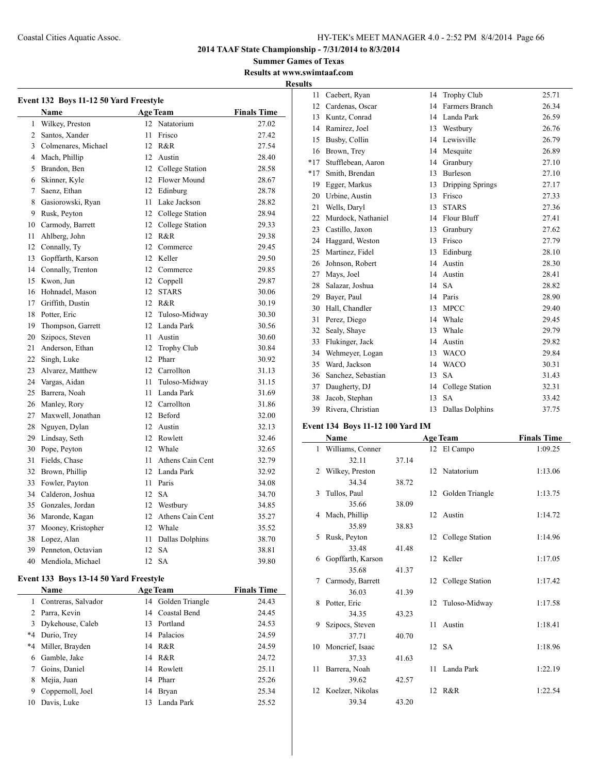**Summer Games of Texas Results at www.swimtaaf.com Results**

|        | Event 132 Boys 11-12 50 Yard Freestyle |      |                     |                    |
|--------|----------------------------------------|------|---------------------|--------------------|
|        | <b>Name</b>                            |      | <b>Age Team</b>     | <b>Finals Time</b> |
| 1      | Wilkey, Preston                        |      | 12 Natatorium       | 27.02              |
| 2      | Santos, Xander                         | 11   | Frisco              | 27.42              |
| 3      | Colmenares, Michael                    |      | 12 R&R              | 27.54              |
|        | 4 Mach, Phillip                        |      | 12 Austin           | 28.40              |
| 5      | Brandon, Ben                           |      | 12 College Station  | 28.58              |
| 6      | Skinner, Kyle                          |      | 12 Flower Mound     | 28.67              |
| $\tau$ | Saenz, Ethan                           |      | 12 Edinburg         | 28.78              |
| 8      | Gasiorowski, Ryan                      |      | 11 Lake Jackson     | 28.82              |
| 9      | Rusk, Peyton                           |      | 12 College Station  | 28.94              |
| 10     | Carmody, Barrett                       |      | 12 College Station  | 29.33              |
| 11     | Ahlberg, John                          |      | 12 R&R              | 29.38              |
| 12.    | Connally, Ty                           |      | 12 Commerce         | 29.45              |
| 13     | Gopffarth, Karson                      |      | 12 Keller           | 29.50              |
| 14     | Connally, Trenton                      |      | 12 Commerce         | 29.85              |
| 15     | Kwon. Jun                              |      | 12 Coppell          | 29.87              |
| 16     | Hohnadel, Mason                        |      | 12 STARS            | 30.06              |
| 17     | Griffith, Dustin                       |      | 12 R&R              | 30.19              |
| 18     | Potter, Eric                           |      | 12 Tuloso-Midway    | 30.30              |
| 19     | Thompson, Garrett                      |      | 12 Landa Park       | 30.56              |
| 20     | Szipocs, Steven                        |      | 11 Austin           | 30.60              |
| 21     | Anderson, Ethan                        |      | 12 Trophy Club      | 30.84              |
| 22     | Singh, Luke                            |      | 12 Pharr            | 30.92              |
| 23     | Alvarez, Matthew                       |      | 12 Carrollton       | 31.13              |
| 24     | Vargas, Aidan                          | 11 - | Tuloso-Midway       | 31.15              |
| 25     | Barrera, Noah                          | 11   | Landa Park          | 31.69              |
| 26     | Manley, Rory                           |      | 12 Carrollton       | 31.86              |
| 27     | Maxwell, Jonathan                      |      | 12 Beford           | 32.00              |
| 28     | Nguyen, Dylan                          |      | 12 Austin           | 32.13              |
| 29     | Lindsay, Seth                          |      | 12 Rowlett          | 32.46              |
| 30     | Pope, Peyton                           |      | 12 Whale            | 32.65              |
| 31     | Fields, Chase                          | 11   | Athens Cain Cent    | 32.79              |
| 32     | Brown, Phillip                         |      | 12 Landa Park       | 32.92              |
| 33     | Fowler, Payton                         | 11   | Paris               | 34.08              |
| 34     | Calderon, Joshua                       |      | 12 SA               | 34.70              |
| 35     | Gonzales, Jordan                       |      | 12 Westbury         | 34.85              |
| 36     | Maronde, Kagan                         |      | 12 Athens Cain Cent | 35.27              |
| 37     | Mooney, Kristopher                     |      | 12 Whale            | 35.52              |
| 38     | Lopez, Alan                            | 11   | Dallas Dolphins     | 38.70              |
| 39     | Penneton, Octavian                     | 12   | <b>SA</b>           | 38.81              |
| 40     | Mendiola, Michael                      | 12   | <b>SA</b>           | 39.80              |

## **Event 133 Boys 13-14 50 Yard Freestyle**

| <b>Name</b> |                       |     | <b>Age Team</b>    | <b>Finals Time</b> |
|-------------|-----------------------|-----|--------------------|--------------------|
|             | 1 Contreras, Salvador |     | 14 Golden Triangle | 24.43              |
|             | 2 Parra, Kevin        |     | 14 Coastal Bend    | 24.45              |
|             | 3 Dykehouse, Caleb    | 13. | Portland           | 24.53              |
|             | *4 Durio, Trey        |     | 14 Palacios        | 24.59              |
|             | *4 Miller, Brayden    |     | 14 R&R             | 24.59              |
| 6           | Gamble, Jake          |     | 14 R&R             | 24.72              |
|             | Goins, Daniel         |     | 14 Rowlett         | 25.11              |
| 8           | Mejia, Juan           |     | 14 Pharr           | 25.26              |
| 9           | Coppernoll, Joel      | 14  | Bryan              | 25.34              |
| 10          | Davis, Luke           | 13  | Landa Park         | 25.52              |

| 11    | Caebert, Ryan      | 14 | <b>Trophy Club</b> | 25.71 |
|-------|--------------------|----|--------------------|-------|
| 12    | Cardenas, Oscar    | 14 | Farmers Branch     | 26.34 |
| 13    | Kuntz, Conrad      | 14 | Landa Park         | 26.59 |
| 14    | Ramirez, Joel      | 13 | Westbury           | 26.76 |
| 15    | Busby, Collin      | 14 | Lewisville         | 26.79 |
| 16    | Brown, Trey        | 14 | Mesquite           | 26.89 |
| $*17$ | Stufflebean, Aaron | 14 | Granbury           | 27.10 |
| $*17$ | Smith, Brendan     | 13 | <b>Burleson</b>    | 27.10 |
| 19    | Egger, Markus      | 13 | Dripping Springs   | 27.17 |
| 20    | Urbine, Austin     | 13 | Frisco             | 27.33 |
| 21    | Wells, Daryl       | 13 | <b>STARS</b>       | 27.36 |
| 22    | Murdock, Nathaniel | 14 | Flour Bluff        | 27.41 |
| 23    | Castillo, Jaxon    | 13 | Granbury           | 27.62 |
| 24    | Haggard, Weston    | 13 | Frisco             | 27.79 |
| 25    | Martinez, Fidel    | 13 | Edinburg           | 28.10 |
| 26    | Johnson, Robert    | 14 | Austin             | 28.30 |
| 27    | Mays, Joel         | 14 | Austin             | 28.41 |
| 28    | Salazar, Joshua    | 14 | <b>SA</b>          | 28.82 |
| 29    | Bayer, Paul        | 14 | Paris              | 28.90 |
| 30    | Hall, Chandler     | 13 | <b>MPCC</b>        | 29.40 |
| 31    | Perez, Diego       | 14 | Whale              | 29.45 |
| 32    | Sealy, Shaye       | 13 | Whale              | 29.79 |
| 33    | Flukinger, Jack    | 14 | Austin             | 29.82 |
| 34    | Wehmeyer, Logan    | 13 | <b>WACO</b>        | 29.84 |
| 35    | Ward, Jackson      | 14 | <b>WACO</b>        | 30.31 |
| 36    | Sanchez, Sebastian | 13 | SA                 | 31.43 |
| 37    | Daugherty, DJ      | 14 | College Station    | 32.31 |
| 38    | Jacob, Stephan     | 13 | <b>SA</b>          | 33.42 |
| 39    | Rivera, Christian  | 13 | Dallas Dolphins    | 37.75 |

## **Event 134 Boys 11-12 100 Yard IM**

 $\overline{\phantom{a}}$ 

|              | Name                |       |    | <b>Age Team</b>    | <b>Finals Time</b> |
|--------------|---------------------|-------|----|--------------------|--------------------|
| $\mathbf{1}$ | Williams, Conner    |       |    | 12 El Campo        | 1:09.25            |
|              | 32.11               | 37.14 |    |                    |                    |
| 2            | Wilkey, Preston     |       |    | 12 Natatorium      | 1:13.06            |
|              | 34.34               | 38.72 |    |                    |                    |
| 3            | Tullos, Paul        |       |    | 12 Golden Triangle | 1:13.75            |
|              | 35.66               | 38.09 |    |                    |                    |
|              | 4 Mach, Phillip     |       |    | 12 Austin          | 1:14.72            |
|              | 35.89               | 38.83 |    |                    |                    |
| 5            | Rusk, Peyton        |       |    | 12 College Station | 1:14.96            |
|              | 33.48               | 41.48 |    |                    |                    |
| 6            | Gopffarth, Karson   |       |    | 12 Keller          | 1:17.05            |
|              | 35.68               | 41.37 |    |                    |                    |
| 7            | Carmody, Barrett    |       |    | 12 College Station | 1:17.42            |
|              | 36.03               | 41.39 |    |                    |                    |
| 8            | Potter, Eric        |       |    | 12 Tuloso-Midway   | 1:17.58            |
|              | 34.35               | 43.23 |    |                    |                    |
| 9            | Szipocs, Steven     |       | 11 | Austin             | 1:18.41            |
|              | 37.71               | 40.70 |    |                    |                    |
| 10           | Moncrief, Isaac     |       |    | 12 SA              | 1:18.96            |
|              | 37.33               | 41.63 |    |                    |                    |
| 11           | Barrera, Noah       |       | 11 | Landa Park         | 1:22.19            |
|              | 39.62               | 42.57 |    |                    |                    |
|              | 12 Koelzer, Nikolas |       |    | 12 R&R             | 1:22.54            |
|              | 39.34               | 43.20 |    |                    |                    |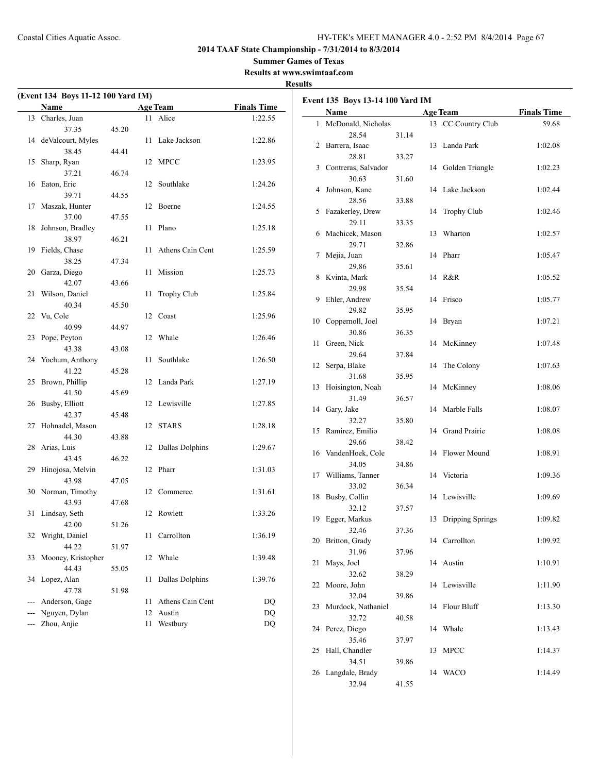**Summer Games of Texas**

**Results at www.swimtaaf.com**

## **Results**

| (Event 134 Boys 11-12 100 Yard IM) |                         |       |    |                        |                    |  |
|------------------------------------|-------------------------|-------|----|------------------------|--------------------|--|
|                                    | <b>Name</b>             |       |    | <b>Age Team</b>        | <b>Finals Time</b> |  |
|                                    | 13 Charles, Juan        |       |    | 11 Alice               | 1:22.55            |  |
|                                    | 37.35                   | 45.20 |    |                        |                    |  |
| 14                                 | deValcourt, Myles       |       | 11 | Lake Jackson           | 1:22.86            |  |
|                                    | 38.45                   | 44.41 |    |                        |                    |  |
| 15                                 | Sharp, Ryan             |       | 12 | <b>MPCC</b>            | 1:23.95            |  |
|                                    | 37.21                   | 46.74 |    |                        |                    |  |
| 16                                 | Eaton, Eric             |       | 12 | Southlake              | 1:24.26            |  |
|                                    | 39.71                   | 44.55 |    |                        |                    |  |
| 17                                 | Maszak, Hunter          |       | 12 | Boerne                 | 1:24.55            |  |
|                                    | 37.00                   | 47.55 |    |                        |                    |  |
| 18                                 | Johnson, Bradley        |       | 11 | Plano                  | 1:25.18            |  |
|                                    | 38.97                   | 46.21 |    |                        |                    |  |
| 19                                 | Fields, Chase           |       | 11 | Athens Cain Cent       | 1:25.59            |  |
|                                    | 38.25                   | 47.34 |    |                        |                    |  |
| 20                                 | Garza, Diego<br>42.07   |       | 11 | Mission                | 1:25.73            |  |
|                                    |                         | 43.66 |    |                        |                    |  |
| 21                                 | Wilson, Daniel<br>40.34 |       | 11 | Trophy Club            | 1:25.84            |  |
| 22                                 |                         | 45.50 |    | 12 Coast               |                    |  |
|                                    | Vu, Cole<br>40.99       | 44.97 |    |                        | 1:25.96            |  |
| 23                                 | Pope, Peyton            |       | 12 | Whale                  | 1:26.46            |  |
|                                    | 43.38                   | 43.08 |    |                        |                    |  |
| 24                                 | Yochum, Anthony         |       | 11 | Southlake              | 1:26.50            |  |
|                                    | 41.22                   | 45.28 |    |                        |                    |  |
| 25                                 | Brown, Phillip          |       | 12 | Landa Park             | 1:27.19            |  |
|                                    | 41.50                   | 45.69 |    |                        |                    |  |
| 26                                 | Busby, Elliott          |       | 12 | Lewisville             | 1:27.85            |  |
|                                    | 42.37                   | 45.48 |    |                        |                    |  |
| 27                                 | Hohnadel, Mason         |       | 12 | <b>STARS</b>           | 1:28.18            |  |
|                                    | 44.30                   | 43.88 |    |                        |                    |  |
| 28                                 | Arias, Luis             |       | 12 | Dallas Dolphins        | 1:29.67            |  |
|                                    | 43.45                   | 46.22 |    |                        |                    |  |
| 29                                 | Hinojosa, Melvin        |       | 12 | Pharr                  | 1:31.03            |  |
|                                    | 43.98                   | 47.05 |    |                        |                    |  |
| 30                                 | Norman, Timothy         |       |    | 12 Commerce            | 1:31.61            |  |
|                                    | 43.93                   | 47.68 |    |                        |                    |  |
| 31                                 | Lindsay, Seth           |       | 12 | Rowlett                | 1:33.26            |  |
|                                    | 42.00                   | 51.26 |    |                        |                    |  |
| 32                                 | Wright, Daniel          |       | 11 | Carrollton             | 1:36.19            |  |
|                                    | 44.22                   | 51.97 |    |                        |                    |  |
| 33                                 | Mooney, Kristopher      |       | 12 | Whale                  | 1:39.48            |  |
|                                    | 44.43                   | 55.05 |    |                        |                    |  |
| 34                                 | Lopez, Alan             |       | 11 | <b>Dallas Dolphins</b> | 1:39.76            |  |
|                                    | 47.78                   | 51.98 |    |                        |                    |  |
| ---                                | Anderson, Gage          |       | 11 | Athens Cain Cent       | DQ                 |  |
| ---                                | Nguyen, Dylan           |       | 12 | Austin                 | <b>DQ</b>          |  |
| ---                                | Zhou, Anjie             |       | 11 | Westbury               | DQ                 |  |

|    | Event 135 Boys 13-14 100 Yard IM |       |    |                  |                    |  |  |
|----|----------------------------------|-------|----|------------------|--------------------|--|--|
|    | <b>Name</b>                      |       |    | <b>Age Team</b>  | <b>Finals Time</b> |  |  |
| 1  | McDonald, Nicholas               |       | 13 | CC Country Club  | 59.68              |  |  |
|    | 28.54                            | 31.14 |    |                  |                    |  |  |
| 2  | Barrera, Isaac                   |       | 13 | Landa Park       | 1:02.08            |  |  |
|    | 28.81                            | 33.27 |    |                  |                    |  |  |
| 3  | Contreras, Salvador              |       | 14 | Golden Triangle  | 1:02.23            |  |  |
|    | 30.63                            | 31.60 |    |                  |                    |  |  |
| 4  | Johnson, Kane                    |       | 14 | Lake Jackson     | 1:02.44            |  |  |
|    | 28.56                            | 33.88 |    |                  |                    |  |  |
| 5  | Fazakerley, Drew                 |       | 14 | Trophy Club      | 1:02.46            |  |  |
|    | 29.11                            | 33.35 |    | Wharton          |                    |  |  |
| 6  | Machicek, Mason<br>29.71         |       | 13 |                  | 1:02.57            |  |  |
| 7  | Mejia, Juan                      | 32.86 | 14 | Pharr            | 1:05.47            |  |  |
|    | 29.86                            | 35.61 |    |                  |                    |  |  |
| 8  | Kvinta, Mark                     |       | 14 | R&R              | 1:05.52            |  |  |
|    | 29.98                            | 35.54 |    |                  |                    |  |  |
| 9  | Ehler, Andrew                    |       | 14 | Frisco           | 1:05.77            |  |  |
|    | 29.82                            | 35.95 |    |                  |                    |  |  |
| 10 | Coppernoll, Joel                 |       | 14 | <b>Bryan</b>     | 1:07.21            |  |  |
|    | 30.86                            | 36.35 |    |                  |                    |  |  |
| 11 | Green, Nick                      |       | 14 | McKinney         | 1:07.48            |  |  |
|    | 29.64                            | 37.84 |    |                  |                    |  |  |
| 12 | Serpa, Blake                     |       | 14 | The Colony       | 1:07.63            |  |  |
|    | 31.68                            | 35.95 |    |                  |                    |  |  |
| 13 | Hoisington, Noah                 |       | 14 | McKinney         | 1:08.06            |  |  |
|    | 31.49                            | 36.57 |    |                  |                    |  |  |
| 14 | Gary, Jake                       |       | 14 | Marble Falls     | 1:08.07            |  |  |
|    | 32.27                            | 35.80 |    |                  |                    |  |  |
| 15 | Ramirez, Emilio                  |       | 14 | Grand Prairie    | 1:08.08            |  |  |
|    | 29.66                            | 38.42 |    |                  |                    |  |  |
| 16 | VandenHoek, Cole                 |       | 14 | Flower Mound     | 1:08.91            |  |  |
|    | 34.05                            | 34.86 |    |                  |                    |  |  |
| 17 | Williams, Tanner                 |       |    | 14 Victoria      | 1:09.36            |  |  |
|    | 33.02                            | 36.34 |    |                  |                    |  |  |
| 18 | Busby, Collin                    |       | 14 | Lewisville       | 1:09.69            |  |  |
|    | 32.12                            | 37.57 |    |                  |                    |  |  |
| 19 | Egger, Markus                    |       | 13 | Dripping Springs | 1:09.82            |  |  |
|    | 32.46                            | 37.36 |    |                  |                    |  |  |
|    | 20 Britton, Grady                |       |    | 14 Carrollton    | 1:09.92            |  |  |
|    | 31.96                            | 37.96 |    |                  |                    |  |  |
| 21 | Mays, Joel                       |       | 14 | Austin           | 1:10.91            |  |  |
|    | 32.62                            | 38.29 |    | Lewisville       |                    |  |  |
| 22 | Moore, John                      |       | 14 |                  | 1:11.90            |  |  |
|    | 32.04<br>Murdock, Nathaniel      | 39.86 |    | Flour Bluff      |                    |  |  |
| 23 | 32.72                            |       | 14 |                  | 1:13.30            |  |  |
| 24 | Perez, Diego                     | 40.58 | 14 | Whale            | 1:13.43            |  |  |
|    | 35.46                            | 37.97 |    |                  |                    |  |  |
| 25 | Hall, Chandler                   |       | 13 | MPCC             | 1:14.37            |  |  |
|    | 34.51                            | 39.86 |    |                  |                    |  |  |
| 26 | Langdale, Brady                  |       | 14 | WACO             | 1:14.49            |  |  |
|    | 32.94                            | 41.55 |    |                  |                    |  |  |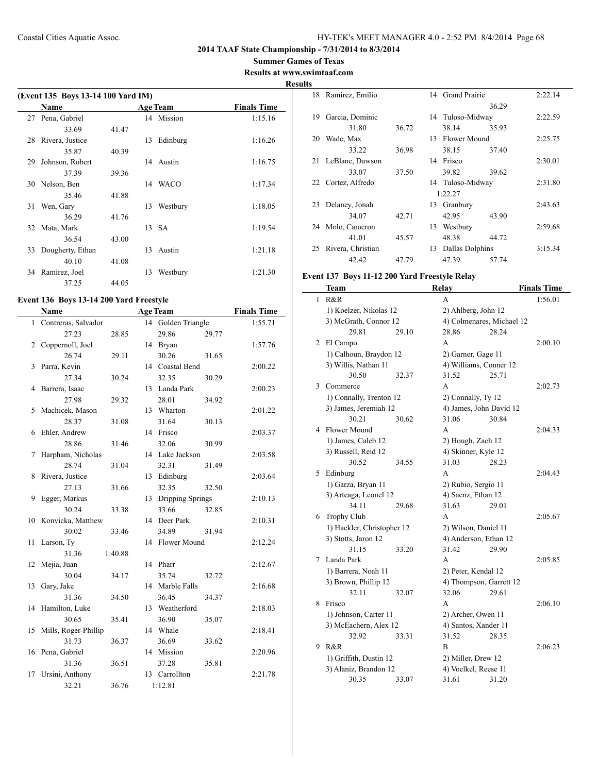## **2014 TAAF State Championship - 7/31/2014 to 8/3/2014**

**Summer Games of Texas**

## **Results at www.swimtaaf.com Results**

|    | (Event 135 Boys 13-14 100 Yard IM) |       |    |                 |                    |  |  |
|----|------------------------------------|-------|----|-----------------|--------------------|--|--|
|    | Name                               |       |    | <b>Age Team</b> | <b>Finals Time</b> |  |  |
| 27 | Pena, Gabriel                      |       |    | 14 Mission      | 1:15.16            |  |  |
|    | 33.69                              | 41.47 |    |                 |                    |  |  |
| 28 | Rivera, Justice                    |       | 13 | Edinburg        | 1:16.26            |  |  |
|    | 35.87                              | 40.39 |    |                 |                    |  |  |
| 29 | Johnson, Robert                    |       | 14 | Austin          | 1:16.75            |  |  |
|    | 37.39                              | 39.36 |    |                 |                    |  |  |
| 30 | Nelson, Ben                        |       | 14 | WACO            | 1:17.34            |  |  |
|    | 35.46                              | 41.88 |    |                 |                    |  |  |
| 31 | Wen, Gary                          |       | 13 | Westbury        | 1:18.05            |  |  |
|    | 36.29                              | 41.76 |    |                 |                    |  |  |
| 32 | Mata, Mark                         |       |    | 13 SA           | 1:19.54            |  |  |
|    | 36.54                              | 43.00 |    |                 |                    |  |  |
| 33 | Dougherty, Ethan                   |       | 13 | Austin          | 1:21.18            |  |  |
|    | 40.10                              | 41.08 |    |                 |                    |  |  |
| 34 | Ramirez, Joel                      |       | 13 | Westbury        | 1:21.30            |  |  |
|    | 37.25                              | 44.05 |    |                 |                    |  |  |

## **Event 136 Boys 13-14 200 Yard Freestyle**

|              | Name                 |         |    | <b>Age Team</b>  |       | <b>Finals Time</b> |
|--------------|----------------------|---------|----|------------------|-------|--------------------|
| $\mathbf{1}$ | Contreras, Salvador  |         | 14 | Golden Triangle  |       | 1:55.71            |
|              | 27.23                | 28.85   |    | 29.86            | 29.77 |                    |
| 2            | Coppernoll, Joel     |         |    | 14 Bryan         |       | 1:57.76            |
|              | 26.74                | 29.11   |    | 30.26            | 31.65 |                    |
| 3            | Parra, Kevin         |         |    | 14 Coastal Bend  |       | 2:00.22            |
|              | 27.34                | 30.24   |    | 32.35            | 30.29 |                    |
| 4            | Barrera, Isaac       |         | 13 | Landa Park       |       | 2:00.23            |
|              | 27.98                | 29.32   |    | 28.01            | 34.92 |                    |
| 5            | Machicek, Mason      |         | 13 | Wharton          |       | 2:01.22            |
|              | 28.37                | 31.08   |    | 31.64            | 30.13 |                    |
| 6            | Ehler, Andrew        |         |    | 14 Frisco        |       | 2:03.37            |
|              | 28.86                | 31.46   |    | 32.06            | 30.99 |                    |
| 7            | Harpham, Nicholas    |         |    | 14 Lake Jackson  |       | 2:03.58            |
|              | 28.74                | 31.04   |    | 32.31            | 31.49 |                    |
| 8            | Rivera, Justice      |         | 13 | Edinburg         |       | 2:03.64            |
|              | 27.13                | 31.66   |    | 32.35            | 32.50 |                    |
| 9            | Egger, Markus        |         | 13 | Dripping Springs |       | 2:10.13            |
|              | 30.24                | 33.38   |    | 33.66            | 32.85 |                    |
| 10           | Konvicka, Matthew    |         |    | 14 Deer Park     |       | 2:10.31            |
|              | 30.02                | 33.46   |    | 34.89            | 31.94 |                    |
| 11           | Larson, Ty           |         |    | 14 Flower Mound  |       | 2:12.24            |
|              | 31.36                | 1:40.88 |    |                  |       |                    |
| 12           | Mejia, Juan          |         |    | 14 Pharr         |       | 2:12.67            |
|              | 30.04                | 34.17   |    | 35.74            | 32.72 |                    |
| 13           | Gary, Jake           |         |    | 14 Marble Falls  |       | 2:16.68            |
|              | 31.36                | 34.50   |    | 36.45            | 34.37 |                    |
| 14           | Hamilton, Luke       |         | 13 | Weatherford      |       | 2:18.03            |
|              | 30.65                | 35.41   |    | 36.90            | 35.07 |                    |
| 15           | Mills, Roger-Phillip |         |    | 14 Whale         |       | 2:18.41            |
|              | 31.73                | 36.37   |    | 36.69            | 33.62 |                    |
| 16           | Pena, Gabriel        |         |    | 14 Mission       |       | 2:20.96            |
|              | 31.36                | 36.51   |    | 37.28            | 35.81 |                    |
| 17           | Ursini, Anthony      |         |    | 13 Carrollton    |       | 2:21.78            |
|              | 32.21                | 36.76   |    | 1:12.81          |       |                    |

|    | 18 Ramirez, Emilio |       |    | 14 Grand Prairie |       | 2:22.14 |
|----|--------------------|-------|----|------------------|-------|---------|
|    |                    |       |    |                  | 36.29 |         |
| 19 | Garcia, Dominic    |       |    | 14 Tuloso-Midway |       | 2:22.59 |
|    | 31.80              | 36.72 |    | 38.14            | 35.93 |         |
| 20 | Wade, Max          |       | 13 | Flower Mound     |       | 2:25.75 |
|    | 33.22              | 36.98 |    | 38.15            | 37.40 |         |
| 21 | LeBlanc, Dawson    |       | 14 | Frisco           |       | 2:30.01 |
|    | 33.07              | 37.50 |    | 39.82            | 39.62 |         |
|    | 22 Cortez, Alfredo |       |    | 14 Tuloso-Midway |       | 2:31.80 |
|    |                    |       |    | 1:22.27          |       |         |
| 23 | Delaney, Jonah     |       |    | 13 Granbury      |       | 2:43.63 |
|    | 34.07              | 42.71 |    | 42.95            | 43.90 |         |
| 24 | Molo, Cameron      |       | 13 | Westbury         |       | 2:59.68 |
|    | 41.01              | 45.57 |    | 48.38            | 44.72 |         |
| 25 | Rivera, Christian  |       | 13 | Dallas Dolphins  |       | 3:15.34 |
|    | 42.42              | 47.79 |    | 47.39            | 57.74 |         |
|    |                    |       |    |                  |       |         |

## **Event 137 Boys 11-12 200 Yard Freestyle Relay**

|   | Team                       |       | Relay                     |         | <b>Finals Time</b> |
|---|----------------------------|-------|---------------------------|---------|--------------------|
| 1 | R&R                        |       | A                         |         | 1:56.01            |
|   | 1) Koelzer, Nikolas 12     |       | 2) Ahlberg, John 12       |         |                    |
|   | 3) McGrath, Connor 12      |       | 4) Colmenares, Michael 12 |         |                    |
|   | 29.81                      | 29.10 | 28.86                     | 28.24   |                    |
| 2 | El Campo                   |       | A                         |         | 2:00.10            |
|   | 1) Calhoun, Braydon 12     |       | 2) Garner, Gage 11        |         |                    |
|   | 3) Willis, Nathan 11       |       | 4) Williams, Conner 12    |         |                    |
|   | 30.50                      | 32.37 | 31.52                     | 25.71   |                    |
| 3 | Commerce                   |       | A                         |         | 2:02.73            |
|   | 1) Connally, Trenton 12    |       | 2) Connally, Ty 12        |         |                    |
|   | 3) James, Jeremiah 12      |       | 4) James, John David 12   |         |                    |
|   | 30.21                      | 30.62 | 31.06                     | 30.84   |                    |
| 4 | Flower Mound               |       | A                         |         | 2:04.33            |
|   | 1) James, Caleb 12         |       | 2) Hough, Zach 12         |         |                    |
|   | 3) Russell, Reid 12        |       | 4) Skinner, Kyle 12       |         |                    |
|   | 30.52                      | 34.55 | 31.03                     | 28.23   |                    |
| 5 | Edinburg                   |       | A                         |         | 2:04.43            |
|   | 1) Garza, Bryan 11         |       | 2) Rubio, Sergio 11       |         |                    |
|   | 3) Arteaga, Leonel 12      |       | 4) Saenz, Ethan 12        |         |                    |
|   | 34.11                      | 29.68 | 31.63                     | 29.01   |                    |
| 6 | <b>Trophy Club</b>         |       | A                         |         | 2:05.67            |
|   | 1) Hackler, Christopher 12 |       | 2) Wilson, Daniel 11      |         |                    |
|   | 3) Stotts, Jaron 12        |       | 4) Anderson, Ethan 12     |         |                    |
|   | 31.15                      | 33.20 | 31.42                     | 29.90   |                    |
| 7 | Landa Park                 |       | A                         |         | 2:05.85            |
|   | 1) Barrera, Noah 11        |       | 2) Peter, Kendal 12       |         |                    |
|   | 3) Brown, Phillip 12       |       | 4) Thompson, Garrett 12   |         |                    |
|   | 32.11                      | 32.07 | 32.06                     | 29.61   |                    |
| 8 | Frisco                     |       | A                         |         | 2:06.10            |
|   | 1) Johnson, Carter 11      |       | 2) Archer, Owen 11        |         |                    |
|   | 3) McEachern, Alex 12      |       | 4) Santos, Xander 11      |         |                    |
|   | 32.92                      | 33.31 | 31.52                     | 28.35   |                    |
| 9 | R&R                        | B     |                           | 2:06.23 |                    |
|   | 1) Griffith, Dustin 12     |       | 2) Miller, Drew 12        |         |                    |
|   | 3) Alaniz, Brandon 12      |       | 4) Voelkel, Reese 11      |         |                    |
|   | 30.35                      | 33.07 | 31.61                     | 31.20   |                    |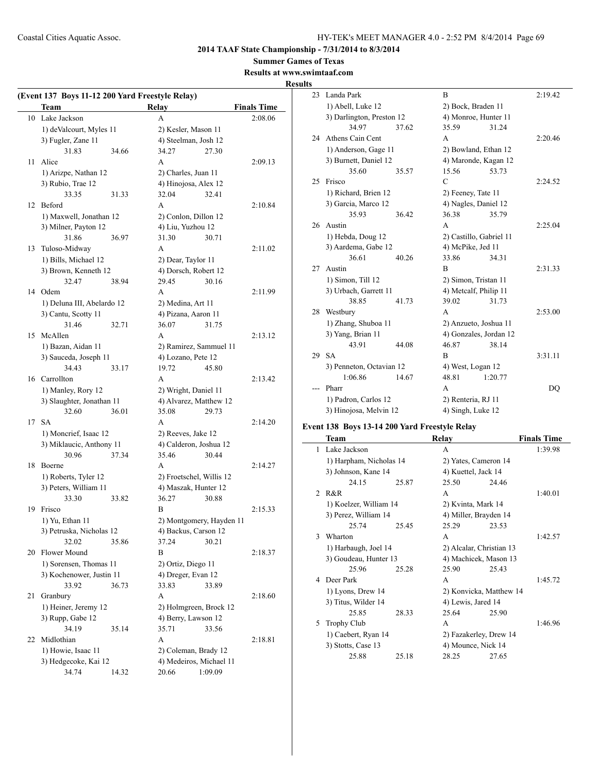**2014 TAAF State Championship - 7/31/2014 to 8/3/2014**

**Summer Games of Texas**

## **Results at www.swimtaaf.com Results**

| (Event 137 Boys 11-12 200 Yard Freestyle Relay) |                            |       |                          |         |                    |  |
|-------------------------------------------------|----------------------------|-------|--------------------------|---------|--------------------|--|
|                                                 | Team                       |       | Relay                    |         | <b>Finals Time</b> |  |
|                                                 | 10 Lake Jackson            |       | A                        |         | 2:08.06            |  |
|                                                 | 1) deValcourt, Myles 11    |       | 2) Kesler, Mason 11      |         |                    |  |
|                                                 | 3) Fugler, Zane 11         |       | 4) Steelman, Josh 12     |         |                    |  |
|                                                 | 31.83                      | 34.66 | 34.27                    | 27.30   |                    |  |
| 11                                              | Alice                      |       | A                        |         | 2:09.13            |  |
|                                                 | 1) Arizpe, Nathan 12       |       | 2) Charles, Juan 11      |         |                    |  |
|                                                 | 3) Rubio, Trae 12          |       | 4) Hinojosa, Alex 12     |         |                    |  |
|                                                 | 33.35                      | 31.33 | 32.04                    | 32.41   |                    |  |
| 12                                              | Beford                     |       | A                        |         | 2:10.84            |  |
|                                                 | 1) Maxwell, Jonathan 12    |       | 2) Conlon, Dillon 12     |         |                    |  |
|                                                 | 3) Milner, Payton 12       |       | 4) Liu, Yuzhou 12        |         |                    |  |
|                                                 | 31.86                      | 36.97 | 31.30                    | 30.71   |                    |  |
| 13                                              | Tuloso-Midway              |       | A                        |         | 2:11.02            |  |
|                                                 | 1) Bills, Michael 12       |       | 2) Dear, Taylor 11       |         |                    |  |
|                                                 | 3) Brown, Kenneth 12       |       | 4) Dorsch, Robert 12     |         |                    |  |
|                                                 | 32.47                      | 38.94 | 29.45                    | 30.16   |                    |  |
|                                                 | 14 Odem                    |       | A                        |         | 2:11.99            |  |
|                                                 | 1) Deluna III, Abelardo 12 |       | 2) Medina, Art 11        |         |                    |  |
|                                                 | 3) Cantu, Scotty 11        |       | 4) Pizana, Aaron 11      |         |                    |  |
|                                                 | 31.46                      | 32.71 | 36.07                    | 31.75   |                    |  |
| 15                                              | McAllen                    |       | A                        |         | 2:13.12            |  |
|                                                 | 1) Bazan, Aidan 11         |       | 2) Ramirez, Sammuel 11   |         |                    |  |
|                                                 | 3) Sauceda, Joseph 11      |       | 4) Lozano, Pete 12       |         |                    |  |
|                                                 | 34.43                      | 33.17 | 19.72                    | 45.80   |                    |  |
|                                                 | 16 Carrollton              |       | A                        |         | 2:13.42            |  |
|                                                 | 1) Manley, Rory 12         |       | 2) Wright, Daniel 11     |         |                    |  |
|                                                 | 3) Slaughter, Jonathan 11  |       | 4) Alvarez, Matthew 12   |         |                    |  |
|                                                 | 32.60                      | 36.01 | 35.08                    | 29.73   |                    |  |
| 17                                              | <b>SA</b>                  |       | A                        |         | 2:14.20            |  |
|                                                 | 1) Moncrief, Isaac 12      |       | 2) Reeves, Jake 12       |         |                    |  |
|                                                 | 3) Miklaucic, Anthony 11   |       | 4) Calderon, Joshua 12   |         |                    |  |
|                                                 | 30.96                      | 37.34 | 35.46                    | 30.44   |                    |  |
| 18                                              | Boerne                     |       | A                        |         | 2:14.27            |  |
|                                                 | 1) Roberts, Tyler 12       |       | 2) Froetschel, Willis 12 |         |                    |  |
|                                                 | 3) Peters, William 11      |       | 4) Maszak, Hunter 12     |         |                    |  |
|                                                 | 33.30                      | 33.82 | 36.27                    | 30.88   |                    |  |
| 19                                              | Frisco                     |       | B                        |         | 2:15.33            |  |
|                                                 | 1) Yu, Ethan 11            |       | 2) Montgomery, Hayden 11 |         |                    |  |
|                                                 | 3) Petruska, Nicholas 12   |       | 4) Backus, Carson 12     |         |                    |  |
|                                                 | 32.02                      | 35.86 | 37.24                    | 30.21   |                    |  |
| 20                                              | Flower Mound               |       | B                        |         | 2:18.37            |  |
|                                                 | 1) Sorensen, Thomas 11     |       | 2) Ortiz, Diego 11       |         |                    |  |
|                                                 | 3) Kochenower, Justin 11   |       | 4) Dreger, Evan 12       |         |                    |  |
|                                                 | 33.92                      | 36.73 | 33.83                    | 33.89   |                    |  |
| 21                                              | Granbury                   |       | A                        |         | 2:18.60            |  |
|                                                 | 1) Heiner, Jeremy 12       |       | 2) Holmgreen, Brock 12   |         |                    |  |
|                                                 | 3) Rupp, Gabe 12           |       | 4) Berry, Lawson 12      |         |                    |  |
|                                                 | 34.19                      | 35.14 | 35.71                    | 33.56   |                    |  |
| 22                                              | Midlothian                 |       | A                        |         | 2:18.81            |  |
|                                                 | 1) Howie, Isaac 11         |       | 2) Coleman, Brady 12     |         |                    |  |
|                                                 | 3) Hedgecoke, Kai 12       |       | 4) Medeiros, Michael 11  |         |                    |  |
|                                                 | 34.74                      | 14.32 | 20.66                    | 1:09.09 |                    |  |
|                                                 |                            |       |                          |         |                    |  |

| 23                  | Landa Park                                 |       | B                       |                        | 2:19.42 |
|---------------------|--------------------------------------------|-------|-------------------------|------------------------|---------|
|                     | 1) Abell, Luke 12                          |       | 2) Bock, Braden 11      |                        |         |
|                     | 3) Darlington, Preston 12                  |       | 4) Monroe, Hunter 11    |                        |         |
|                     | 34.97                                      | 37.62 | 35.59                   | 31.24                  |         |
| 24                  | Athens Cain Cent                           |       | A                       |                        | 2:20.46 |
|                     | 1) Anderson, Gage 11                       |       | 2) Bowland, Ethan 12    |                        |         |
|                     | 3) Burnett, Daniel 12                      |       | 4) Maronde, Kagan 12    |                        |         |
|                     | 35.60                                      | 35.57 | 15.56                   | 53.73                  |         |
| 25                  | Frisco                                     |       | $\mathcal{C}$           |                        | 2:24.52 |
|                     | 1) Richard, Brien 12                       |       | 2) Feeney, Tate 11      |                        |         |
|                     | 3) Garcia, Marco 12                        |       | 4) Nagles, Daniel 12    |                        |         |
|                     | 35.93                                      | 36.42 | 36.38                   | 35.79                  |         |
| 26                  | Austin                                     |       | A                       |                        | 2:25.04 |
|                     | 1) Hebda, Doug 12                          |       | 2) Castillo, Gabriel 11 |                        |         |
| 3) Aardema, Gabe 12 |                                            |       | 4) McPike, Jed 11       |                        |         |
|                     | 36.61                                      | 40.26 | 33.86                   | 34.31                  |         |
| 27                  | Austin                                     |       | B                       |                        | 2:31.33 |
|                     | 1) Simon, Till 12<br>3) Urbach, Garrett 11 |       | 2) Simon, Tristan 11    |                        |         |
|                     |                                            |       | 4) Metcalf, Philip 11   |                        |         |
|                     | 38.85                                      | 41.73 | 39.02                   | 31.73                  |         |
| 28                  | Westbury                                   |       | A                       |                        | 2:53.00 |
|                     | 1) Zhang, Shuboa 11                        |       | 2) Anzueto, Joshua 11   |                        |         |
|                     | 3) Yang, Brian 11                          |       |                         | 4) Gonzales, Jordan 12 |         |
|                     | 43.91                                      | 44.08 | 46.87                   | 38.14                  |         |
| 29                  | <b>SA</b>                                  |       | B                       |                        | 3:31.11 |
|                     | 3) Penneton, Octavian 12                   |       | 4) West, Logan 12       |                        |         |
|                     | 1:06.86                                    | 14.67 | 48.81                   | 1:20.77                |         |
|                     | Pharr                                      |       | A                       |                        | DO      |
|                     | 1) Padron, Carlos 12                       |       | 2) Renteria, RJ 11      |                        |         |
|                     | 3) Hinojosa, Melvin 12                     |       | 4) Singh, Luke 12       |                        |         |

## **Event 138 Boys 13-14 200 Yard Freestyle Relay**

|               | Team                    |       | Relay                    |                       | <b>Finals Time</b> |
|---------------|-------------------------|-------|--------------------------|-----------------------|--------------------|
| $\mathbf{1}$  | Lake Jackson            |       | A                        |                       | 1:39.98            |
|               | 1) Harpham, Nicholas 14 |       | 2) Yates, Cameron 14     |                       |                    |
|               | 3) Johnson, Kane 14     |       |                          | 4) Kuettel, Jack 14   |                    |
|               | 24.15                   | 25.87 | 25.50                    | 24.46                 |                    |
| $\mathcal{D}$ | R&R                     |       | A                        |                       | 1:40.01            |
|               | 1) Koelzer, William 14  |       | 2) Kvinta, Mark 14       |                       |                    |
|               | 3) Perez, William 14    |       |                          | 4) Miller, Brayden 14 |                    |
|               | 25.74                   | 25.45 | 25.29                    | 23.53                 |                    |
| $\mathbf{3}$  | Wharton                 |       | A                        |                       | 1:42.57            |
|               | 1) Harbaugh, Joel 14    |       | 2) Alcalar, Christian 13 |                       |                    |
|               | 3) Goudeau, Hunter 13   |       | 4) Machicek, Mason 13    |                       |                    |
|               | 25.96                   | 25.28 | 25.90                    | 25.43                 |                    |
| 4             | Deer Park               |       | A                        |                       | 1:45.72            |
|               | 1) Lyons, Drew 14       |       | 2) Konvicka, Matthew 14  |                       |                    |
|               | 3) Titus, Wilder 14     |       | 4) Lewis, Jared 14       |                       |                    |
|               | 25.85                   | 28.33 | 25.64                    | 25.90                 |                    |
| 5             | <b>Trophy Club</b>      |       | A                        |                       | 1:46.96            |
|               | 1) Caebert, Ryan 14     |       | 2) Fazakerley, Drew 14   |                       |                    |
|               | 3) Stotts, Case 13      |       | 4) Mounce, Nick 14       |                       |                    |
|               | 25.88                   | 25.18 | 28.25                    | 27.65                 |                    |